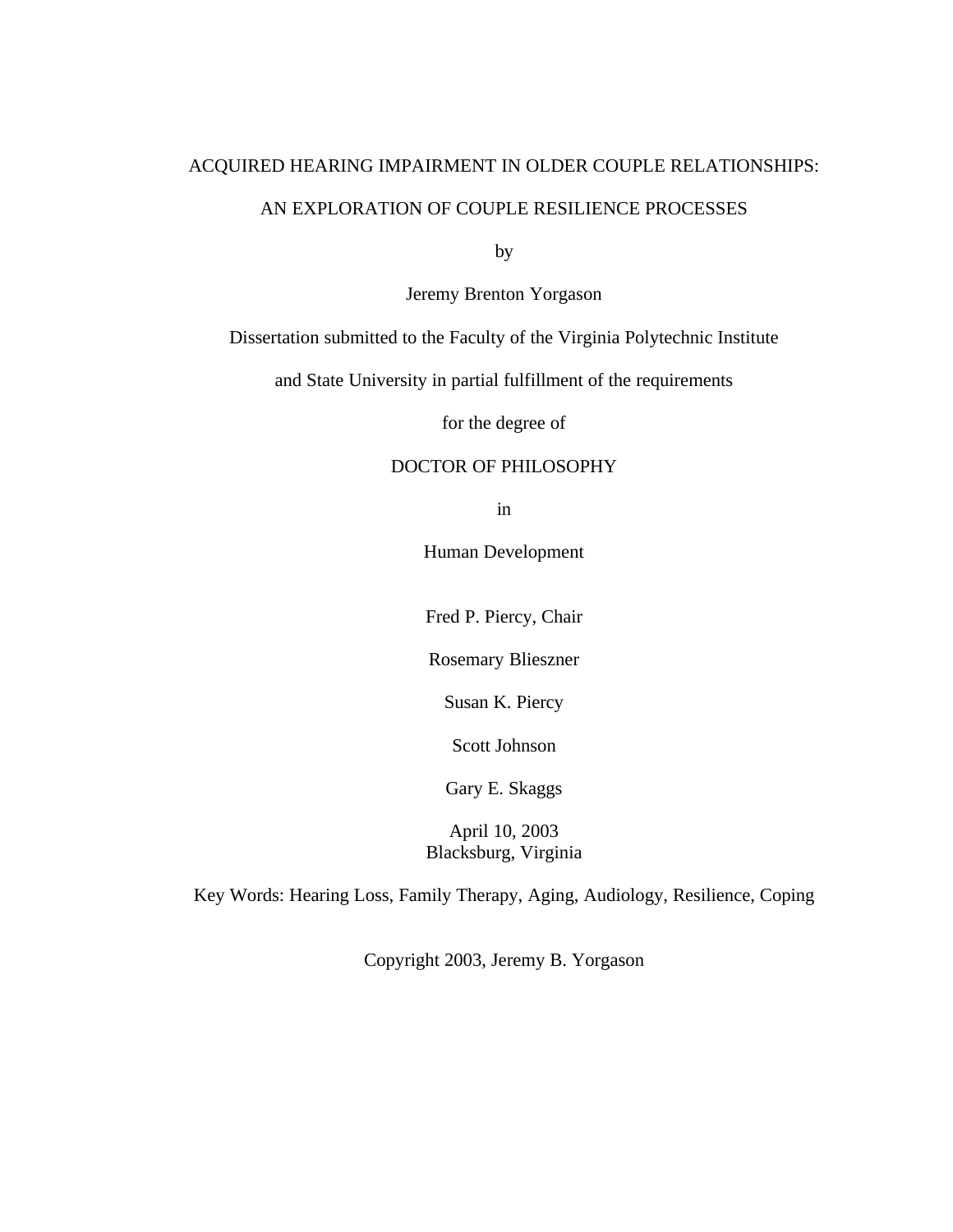# ACQUIRED HEARING IMPAIRMENT IN OLDER COUPLE RELATIONSHIPS: AN EXPLORATION OF COUPLE RESILIENCE PROCESSES

by

Jeremy Brenton Yorgason

# Dissertation submitted to the Faculty of the Virginia Polytechnic Institute

and State University in partial fulfillment of the requirements

for the degree of

# DOCTOR OF PHILOSOPHY

in

Human Development

Fred P. Piercy, Chair

Rosemary Blieszner

Susan K. Piercy

Scott Johnson

Gary E. Skaggs

April 10, 2003 Blacksburg, Virginia

Key Words: Hearing Loss, Family Therapy, Aging, Audiology, Resilience, Coping

Copyright 2003, Jeremy B. Yorgason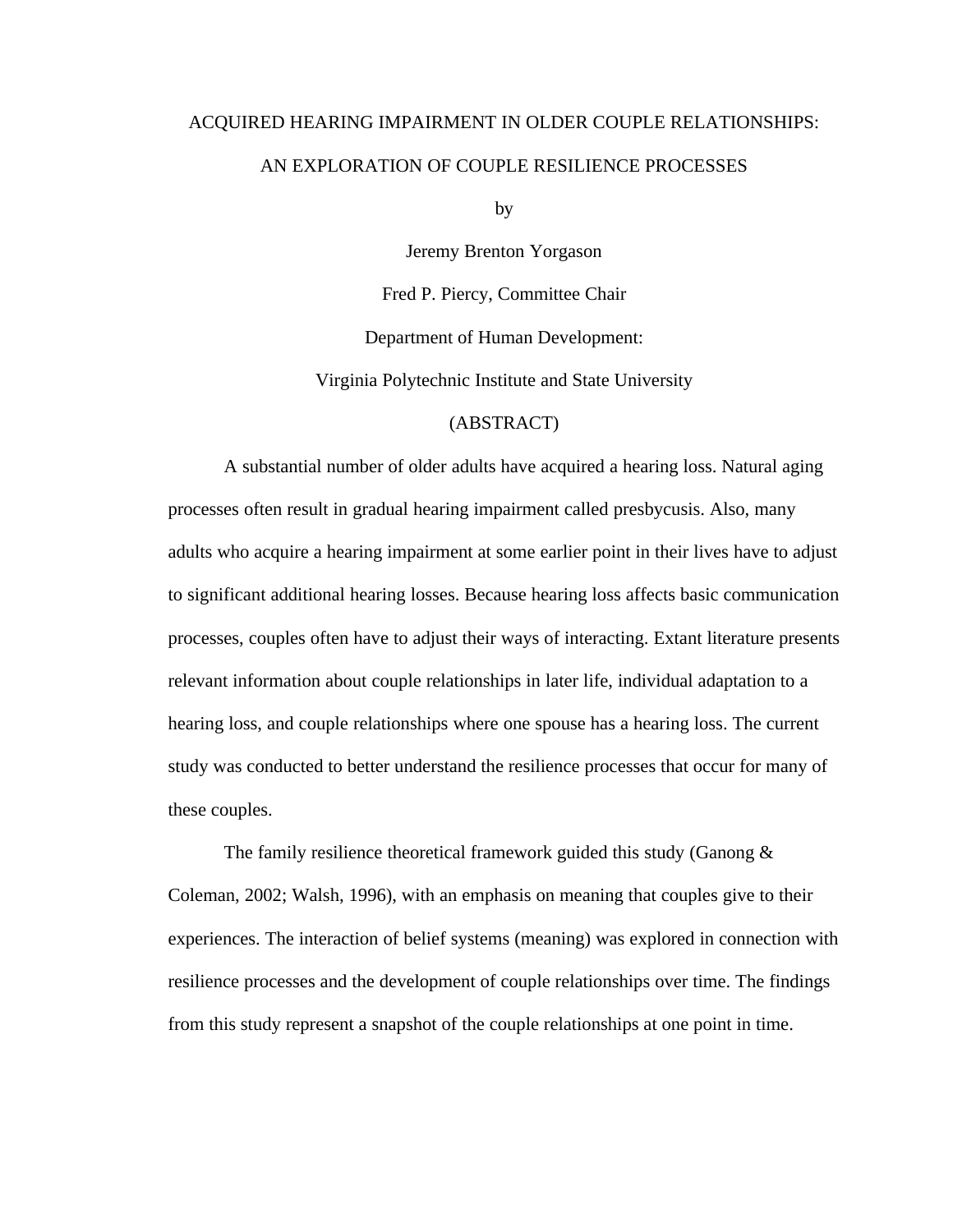# ACQUIRED HEARING IMPAIRMENT IN OLDER COUPLE RELATIONSHIPS: AN EXPLORATION OF COUPLE RESILIENCE PROCESSES

by

Jeremy Brenton Yorgason

Fred P. Piercy, Committee Chair

Department of Human Development:

Virginia Polytechnic Institute and State University

#### (ABSTRACT)

A substantial number of older adults have acquired a hearing loss. Natural aging processes often result in gradual hearing impairment called presbycusis. Also, many adults who acquire a hearing impairment at some earlier point in their lives have to adjust to significant additional hearing losses. Because hearing loss affects basic communication processes, couples often have to adjust their ways of interacting. Extant literature presents relevant information about couple relationships in later life, individual adaptation to a hearing loss, and couple relationships where one spouse has a hearing loss. The current study was conducted to better understand the resilience processes that occur for many of these couples.

The family resilience theoretical framework guided this study (Ganong & Coleman, 2002; Walsh, 1996), with an emphasis on meaning that couples give to their experiences. The interaction of belief systems (meaning) was explored in connection with resilience processes and the development of couple relationships over time. The findings from this study represent a snapshot of the couple relationships at one point in time.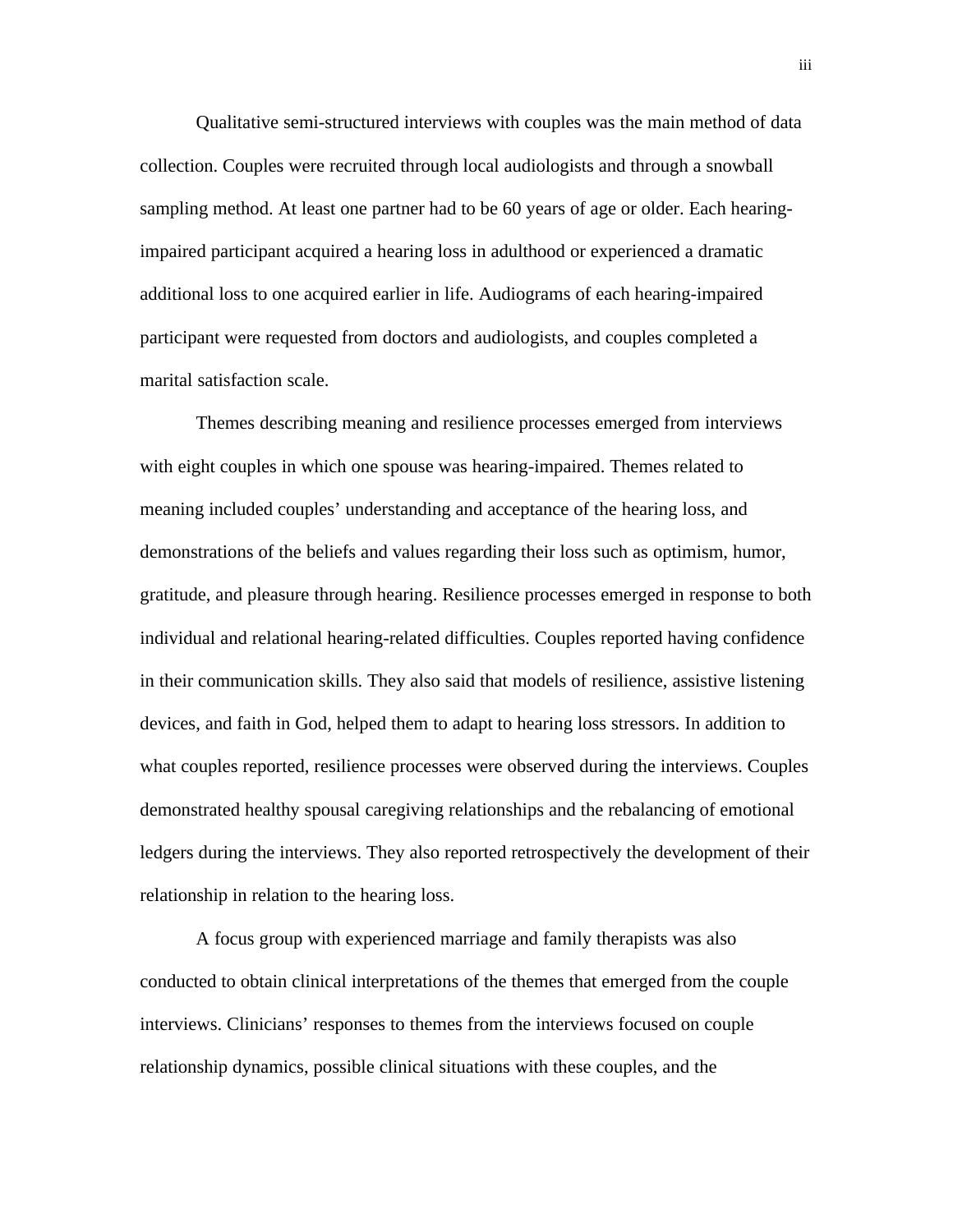Qualitative semi-structured interviews with couples was the main method of data collection. Couples were recruited through local audiologists and through a snowball sampling method. At least one partner had to be 60 years of age or older. Each hearingimpaired participant acquired a hearing loss in adulthood or experienced a dramatic additional loss to one acquired earlier in life. Audiograms of each hearing-impaired participant were requested from doctors and audiologists, and couples completed a marital satisfaction scale.

Themes describing meaning and resilience processes emerged from interviews with eight couples in which one spouse was hearing-impaired. Themes related to meaning included couples' understanding and acceptance of the hearing loss, and demonstrations of the beliefs and values regarding their loss such as optimism, humor, gratitude, and pleasure through hearing. Resilience processes emerged in response to both individual and relational hearing-related difficulties. Couples reported having confidence in their communication skills. They also said that models of resilience, assistive listening devices, and faith in God, helped them to adapt to hearing loss stressors. In addition to what couples reported, resilience processes were observed during the interviews. Couples demonstrated healthy spousal caregiving relationships and the rebalancing of emotional ledgers during the interviews. They also reported retrospectively the development of their relationship in relation to the hearing loss.

A focus group with experienced marriage and family therapists was also conducted to obtain clinical interpretations of the themes that emerged from the couple interviews. Clinicians' responses to themes from the interviews focused on couple relationship dynamics, possible clinical situations with these couples, and the

iii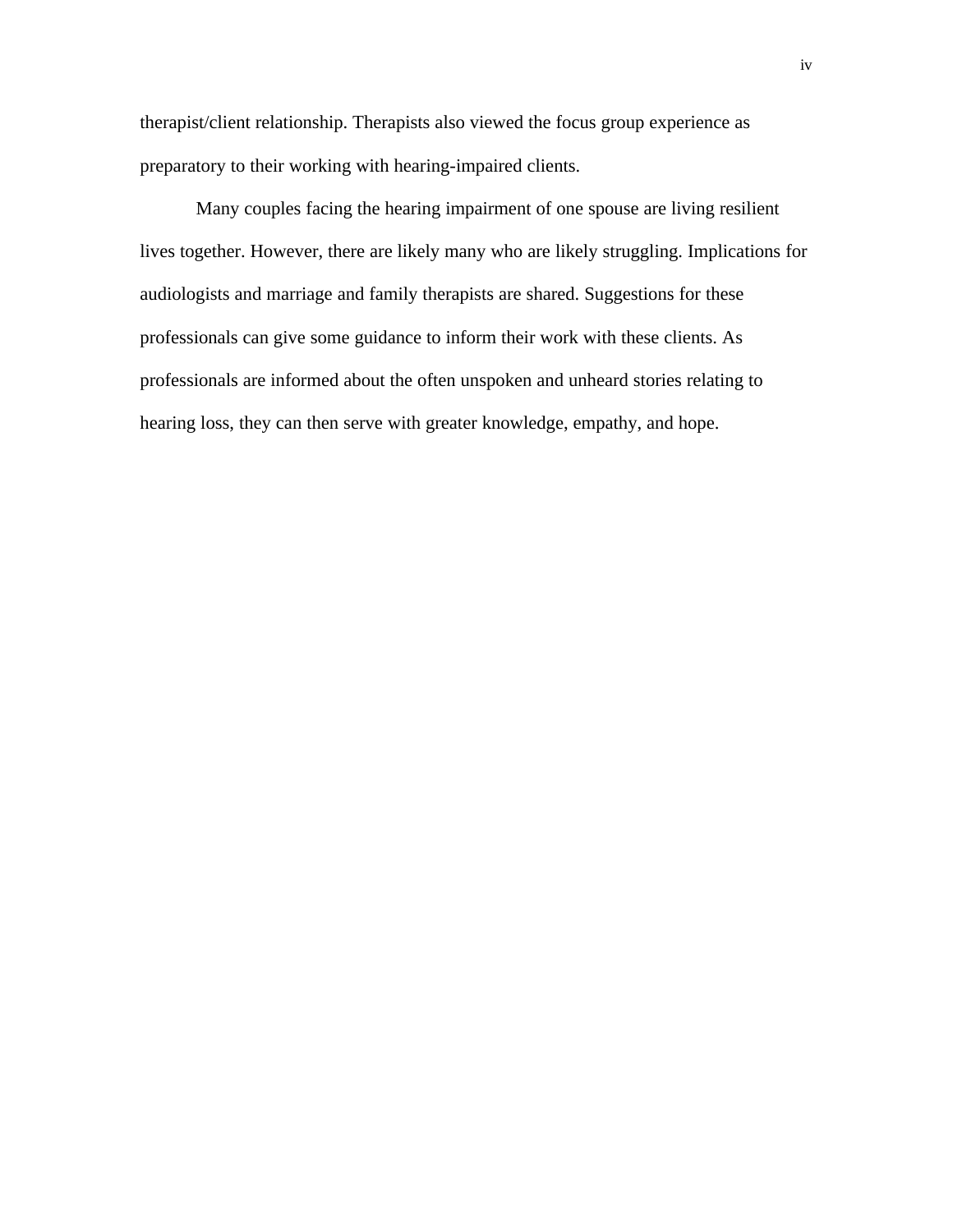therapist/client relationship. Therapists also viewed the focus group experience as preparatory to their working with hearing-impaired clients.

Many couples facing the hearing impairment of one spouse are living resilient lives together. However, there are likely many who are likely struggling. Implications for audiologists and marriage and family therapists are shared. Suggestions for these professionals can give some guidance to inform their work with these clients. As professionals are informed about the often unspoken and unheard stories relating to hearing loss, they can then serve with greater knowledge, empathy, and hope.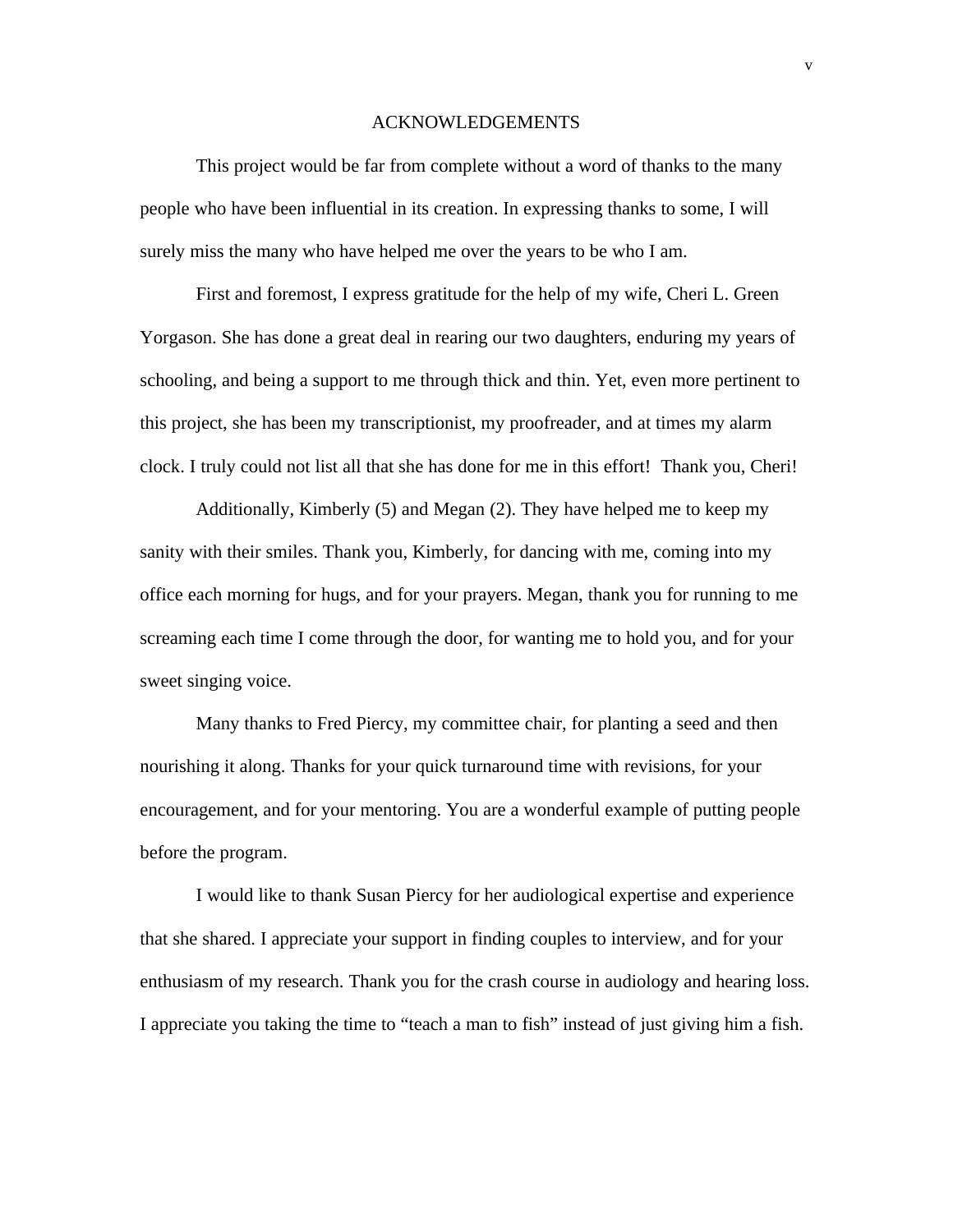#### ACKNOWLEDGEMENTS

This project would be far from complete without a word of thanks to the many people who have been influential in its creation. In expressing thanks to some, I will surely miss the many who have helped me over the years to be who I am.

First and foremost, I express gratitude for the help of my wife, Cheri L. Green Yorgason. She has done a great deal in rearing our two daughters, enduring my years of schooling, and being a support to me through thick and thin. Yet, even more pertinent to this project, she has been my transcriptionist, my proofreader, and at times my alarm clock. I truly could not list all that she has done for me in this effort! Thank you, Cheri!

Additionally, Kimberly (5) and Megan (2). They have helped me to keep my sanity with their smiles. Thank you, Kimberly, for dancing with me, coming into my office each morning for hugs, and for your prayers. Megan, thank you for running to me screaming each time I come through the door, for wanting me to hold you, and for your sweet singing voice.

Many thanks to Fred Piercy, my committee chair, for planting a seed and then nourishing it along. Thanks for your quick turnaround time with revisions, for your encouragement, and for your mentoring. You are a wonderful example of putting people before the program.

I would like to thank Susan Piercy for her audiological expertise and experience that she shared. I appreciate your support in finding couples to interview, and for your enthusiasm of my research. Thank you for the crash course in audiology and hearing loss. I appreciate you taking the time to "teach a man to fish" instead of just giving him a fish.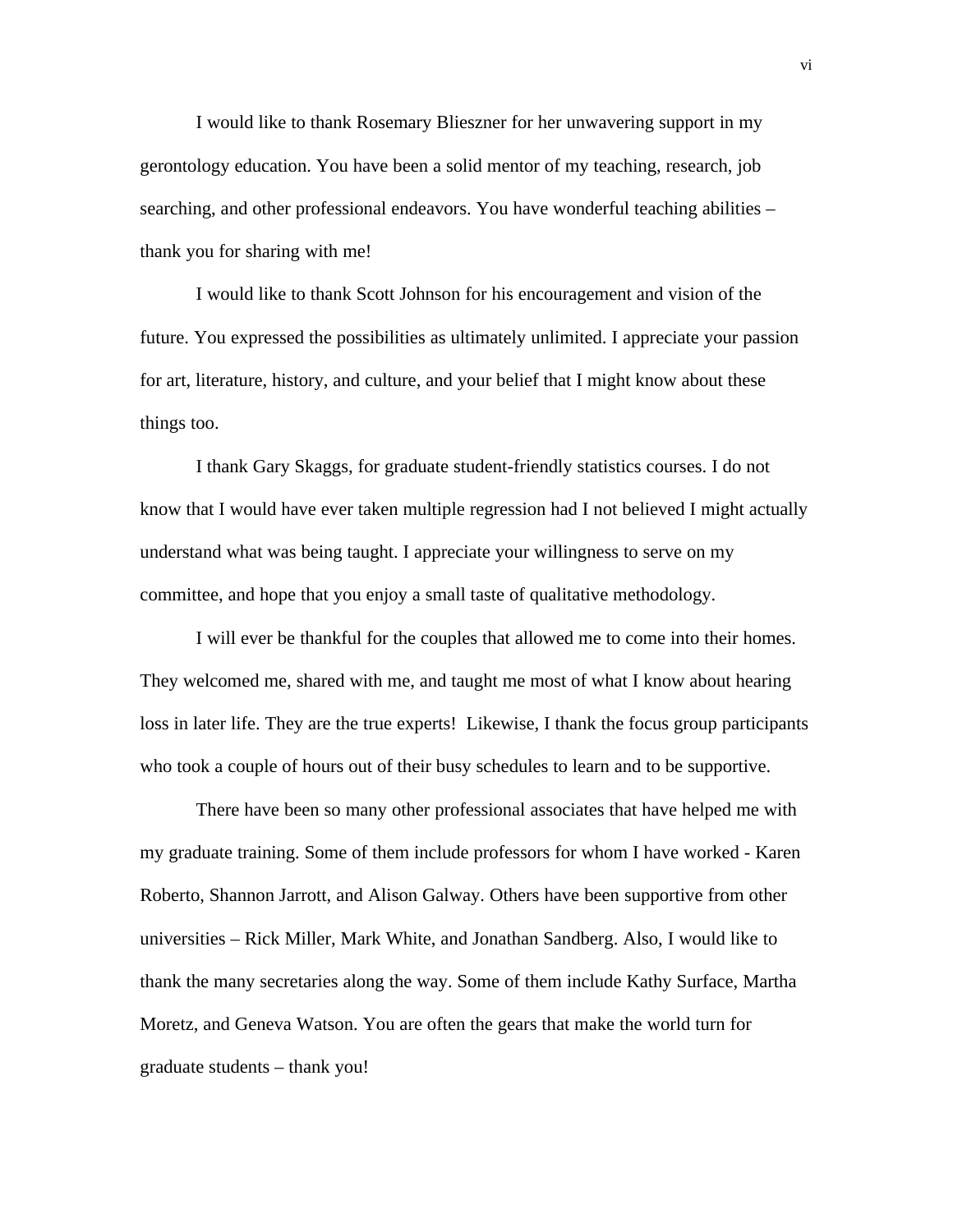I would like to thank Rosemary Blieszner for her unwavering support in my gerontology education. You have been a solid mentor of my teaching, research, job searching, and other professional endeavors. You have wonderful teaching abilities – thank you for sharing with me!

I would like to thank Scott Johnson for his encouragement and vision of the future. You expressed the possibilities as ultimately unlimited. I appreciate your passion for art, literature, history, and culture, and your belief that I might know about these things too.

I thank Gary Skaggs, for graduate student-friendly statistics courses. I do not know that I would have ever taken multiple regression had I not believed I might actually understand what was being taught. I appreciate your willingness to serve on my committee, and hope that you enjoy a small taste of qualitative methodology.

I will ever be thankful for the couples that allowed me to come into their homes. They welcomed me, shared with me, and taught me most of what I know about hearing loss in later life. They are the true experts! Likewise, I thank the focus group participants who took a couple of hours out of their busy schedules to learn and to be supportive.

There have been so many other professional associates that have helped me with my graduate training. Some of them include professors for whom I have worked - Karen Roberto, Shannon Jarrott, and Alison Galway. Others have been supportive from other universities – Rick Miller, Mark White, and Jonathan Sandberg. Also, I would like to thank the many secretaries along the way. Some of them include Kathy Surface, Martha Moretz, and Geneva Watson. You are often the gears that make the world turn for graduate students – thank you!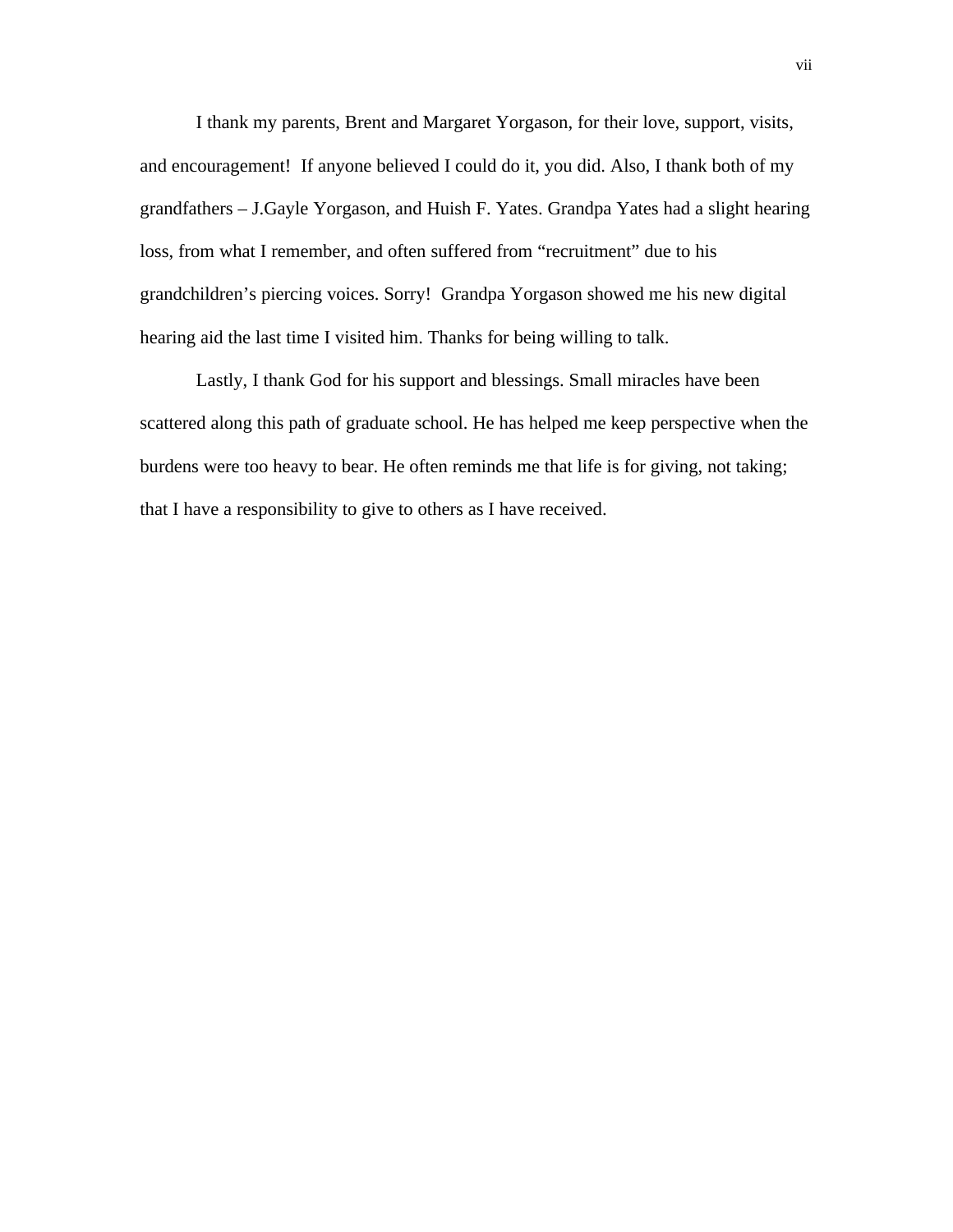I thank my parents, Brent and Margaret Yorgason, for their love, support, visits, and encouragement! If anyone believed I could do it, you did. Also, I thank both of my grandfathers – J.Gayle Yorgason, and Huish F. Yates. Grandpa Yates had a slight hearing loss, from what I remember, and often suffered from "recruitment" due to his grandchildren's piercing voices. Sorry! Grandpa Yorgason showed me his new digital hearing aid the last time I visited him. Thanks for being willing to talk.

Lastly, I thank God for his support and blessings. Small miracles have been scattered along this path of graduate school. He has helped me keep perspective when the burdens were too heavy to bear. He often reminds me that life is for giving, not taking; that I have a responsibility to give to others as I have received.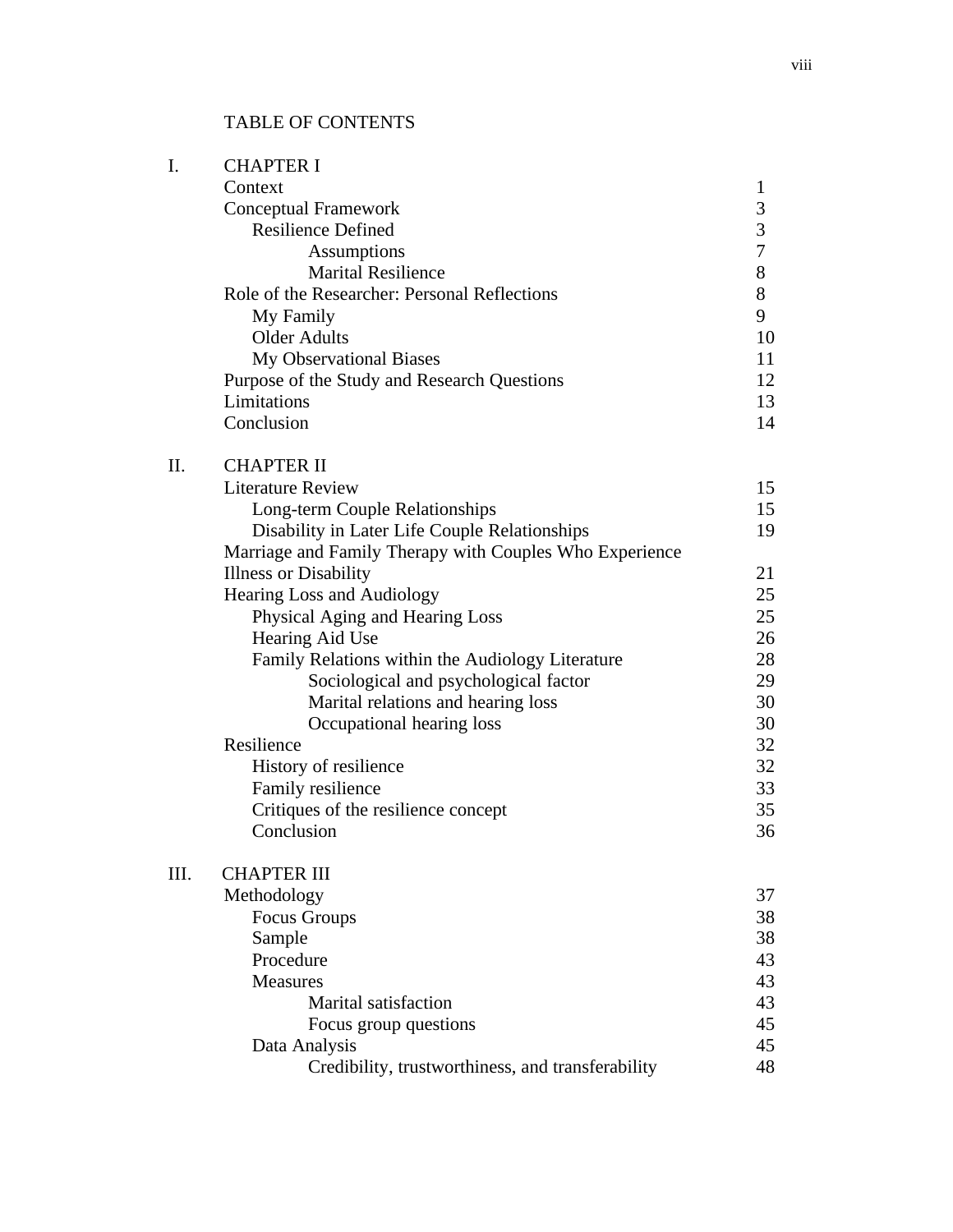# TABLE OF CONTENTS

| I.   | <b>CHAPTER I</b>                                        |                          |  |  |
|------|---------------------------------------------------------|--------------------------|--|--|
|      | Context                                                 | 1                        |  |  |
|      | <b>Conceptual Framework</b>                             |                          |  |  |
|      | <b>Resilience Defined</b>                               |                          |  |  |
|      | Assumptions                                             | $\mathfrak{Z}$<br>$\tau$ |  |  |
|      | <b>Marital Resilience</b>                               | 8                        |  |  |
|      | Role of the Researcher: Personal Reflections            | 8                        |  |  |
|      | My Family                                               | 9                        |  |  |
|      | <b>Older Adults</b>                                     |                          |  |  |
|      | My Observational Biases                                 | 11                       |  |  |
|      | Purpose of the Study and Research Questions             | 12                       |  |  |
|      | Limitations                                             | 13                       |  |  |
|      | Conclusion                                              | 14                       |  |  |
| Π.   | <b>CHAPTER II</b>                                       |                          |  |  |
|      | <b>Literature Review</b>                                | 15                       |  |  |
|      | Long-term Couple Relationships                          | 15                       |  |  |
|      | Disability in Later Life Couple Relationships           | 19                       |  |  |
|      | Marriage and Family Therapy with Couples Who Experience |                          |  |  |
|      | <b>Illness or Disability</b>                            | 21                       |  |  |
|      | Hearing Loss and Audiology                              | 25                       |  |  |
|      | Physical Aging and Hearing Loss                         |                          |  |  |
|      | Hearing Aid Use                                         | 26                       |  |  |
|      | Family Relations within the Audiology Literature        | 28                       |  |  |
|      | Sociological and psychological factor                   | 29                       |  |  |
|      | Marital relations and hearing loss                      | 30                       |  |  |
|      | Occupational hearing loss                               | 30                       |  |  |
|      | Resilience                                              | 32                       |  |  |
|      | History of resilience                                   | 32                       |  |  |
|      | Family resilience                                       | 33                       |  |  |
|      | Critiques of the resilience concept                     | 35                       |  |  |
|      | Conclusion                                              | 36                       |  |  |
| III. | <b>CHAPTER III</b>                                      |                          |  |  |
|      | Methodology                                             | 37<br>38                 |  |  |
|      | <b>Focus Groups</b>                                     |                          |  |  |
|      | Sample                                                  |                          |  |  |
|      | Procedure                                               |                          |  |  |
|      | <b>Measures</b>                                         |                          |  |  |
|      | Marital satisfaction                                    |                          |  |  |
|      | Focus group questions                                   | 45                       |  |  |
|      | Data Analysis                                           | 45                       |  |  |
|      | Credibility, trustworthiness, and transferability       | 48                       |  |  |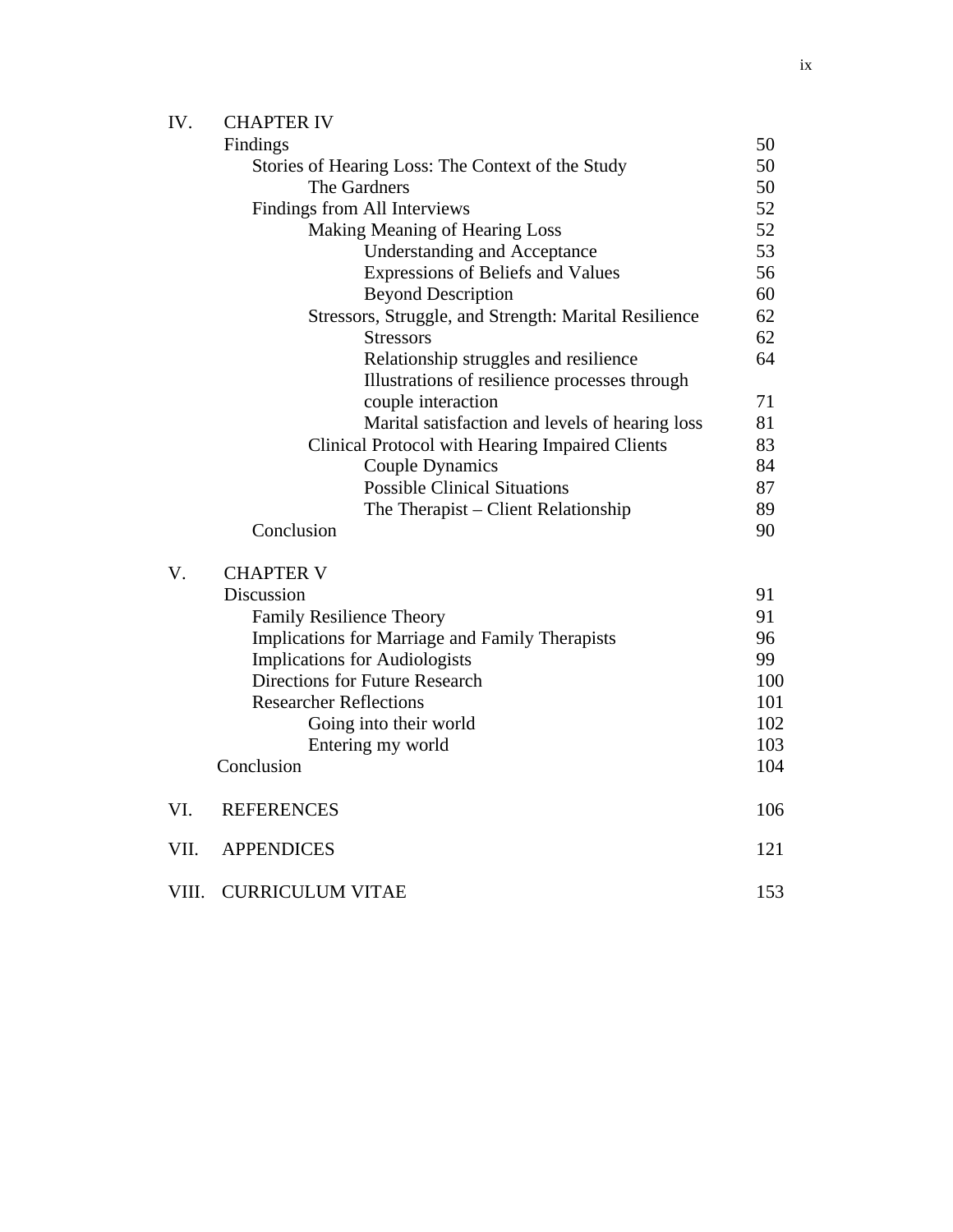| IV.  | <b>CHAPTER IV</b>                                     |     |
|------|-------------------------------------------------------|-----|
|      | Findings                                              | 50  |
|      | Stories of Hearing Loss: The Context of the Study     | 50  |
|      | The Gardners                                          | 50  |
|      | Findings from All Interviews                          | 52  |
|      | Making Meaning of Hearing Loss                        | 52  |
|      | <b>Understanding and Acceptance</b>                   | 53  |
|      | Expressions of Beliefs and Values                     | 56  |
|      | <b>Beyond Description</b>                             | 60  |
|      | Stressors, Struggle, and Strength: Marital Resilience | 62  |
|      | <b>Stressors</b>                                      | 62  |
|      | Relationship struggles and resilience                 | 64  |
|      | Illustrations of resilience processes through         |     |
|      | couple interaction                                    | 71  |
|      | Marital satisfaction and levels of hearing loss       | 81  |
|      | Clinical Protocol with Hearing Impaired Clients       | 83  |
|      | <b>Couple Dynamics</b>                                | 84  |
|      | <b>Possible Clinical Situations</b>                   | 87  |
|      | The Therapist – Client Relationship                   | 89  |
|      | Conclusion                                            | 90  |
| V.   | <b>CHAPTER V</b>                                      |     |
|      | Discussion                                            | 91  |
|      | <b>Family Resilience Theory</b>                       | 91  |
|      | Implications for Marriage and Family Therapists       | 96  |
|      | <b>Implications for Audiologists</b>                  | 99  |
|      | Directions for Future Research                        | 100 |
|      | <b>Researcher Reflections</b>                         | 101 |
|      | Going into their world                                | 102 |
|      | Entering my world                                     | 103 |
|      | Conclusion                                            | 104 |
| VI.  | <b>REFERENCES</b>                                     | 106 |
| VII. | <b>APPENDICES</b>                                     | 121 |
|      |                                                       |     |

VIII. CURRICULUM VITAE 153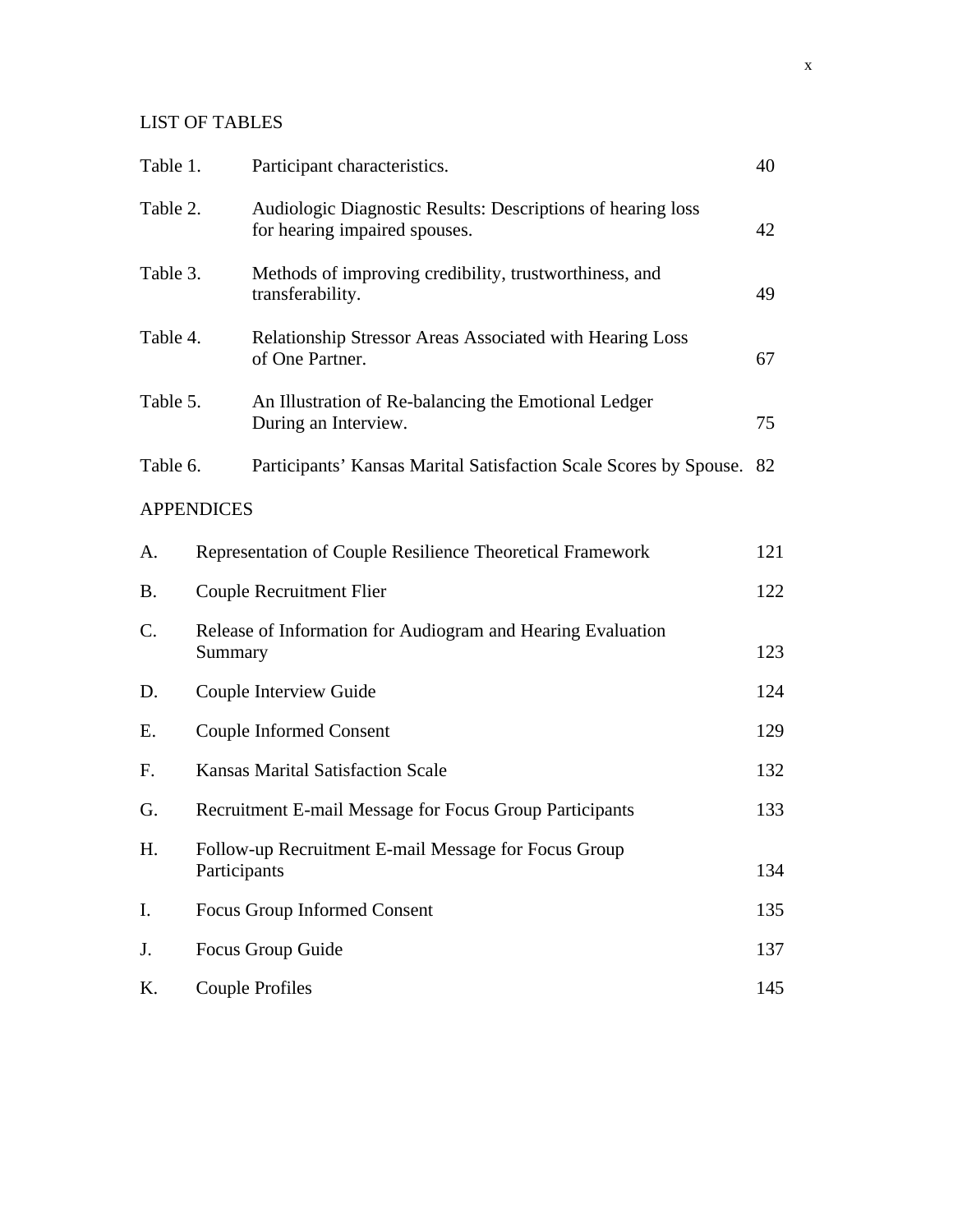# LIST OF TABLES

| Table 1.  |                                                                        | Participant characteristics.                                                                 | 40  |
|-----------|------------------------------------------------------------------------|----------------------------------------------------------------------------------------------|-----|
| Table 2.  |                                                                        | Audiologic Diagnostic Results: Descriptions of hearing loss<br>for hearing impaired spouses. | 42  |
| Table 3.  |                                                                        | Methods of improving credibility, trustworthiness, and<br>transferability.                   | 49  |
| Table 4.  |                                                                        | Relationship Stressor Areas Associated with Hearing Loss<br>of One Partner.                  | 67  |
| Table 5.  |                                                                        | An Illustration of Re-balancing the Emotional Ledger<br>During an Interview.                 | 75  |
| Table 6.  |                                                                        | Participants' Kansas Marital Satisfaction Scale Scores by Spouse. 82                         |     |
|           | <b>APPENDICES</b>                                                      |                                                                                              |     |
| A.        |                                                                        | Representation of Couple Resilience Theoretical Framework                                    | 121 |
| <b>B.</b> |                                                                        | <b>Couple Recruitment Flier</b>                                                              | 122 |
| C.        | Release of Information for Audiogram and Hearing Evaluation<br>Summary |                                                                                              | 123 |
| D.        | Couple Interview Guide                                                 |                                                                                              | 124 |
| Ε.        | <b>Couple Informed Consent</b>                                         |                                                                                              |     |
| F.        | <b>Kansas Marital Satisfaction Scale</b>                               |                                                                                              |     |
| G.        | Recruitment E-mail Message for Focus Group Participants                |                                                                                              |     |
| H.        | Follow-up Recruitment E-mail Message for Focus Group<br>Participants   |                                                                                              |     |
| I.        | Focus Group Informed Consent                                           |                                                                                              | 135 |
| J.        | Focus Group Guide                                                      |                                                                                              |     |
| K.        |                                                                        | <b>Couple Profiles</b>                                                                       | 145 |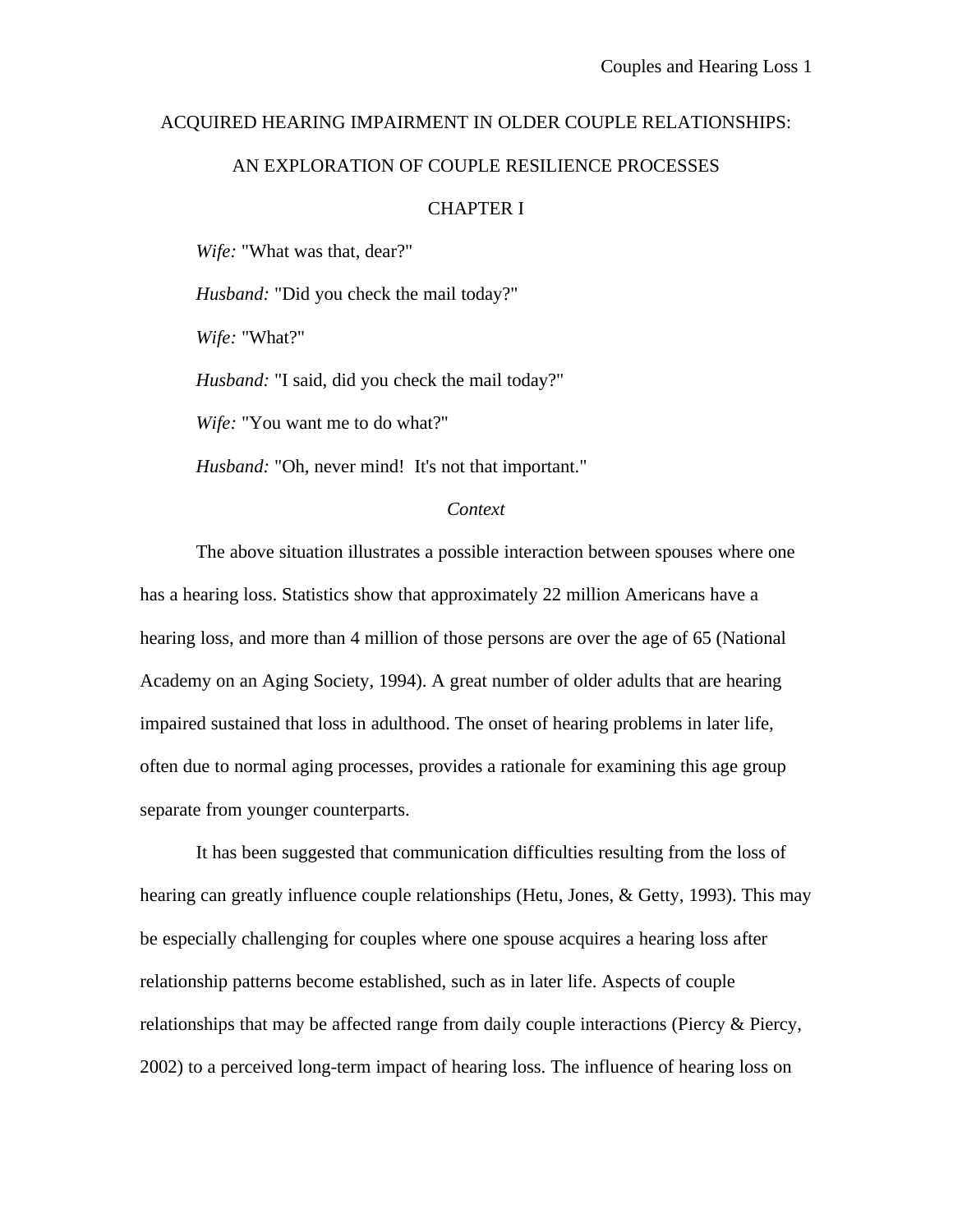# ACQUIRED HEARING IMPAIRMENT IN OLDER COUPLE RELATIONSHIPS:

## AN EXPLORATION OF COUPLE RESILIENCE PROCESSES

# CHAPTER I

*Wife:* "What was that, dear?"

*Husband:* "Did you check the mail today?"

*Wife:* "What?"

*Husband:* "I said, did you check the mail today?"

*Wife:* "You want me to do what?"

*Husband:* "Oh, never mind! It's not that important."

#### *Context*

The above situation illustrates a possible interaction between spouses where one has a hearing loss. Statistics show that approximately 22 million Americans have a hearing loss, and more than 4 million of those persons are over the age of 65 (National Academy on an Aging Society, 1994). A great number of older adults that are hearing impaired sustained that loss in adulthood. The onset of hearing problems in later life, often due to normal aging processes, provides a rationale for examining this age group separate from younger counterparts.

It has been suggested that communication difficulties resulting from the loss of hearing can greatly influence couple relationships (Hetu, Jones, & Getty, 1993). This may be especially challenging for couples where one spouse acquires a hearing loss after relationship patterns become established, such as in later life. Aspects of couple relationships that may be affected range from daily couple interactions (Piercy  $\&$  Piercy, 2002) to a perceived long-term impact of hearing loss. The influence of hearing loss on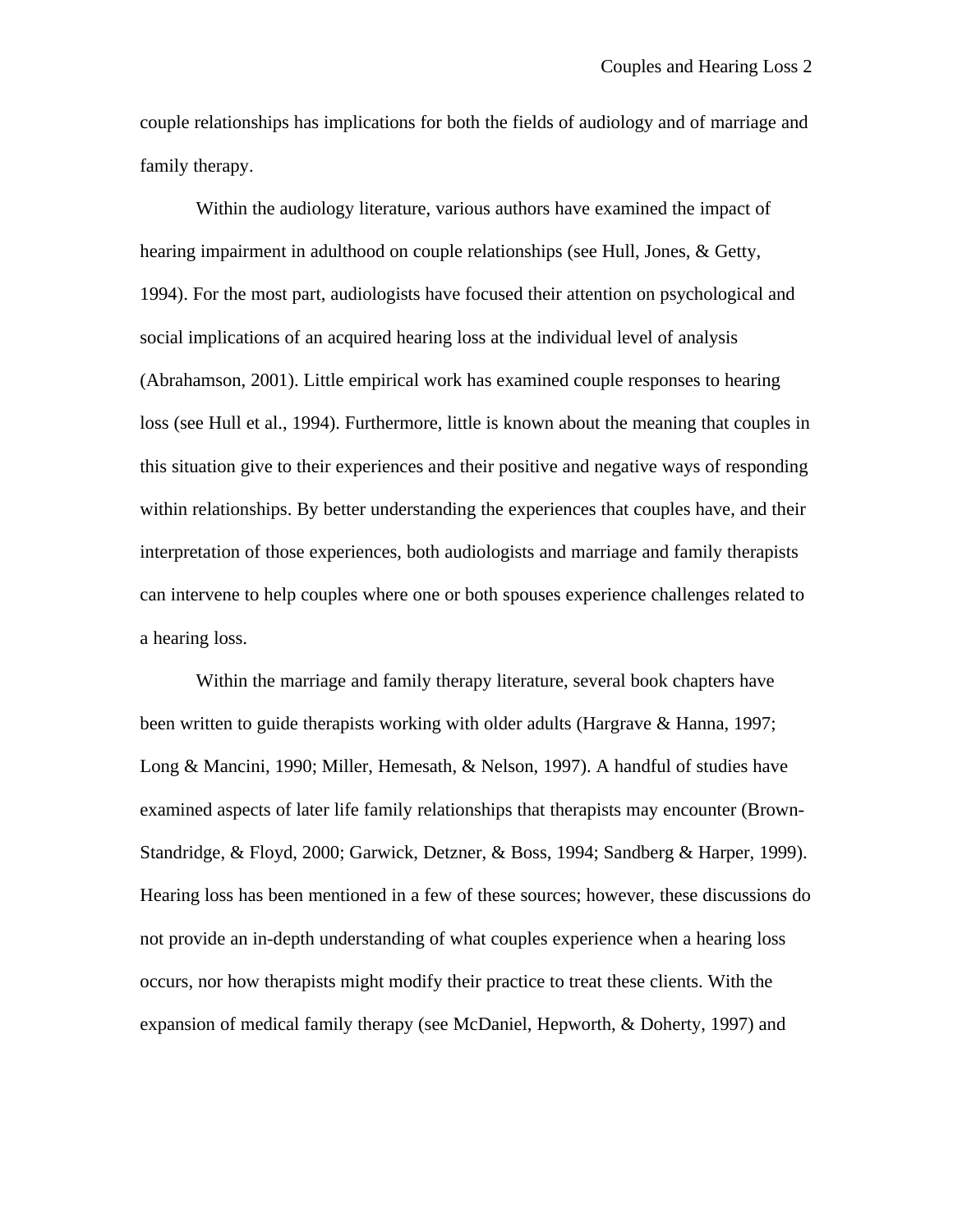couple relationships has implications for both the fields of audiology and of marriage and family therapy.

Within the audiology literature, various authors have examined the impact of hearing impairment in adulthood on couple relationships (see Hull, Jones, & Getty, 1994). For the most part, audiologists have focused their attention on psychological and social implications of an acquired hearing loss at the individual level of analysis (Abrahamson, 2001). Little empirical work has examined couple responses to hearing loss (see Hull et al., 1994). Furthermore, little is known about the meaning that couples in this situation give to their experiences and their positive and negative ways of responding within relationships. By better understanding the experiences that couples have, and their interpretation of those experiences, both audiologists and marriage and family therapists can intervene to help couples where one or both spouses experience challenges related to a hearing loss.

Within the marriage and family therapy literature, several book chapters have been written to guide therapists working with older adults (Hargrave & Hanna, 1997; Long & Mancini, 1990; Miller, Hemesath, & Nelson, 1997). A handful of studies have examined aspects of later life family relationships that therapists may encounter (Brown-Standridge, & Floyd, 2000; Garwick, Detzner, & Boss, 1994; Sandberg & Harper, 1999). Hearing loss has been mentioned in a few of these sources; however, these discussions do not provide an in-depth understanding of what couples experience when a hearing loss occurs, nor how therapists might modify their practice to treat these clients. With the expansion of medical family therapy (see McDaniel, Hepworth, & Doherty, 1997) and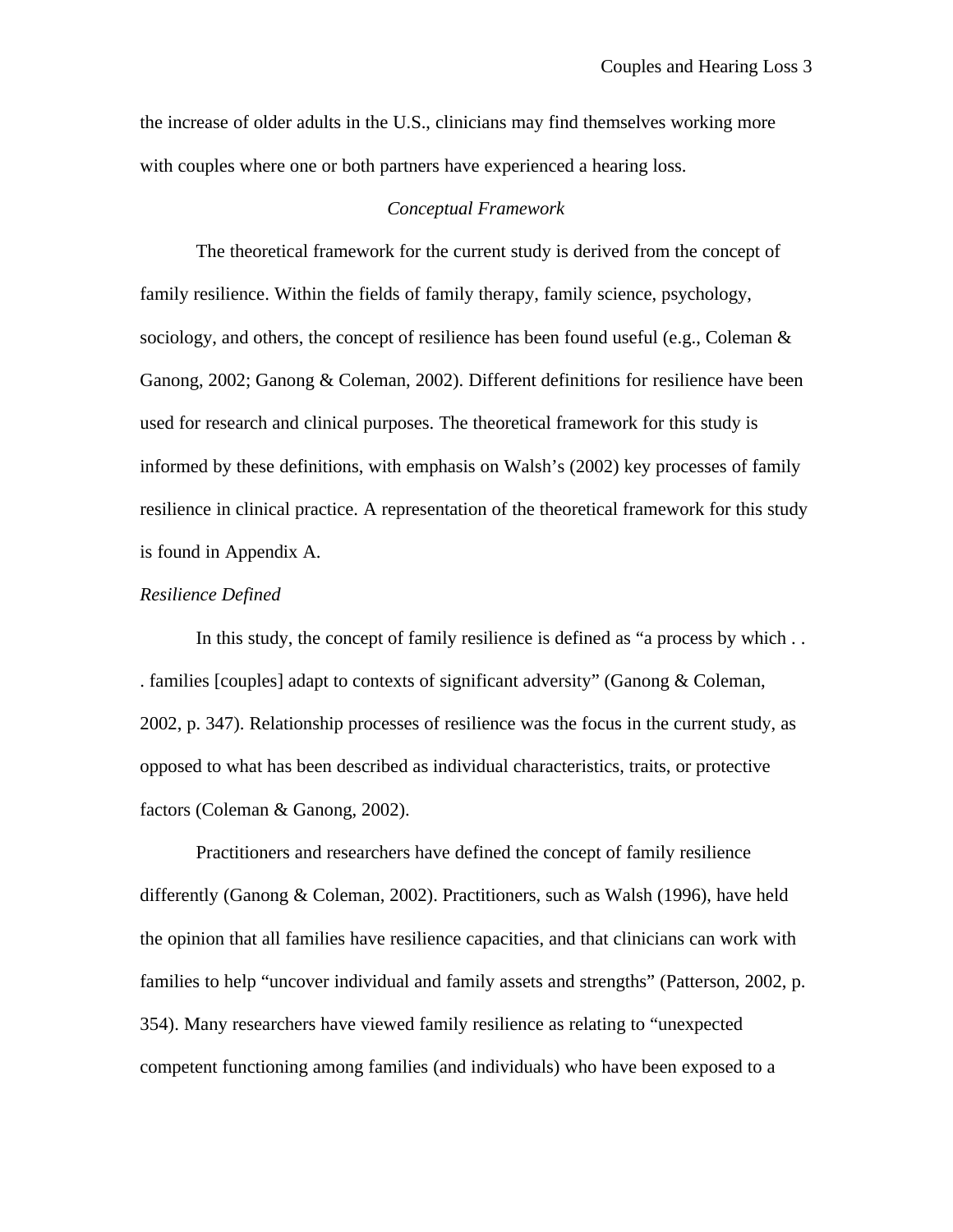the increase of older adults in the U.S., clinicians may find themselves working more with couples where one or both partners have experienced a hearing loss.

## *Conceptual Framework*

The theoretical framework for the current study is derived from the concept of family resilience. Within the fields of family therapy, family science, psychology, sociology, and others, the concept of resilience has been found useful (e.g., Coleman  $\&$ Ganong, 2002; Ganong & Coleman, 2002). Different definitions for resilience have been used for research and clinical purposes. The theoretical framework for this study is informed by these definitions, with emphasis on Walsh's (2002) key processes of family resilience in clinical practice. A representation of the theoretical framework for this study is found in Appendix A.

#### *Resilience Defined*

In this study, the concept of family resilience is defined as "a process by which . . . families [couples] adapt to contexts of significant adversity" (Ganong & Coleman, 2002, p. 347). Relationship processes of resilience was the focus in the current study, as opposed to what has been described as individual characteristics, traits, or protective factors (Coleman & Ganong, 2002).

Practitioners and researchers have defined the concept of family resilience differently (Ganong & Coleman, 2002). Practitioners, such as Walsh (1996), have held the opinion that all families have resilience capacities, and that clinicians can work with families to help "uncover individual and family assets and strengths" (Patterson, 2002, p. 354). Many researchers have viewed family resilience as relating to "unexpected competent functioning among families (and individuals) who have been exposed to a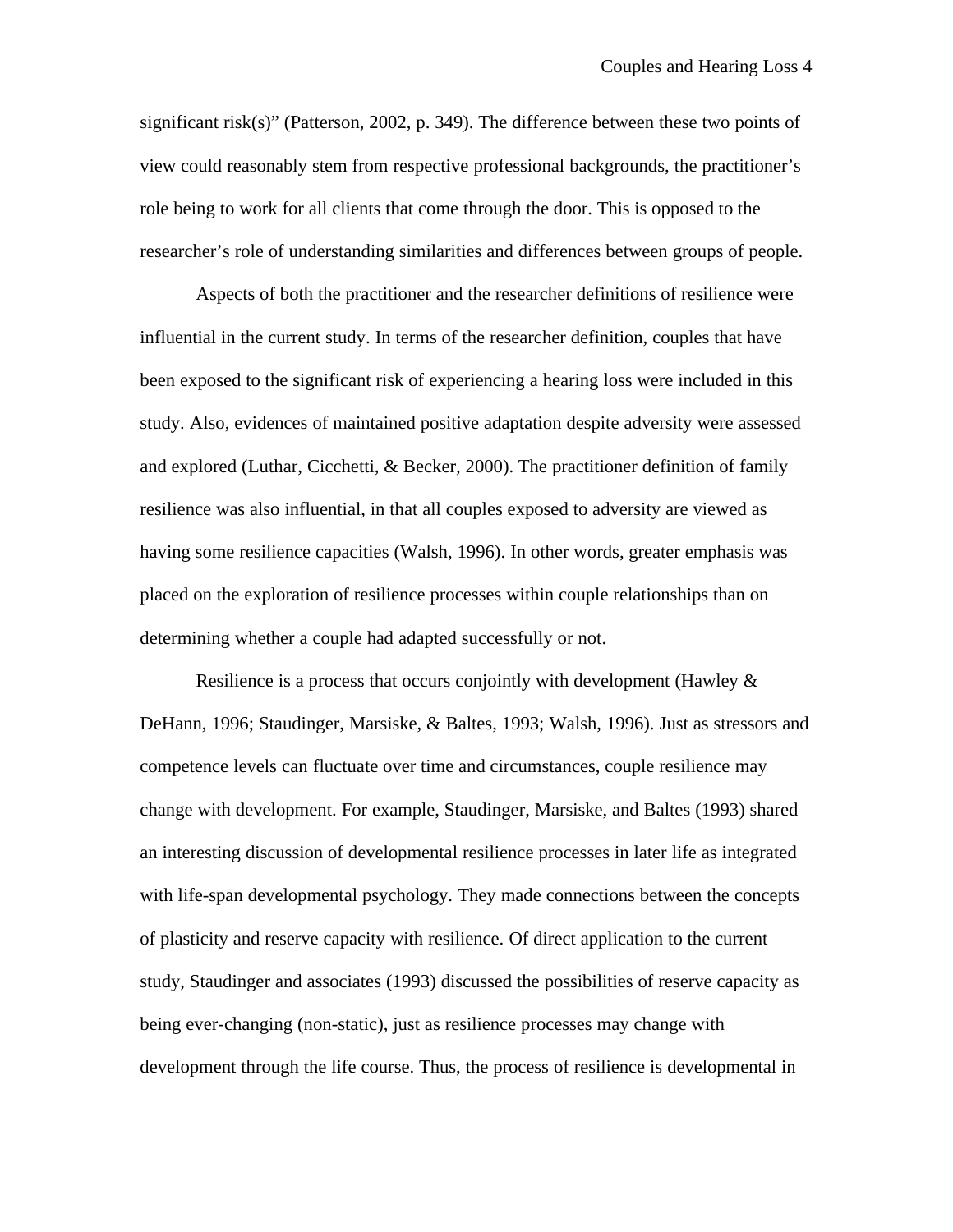significant risk(s)" (Patterson, 2002, p. 349). The difference between these two points of view could reasonably stem from respective professional backgrounds, the practitioner's role being to work for all clients that come through the door. This is opposed to the researcher's role of understanding similarities and differences between groups of people.

Aspects of both the practitioner and the researcher definitions of resilience were influential in the current study. In terms of the researcher definition, couples that have been exposed to the significant risk of experiencing a hearing loss were included in this study. Also, evidences of maintained positive adaptation despite adversity were assessed and explored (Luthar, Cicchetti, & Becker, 2000). The practitioner definition of family resilience was also influential, in that all couples exposed to adversity are viewed as having some resilience capacities (Walsh, 1996). In other words, greater emphasis was placed on the exploration of resilience processes within couple relationships than on determining whether a couple had adapted successfully or not.

Resilience is a process that occurs conjointly with development (Hawley  $\&$ DeHann, 1996; Staudinger, Marsiske, & Baltes, 1993; Walsh, 1996). Just as stressors and competence levels can fluctuate over time and circumstances, couple resilience may change with development. For example, Staudinger, Marsiske, and Baltes (1993) shared an interesting discussion of developmental resilience processes in later life as integrated with life-span developmental psychology. They made connections between the concepts of plasticity and reserve capacity with resilience. Of direct application to the current study, Staudinger and associates (1993) discussed the possibilities of reserve capacity as being ever-changing (non-static), just as resilience processes may change with development through the life course. Thus, the process of resilience is developmental in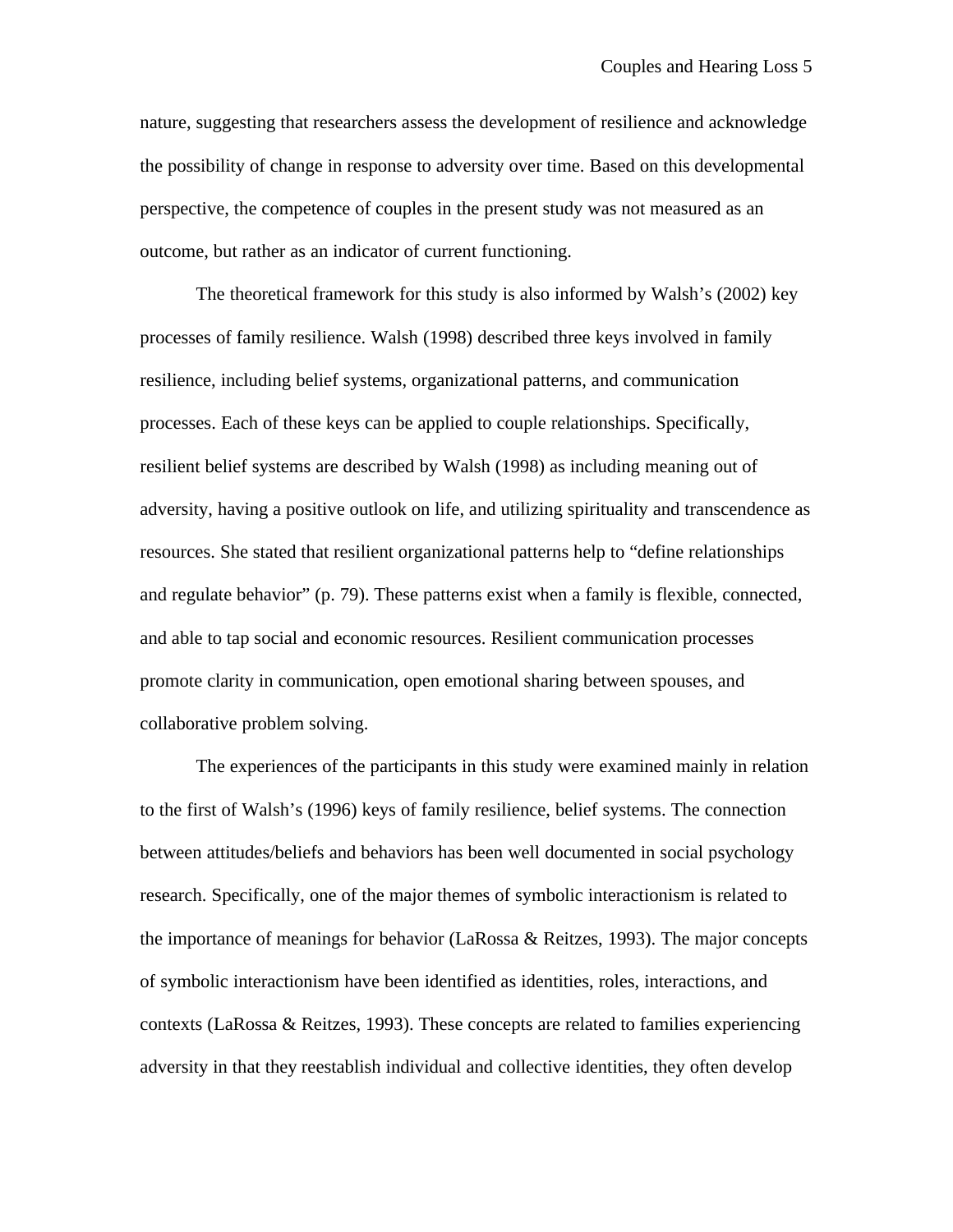nature, suggesting that researchers assess the development of resilience and acknowledge the possibility of change in response to adversity over time. Based on this developmental perspective, the competence of couples in the present study was not measured as an outcome, but rather as an indicator of current functioning.

The theoretical framework for this study is also informed by Walsh's (2002) key processes of family resilience. Walsh (1998) described three keys involved in family resilience, including belief systems, organizational patterns, and communication processes. Each of these keys can be applied to couple relationships. Specifically, resilient belief systems are described by Walsh (1998) as including meaning out of adversity, having a positive outlook on life, and utilizing spirituality and transcendence as resources. She stated that resilient organizational patterns help to "define relationships and regulate behavior" (p. 79). These patterns exist when a family is flexible, connected, and able to tap social and economic resources. Resilient communication processes promote clarity in communication, open emotional sharing between spouses, and collaborative problem solving.

The experiences of the participants in this study were examined mainly in relation to the first of Walsh's (1996) keys of family resilience, belief systems. The connection between attitudes/beliefs and behaviors has been well documented in social psychology research. Specifically, one of the major themes of symbolic interactionism is related to the importance of meanings for behavior (LaRossa & Reitzes, 1993). The major concepts of symbolic interactionism have been identified as identities, roles, interactions, and contexts (LaRossa & Reitzes, 1993). These concepts are related to families experiencing adversity in that they reestablish individual and collective identities, they often develop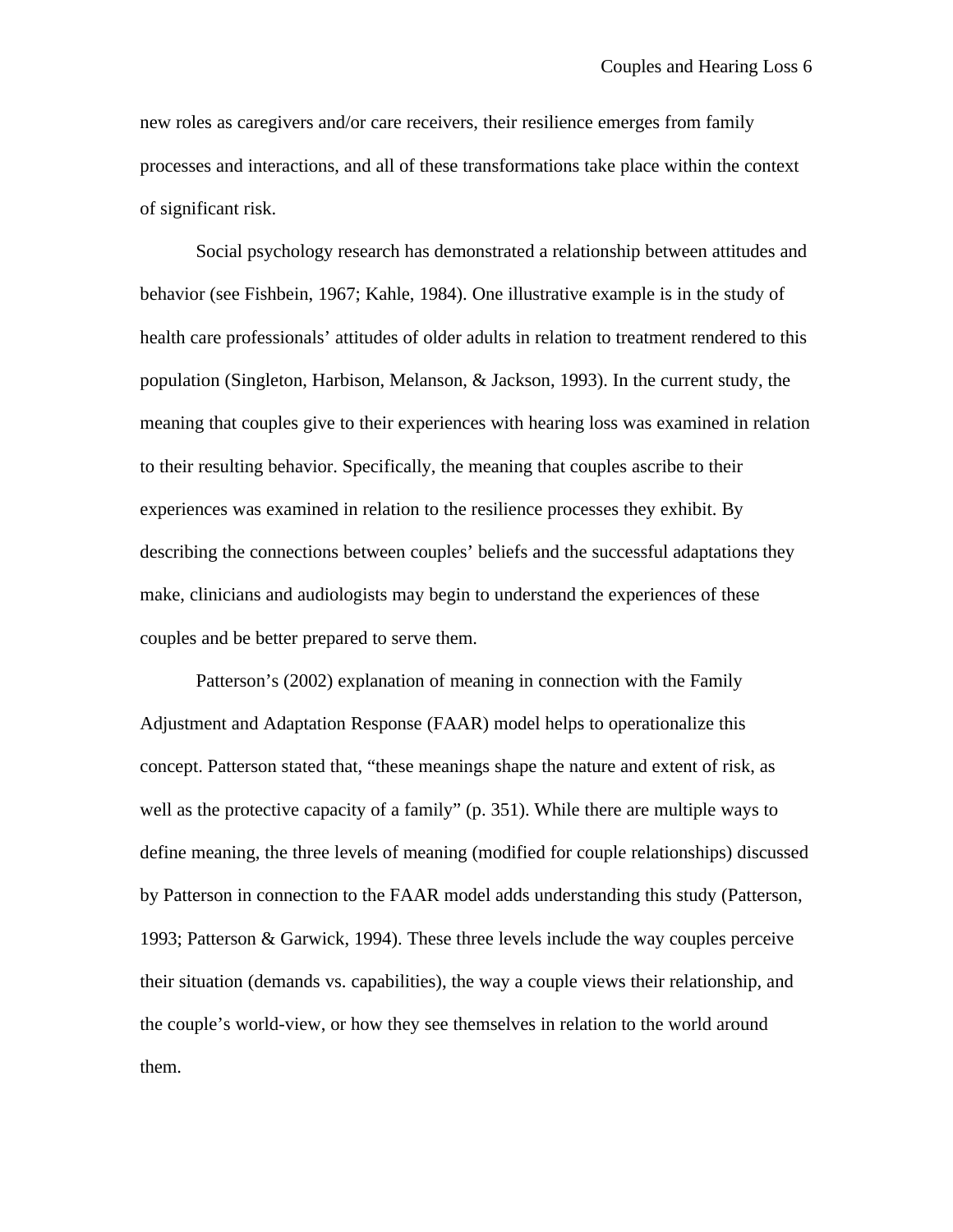new roles as caregivers and/or care receivers, their resilience emerges from family processes and interactions, and all of these transformations take place within the context of significant risk.

Social psychology research has demonstrated a relationship between attitudes and behavior (see Fishbein, 1967; Kahle, 1984). One illustrative example is in the study of health care professionals' attitudes of older adults in relation to treatment rendered to this population (Singleton, Harbison, Melanson, & Jackson, 1993). In the current study, the meaning that couples give to their experiences with hearing loss was examined in relation to their resulting behavior. Specifically, the meaning that couples ascribe to their experiences was examined in relation to the resilience processes they exhibit. By describing the connections between couples' beliefs and the successful adaptations they make, clinicians and audiologists may begin to understand the experiences of these couples and be better prepared to serve them.

Patterson's (2002) explanation of meaning in connection with the Family Adjustment and Adaptation Response (FAAR) model helps to operationalize this concept. Patterson stated that, "these meanings shape the nature and extent of risk, as well as the protective capacity of a family" (p. 351). While there are multiple ways to define meaning, the three levels of meaning (modified for couple relationships) discussed by Patterson in connection to the FAAR model adds understanding this study (Patterson, 1993; Patterson & Garwick, 1994). These three levels include the way couples perceive their situation (demands vs. capabilities), the way a couple views their relationship, and the couple's world-view, or how they see themselves in relation to the world around them.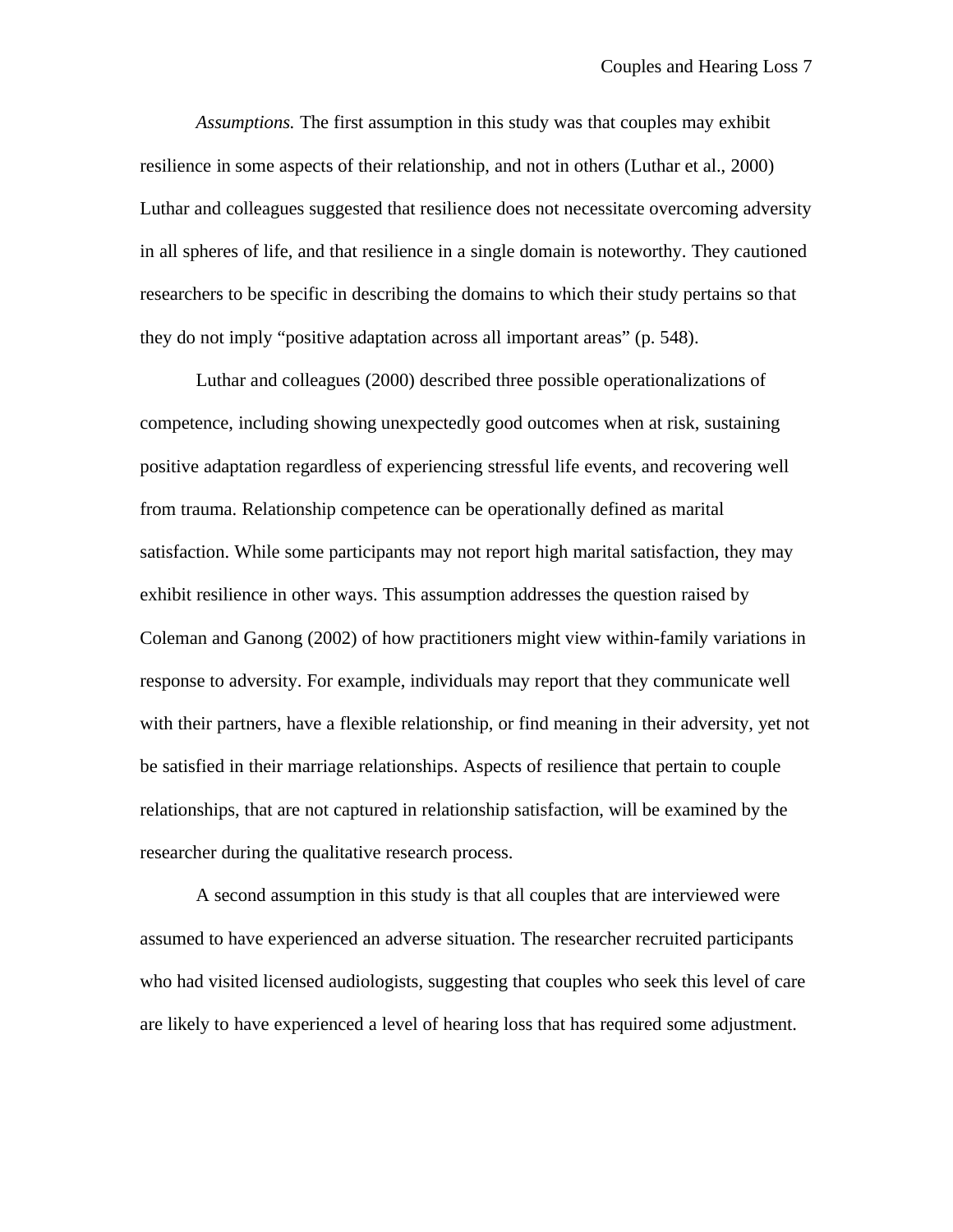*Assumptions.* The first assumption in this study was that couples may exhibit resilience in some aspects of their relationship, and not in others (Luthar et al., 2000) Luthar and colleagues suggested that resilience does not necessitate overcoming adversity in all spheres of life, and that resilience in a single domain is noteworthy. They cautioned researchers to be specific in describing the domains to which their study pertains so that they do not imply "positive adaptation across all important areas" (p. 548).

Luthar and colleagues (2000) described three possible operationalizations of competence, including showing unexpectedly good outcomes when at risk, sustaining positive adaptation regardless of experiencing stressful life events, and recovering well from trauma. Relationship competence can be operationally defined as marital satisfaction. While some participants may not report high marital satisfaction, they may exhibit resilience in other ways. This assumption addresses the question raised by Coleman and Ganong (2002) of how practitioners might view within-family variations in response to adversity. For example, individuals may report that they communicate well with their partners, have a flexible relationship, or find meaning in their adversity, yet not be satisfied in their marriage relationships. Aspects of resilience that pertain to couple relationships, that are not captured in relationship satisfaction, will be examined by the researcher during the qualitative research process.

A second assumption in this study is that all couples that are interviewed were assumed to have experienced an adverse situation. The researcher recruited participants who had visited licensed audiologists, suggesting that couples who seek this level of care are likely to have experienced a level of hearing loss that has required some adjustment.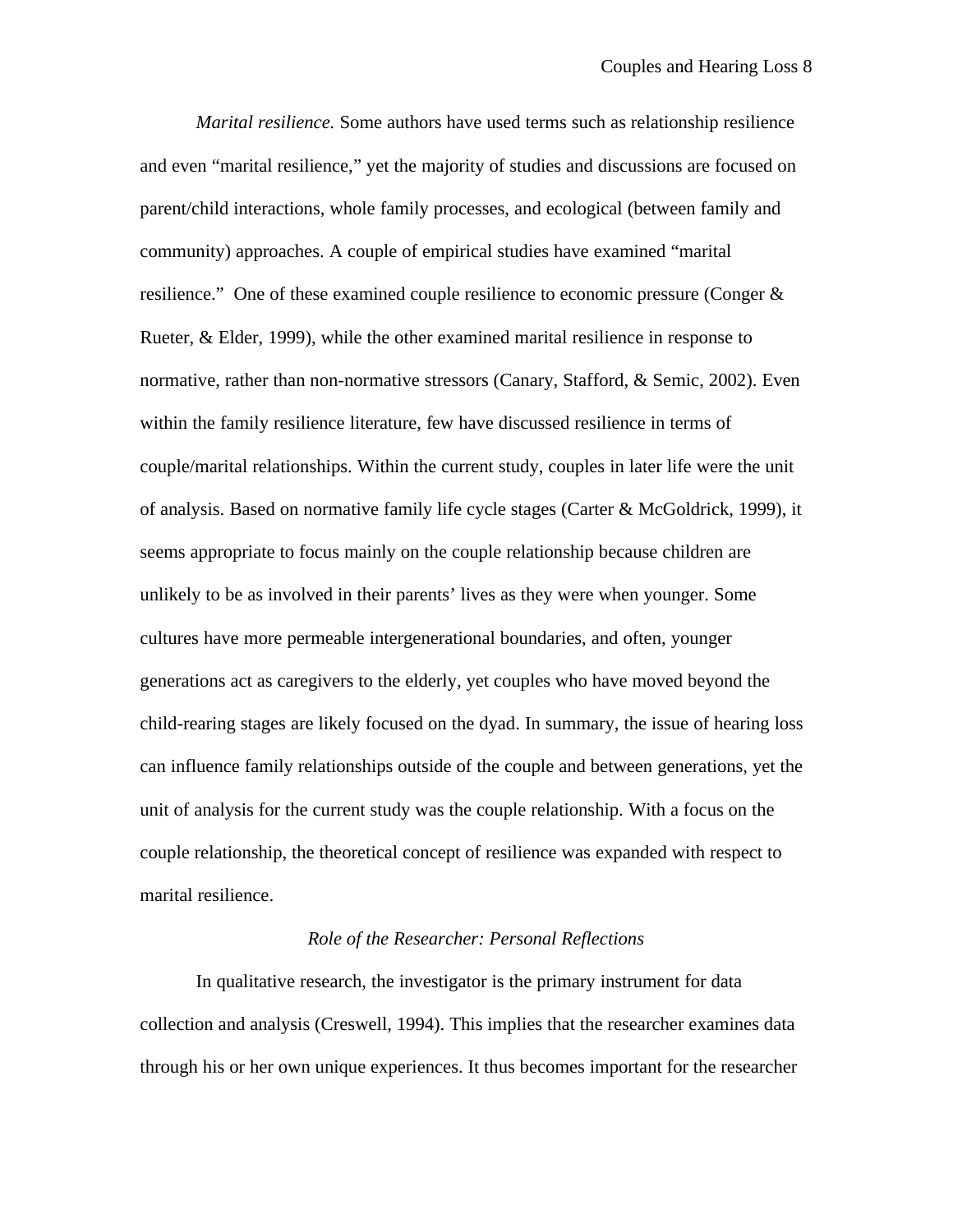*Marital resilience.* Some authors have used terms such as relationship resilience and even "marital resilience," yet the majority of studies and discussions are focused on parent/child interactions, whole family processes, and ecological (between family and community) approaches. A couple of empirical studies have examined "marital resilience." One of these examined couple resilience to economic pressure (Conger & Rueter, & Elder, 1999), while the other examined marital resilience in response to normative, rather than non-normative stressors (Canary, Stafford, & Semic, 2002). Even within the family resilience literature, few have discussed resilience in terms of couple/marital relationships. Within the current study, couples in later life were the unit of analysis. Based on normative family life cycle stages (Carter & McGoldrick, 1999), it seems appropriate to focus mainly on the couple relationship because children are unlikely to be as involved in their parents' lives as they were when younger. Some cultures have more permeable intergenerational boundaries, and often, younger generations act as caregivers to the elderly, yet couples who have moved beyond the child-rearing stages are likely focused on the dyad. In summary, the issue of hearing loss can influence family relationships outside of the couple and between generations, yet the unit of analysis for the current study was the couple relationship. With a focus on the couple relationship, the theoretical concept of resilience was expanded with respect to marital resilience.

## *Role of the Researcher: Personal Reflections*

In qualitative research, the investigator is the primary instrument for data collection and analysis (Creswell, 1994). This implies that the researcher examines data through his or her own unique experiences. It thus becomes important for the researcher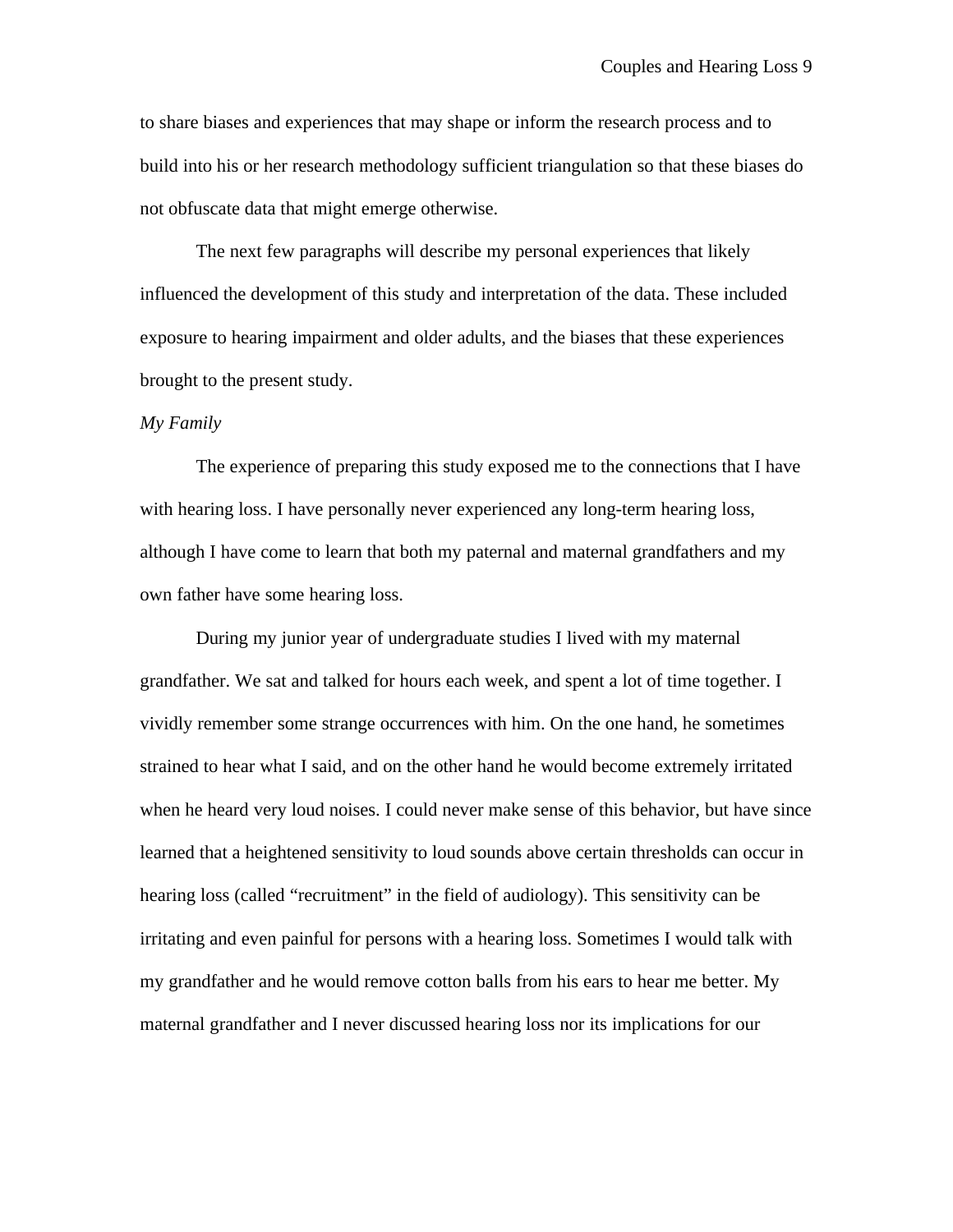to share biases and experiences that may shape or inform the research process and to build into his or her research methodology sufficient triangulation so that these biases do not obfuscate data that might emerge otherwise.

The next few paragraphs will describe my personal experiences that likely influenced the development of this study and interpretation of the data. These included exposure to hearing impairment and older adults, and the biases that these experiences brought to the present study.

#### *My Family*

The experience of preparing this study exposed me to the connections that I have with hearing loss. I have personally never experienced any long-term hearing loss, although I have come to learn that both my paternal and maternal grandfathers and my own father have some hearing loss.

During my junior year of undergraduate studies I lived with my maternal grandfather. We sat and talked for hours each week, and spent a lot of time together. I vividly remember some strange occurrences with him. On the one hand, he sometimes strained to hear what I said, and on the other hand he would become extremely irritated when he heard very loud noises. I could never make sense of this behavior, but have since learned that a heightened sensitivity to loud sounds above certain thresholds can occur in hearing loss (called "recruitment" in the field of audiology). This sensitivity can be irritating and even painful for persons with a hearing loss. Sometimes I would talk with my grandfather and he would remove cotton balls from his ears to hear me better. My maternal grandfather and I never discussed hearing loss nor its implications for our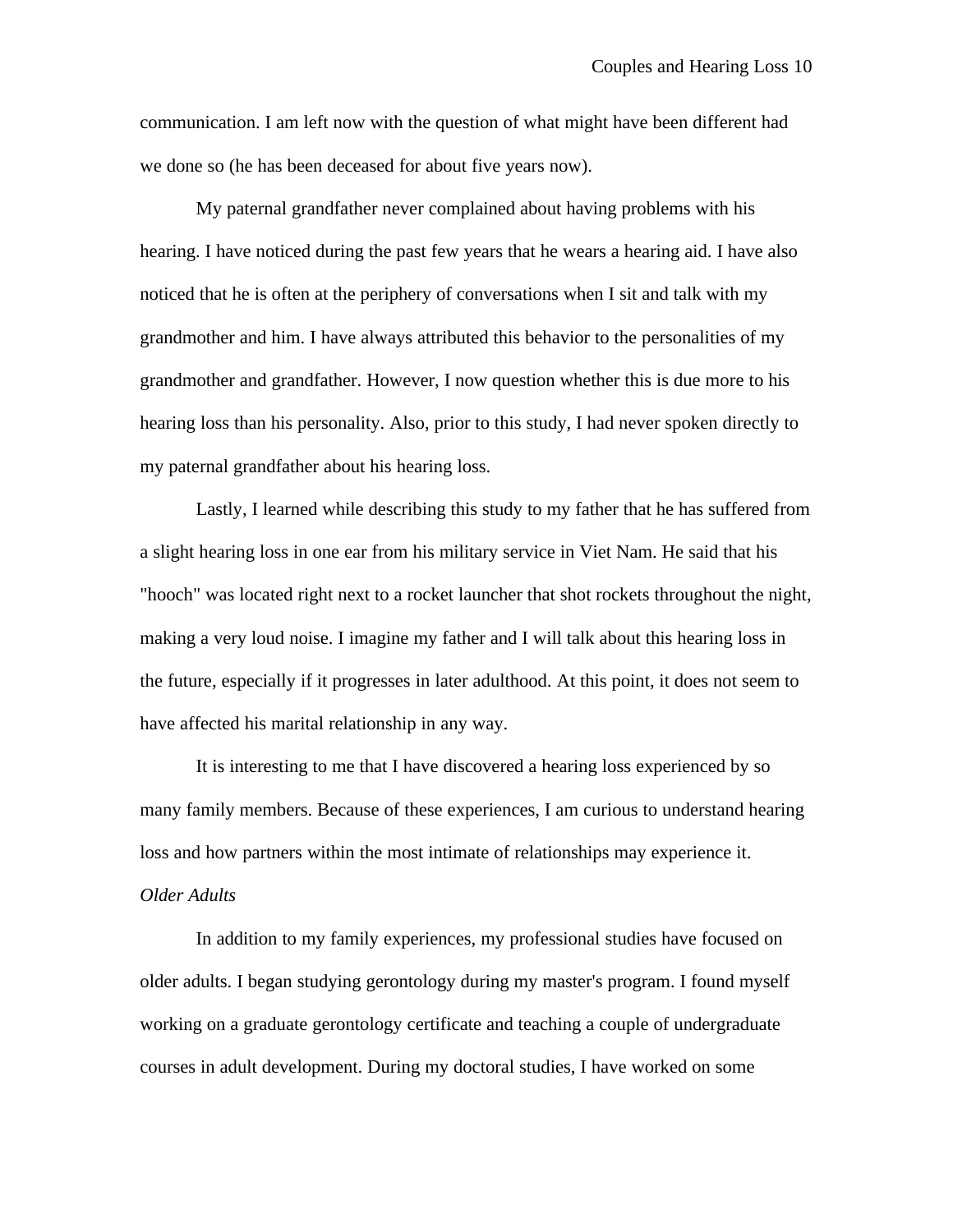communication. I am left now with the question of what might have been different had we done so (he has been deceased for about five years now).

My paternal grandfather never complained about having problems with his hearing. I have noticed during the past few years that he wears a hearing aid. I have also noticed that he is often at the periphery of conversations when I sit and talk with my grandmother and him. I have always attributed this behavior to the personalities of my grandmother and grandfather. However, I now question whether this is due more to his hearing loss than his personality. Also, prior to this study, I had never spoken directly to my paternal grandfather about his hearing loss.

Lastly, I learned while describing this study to my father that he has suffered from a slight hearing loss in one ear from his military service in Viet Nam. He said that his "hooch" was located right next to a rocket launcher that shot rockets throughout the night, making a very loud noise. I imagine my father and I will talk about this hearing loss in the future, especially if it progresses in later adulthood. At this point, it does not seem to have affected his marital relationship in any way.

It is interesting to me that I have discovered a hearing loss experienced by so many family members. Because of these experiences, I am curious to understand hearing loss and how partners within the most intimate of relationships may experience it. *Older Adults*

In addition to my family experiences, my professional studies have focused on older adults. I began studying gerontology during my master's program. I found myself working on a graduate gerontology certificate and teaching a couple of undergraduate courses in adult development. During my doctoral studies, I have worked on some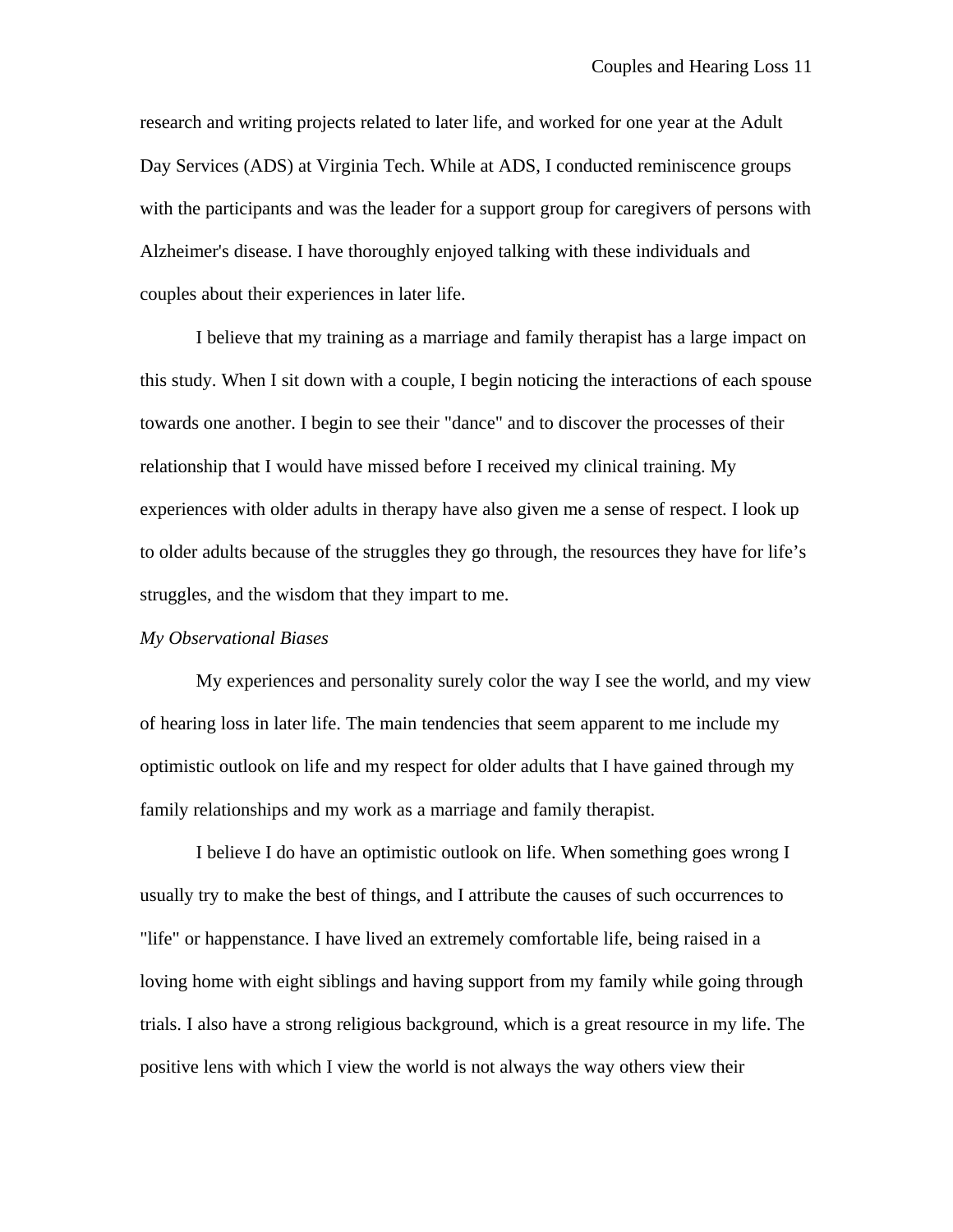research and writing projects related to later life, and worked for one year at the Adult Day Services (ADS) at Virginia Tech. While at ADS, I conducted reminiscence groups with the participants and was the leader for a support group for caregivers of persons with Alzheimer's disease. I have thoroughly enjoyed talking with these individuals and couples about their experiences in later life.

I believe that my training as a marriage and family therapist has a large impact on this study. When I sit down with a couple, I begin noticing the interactions of each spouse towards one another. I begin to see their "dance" and to discover the processes of their relationship that I would have missed before I received my clinical training. My experiences with older adults in therapy have also given me a sense of respect. I look up to older adults because of the struggles they go through, the resources they have for life's struggles, and the wisdom that they impart to me.

#### *My Observational Biases*

My experiences and personality surely color the way I see the world, and my view of hearing loss in later life. The main tendencies that seem apparent to me include my optimistic outlook on life and my respect for older adults that I have gained through my family relationships and my work as a marriage and family therapist.

I believe I do have an optimistic outlook on life. When something goes wrong I usually try to make the best of things, and I attribute the causes of such occurrences to "life" or happenstance. I have lived an extremely comfortable life, being raised in a loving home with eight siblings and having support from my family while going through trials. I also have a strong religious background, which is a great resource in my life. The positive lens with which I view the world is not always the way others view their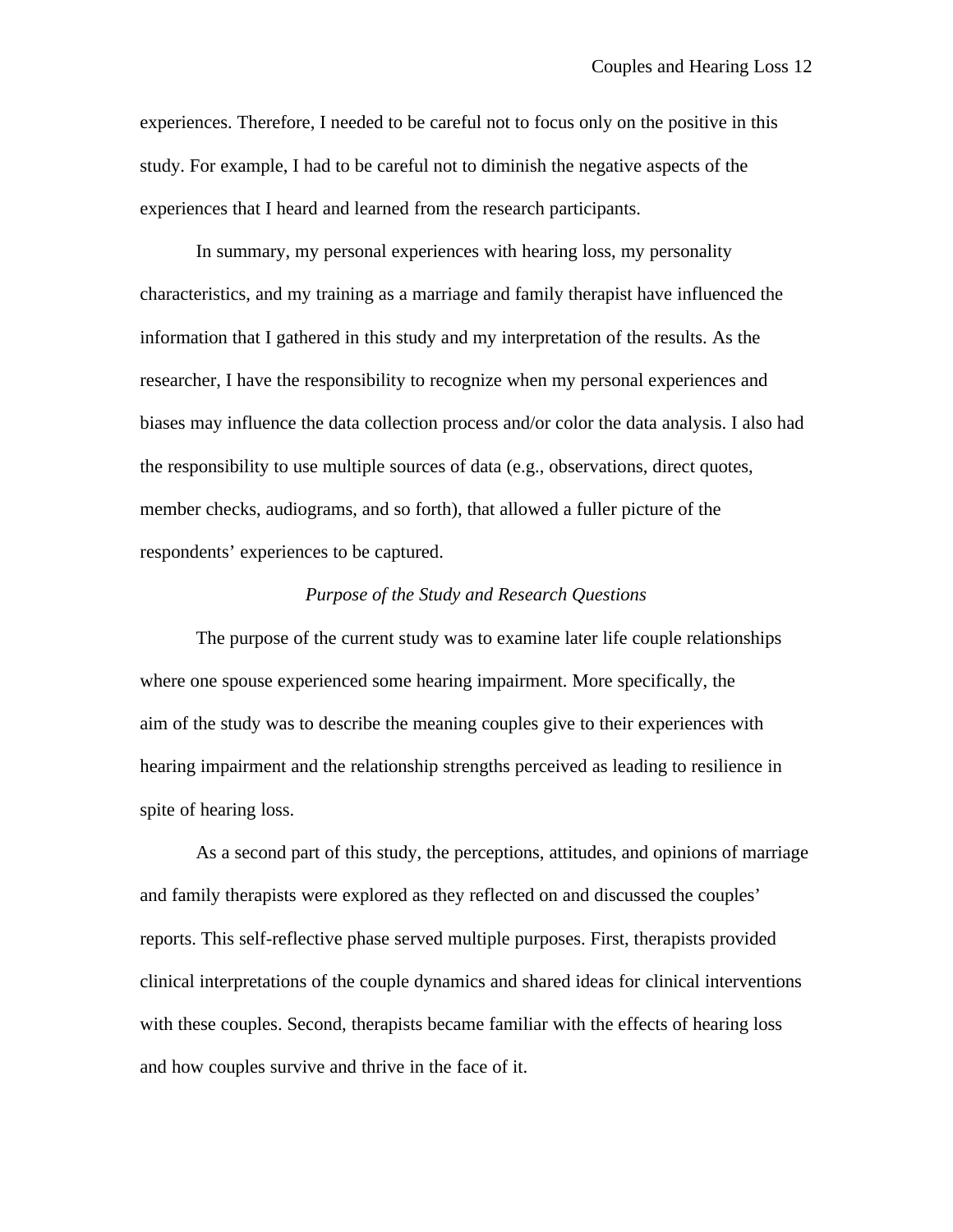experiences. Therefore, I needed to be careful not to focus only on the positive in this study. For example, I had to be careful not to diminish the negative aspects of the experiences that I heard and learned from the research participants.

In summary, my personal experiences with hearing loss, my personality characteristics, and my training as a marriage and family therapist have influenced the information that I gathered in this study and my interpretation of the results. As the researcher, I have the responsibility to recognize when my personal experiences and biases may influence the data collection process and/or color the data analysis. I also had the responsibility to use multiple sources of data (e.g., observations, direct quotes, member checks, audiograms, and so forth), that allowed a fuller picture of the respondents' experiences to be captured.

#### *Purpose of the Study and Research Questions*

The purpose of the current study was to examine later life couple relationships where one spouse experienced some hearing impairment. More specifically, the aim of the study was to describe the meaning couples give to their experiences with hearing impairment and the relationship strengths perceived as leading to resilience in spite of hearing loss.

As a second part of this study, the perceptions, attitudes, and opinions of marriage and family therapists were explored as they reflected on and discussed the couples' reports. This self-reflective phase served multiple purposes. First, therapists provided clinical interpretations of the couple dynamics and shared ideas for clinical interventions with these couples. Second, therapists became familiar with the effects of hearing loss and how couples survive and thrive in the face of it.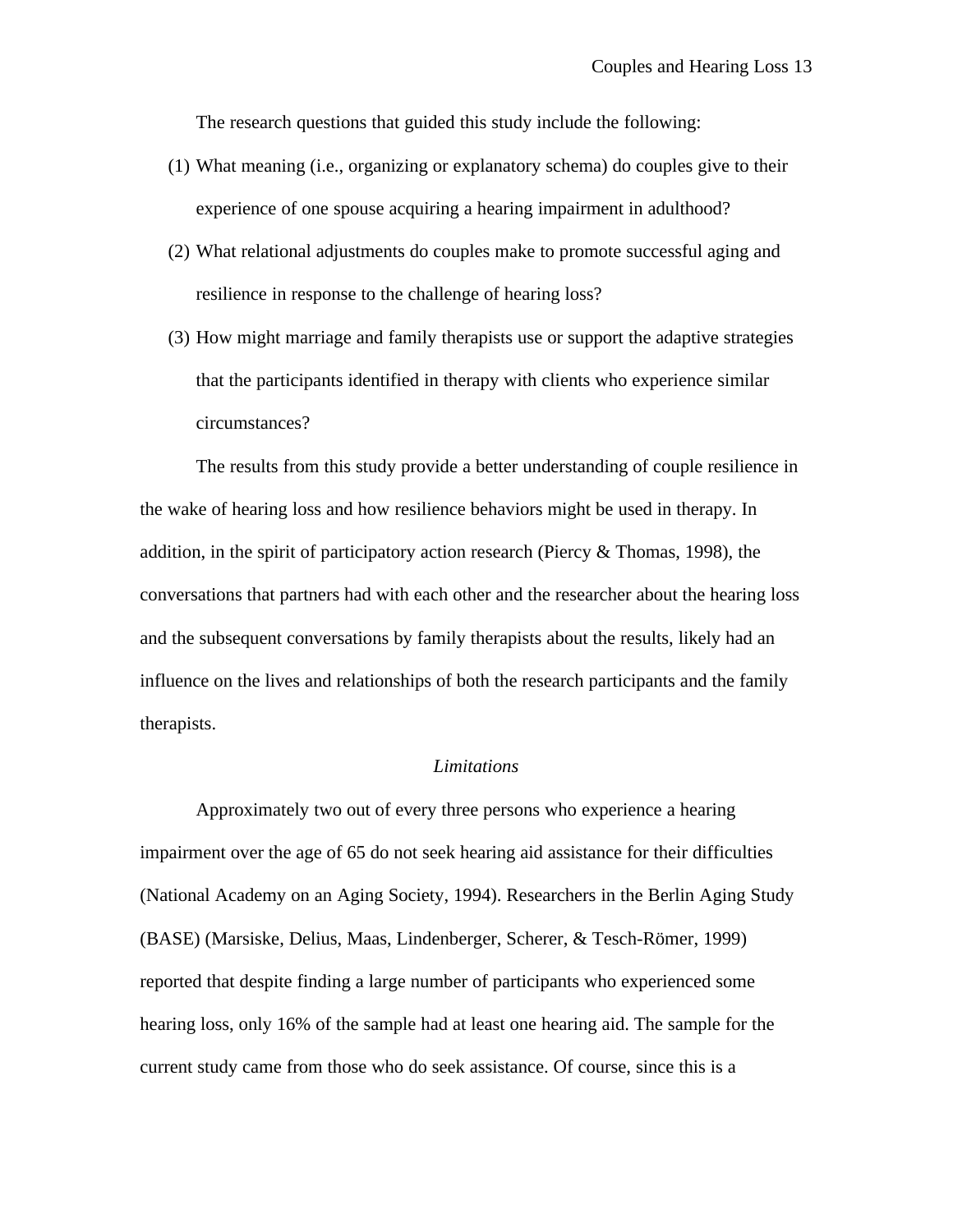The research questions that guided this study include the following:

- (1) What meaning (i.e., organizing or explanatory schema) do couples give to their experience of one spouse acquiring a hearing impairment in adulthood?
- (2) What relational adjustments do couples make to promote successful aging and resilience in response to the challenge of hearing loss?
- (3) How might marriage and family therapists use or support the adaptive strategies that the participants identified in therapy with clients who experience similar circumstances?

The results from this study provide a better understanding of couple resilience in the wake of hearing loss and how resilience behaviors might be used in therapy. In addition, in the spirit of participatory action research (Piercy & Thomas, 1998), the conversations that partners had with each other and the researcher about the hearing loss and the subsequent conversations by family therapists about the results, likely had an influence on the lives and relationships of both the research participants and the family therapists.

#### *Limitations*

Approximately two out of every three persons who experience a hearing impairment over the age of 65 do not seek hearing aid assistance for their difficulties (National Academy on an Aging Society, 1994). Researchers in the Berlin Aging Study (BASE) (Marsiske, Delius, Maas, Lindenberger, Scherer, & Tesch-Römer, 1999) reported that despite finding a large number of participants who experienced some hearing loss, only 16% of the sample had at least one hearing aid. The sample for the current study came from those who do seek assistance. Of course, since this is a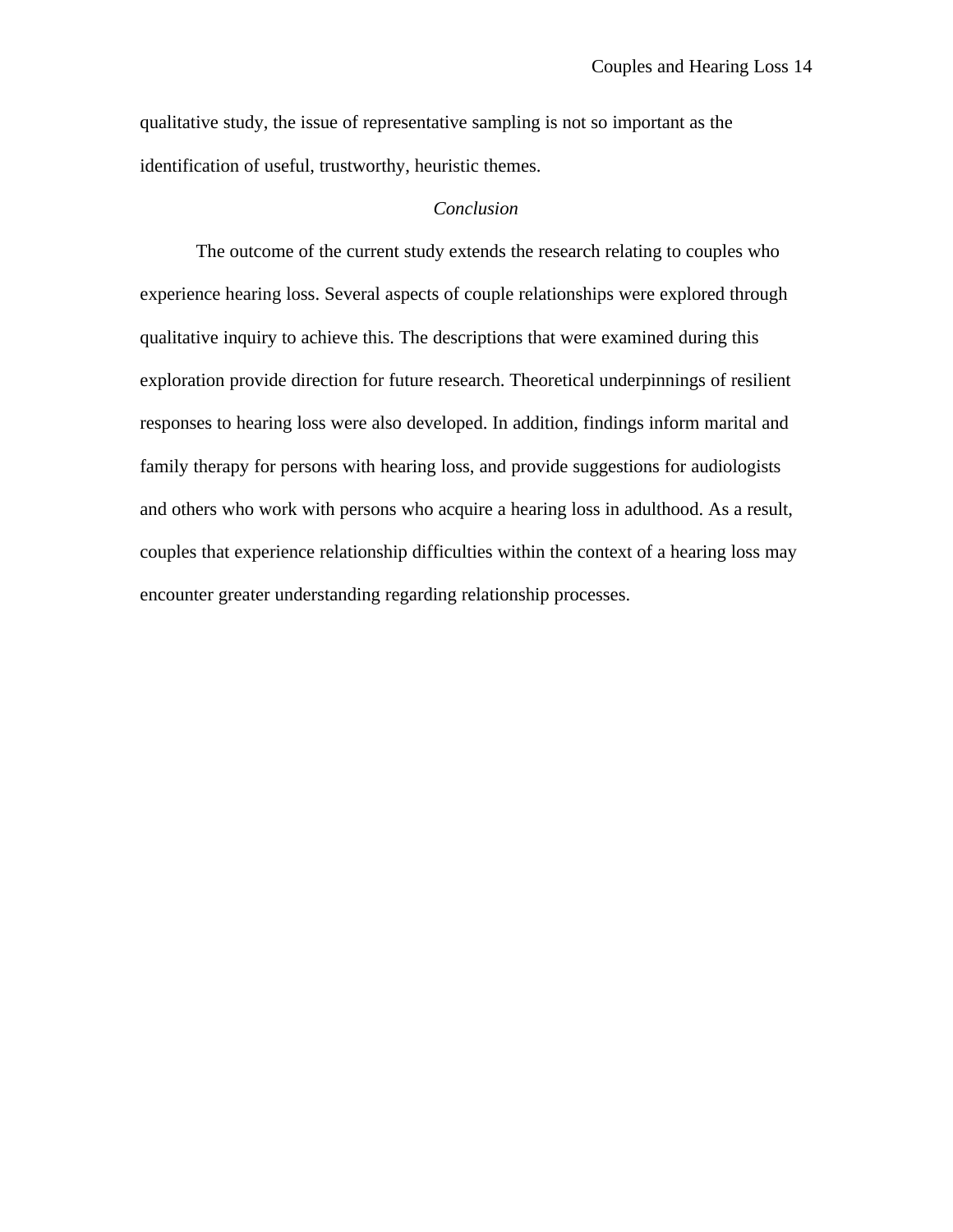qualitative study, the issue of representative sampling is not so important as the identification of useful, trustworthy, heuristic themes.

# *Conclusion*

The outcome of the current study extends the research relating to couples who experience hearing loss. Several aspects of couple relationships were explored through qualitative inquiry to achieve this. The descriptions that were examined during this exploration provide direction for future research. Theoretical underpinnings of resilient responses to hearing loss were also developed. In addition, findings inform marital and family therapy for persons with hearing loss, and provide suggestions for audiologists and others who work with persons who acquire a hearing loss in adulthood. As a result, couples that experience relationship difficulties within the context of a hearing loss may encounter greater understanding regarding relationship processes.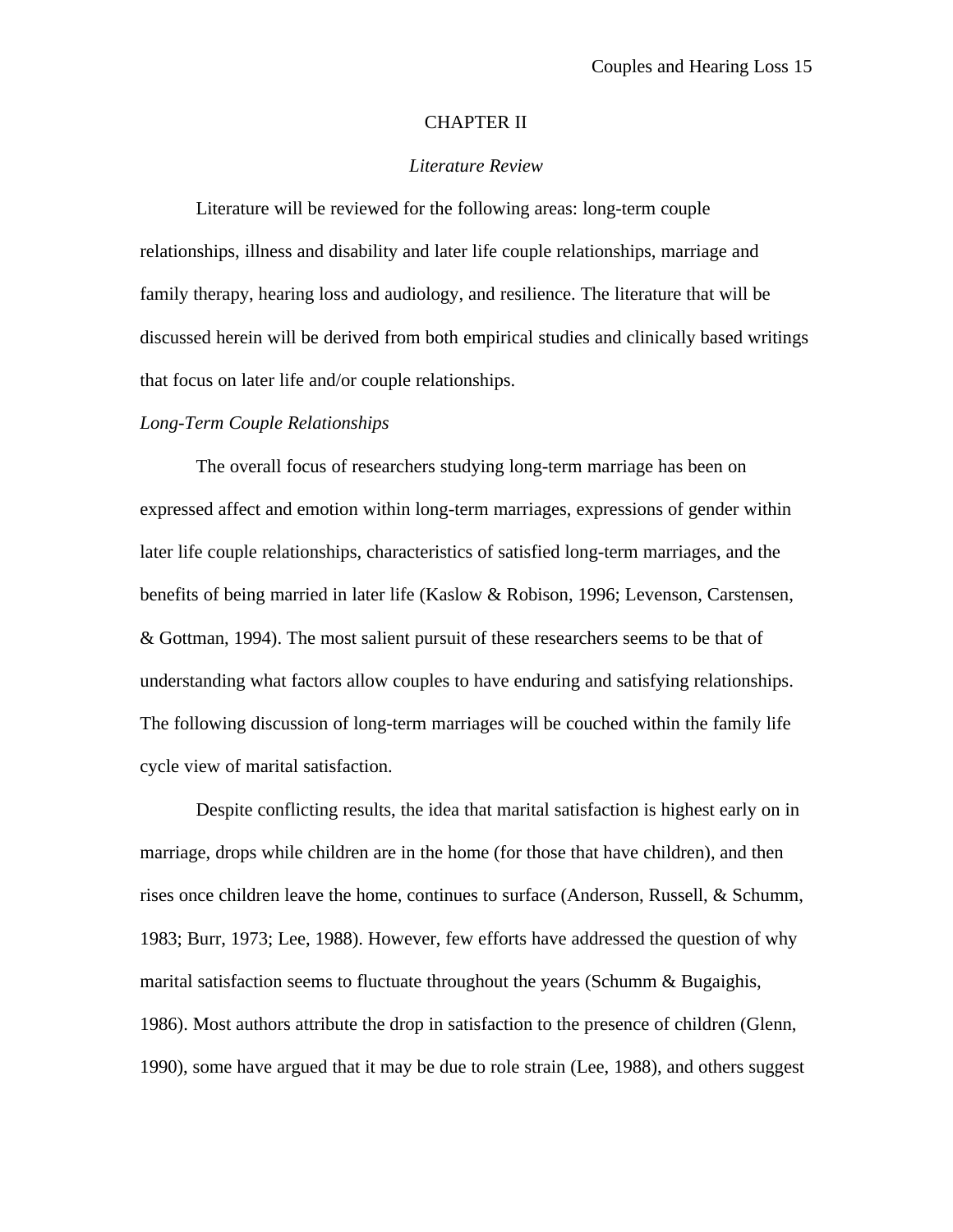#### CHAPTER II

## *Literature Review*

Literature will be reviewed for the following areas: long-term couple relationships, illness and disability and later life couple relationships, marriage and family therapy, hearing loss and audiology, and resilience. The literature that will be discussed herein will be derived from both empirical studies and clinically based writings that focus on later life and/or couple relationships.

#### *Long-Term Couple Relationships*

The overall focus of researchers studying long-term marriage has been on expressed affect and emotion within long-term marriages, expressions of gender within later life couple relationships, characteristics of satisfied long-term marriages, and the benefits of being married in later life (Kaslow & Robison, 1996; Levenson, Carstensen, & Gottman, 1994). The most salient pursuit of these researchers seems to be that of understanding what factors allow couples to have enduring and satisfying relationships. The following discussion of long-term marriages will be couched within the family life cycle view of marital satisfaction.

Despite conflicting results, the idea that marital satisfaction is highest early on in marriage, drops while children are in the home (for those that have children), and then rises once children leave the home, continues to surface (Anderson, Russell, & Schumm, 1983; Burr, 1973; Lee, 1988). However, few efforts have addressed the question of why marital satisfaction seems to fluctuate throughout the years (Schumm & Bugaighis, 1986). Most authors attribute the drop in satisfaction to the presence of children (Glenn, 1990), some have argued that it may be due to role strain (Lee, 1988), and others suggest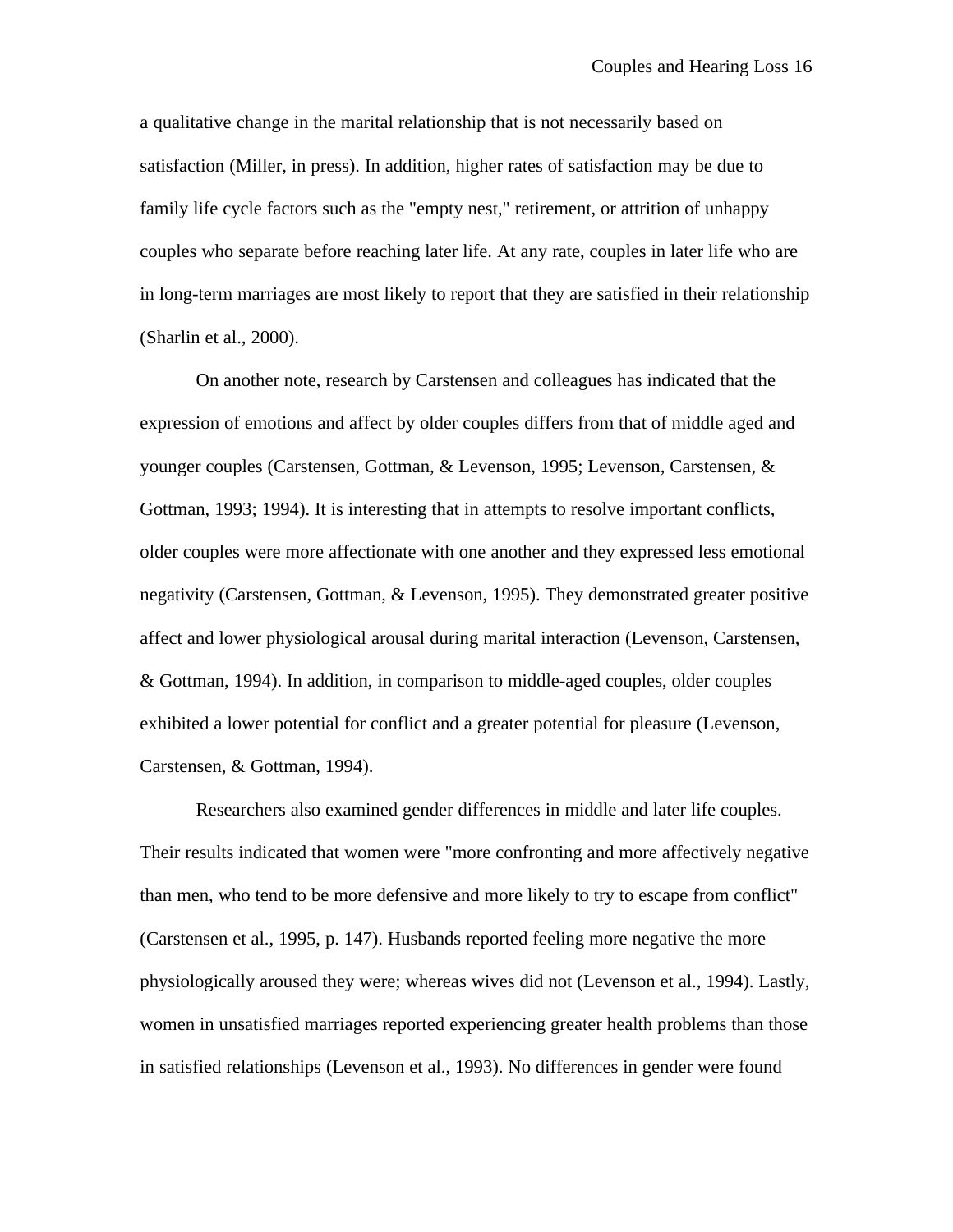a qualitative change in the marital relationship that is not necessarily based on satisfaction (Miller, in press). In addition, higher rates of satisfaction may be due to family life cycle factors such as the "empty nest," retirement, or attrition of unhappy couples who separate before reaching later life. At any rate, couples in later life who are in long-term marriages are most likely to report that they are satisfied in their relationship (Sharlin et al., 2000).

On another note, research by Carstensen and colleagues has indicated that the expression of emotions and affect by older couples differs from that of middle aged and younger couples (Carstensen, Gottman, & Levenson, 1995; Levenson, Carstensen, & Gottman, 1993; 1994). It is interesting that in attempts to resolve important conflicts, older couples were more affectionate with one another and they expressed less emotional negativity (Carstensen, Gottman, & Levenson, 1995). They demonstrated greater positive affect and lower physiological arousal during marital interaction (Levenson, Carstensen, & Gottman, 1994). In addition, in comparison to middle-aged couples, older couples exhibited a lower potential for conflict and a greater potential for pleasure (Levenson, Carstensen, & Gottman, 1994).

Researchers also examined gender differences in middle and later life couples. Their results indicated that women were "more confronting and more affectively negative than men, who tend to be more defensive and more likely to try to escape from conflict" (Carstensen et al., 1995, p. 147). Husbands reported feeling more negative the more physiologically aroused they were; whereas wives did not (Levenson et al., 1994). Lastly, women in unsatisfied marriages reported experiencing greater health problems than those in satisfied relationships (Levenson et al., 1993). No differences in gender were found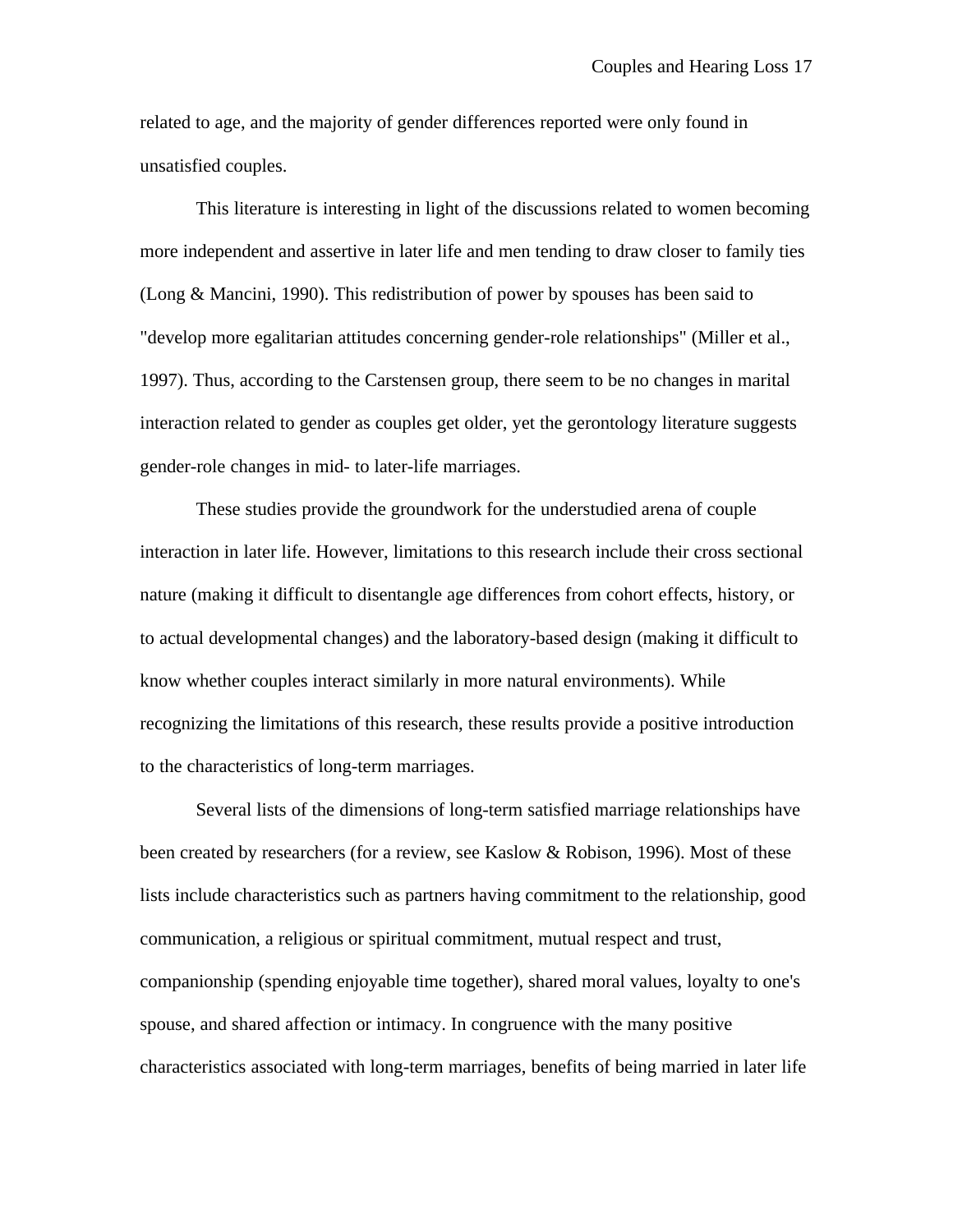related to age, and the majority of gender differences reported were only found in unsatisfied couples.

This literature is interesting in light of the discussions related to women becoming more independent and assertive in later life and men tending to draw closer to family ties (Long & Mancini, 1990). This redistribution of power by spouses has been said to "develop more egalitarian attitudes concerning gender-role relationships" (Miller et al., 1997). Thus, according to the Carstensen group, there seem to be no changes in marital interaction related to gender as couples get older, yet the gerontology literature suggests gender-role changes in mid- to later-life marriages.

These studies provide the groundwork for the understudied arena of couple interaction in later life. However, limitations to this research include their cross sectional nature (making it difficult to disentangle age differences from cohort effects, history, or to actual developmental changes) and the laboratory-based design (making it difficult to know whether couples interact similarly in more natural environments). While recognizing the limitations of this research, these results provide a positive introduction to the characteristics of long-term marriages.

Several lists of the dimensions of long-term satisfied marriage relationships have been created by researchers (for a review, see Kaslow & Robison, 1996). Most of these lists include characteristics such as partners having commitment to the relationship, good communication, a religious or spiritual commitment, mutual respect and trust, companionship (spending enjoyable time together), shared moral values, loyalty to one's spouse, and shared affection or intimacy. In congruence with the many positive characteristics associated with long-term marriages, benefits of being married in later life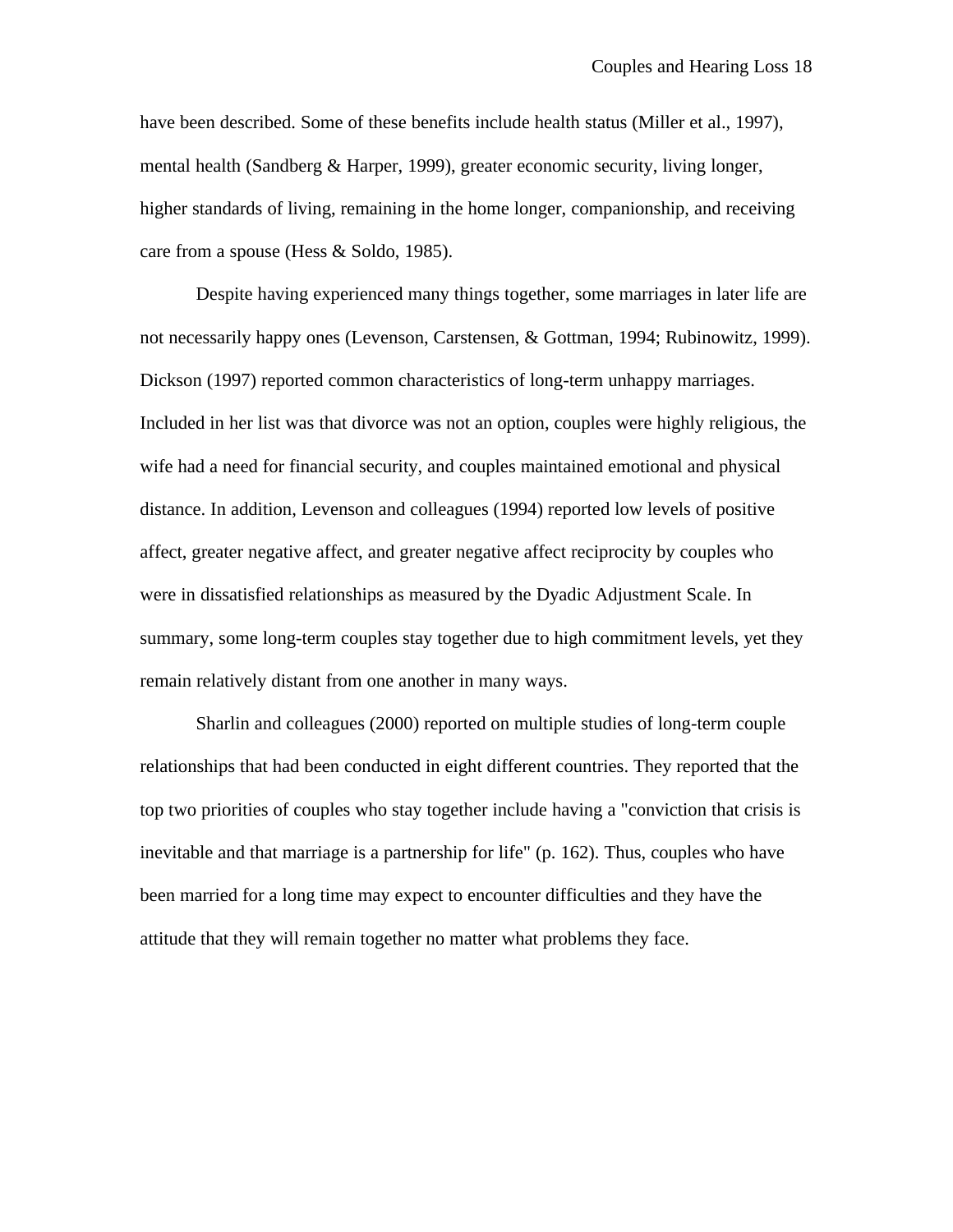have been described. Some of these benefits include health status (Miller et al., 1997), mental health (Sandberg & Harper, 1999), greater economic security, living longer, higher standards of living, remaining in the home longer, companionship, and receiving care from a spouse (Hess & Soldo, 1985).

Despite having experienced many things together, some marriages in later life are not necessarily happy ones (Levenson, Carstensen, & Gottman, 1994; Rubinowitz, 1999). Dickson (1997) reported common characteristics of long-term unhappy marriages. Included in her list was that divorce was not an option, couples were highly religious, the wife had a need for financial security, and couples maintained emotional and physical distance. In addition, Levenson and colleagues (1994) reported low levels of positive affect, greater negative affect, and greater negative affect reciprocity by couples who were in dissatisfied relationships as measured by the Dyadic Adjustment Scale. In summary, some long-term couples stay together due to high commitment levels, yet they remain relatively distant from one another in many ways.

Sharlin and colleagues (2000) reported on multiple studies of long-term couple relationships that had been conducted in eight different countries. They reported that the top two priorities of couples who stay together include having a "conviction that crisis is inevitable and that marriage is a partnership for life" (p. 162). Thus, couples who have been married for a long time may expect to encounter difficulties and they have the attitude that they will remain together no matter what problems they face.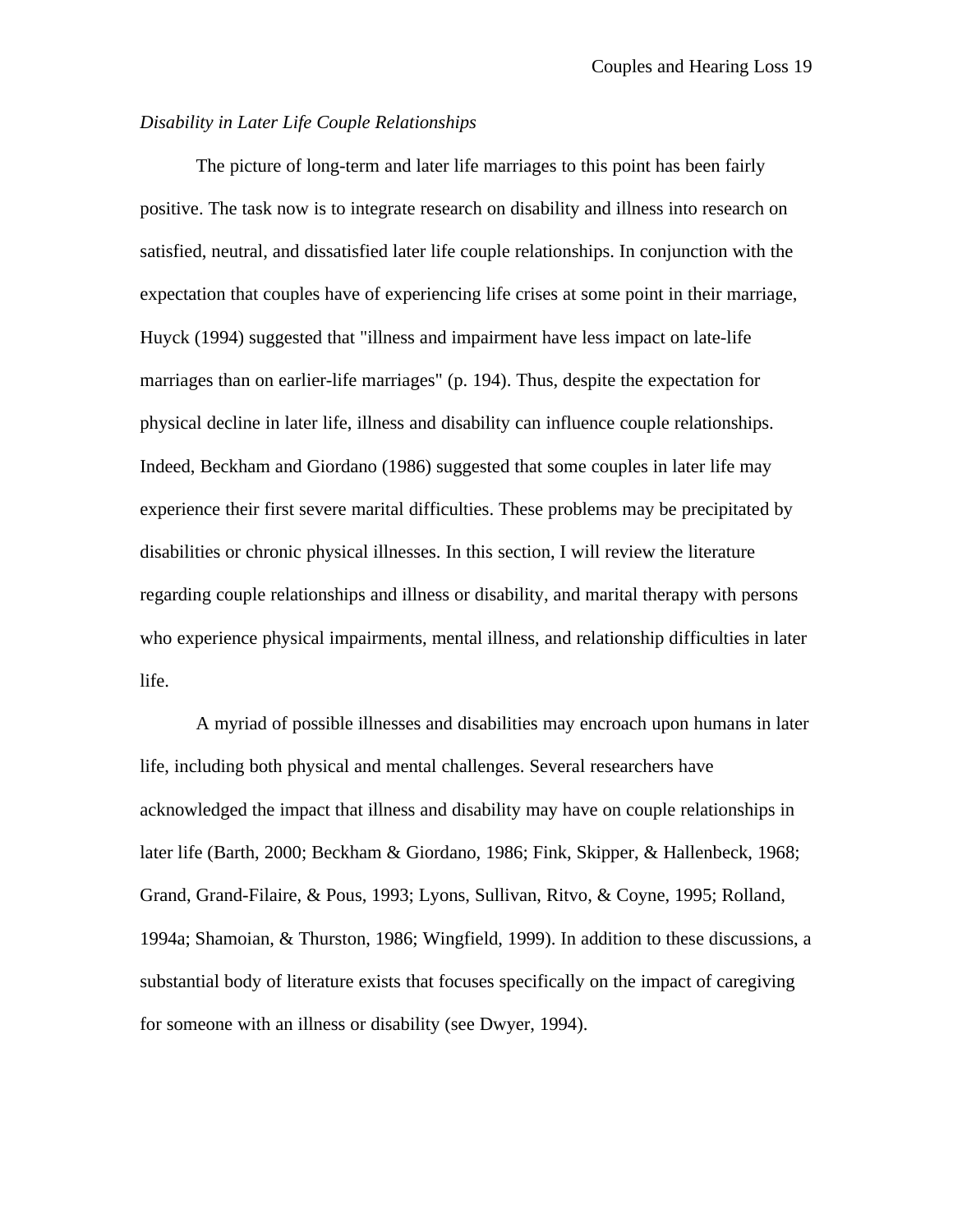# *Disability in Later Life Couple Relationships*

The picture of long-term and later life marriages to this point has been fairly positive. The task now is to integrate research on disability and illness into research on satisfied, neutral, and dissatisfied later life couple relationships. In conjunction with the expectation that couples have of experiencing life crises at some point in their marriage, Huyck (1994) suggested that "illness and impairment have less impact on late-life marriages than on earlier-life marriages" (p. 194). Thus, despite the expectation for physical decline in later life, illness and disability can influence couple relationships. Indeed, Beckham and Giordano (1986) suggested that some couples in later life may experience their first severe marital difficulties. These problems may be precipitated by disabilities or chronic physical illnesses. In this section, I will review the literature regarding couple relationships and illness or disability, and marital therapy with persons who experience physical impairments, mental illness, and relationship difficulties in later life.

A myriad of possible illnesses and disabilities may encroach upon humans in later life, including both physical and mental challenges. Several researchers have acknowledged the impact that illness and disability may have on couple relationships in later life (Barth, 2000; Beckham & Giordano, 1986; Fink, Skipper, & Hallenbeck, 1968; Grand, Grand-Filaire, & Pous, 1993; Lyons, Sullivan, Ritvo, & Coyne, 1995; Rolland, 1994a; Shamoian, & Thurston, 1986; Wingfield, 1999). In addition to these discussions, a substantial body of literature exists that focuses specifically on the impact of caregiving for someone with an illness or disability (see Dwyer, 1994).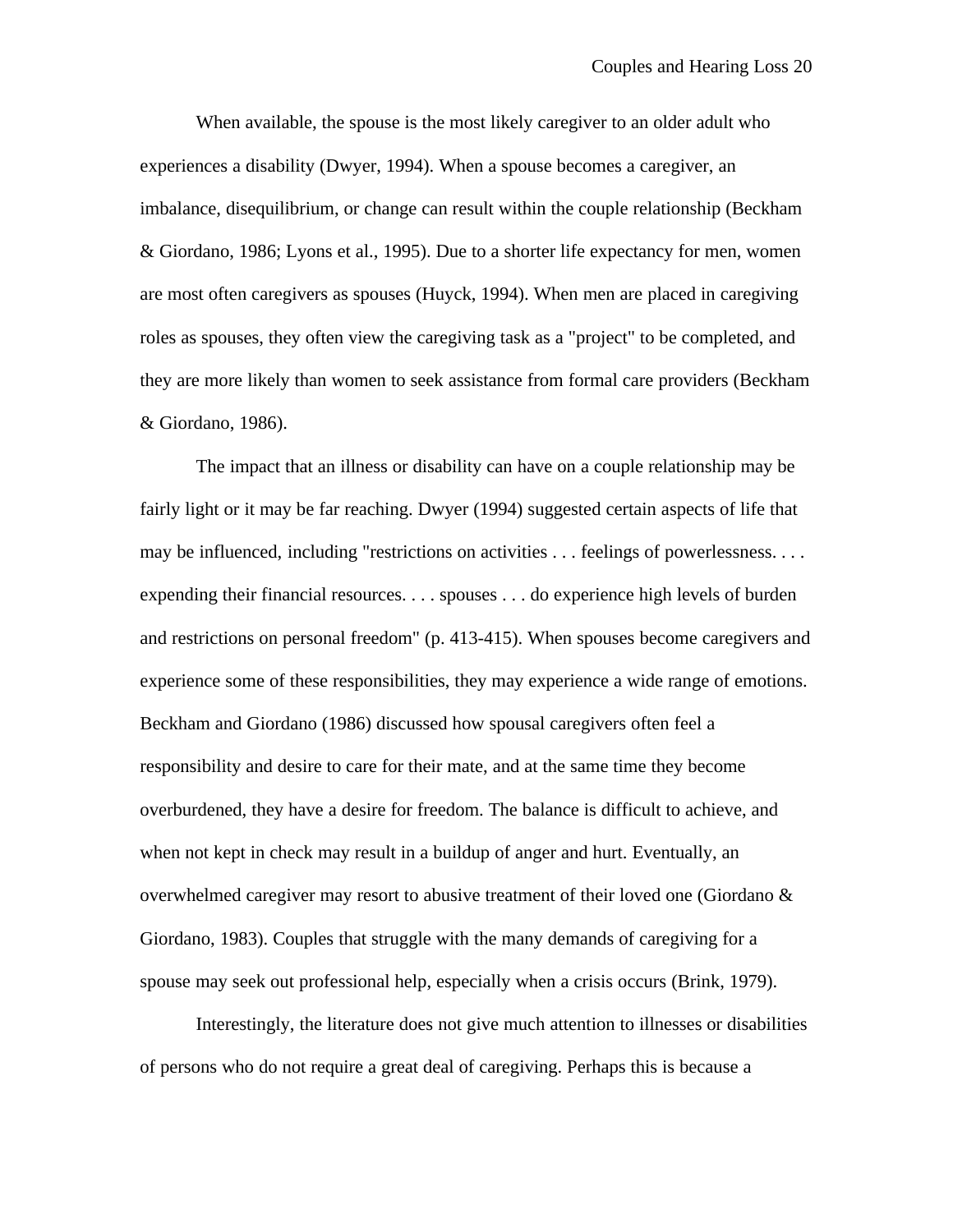When available, the spouse is the most likely caregiver to an older adult who experiences a disability (Dwyer, 1994). When a spouse becomes a caregiver, an imbalance, disequilibrium, or change can result within the couple relationship (Beckham & Giordano, 1986; Lyons et al., 1995). Due to a shorter life expectancy for men, women are most often caregivers as spouses (Huyck, 1994). When men are placed in caregiving roles as spouses, they often view the caregiving task as a "project" to be completed, and they are more likely than women to seek assistance from formal care providers (Beckham & Giordano, 1986).

The impact that an illness or disability can have on a couple relationship may be fairly light or it may be far reaching. Dwyer (1994) suggested certain aspects of life that may be influenced, including "restrictions on activities . . . feelings of powerlessness. . . . expending their financial resources. . . . spouses . . . do experience high levels of burden and restrictions on personal freedom" (p. 413-415). When spouses become caregivers and experience some of these responsibilities, they may experience a wide range of emotions. Beckham and Giordano (1986) discussed how spousal caregivers often feel a responsibility and desire to care for their mate, and at the same time they become overburdened, they have a desire for freedom. The balance is difficult to achieve, and when not kept in check may result in a buildup of anger and hurt. Eventually, an overwhelmed caregiver may resort to abusive treatment of their loved one (Giordano & Giordano, 1983). Couples that struggle with the many demands of caregiving for a spouse may seek out professional help, especially when a crisis occurs (Brink, 1979).

Interestingly, the literature does not give much attention to illnesses or disabilities of persons who do not require a great deal of caregiving. Perhaps this is because a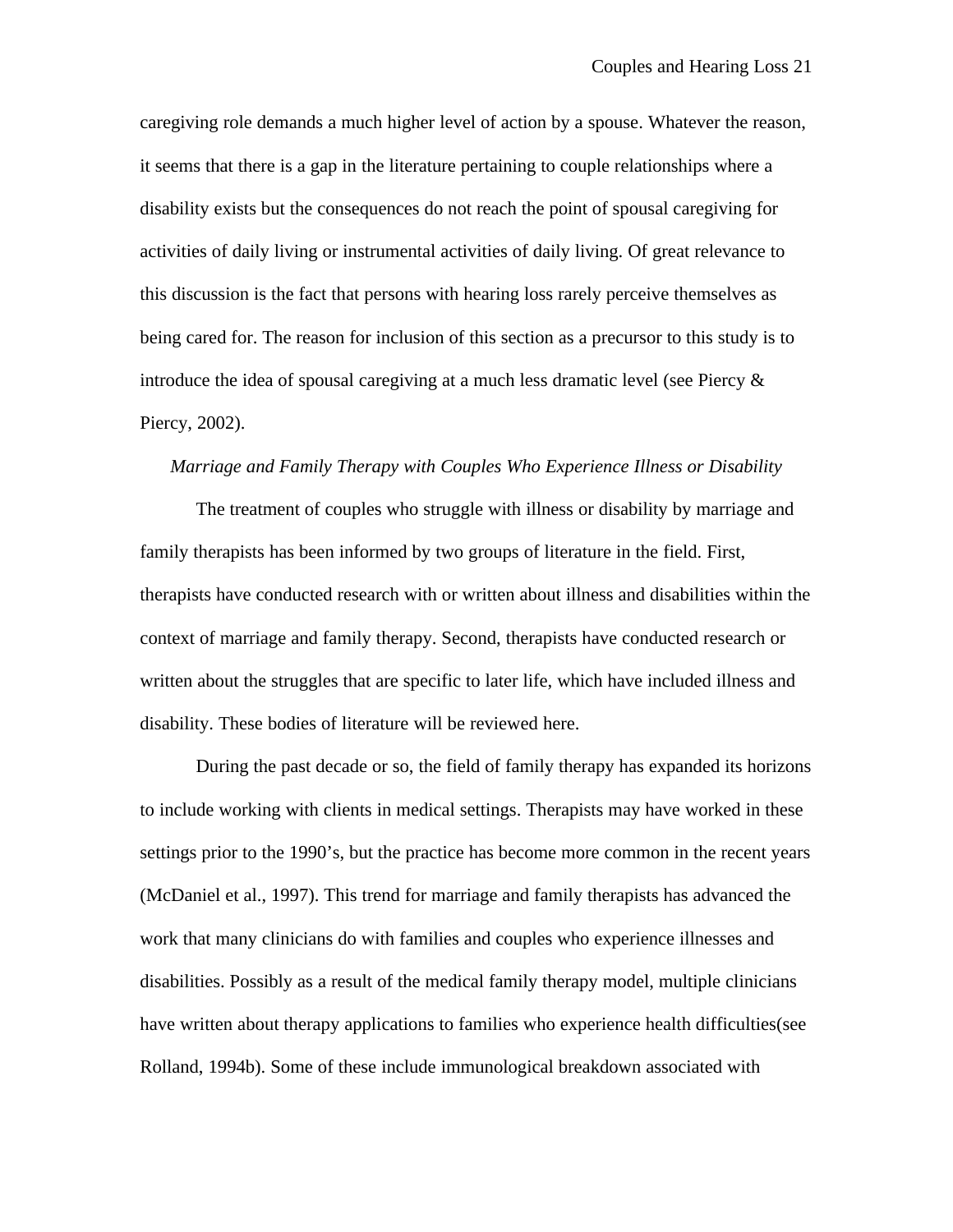caregiving role demands a much higher level of action by a spouse. Whatever the reason, it seems that there is a gap in the literature pertaining to couple relationships where a disability exists but the consequences do not reach the point of spousal caregiving for activities of daily living or instrumental activities of daily living. Of great relevance to this discussion is the fact that persons with hearing loss rarely perceive themselves as being cared for. The reason for inclusion of this section as a precursor to this study is to introduce the idea of spousal caregiving at a much less dramatic level (see Piercy & Piercy, 2002).

#### *Marriage and Family Therapy with Couples Who Experience Illness or Disability*

The treatment of couples who struggle with illness or disability by marriage and family therapists has been informed by two groups of literature in the field. First, therapists have conducted research with or written about illness and disabilities within the context of marriage and family therapy. Second, therapists have conducted research or written about the struggles that are specific to later life, which have included illness and disability. These bodies of literature will be reviewed here.

During the past decade or so, the field of family therapy has expanded its horizons to include working with clients in medical settings. Therapists may have worked in these settings prior to the 1990's, but the practice has become more common in the recent years (McDaniel et al., 1997). This trend for marriage and family therapists has advanced the work that many clinicians do with families and couples who experience illnesses and disabilities. Possibly as a result of the medical family therapy model, multiple clinicians have written about therapy applications to families who experience health difficulties(see Rolland, 1994b). Some of these include immunological breakdown associated with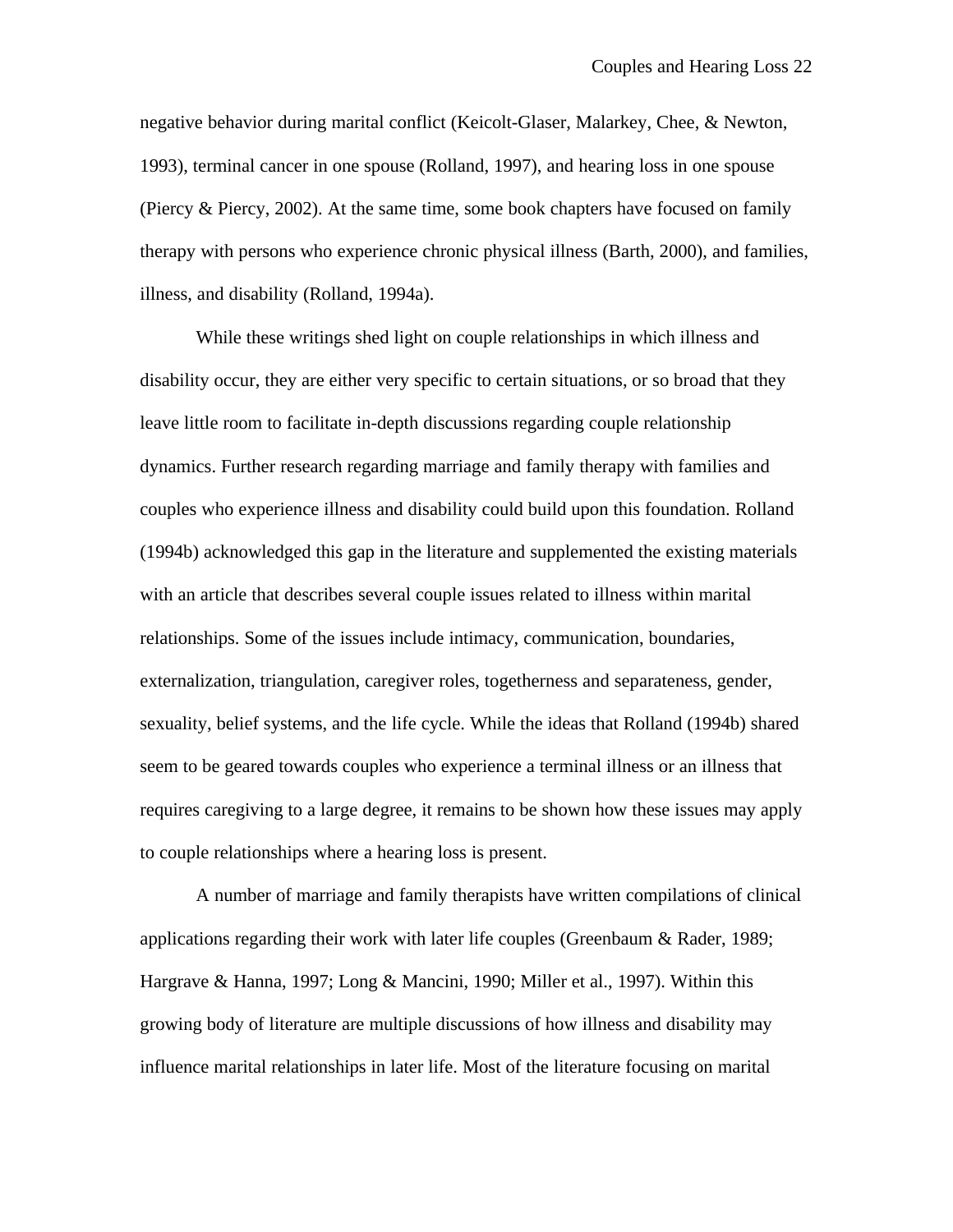negative behavior during marital conflict (Keicolt-Glaser, Malarkey, Chee, & Newton, 1993), terminal cancer in one spouse (Rolland, 1997), and hearing loss in one spouse (Piercy & Piercy, 2002). At the same time, some book chapters have focused on family therapy with persons who experience chronic physical illness (Barth, 2000), and families, illness, and disability (Rolland, 1994a).

While these writings shed light on couple relationships in which illness and disability occur, they are either very specific to certain situations, or so broad that they leave little room to facilitate in-depth discussions regarding couple relationship dynamics. Further research regarding marriage and family therapy with families and couples who experience illness and disability could build upon this foundation. Rolland (1994b) acknowledged this gap in the literature and supplemented the existing materials with an article that describes several couple issues related to illness within marital relationships. Some of the issues include intimacy, communication, boundaries, externalization, triangulation, caregiver roles, togetherness and separateness, gender, sexuality, belief systems, and the life cycle. While the ideas that Rolland (1994b) shared seem to be geared towards couples who experience a terminal illness or an illness that requires caregiving to a large degree, it remains to be shown how these issues may apply to couple relationships where a hearing loss is present.

A number of marriage and family therapists have written compilations of clinical applications regarding their work with later life couples (Greenbaum & Rader, 1989; Hargrave & Hanna, 1997; Long & Mancini, 1990; Miller et al., 1997). Within this growing body of literature are multiple discussions of how illness and disability may influence marital relationships in later life. Most of the literature focusing on marital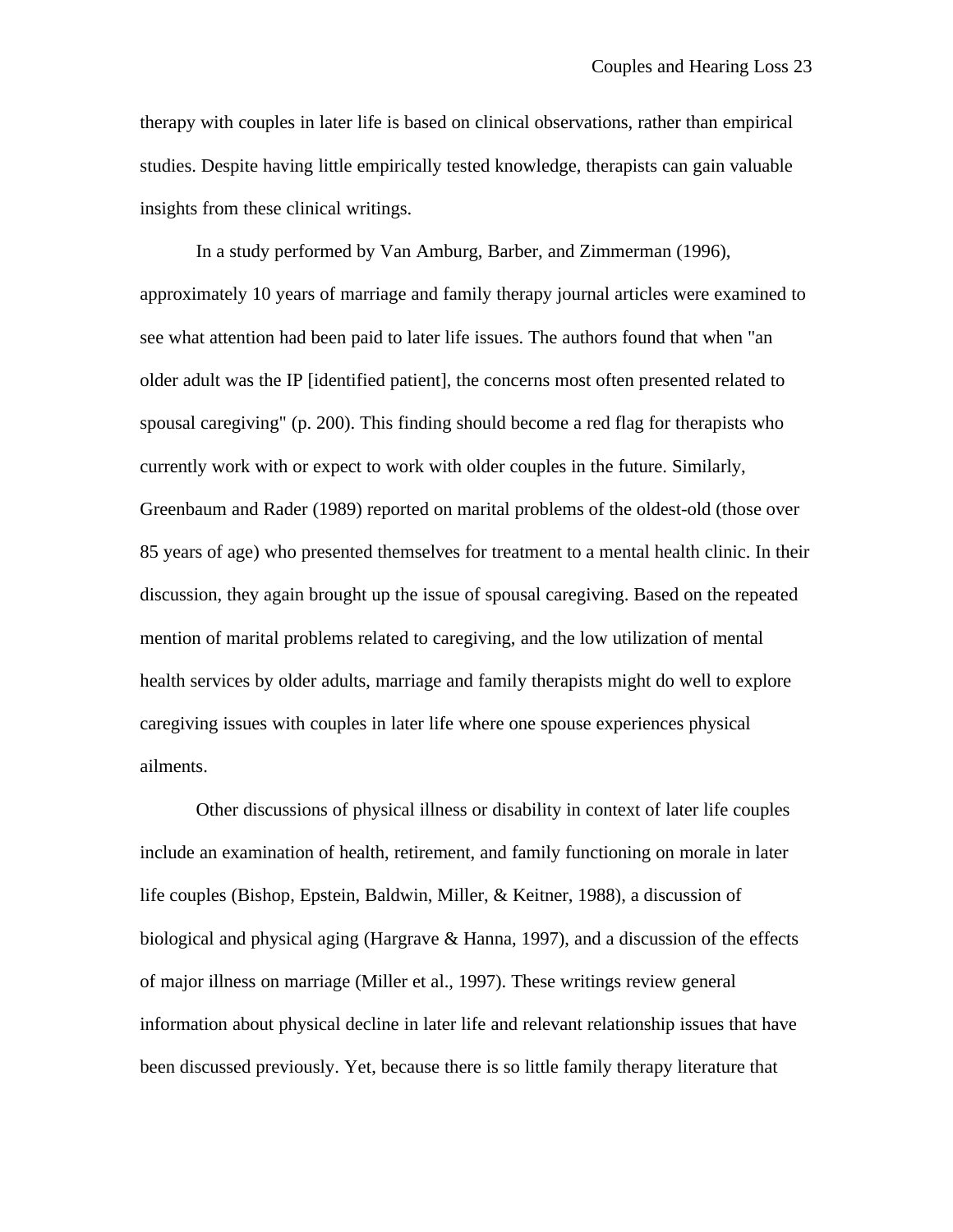therapy with couples in later life is based on clinical observations, rather than empirical studies. Despite having little empirically tested knowledge, therapists can gain valuable insights from these clinical writings.

In a study performed by Van Amburg, Barber, and Zimmerman (1996), approximately 10 years of marriage and family therapy journal articles were examined to see what attention had been paid to later life issues. The authors found that when "an older adult was the IP [identified patient], the concerns most often presented related to spousal caregiving" (p. 200). This finding should become a red flag for therapists who currently work with or expect to work with older couples in the future. Similarly, Greenbaum and Rader (1989) reported on marital problems of the oldest-old (those over 85 years of age) who presented themselves for treatment to a mental health clinic. In their discussion, they again brought up the issue of spousal caregiving. Based on the repeated mention of marital problems related to caregiving, and the low utilization of mental health services by older adults, marriage and family therapists might do well to explore caregiving issues with couples in later life where one spouse experiences physical ailments.

Other discussions of physical illness or disability in context of later life couples include an examination of health, retirement, and family functioning on morale in later life couples (Bishop, Epstein, Baldwin, Miller, & Keitner, 1988), a discussion of biological and physical aging (Hargrave  $&$  Hanna, 1997), and a discussion of the effects of major illness on marriage (Miller et al., 1997). These writings review general information about physical decline in later life and relevant relationship issues that have been discussed previously. Yet, because there is so little family therapy literature that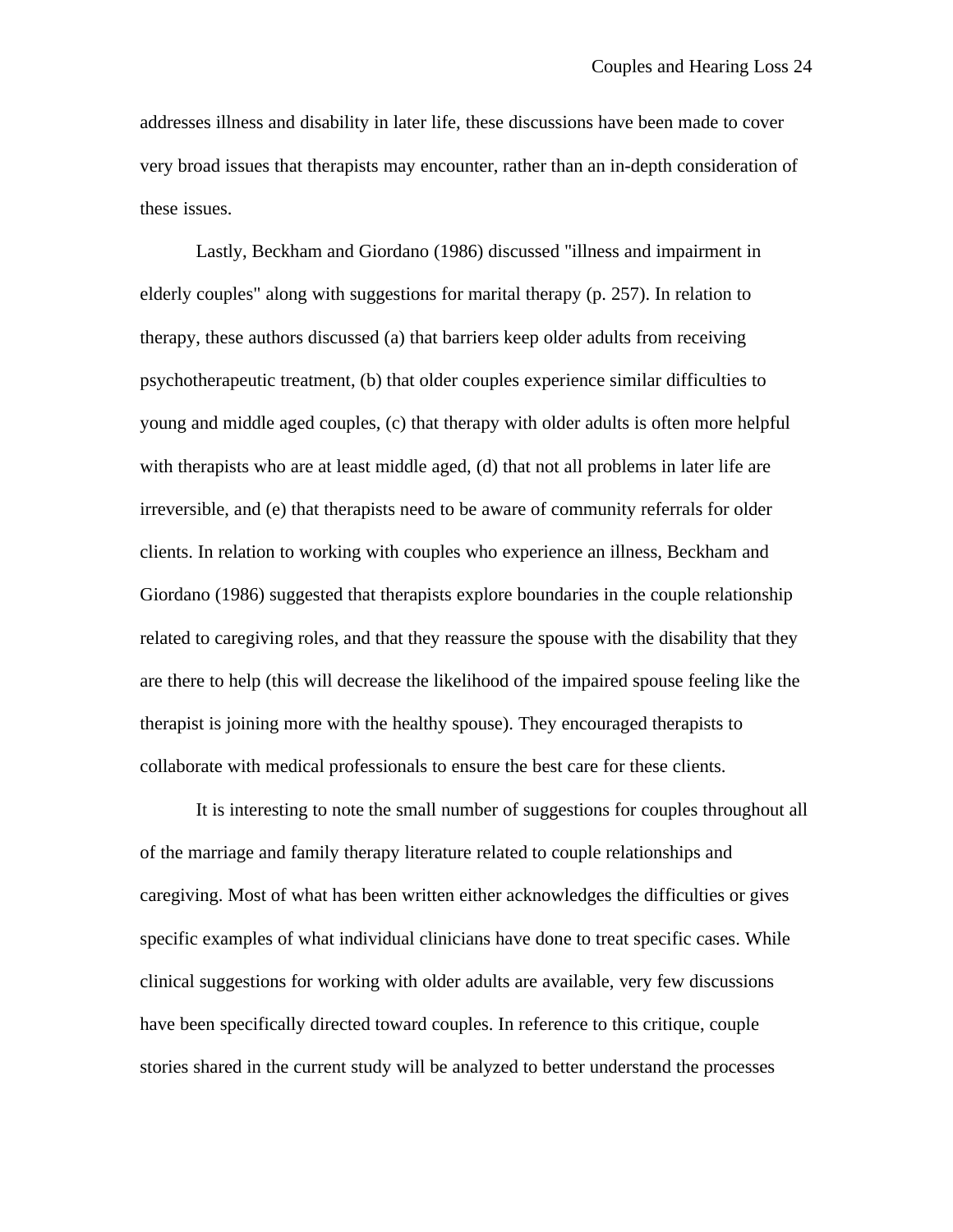addresses illness and disability in later life, these discussions have been made to cover very broad issues that therapists may encounter, rather than an in-depth consideration of these issues.

Lastly, Beckham and Giordano (1986) discussed "illness and impairment in elderly couples" along with suggestions for marital therapy (p. 257). In relation to therapy, these authors discussed (a) that barriers keep older adults from receiving psychotherapeutic treatment, (b) that older couples experience similar difficulties to young and middle aged couples, (c) that therapy with older adults is often more helpful with therapists who are at least middle aged, (d) that not all problems in later life are irreversible, and (e) that therapists need to be aware of community referrals for older clients. In relation to working with couples who experience an illness, Beckham and Giordano (1986) suggested that therapists explore boundaries in the couple relationship related to caregiving roles, and that they reassure the spouse with the disability that they are there to help (this will decrease the likelihood of the impaired spouse feeling like the therapist is joining more with the healthy spouse). They encouraged therapists to collaborate with medical professionals to ensure the best care for these clients.

It is interesting to note the small number of suggestions for couples throughout all of the marriage and family therapy literature related to couple relationships and caregiving. Most of what has been written either acknowledges the difficulties or gives specific examples of what individual clinicians have done to treat specific cases. While clinical suggestions for working with older adults are available, very few discussions have been specifically directed toward couples. In reference to this critique, couple stories shared in the current study will be analyzed to better understand the processes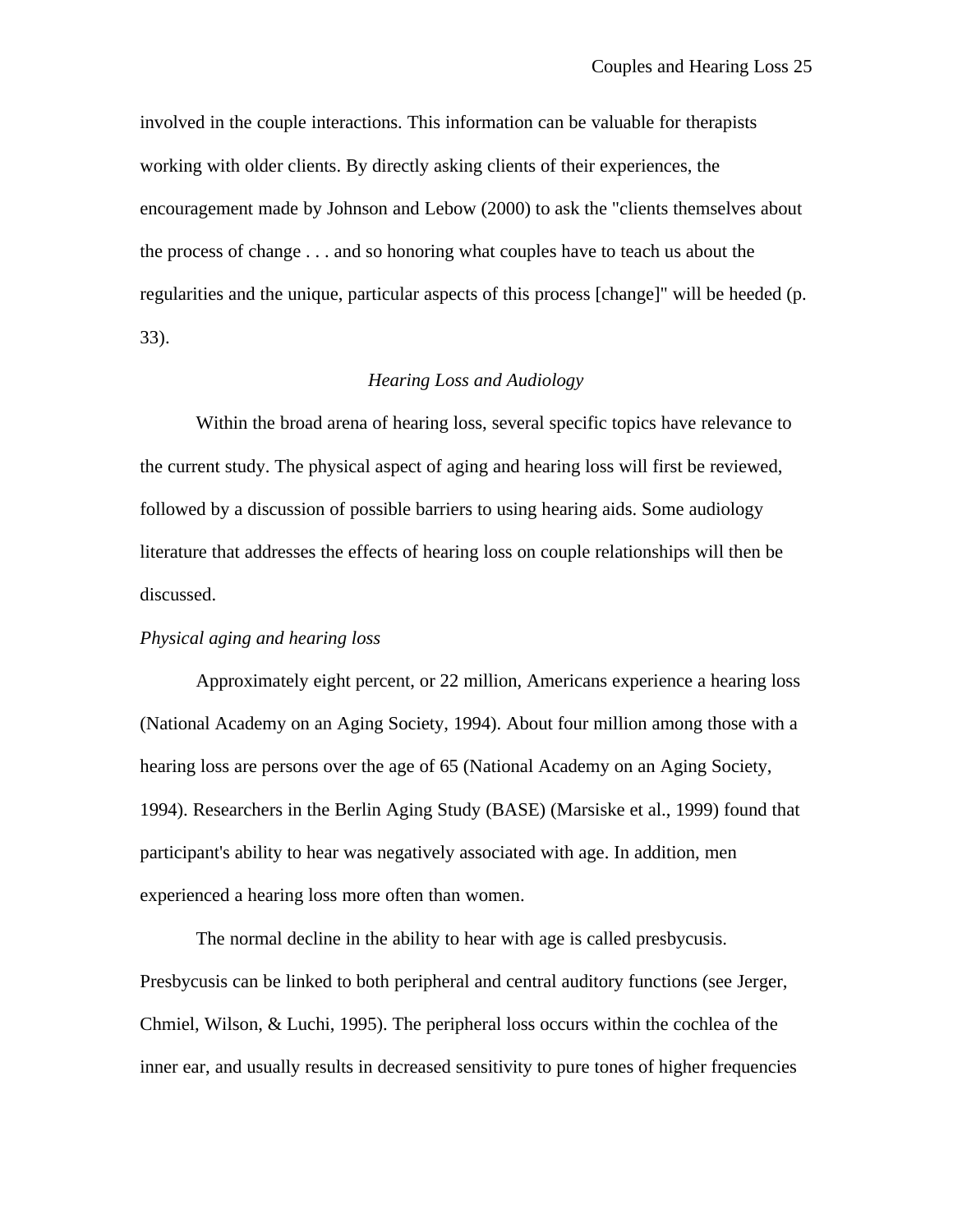involved in the couple interactions. This information can be valuable for therapists working with older clients. By directly asking clients of their experiences, the encouragement made by Johnson and Lebow (2000) to ask the "clients themselves about the process of change . . . and so honoring what couples have to teach us about the regularities and the unique, particular aspects of this process [change]" will be heeded (p. 33).

# *Hearing Loss and Audiology*

Within the broad arena of hearing loss, several specific topics have relevance to the current study. The physical aspect of aging and hearing loss will first be reviewed, followed by a discussion of possible barriers to using hearing aids. Some audiology literature that addresses the effects of hearing loss on couple relationships will then be discussed.

## *Physical aging and hearing loss*

Approximately eight percent, or 22 million, Americans experience a hearing loss (National Academy on an Aging Society, 1994). About four million among those with a hearing loss are persons over the age of 65 (National Academy on an Aging Society, 1994). Researchers in the Berlin Aging Study (BASE) (Marsiske et al., 1999) found that participant's ability to hear was negatively associated with age. In addition, men experienced a hearing loss more often than women.

The normal decline in the ability to hear with age is called presbycusis. Presbycusis can be linked to both peripheral and central auditory functions (see Jerger, Chmiel, Wilson, & Luchi, 1995). The peripheral loss occurs within the cochlea of the inner ear, and usually results in decreased sensitivity to pure tones of higher frequencies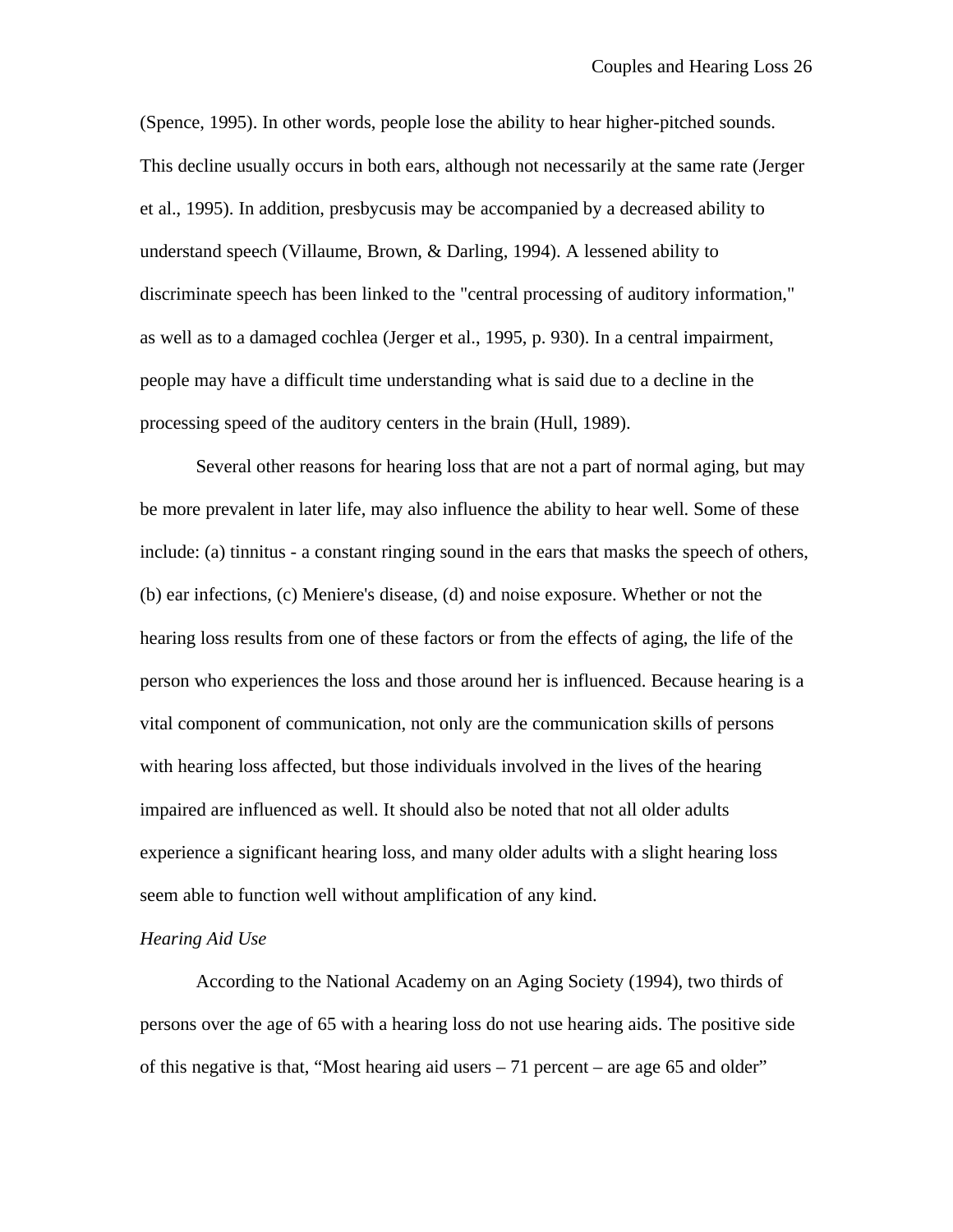(Spence, 1995). In other words, people lose the ability to hear higher-pitched sounds. This decline usually occurs in both ears, although not necessarily at the same rate (Jerger et al., 1995). In addition, presbycusis may be accompanied by a decreased ability to understand speech (Villaume, Brown, & Darling, 1994). A lessened ability to discriminate speech has been linked to the "central processing of auditory information," as well as to a damaged cochlea (Jerger et al., 1995, p. 930). In a central impairment, people may have a difficult time understanding what is said due to a decline in the processing speed of the auditory centers in the brain (Hull, 1989).

Several other reasons for hearing loss that are not a part of normal aging, but may be more prevalent in later life, may also influence the ability to hear well. Some of these include: (a) tinnitus - a constant ringing sound in the ears that masks the speech of others, (b) ear infections, (c) Meniere's disease, (d) and noise exposure. Whether or not the hearing loss results from one of these factors or from the effects of aging, the life of the person who experiences the loss and those around her is influenced. Because hearing is a vital component of communication, not only are the communication skills of persons with hearing loss affected, but those individuals involved in the lives of the hearing impaired are influenced as well. It should also be noted that not all older adults experience a significant hearing loss, and many older adults with a slight hearing loss seem able to function well without amplification of any kind.

## *Hearing Aid Use*

According to the National Academy on an Aging Society (1994), two thirds of persons over the age of 65 with a hearing loss do not use hearing aids. The positive side of this negative is that, "Most hearing aid users  $-71$  percent – are age 65 and older"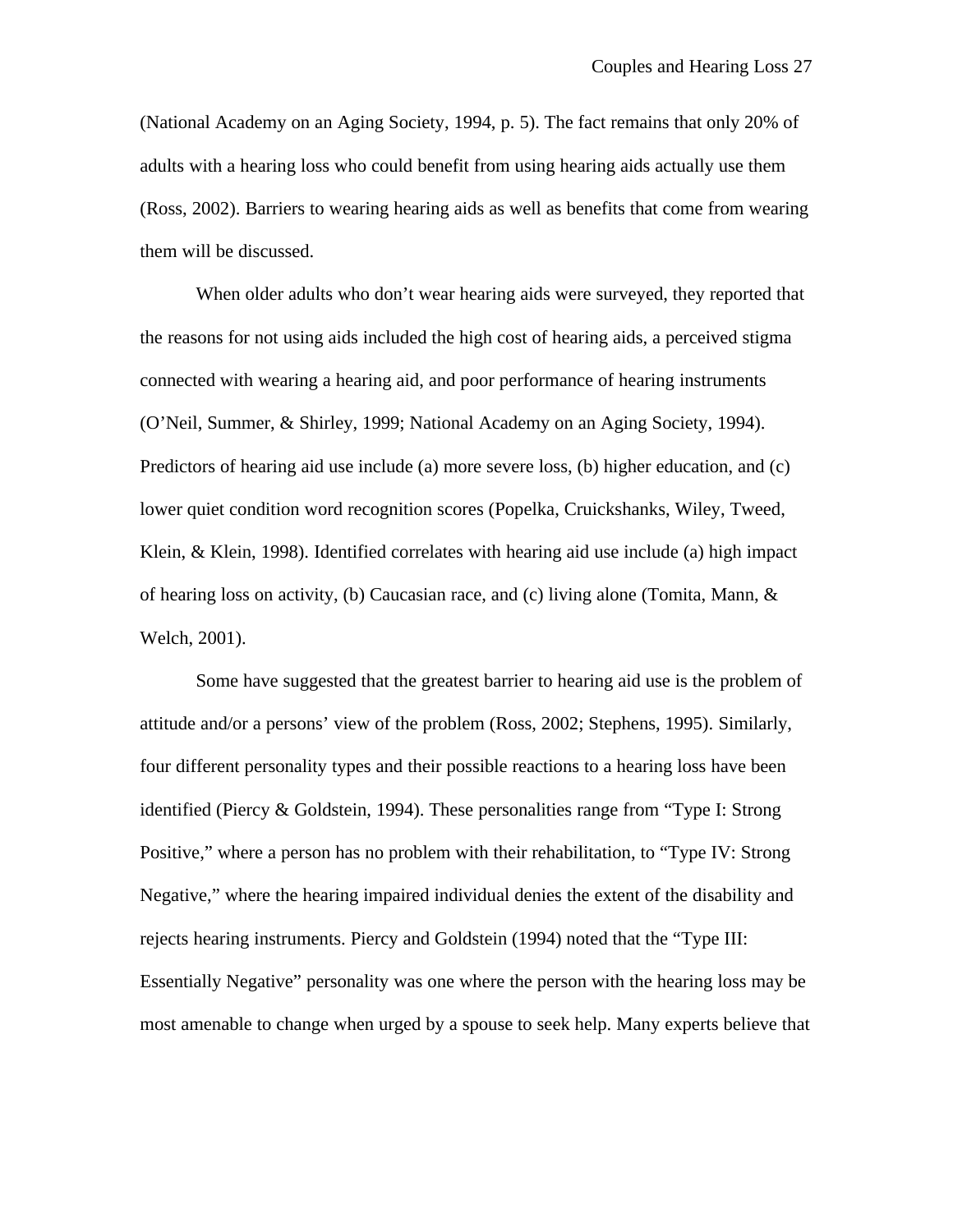(National Academy on an Aging Society, 1994, p. 5). The fact remains that only 20% of adults with a hearing loss who could benefit from using hearing aids actually use them (Ross, 2002). Barriers to wearing hearing aids as well as benefits that come from wearing them will be discussed.

When older adults who don't wear hearing aids were surveyed, they reported that the reasons for not using aids included the high cost of hearing aids, a perceived stigma connected with wearing a hearing aid, and poor performance of hearing instruments (O'Neil, Summer, & Shirley, 1999; National Academy on an Aging Society, 1994). Predictors of hearing aid use include (a) more severe loss, (b) higher education, and (c) lower quiet condition word recognition scores (Popelka, Cruickshanks, Wiley, Tweed, Klein, & Klein, 1998). Identified correlates with hearing aid use include (a) high impact of hearing loss on activity, (b) Caucasian race, and (c) living alone (Tomita, Mann,  $\&$ Welch, 2001).

Some have suggested that the greatest barrier to hearing aid use is the problem of attitude and/or a persons' view of the problem (Ross, 2002; Stephens, 1995). Similarly, four different personality types and their possible reactions to a hearing loss have been identified (Piercy & Goldstein, 1994). These personalities range from "Type I: Strong Positive," where a person has no problem with their rehabilitation, to "Type IV: Strong Negative," where the hearing impaired individual denies the extent of the disability and rejects hearing instruments. Piercy and Goldstein (1994) noted that the "Type III: Essentially Negative" personality was one where the person with the hearing loss may be most amenable to change when urged by a spouse to seek help. Many experts believe that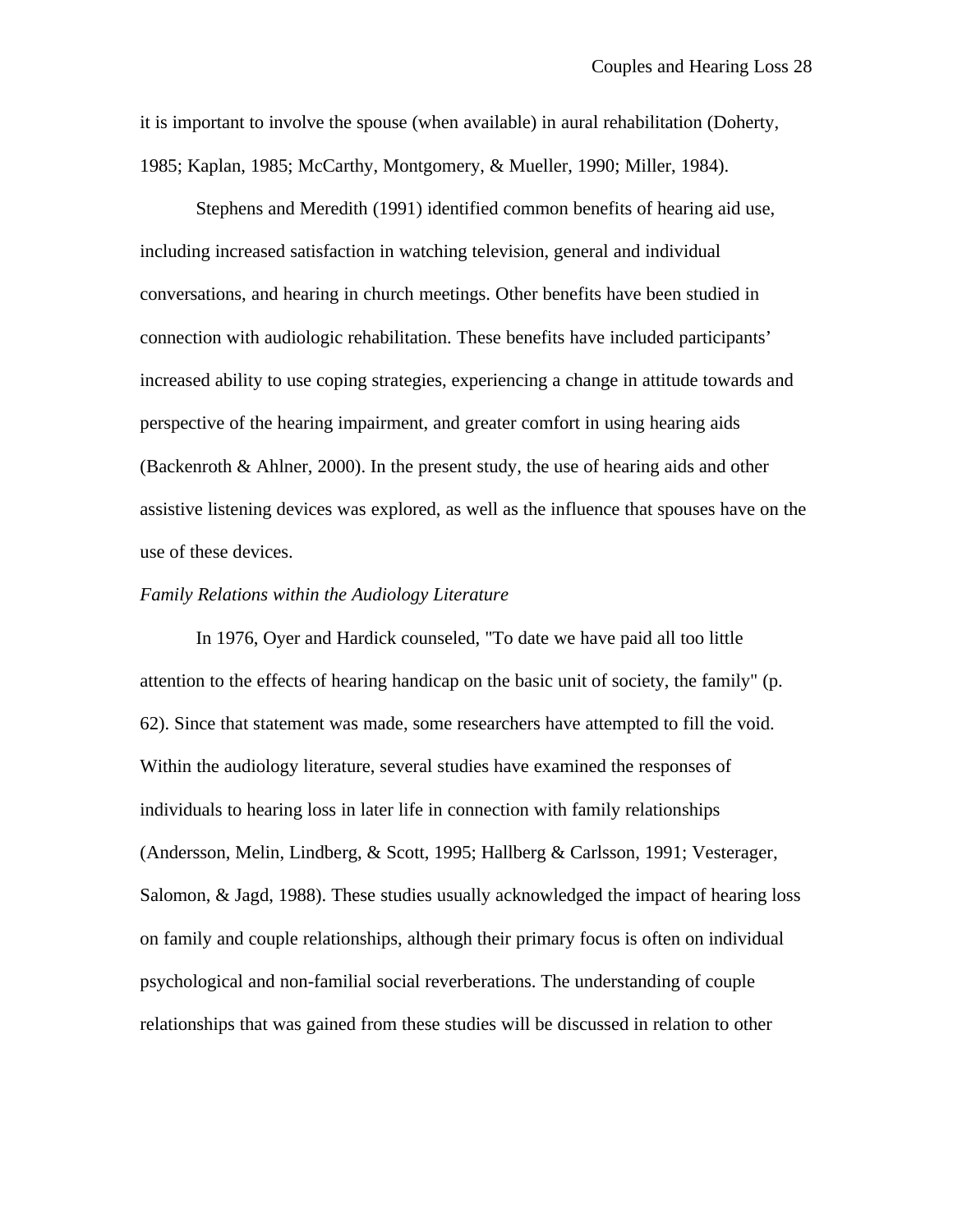it is important to involve the spouse (when available) in aural rehabilitation (Doherty, 1985; Kaplan, 1985; McCarthy, Montgomery, & Mueller, 1990; Miller, 1984).

Stephens and Meredith (1991) identified common benefits of hearing aid use, including increased satisfaction in watching television, general and individual conversations, and hearing in church meetings. Other benefits have been studied in connection with audiologic rehabilitation. These benefits have included participants' increased ability to use coping strategies, experiencing a change in attitude towards and perspective of the hearing impairment, and greater comfort in using hearing aids (Backenroth & Ahlner, 2000). In the present study, the use of hearing aids and other assistive listening devices was explored, as well as the influence that spouses have on the use of these devices.

#### *Family Relations within the Audiology Literature*

In 1976, Oyer and Hardick counseled, "To date we have paid all too little attention to the effects of hearing handicap on the basic unit of society, the family" (p. 62). Since that statement was made, some researchers have attempted to fill the void. Within the audiology literature, several studies have examined the responses of individuals to hearing loss in later life in connection with family relationships (Andersson, Melin, Lindberg, & Scott, 1995; Hallberg & Carlsson, 1991; Vesterager, Salomon, & Jagd, 1988). These studies usually acknowledged the impact of hearing loss on family and couple relationships, although their primary focus is often on individual psychological and non-familial social reverberations. The understanding of couple relationships that was gained from these studies will be discussed in relation to other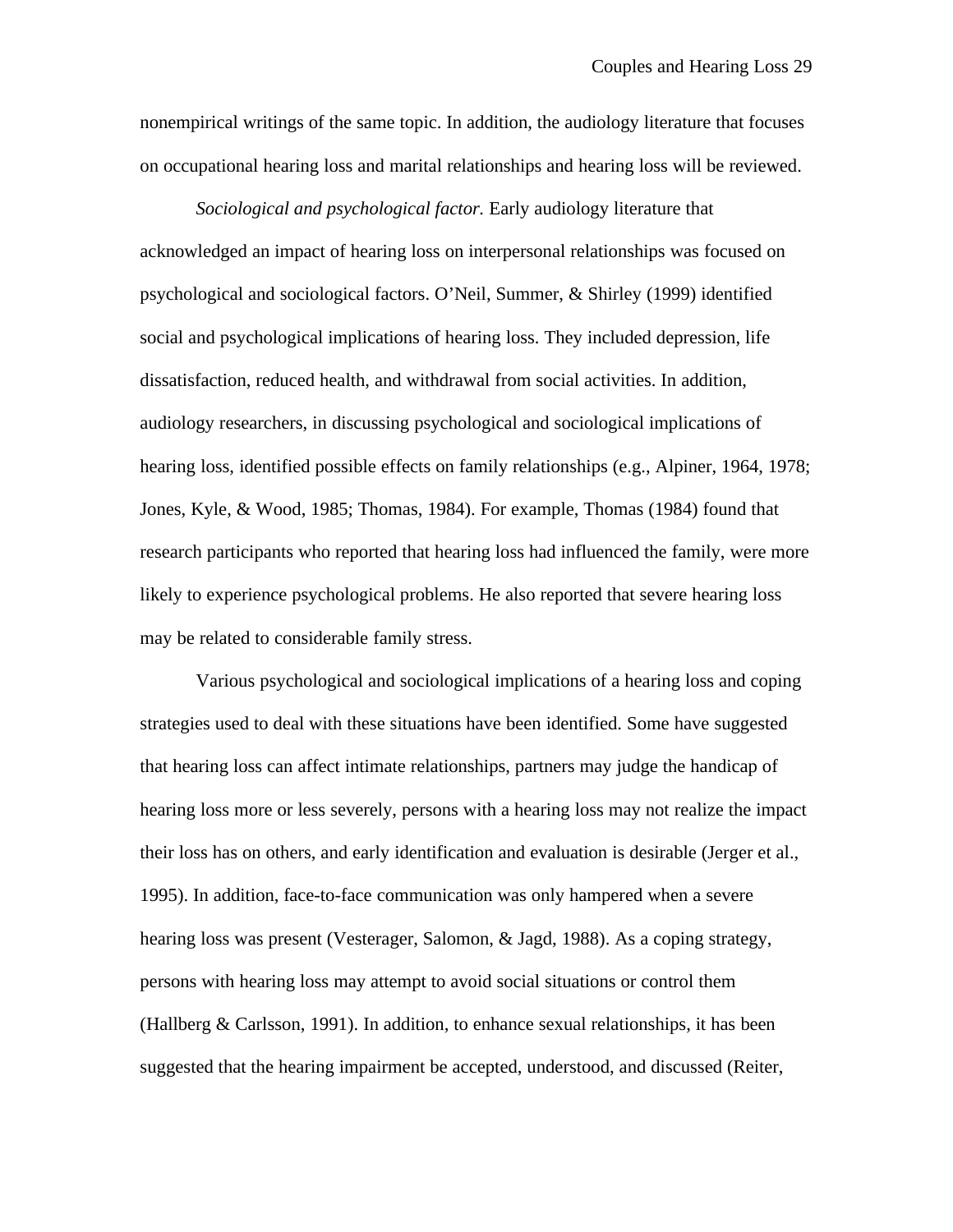nonempirical writings of the same topic. In addition, the audiology literature that focuses on occupational hearing loss and marital relationships and hearing loss will be reviewed.

*Sociological and psychological factor.* Early audiology literature that acknowledged an impact of hearing loss on interpersonal relationships was focused on psychological and sociological factors. O'Neil, Summer, & Shirley (1999) identified social and psychological implications of hearing loss. They included depression, life dissatisfaction, reduced health, and withdrawal from social activities. In addition, audiology researchers, in discussing psychological and sociological implications of hearing loss, identified possible effects on family relationships (e.g., Alpiner, 1964, 1978; Jones, Kyle, & Wood, 1985; Thomas, 1984). For example, Thomas (1984) found that research participants who reported that hearing loss had influenced the family, were more likely to experience psychological problems. He also reported that severe hearing loss may be related to considerable family stress.

Various psychological and sociological implications of a hearing loss and coping strategies used to deal with these situations have been identified. Some have suggested that hearing loss can affect intimate relationships, partners may judge the handicap of hearing loss more or less severely, persons with a hearing loss may not realize the impact their loss has on others, and early identification and evaluation is desirable (Jerger et al., 1995). In addition, face-to-face communication was only hampered when a severe hearing loss was present (Vesterager, Salomon, & Jagd, 1988). As a coping strategy, persons with hearing loss may attempt to avoid social situations or control them (Hallberg  $&$  Carlsson, 1991). In addition, to enhance sexual relationships, it has been suggested that the hearing impairment be accepted, understood, and discussed (Reiter,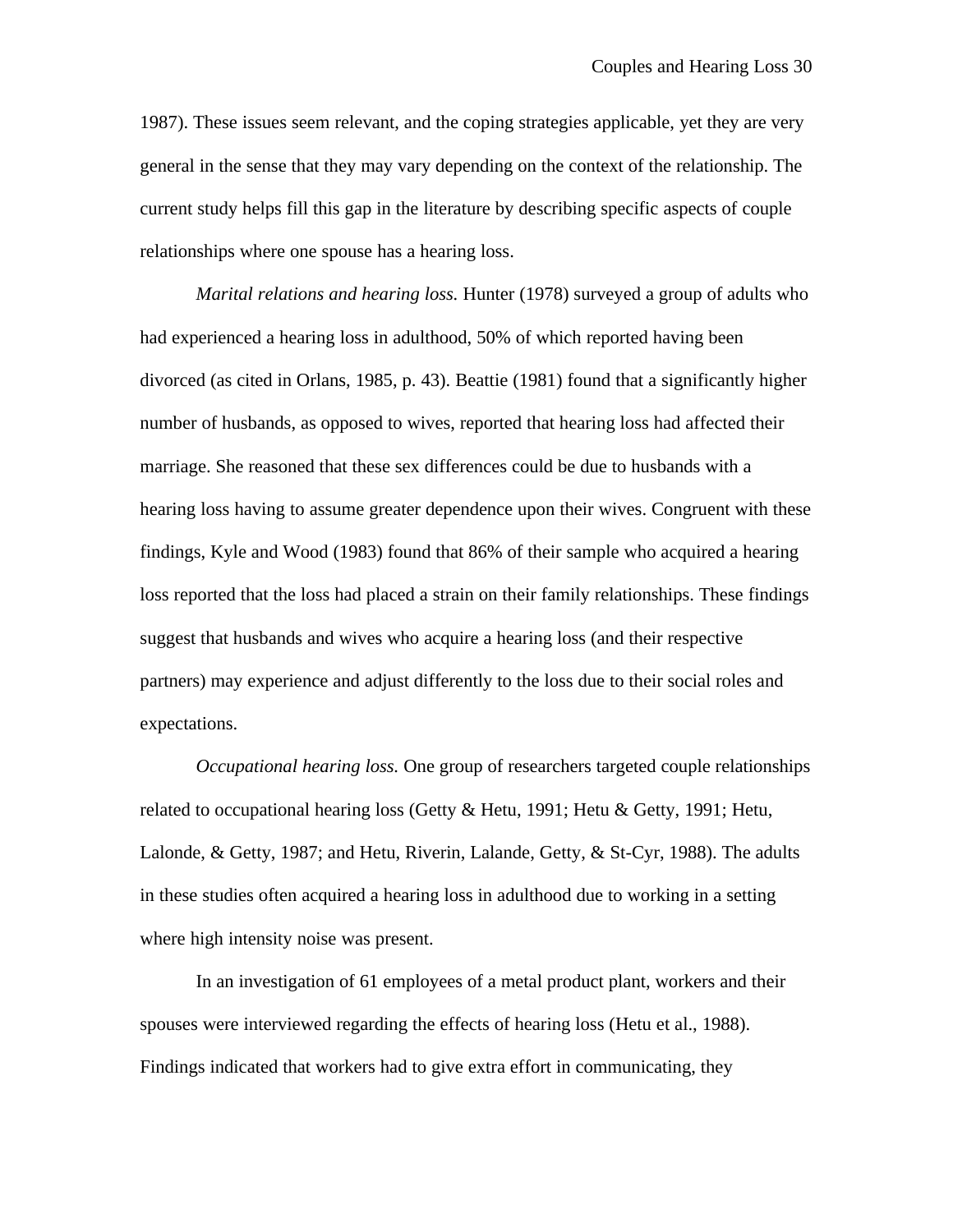1987). These issues seem relevant, and the coping strategies applicable, yet they are very general in the sense that they may vary depending on the context of the relationship. The current study helps fill this gap in the literature by describing specific aspects of couple relationships where one spouse has a hearing loss.

*Marital relations and hearing loss.* Hunter (1978) surveyed a group of adults who had experienced a hearing loss in adulthood, 50% of which reported having been divorced (as cited in Orlans, 1985, p. 43). Beattie (1981) found that a significantly higher number of husbands, as opposed to wives, reported that hearing loss had affected their marriage. She reasoned that these sex differences could be due to husbands with a hearing loss having to assume greater dependence upon their wives. Congruent with these findings, Kyle and Wood (1983) found that 86% of their sample who acquired a hearing loss reported that the loss had placed a strain on their family relationships. These findings suggest that husbands and wives who acquire a hearing loss (and their respective partners) may experience and adjust differently to the loss due to their social roles and expectations.

*Occupational hearing loss.* One group of researchers targeted couple relationships related to occupational hearing loss (Getty & Hetu, 1991; Hetu & Getty, 1991; Hetu, Lalonde, & Getty, 1987; and Hetu, Riverin, Lalande, Getty, & St-Cyr, 1988). The adults in these studies often acquired a hearing loss in adulthood due to working in a setting where high intensity noise was present.

In an investigation of 61 employees of a metal product plant, workers and their spouses were interviewed regarding the effects of hearing loss (Hetu et al., 1988). Findings indicated that workers had to give extra effort in communicating, they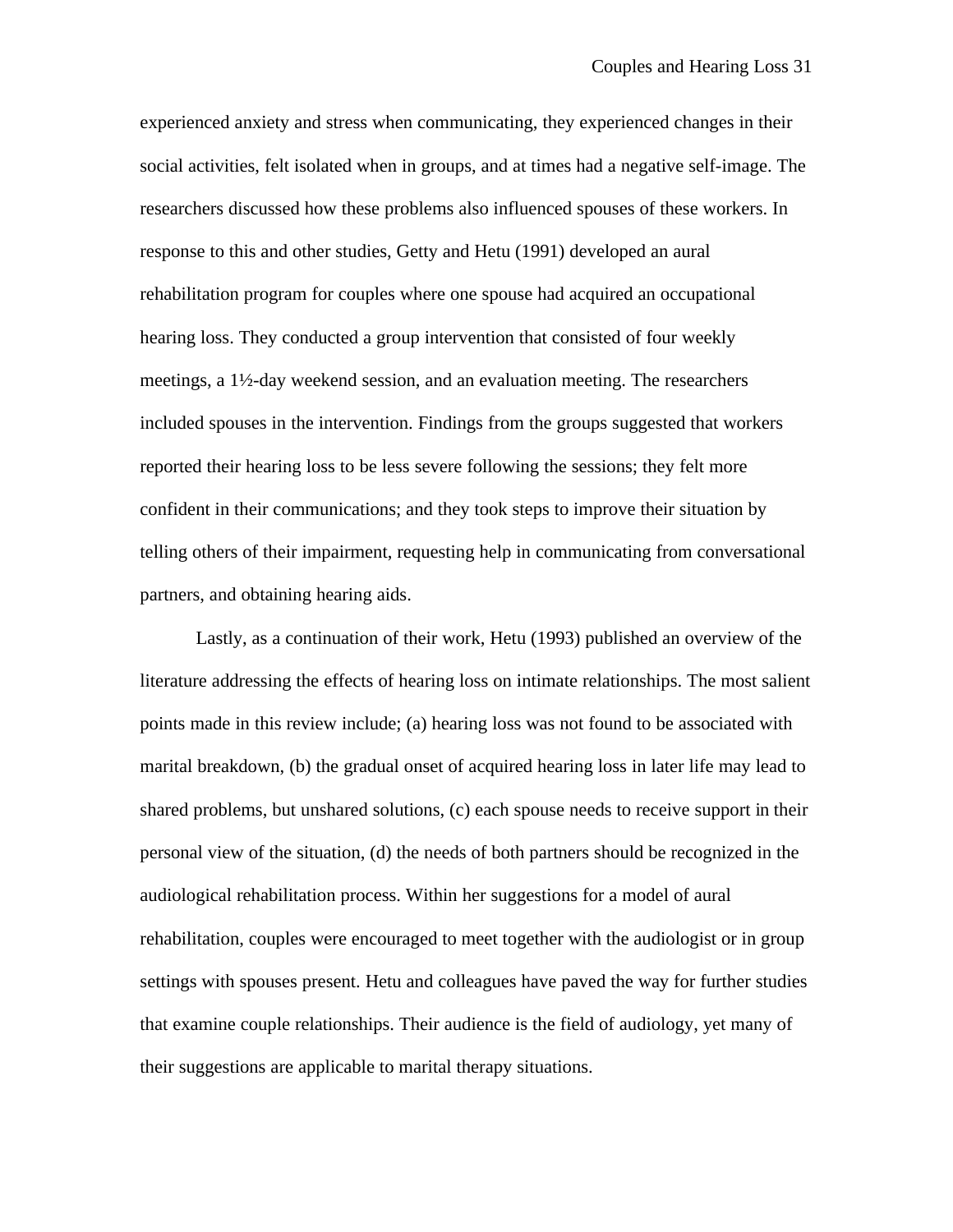experienced anxiety and stress when communicating, they experienced changes in their social activities, felt isolated when in groups, and at times had a negative self-image. The researchers discussed how these problems also influenced spouses of these workers. In response to this and other studies, Getty and Hetu (1991) developed an aural rehabilitation program for couples where one spouse had acquired an occupational hearing loss. They conducted a group intervention that consisted of four weekly meetings, a 1½-day weekend session, and an evaluation meeting. The researchers included spouses in the intervention. Findings from the groups suggested that workers reported their hearing loss to be less severe following the sessions; they felt more confident in their communications; and they took steps to improve their situation by telling others of their impairment, requesting help in communicating from conversational partners, and obtaining hearing aids.

Lastly, as a continuation of their work, Hetu (1993) published an overview of the literature addressing the effects of hearing loss on intimate relationships. The most salient points made in this review include; (a) hearing loss was not found to be associated with marital breakdown, (b) the gradual onset of acquired hearing loss in later life may lead to shared problems, but unshared solutions, (c) each spouse needs to receive support in their personal view of the situation, (d) the needs of both partners should be recognized in the audiological rehabilitation process. Within her suggestions for a model of aural rehabilitation, couples were encouraged to meet together with the audiologist or in group settings with spouses present. Hetu and colleagues have paved the way for further studies that examine couple relationships. Their audience is the field of audiology, yet many of their suggestions are applicable to marital therapy situations.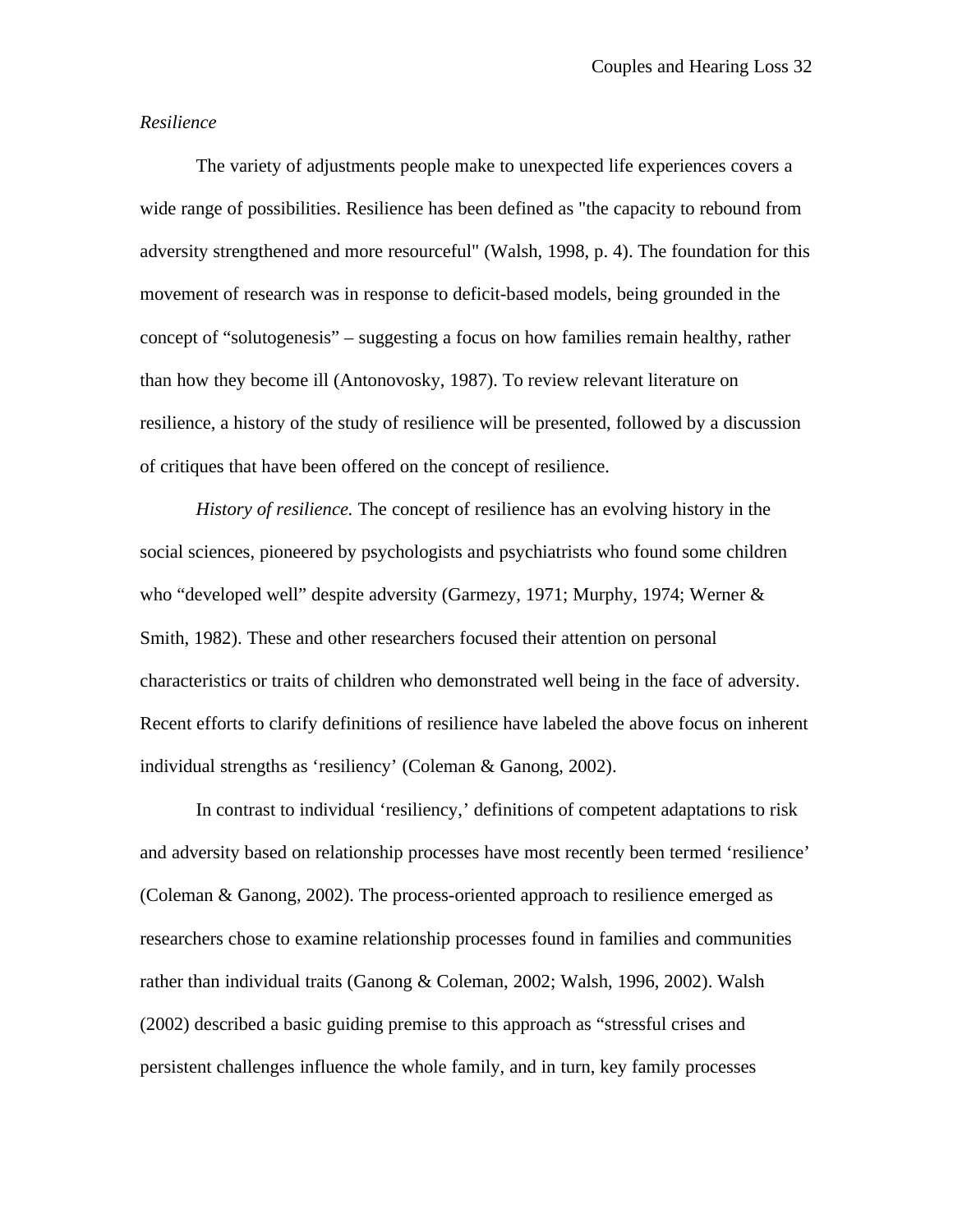## *Resilience*

The variety of adjustments people make to unexpected life experiences covers a wide range of possibilities. Resilience has been defined as "the capacity to rebound from adversity strengthened and more resourceful" (Walsh, 1998, p. 4). The foundation for this movement of research was in response to deficit-based models, being grounded in the concept of "solutogenesis" – suggesting a focus on how families remain healthy, rather than how they become ill (Antonovosky, 1987). To review relevant literature on resilience, a history of the study of resilience will be presented, followed by a discussion of critiques that have been offered on the concept of resilience.

*History of resilience.* The concept of resilience has an evolving history in the social sciences, pioneered by psychologists and psychiatrists who found some children who "developed well" despite adversity (Garmezy, 1971; Murphy, 1974; Werner & Smith, 1982). These and other researchers focused their attention on personal characteristics or traits of children who demonstrated well being in the face of adversity. Recent efforts to clarify definitions of resilience have labeled the above focus on inherent individual strengths as 'resiliency' (Coleman & Ganong, 2002).

In contrast to individual 'resiliency,' definitions of competent adaptations to risk and adversity based on relationship processes have most recently been termed 'resilience' (Coleman & Ganong, 2002). The process-oriented approach to resilience emerged as researchers chose to examine relationship processes found in families and communities rather than individual traits (Ganong & Coleman, 2002; Walsh, 1996, 2002). Walsh (2002) described a basic guiding premise to this approach as "stressful crises and persistent challenges influence the whole family, and in turn, key family processes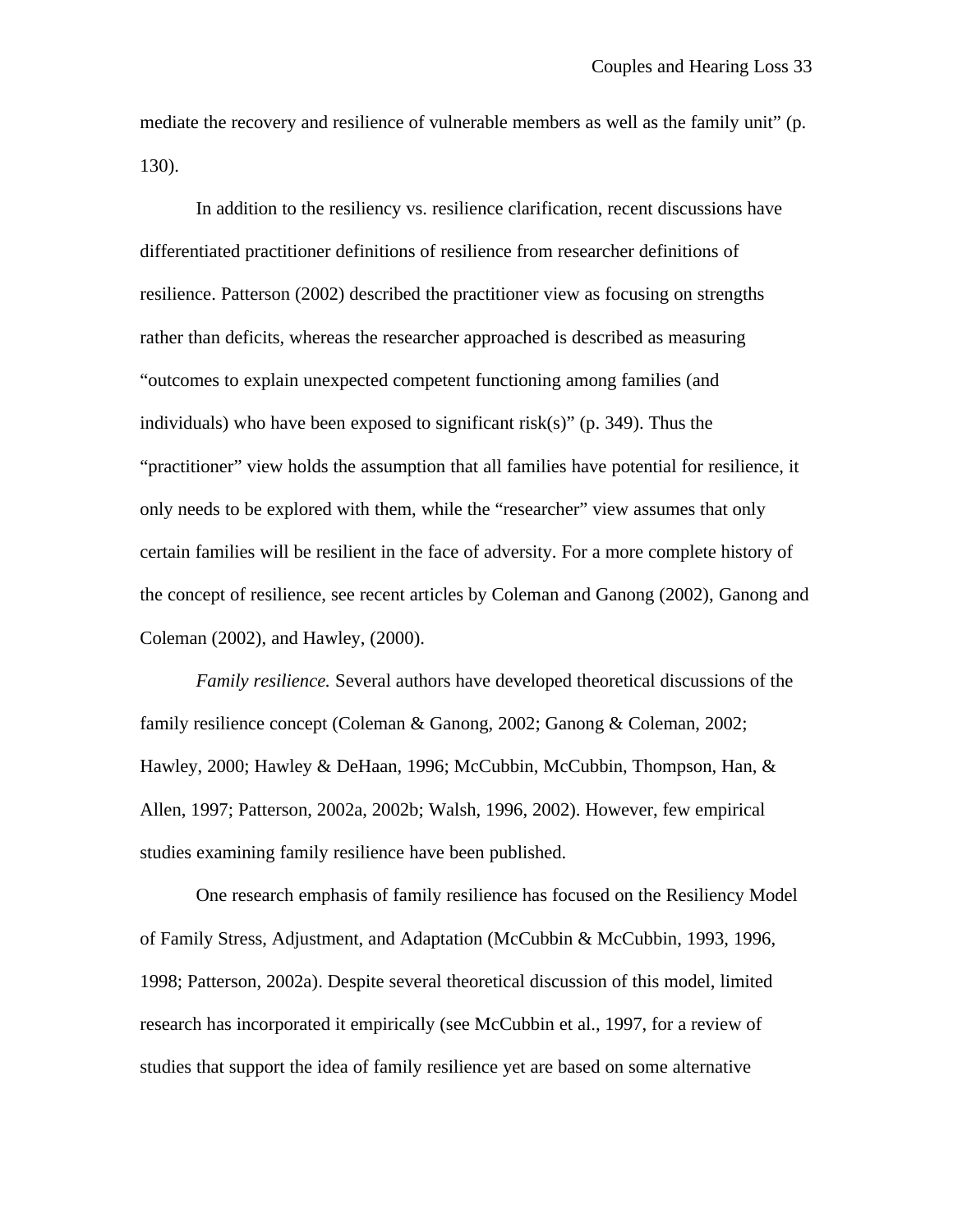mediate the recovery and resilience of vulnerable members as well as the family unit" (p. 130).

In addition to the resiliency vs. resilience clarification, recent discussions have differentiated practitioner definitions of resilience from researcher definitions of resilience. Patterson (2002) described the practitioner view as focusing on strengths rather than deficits, whereas the researcher approached is described as measuring "outcomes to explain unexpected competent functioning among families (and individuals) who have been exposed to significant risk(s)" (p. 349). Thus the "practitioner" view holds the assumption that all families have potential for resilience, it only needs to be explored with them, while the "researcher" view assumes that only certain families will be resilient in the face of adversity. For a more complete history of the concept of resilience, see recent articles by Coleman and Ganong (2002), Ganong and Coleman (2002), and Hawley, (2000).

*Family resilience.* Several authors have developed theoretical discussions of the family resilience concept (Coleman & Ganong, 2002; Ganong & Coleman, 2002; Hawley, 2000; Hawley & DeHaan, 1996; McCubbin, McCubbin, Thompson, Han, & Allen, 1997; Patterson, 2002a, 2002b; Walsh, 1996, 2002). However, few empirical studies examining family resilience have been published.

One research emphasis of family resilience has focused on the Resiliency Model of Family Stress, Adjustment, and Adaptation (McCubbin & McCubbin, 1993, 1996, 1998; Patterson, 2002a). Despite several theoretical discussion of this model, limited research has incorporated it empirically (see McCubbin et al., 1997, for a review of studies that support the idea of family resilience yet are based on some alternative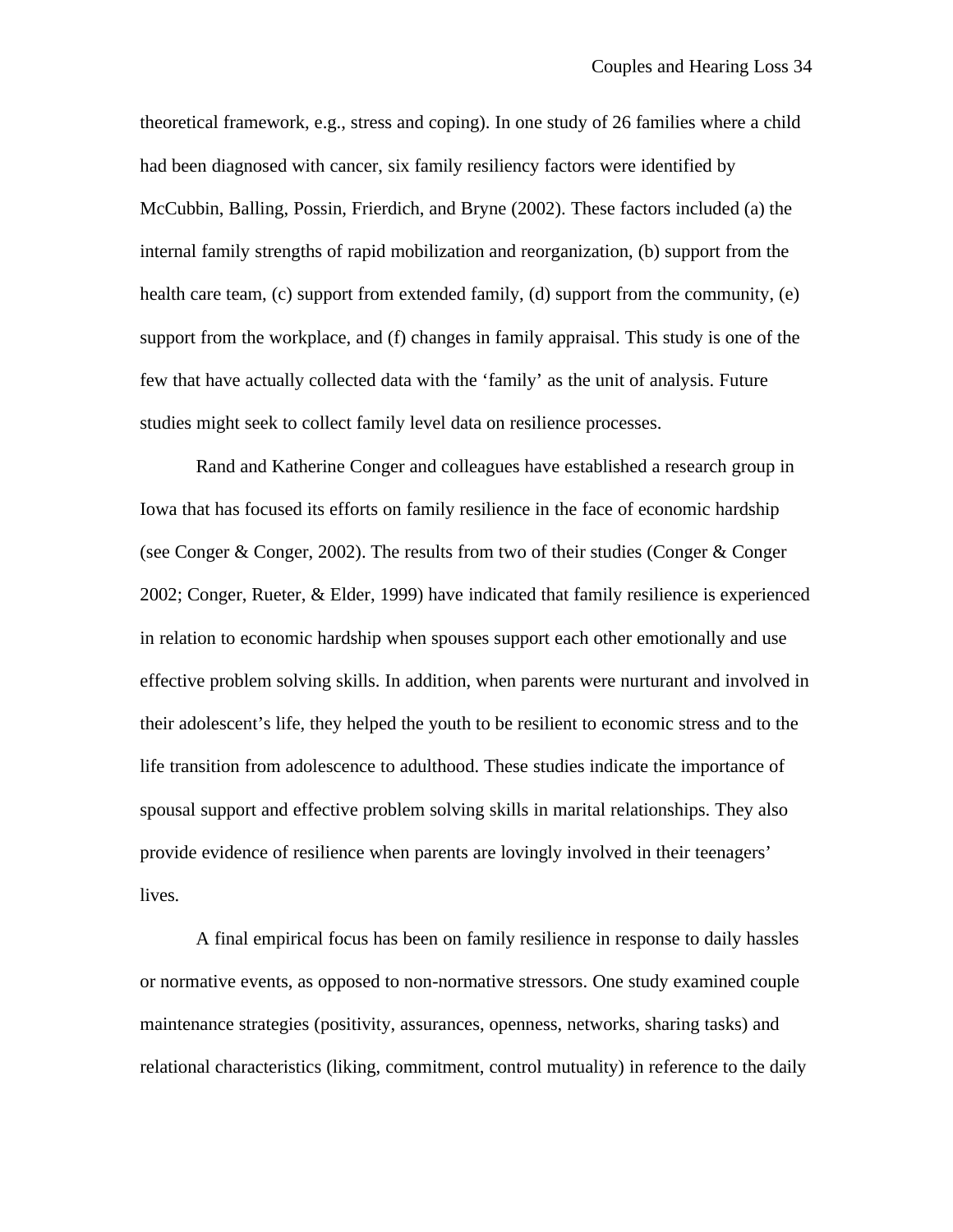theoretical framework, e.g., stress and coping). In one study of 26 families where a child had been diagnosed with cancer, six family resiliency factors were identified by McCubbin, Balling, Possin, Frierdich, and Bryne (2002). These factors included (a) the internal family strengths of rapid mobilization and reorganization, (b) support from the health care team, (c) support from extended family, (d) support from the community, (e) support from the workplace, and (f) changes in family appraisal. This study is one of the few that have actually collected data with the 'family' as the unit of analysis. Future studies might seek to collect family level data on resilience processes.

Rand and Katherine Conger and colleagues have established a research group in Iowa that has focused its efforts on family resilience in the face of economic hardship (see Conger & Conger, 2002). The results from two of their studies (Conger & Conger 2002; Conger, Rueter, & Elder, 1999) have indicated that family resilience is experienced in relation to economic hardship when spouses support each other emotionally and use effective problem solving skills. In addition, when parents were nurturant and involved in their adolescent's life, they helped the youth to be resilient to economic stress and to the life transition from adolescence to adulthood. These studies indicate the importance of spousal support and effective problem solving skills in marital relationships. They also provide evidence of resilience when parents are lovingly involved in their teenagers' lives.

A final empirical focus has been on family resilience in response to daily hassles or normative events, as opposed to non-normative stressors. One study examined couple maintenance strategies (positivity, assurances, openness, networks, sharing tasks) and relational characteristics (liking, commitment, control mutuality) in reference to the daily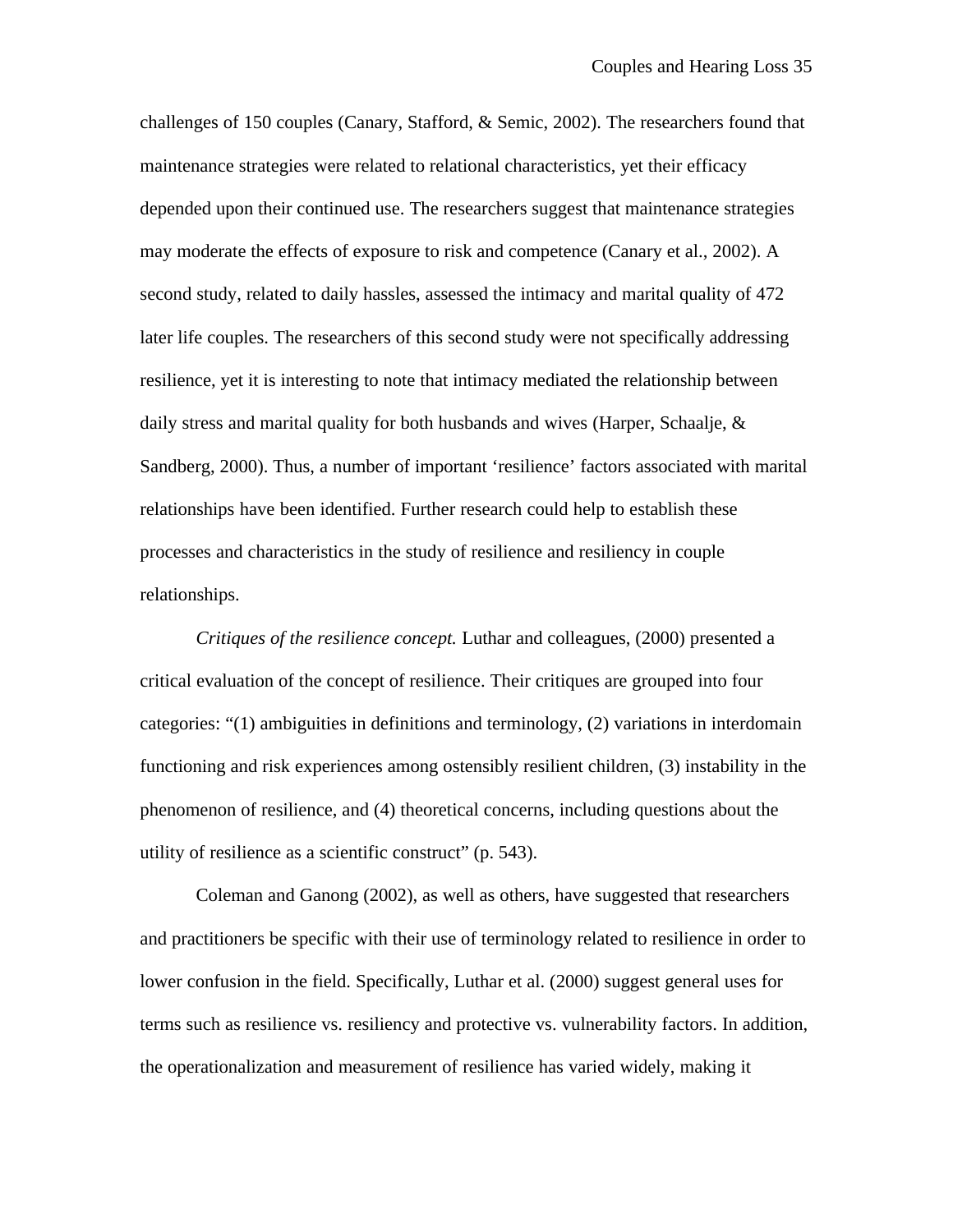challenges of 150 couples (Canary, Stafford, & Semic, 2002). The researchers found that maintenance strategies were related to relational characteristics, yet their efficacy depended upon their continued use. The researchers suggest that maintenance strategies may moderate the effects of exposure to risk and competence (Canary et al., 2002). A second study, related to daily hassles, assessed the intimacy and marital quality of 472 later life couples. The researchers of this second study were not specifically addressing resilience, yet it is interesting to note that intimacy mediated the relationship between daily stress and marital quality for both husbands and wives (Harper, Schaalje, & Sandberg, 2000). Thus, a number of important 'resilience' factors associated with marital relationships have been identified. Further research could help to establish these processes and characteristics in the study of resilience and resiliency in couple relationships.

*Critiques of the resilience concept.* Luthar and colleagues, (2000) presented a critical evaluation of the concept of resilience. Their critiques are grouped into four categories: "(1) ambiguities in definitions and terminology, (2) variations in interdomain functioning and risk experiences among ostensibly resilient children, (3) instability in the phenomenon of resilience, and (4) theoretical concerns, including questions about the utility of resilience as a scientific construct" (p. 543).

Coleman and Ganong (2002), as well as others, have suggested that researchers and practitioners be specific with their use of terminology related to resilience in order to lower confusion in the field. Specifically, Luthar et al. (2000) suggest general uses for terms such as resilience vs. resiliency and protective vs. vulnerability factors. In addition, the operationalization and measurement of resilience has varied widely, making it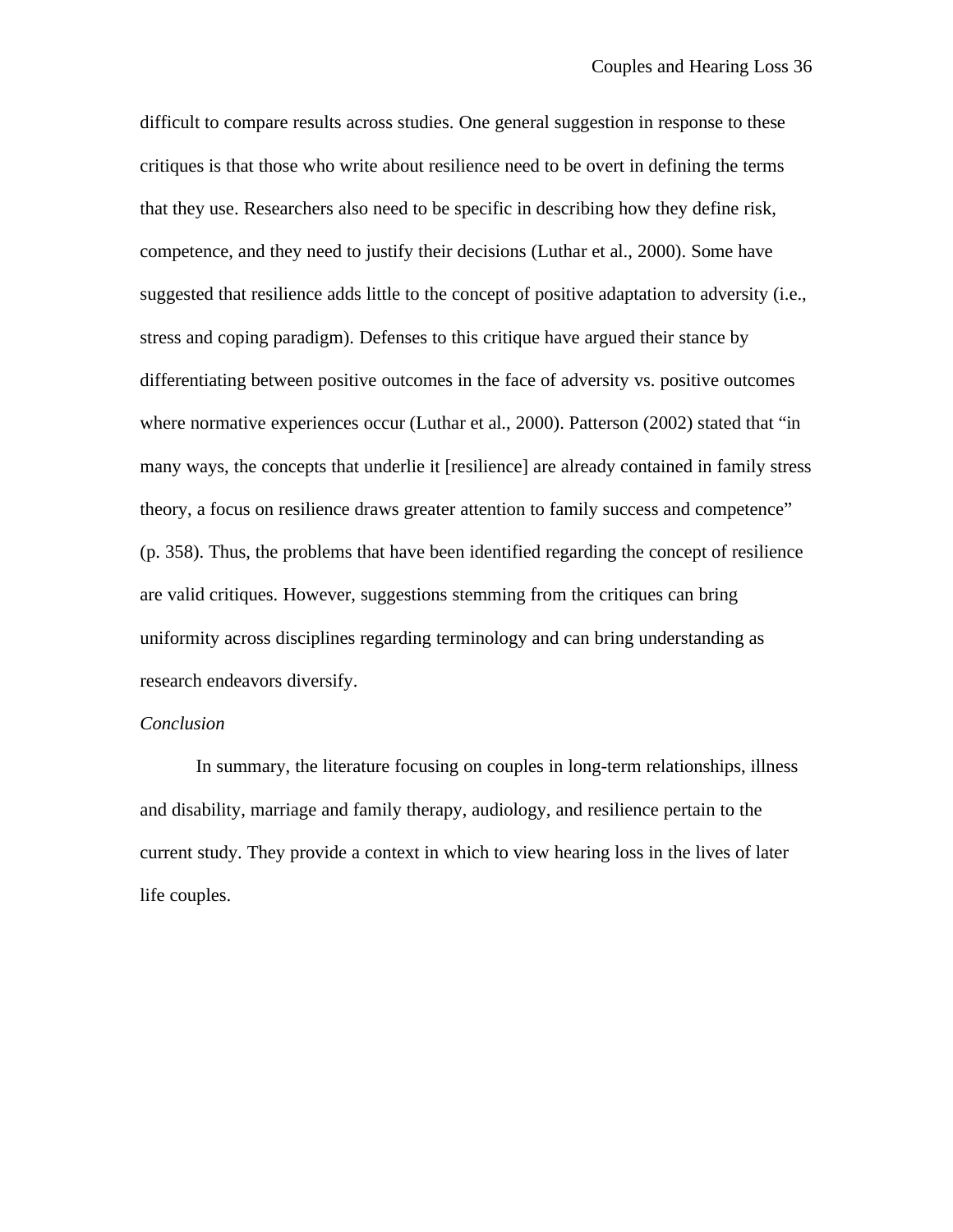difficult to compare results across studies. One general suggestion in response to these critiques is that those who write about resilience need to be overt in defining the terms that they use. Researchers also need to be specific in describing how they define risk, competence, and they need to justify their decisions (Luthar et al., 2000). Some have suggested that resilience adds little to the concept of positive adaptation to adversity (i.e., stress and coping paradigm). Defenses to this critique have argued their stance by differentiating between positive outcomes in the face of adversity vs. positive outcomes where normative experiences occur (Luthar et al., 2000). Patterson (2002) stated that "in many ways, the concepts that underlie it [resilience] are already contained in family stress theory, a focus on resilience draws greater attention to family success and competence" (p. 358). Thus, the problems that have been identified regarding the concept of resilience are valid critiques. However, suggestions stemming from the critiques can bring uniformity across disciplines regarding terminology and can bring understanding as research endeavors diversify.

## *Conclusion*

In summary, the literature focusing on couples in long-term relationships, illness and disability, marriage and family therapy, audiology, and resilience pertain to the current study. They provide a context in which to view hearing loss in the lives of later life couples.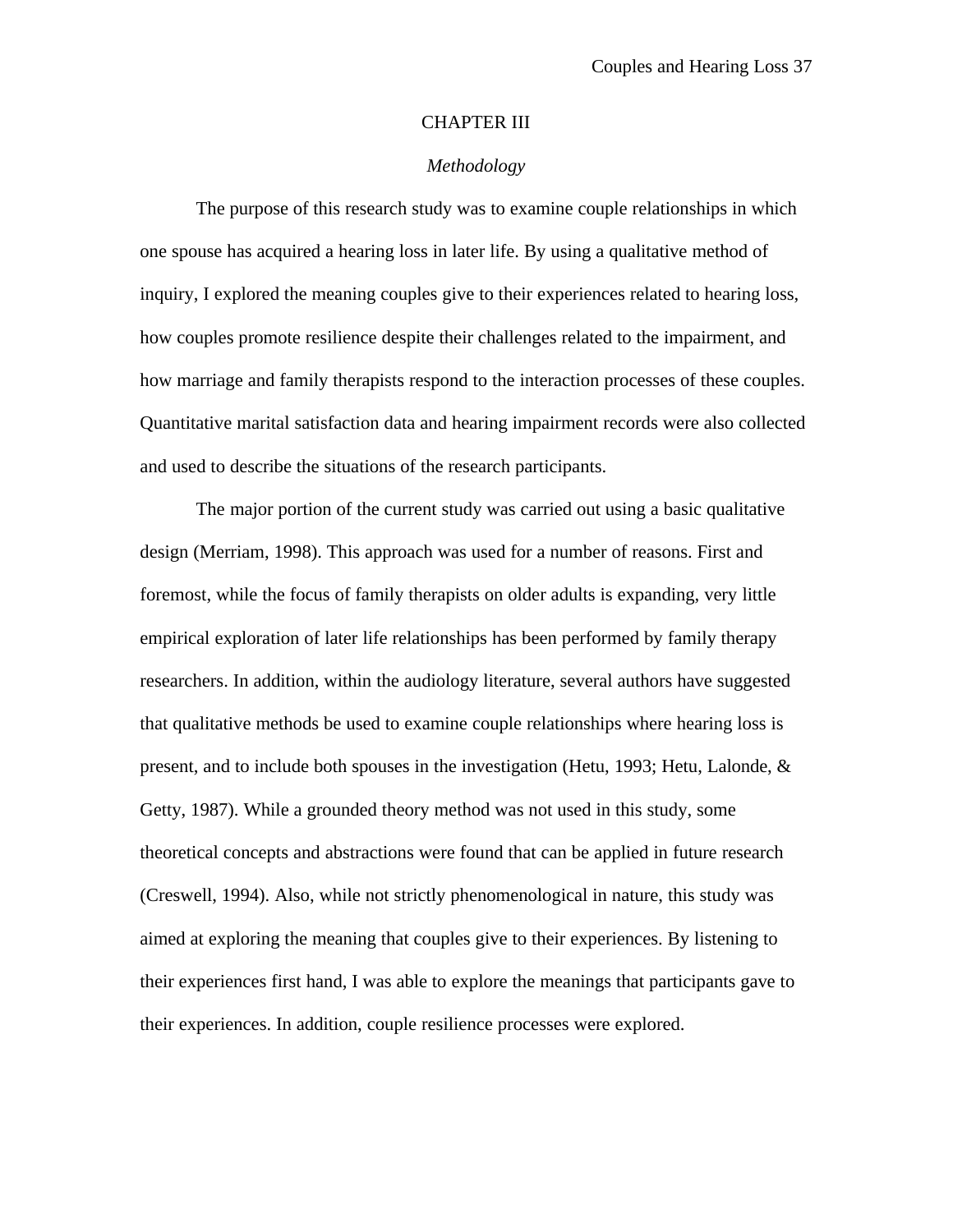#### CHAPTER III

## *Methodology*

The purpose of this research study was to examine couple relationships in which one spouse has acquired a hearing loss in later life. By using a qualitative method of inquiry, I explored the meaning couples give to their experiences related to hearing loss, how couples promote resilience despite their challenges related to the impairment, and how marriage and family therapists respond to the interaction processes of these couples. Quantitative marital satisfaction data and hearing impairment records were also collected and used to describe the situations of the research participants.

The major portion of the current study was carried out using a basic qualitative design (Merriam, 1998). This approach was used for a number of reasons. First and foremost, while the focus of family therapists on older adults is expanding, very little empirical exploration of later life relationships has been performed by family therapy researchers. In addition, within the audiology literature, several authors have suggested that qualitative methods be used to examine couple relationships where hearing loss is present, and to include both spouses in the investigation (Hetu, 1993; Hetu, Lalonde, & Getty, 1987). While a grounded theory method was not used in this study, some theoretical concepts and abstractions were found that can be applied in future research (Creswell, 1994). Also, while not strictly phenomenological in nature, this study was aimed at exploring the meaning that couples give to their experiences. By listening to their experiences first hand, I was able to explore the meanings that participants gave to their experiences. In addition, couple resilience processes were explored.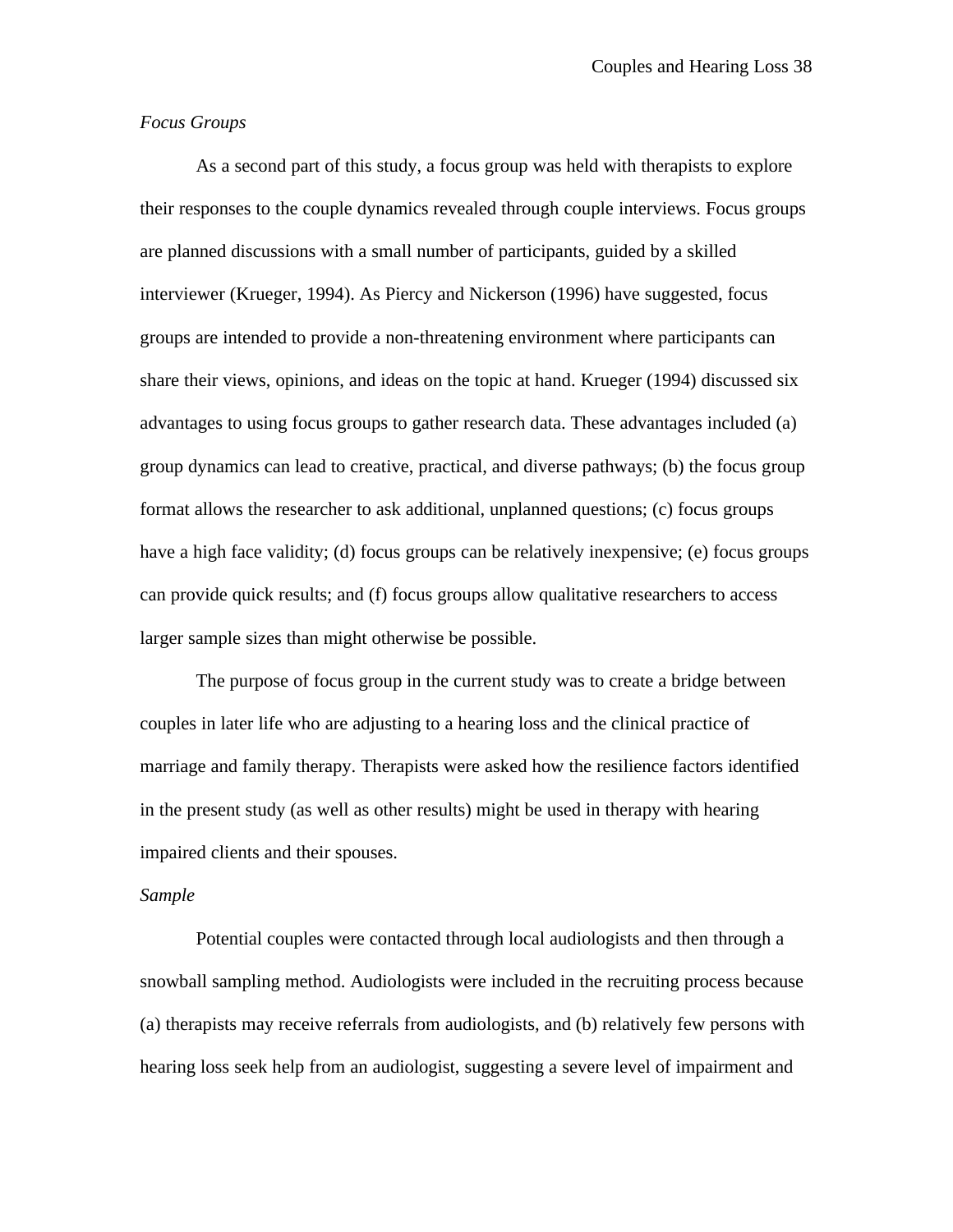# *Focus Groups*

As a second part of this study, a focus group was held with therapists to explore their responses to the couple dynamics revealed through couple interviews. Focus groups are planned discussions with a small number of participants, guided by a skilled interviewer (Krueger, 1994). As Piercy and Nickerson (1996) have suggested, focus groups are intended to provide a non-threatening environment where participants can share their views, opinions, and ideas on the topic at hand. Krueger (1994) discussed six advantages to using focus groups to gather research data. These advantages included (a) group dynamics can lead to creative, practical, and diverse pathways; (b) the focus group format allows the researcher to ask additional, unplanned questions; (c) focus groups have a high face validity; (d) focus groups can be relatively inexpensive; (e) focus groups can provide quick results; and (f) focus groups allow qualitative researchers to access larger sample sizes than might otherwise be possible.

The purpose of focus group in the current study was to create a bridge between couples in later life who are adjusting to a hearing loss and the clinical practice of marriage and family therapy. Therapists were asked how the resilience factors identified in the present study (as well as other results) might be used in therapy with hearing impaired clients and their spouses.

#### *Sample*

Potential couples were contacted through local audiologists and then through a snowball sampling method. Audiologists were included in the recruiting process because (a) therapists may receive referrals from audiologists, and (b) relatively few persons with hearing loss seek help from an audiologist, suggesting a severe level of impairment and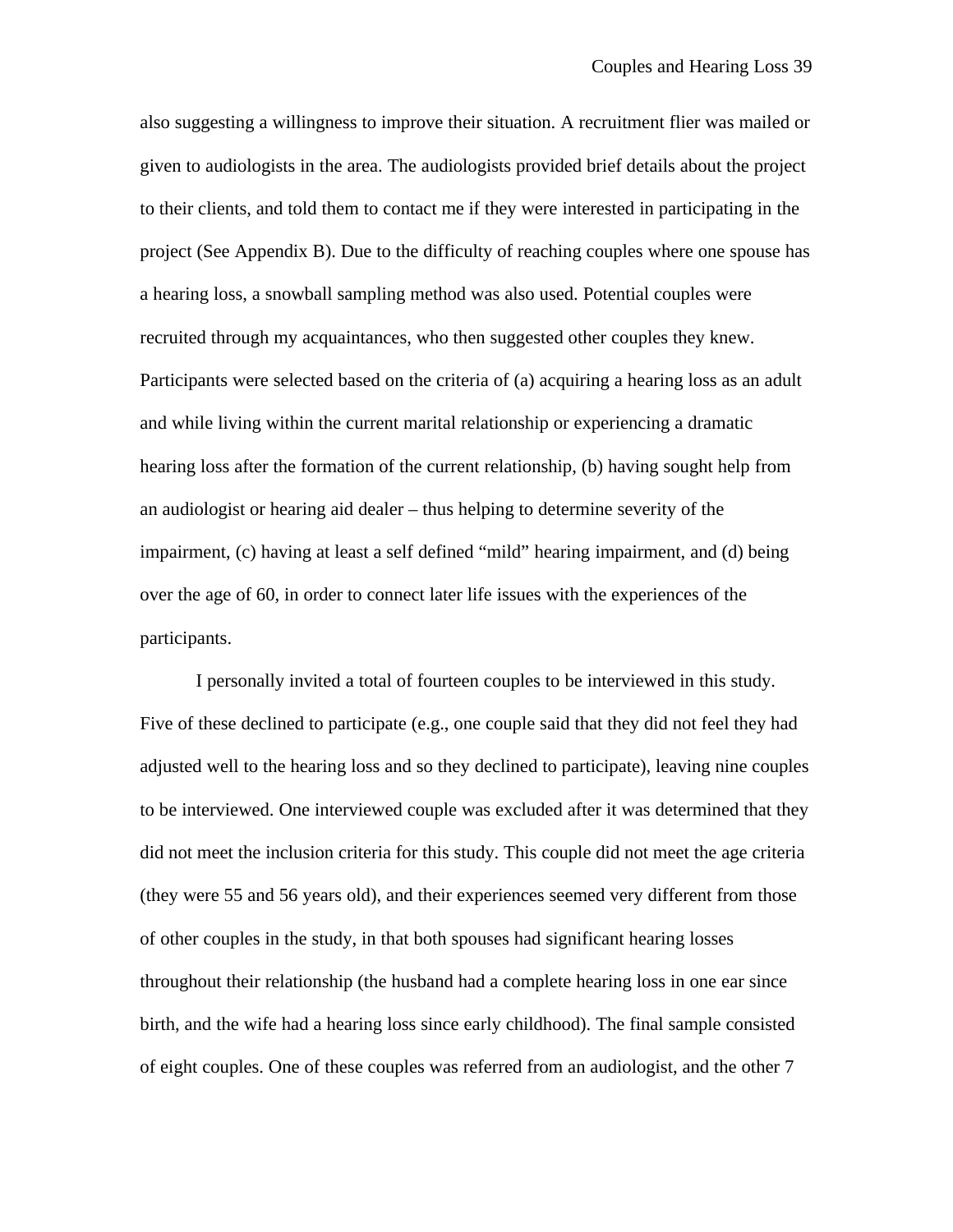also suggesting a willingness to improve their situation. A recruitment flier was mailed or given to audiologists in the area. The audiologists provided brief details about the project to their clients, and told them to contact me if they were interested in participating in the project (See Appendix B). Due to the difficulty of reaching couples where one spouse has a hearing loss, a snowball sampling method was also used. Potential couples were recruited through my acquaintances, who then suggested other couples they knew. Participants were selected based on the criteria of (a) acquiring a hearing loss as an adult and while living within the current marital relationship or experiencing a dramatic hearing loss after the formation of the current relationship, (b) having sought help from an audiologist or hearing aid dealer – thus helping to determine severity of the impairment, (c) having at least a self defined "mild" hearing impairment, and (d) being over the age of 60, in order to connect later life issues with the experiences of the participants.

I personally invited a total of fourteen couples to be interviewed in this study. Five of these declined to participate (e.g., one couple said that they did not feel they had adjusted well to the hearing loss and so they declined to participate), leaving nine couples to be interviewed. One interviewed couple was excluded after it was determined that they did not meet the inclusion criteria for this study. This couple did not meet the age criteria (they were 55 and 56 years old), and their experiences seemed very different from those of other couples in the study, in that both spouses had significant hearing losses throughout their relationship (the husband had a complete hearing loss in one ear since birth, and the wife had a hearing loss since early childhood). The final sample consisted of eight couples. One of these couples was referred from an audiologist, and the other 7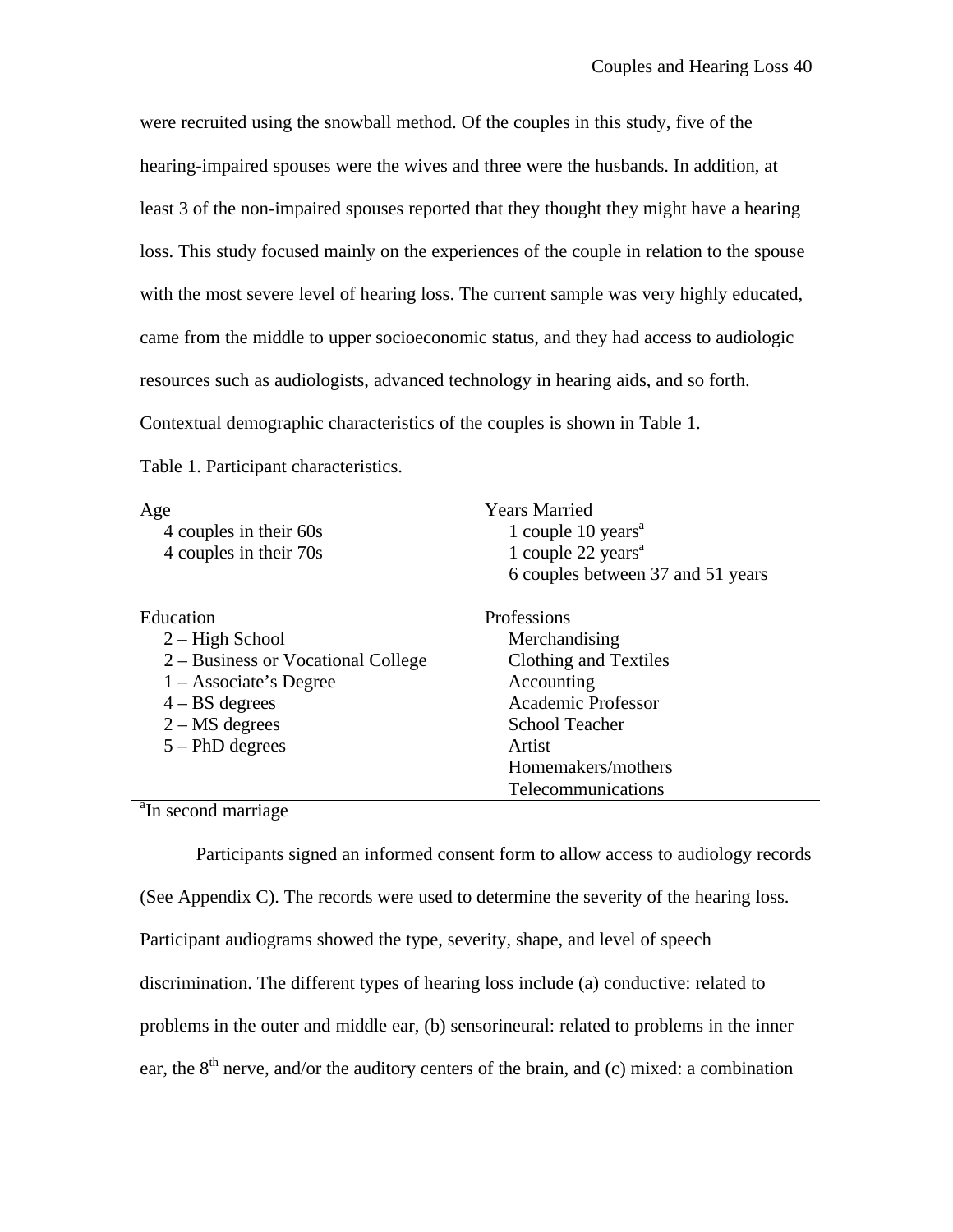were recruited using the snowball method. Of the couples in this study, five of the hearing-impaired spouses were the wives and three were the husbands. In addition, at least 3 of the non-impaired spouses reported that they thought they might have a hearing loss. This study focused mainly on the experiences of the couple in relation to the spouse with the most severe level of hearing loss. The current sample was very highly educated, came from the middle to upper socioeconomic status, and they had access to audiologic resources such as audiologists, advanced technology in hearing aids, and so forth. Contextual demographic characteristics of the couples is shown in Table 1.

| Age                                                                 | <b>Years Married</b>                          |
|---------------------------------------------------------------------|-----------------------------------------------|
| 4 couples in their 60s                                              | 1 couple $10$ years <sup><math>a</math></sup> |
| 4 couples in their 70s                                              | 1 couple $22$ years <sup><math>a</math></sup> |
|                                                                     | 6 couples between 37 and 51 years             |
| Education                                                           | Professions                                   |
| $2 - High School$                                                   | Merchandising                                 |
| 2 – Business or Vocational College                                  | Clothing and Textiles                         |
| $1 -$ Associate's Degree                                            | Accounting                                    |
| $4 - BS$ degrees                                                    | <b>Academic Professor</b>                     |
| $2 - MS$ degrees                                                    | <b>School Teacher</b>                         |
| $5 - PhD$ degrees                                                   | Artist                                        |
|                                                                     | Homemakers/mothers                            |
|                                                                     | Telecommunications                            |
| $a_{\mathbf{r}}$ $a_{\mathbf{r}}$ $a_{\mathbf{r}}$ $a_{\mathbf{r}}$ |                                               |

Table 1. Participant characteristics.

<sup>a</sup>In second marriage

Participants signed an informed consent form to allow access to audiology records (See Appendix C). The records were used to determine the severity of the hearing loss. Participant audiograms showed the type, severity, shape, and level of speech discrimination. The different types of hearing loss include (a) conductive: related to problems in the outer and middle ear, (b) sensorineural: related to problems in the inner ear, the  $8<sup>th</sup>$  nerve, and/or the auditory centers of the brain, and (c) mixed: a combination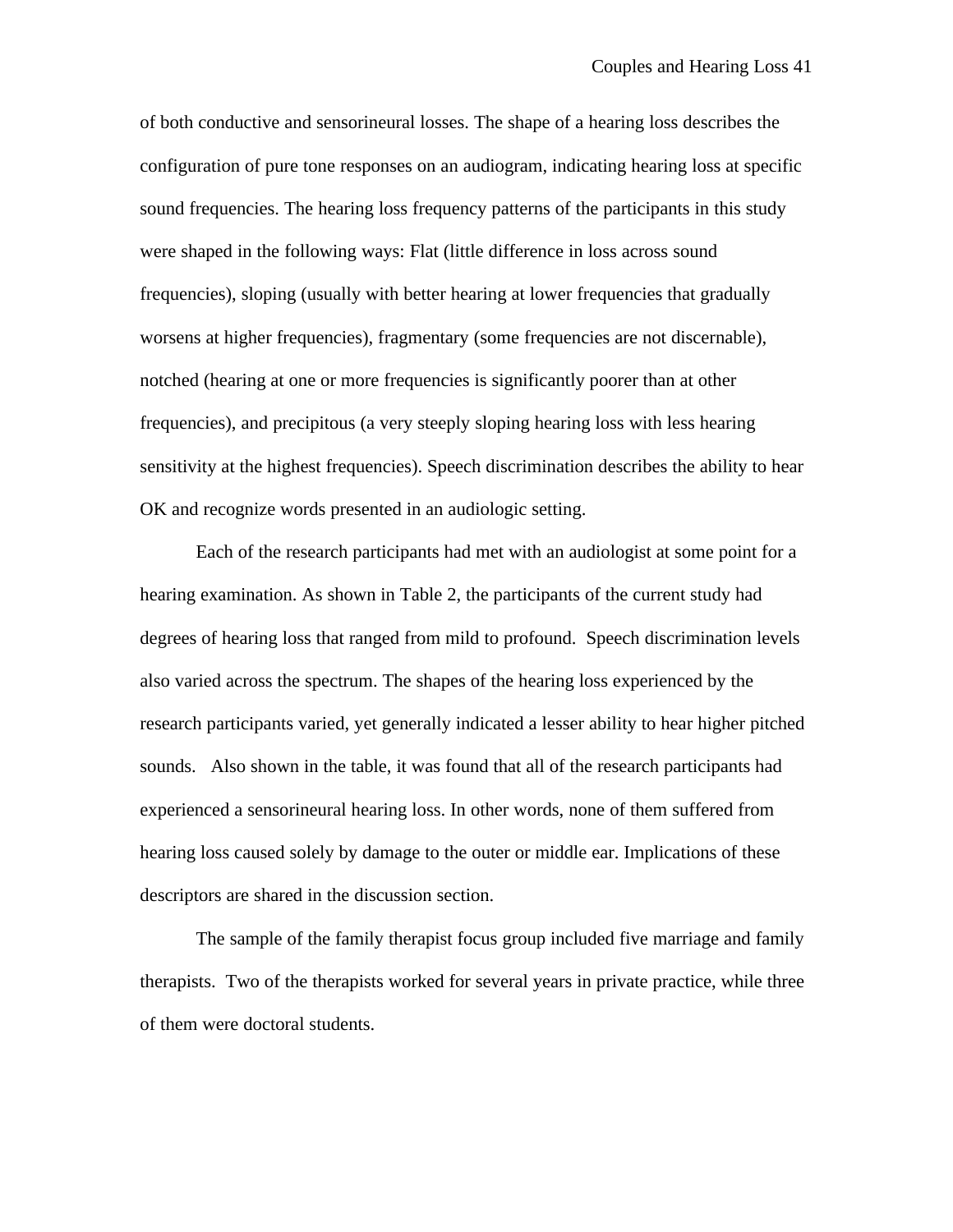of both conductive and sensorineural losses. The shape of a hearing loss describes the configuration of pure tone responses on an audiogram, indicating hearing loss at specific sound frequencies. The hearing loss frequency patterns of the participants in this study were shaped in the following ways: Flat (little difference in loss across sound frequencies), sloping (usually with better hearing at lower frequencies that gradually worsens at higher frequencies), fragmentary (some frequencies are not discernable), notched (hearing at one or more frequencies is significantly poorer than at other frequencies), and precipitous (a very steeply sloping hearing loss with less hearing sensitivity at the highest frequencies). Speech discrimination describes the ability to hear OK and recognize words presented in an audiologic setting.

Each of the research participants had met with an audiologist at some point for a hearing examination. As shown in Table 2, the participants of the current study had degrees of hearing loss that ranged from mild to profound. Speech discrimination levels also varied across the spectrum. The shapes of the hearing loss experienced by the research participants varied, yet generally indicated a lesser ability to hear higher pitched sounds. Also shown in the table, it was found that all of the research participants had experienced a sensorineural hearing loss. In other words, none of them suffered from hearing loss caused solely by damage to the outer or middle ear. Implications of these descriptors are shared in the discussion section.

The sample of the family therapist focus group included five marriage and family therapists. Two of the therapists worked for several years in private practice, while three of them were doctoral students.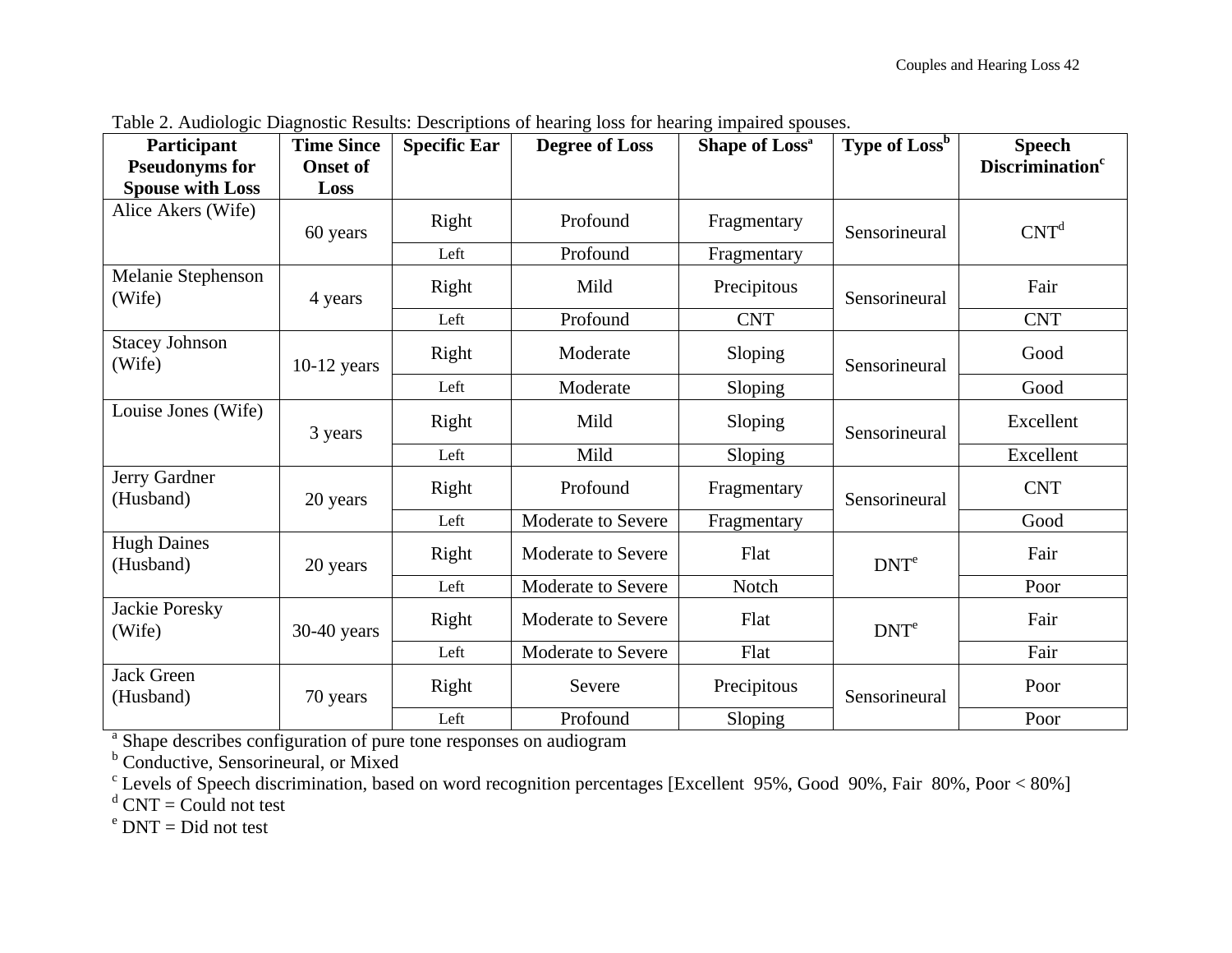| Participant                                                                                                                        | <b>Time Since</b> | <b>Specific Ear</b>       | <b>Degree of Loss</b> | Shape of Loss <sup>a</sup> | Type of Loss <sup>b</sup> | <b>Speech</b>                      |
|------------------------------------------------------------------------------------------------------------------------------------|-------------------|---------------------------|-----------------------|----------------------------|---------------------------|------------------------------------|
| <b>Pseudonyms for</b>                                                                                                              | <b>Onset of</b>   |                           |                       |                            |                           | <b>Discrimination</b> <sup>c</sup> |
| <b>Spouse with Loss</b>                                                                                                            | Loss              |                           |                       |                            |                           |                                    |
| Alice Akers (Wife)                                                                                                                 | 60 years          | Right                     | Profound              | Fragmentary                | Sensorineural             | CNT <sup>d</sup>                   |
|                                                                                                                                    |                   | Left                      | Profound              | Fragmentary                |                           |                                    |
| Melanie Stephenson<br>(Wife)                                                                                                       | 4 years           | Right                     | Mild                  | Precipitous                | Sensorineural             | Fair                               |
|                                                                                                                                    |                   | Left                      | Profound              | <b>CNT</b>                 |                           | <b>CNT</b>                         |
| <b>Stacey Johnson</b><br>(Wife)                                                                                                    | $10-12$ years     | Right                     | Moderate              | Sloping                    | Sensorineural             | Good                               |
|                                                                                                                                    |                   | Left                      | Moderate              | Sloping                    |                           | Good                               |
| Louise Jones (Wife)                                                                                                                | 3 years           | Right                     | Mild                  | Sloping                    | Sensorineural             | Excellent                          |
|                                                                                                                                    |                   | Left                      | Mild                  | Sloping                    |                           | Excellent                          |
| Jerry Gardner<br>(Husband)                                                                                                         | 20 years          | Right                     | Profound              | Fragmentary                | Sensorineural             | <b>CNT</b>                         |
|                                                                                                                                    |                   | Left                      | Moderate to Severe    | Fragmentary                |                           | Good                               |
| <b>Hugh Daines</b><br>(Husband)                                                                                                    | 20 years          | Right                     | Moderate to Severe    | Flat                       | DNT <sup>e</sup>          | Fair                               |
|                                                                                                                                    |                   | Left                      | Moderate to Severe    | Notch                      |                           | Poor                               |
| Jackie Poresky<br>(Wife)<br>$30-40$ years                                                                                          | Right             | <b>Moderate to Severe</b> | Flat                  | DNT <sup>e</sup>           | Fair                      |                                    |
|                                                                                                                                    |                   | Left                      | Moderate to Severe    | Flat                       |                           | Fair                               |
| <b>Jack Green</b><br>(Husband)                                                                                                     | 70 years          | Right                     | Severe                | Precipitous                | Sensorineural             | Poor                               |
|                                                                                                                                    |                   | Left                      | Profound              | Sloping                    |                           | Poor                               |
| <sup>a</sup> Shape describes configuration of pure tone responses on audiogram<br><sup>b</sup> Conductive, Sensorineural, or Mixed |                   |                           |                       |                            |                           |                                    |

Table 2. Audiologic Diagnostic Results: Descriptions of hearing loss for hearing impaired spouses.

<sup>c</sup> Levels of Speech discrimination, based on word recognition percentages [Excellent 95%, Good 90%, Fair 80%, Poor < 80%]

 $d$  CNT = Could not test

<sup>e</sup> DNT = Did not test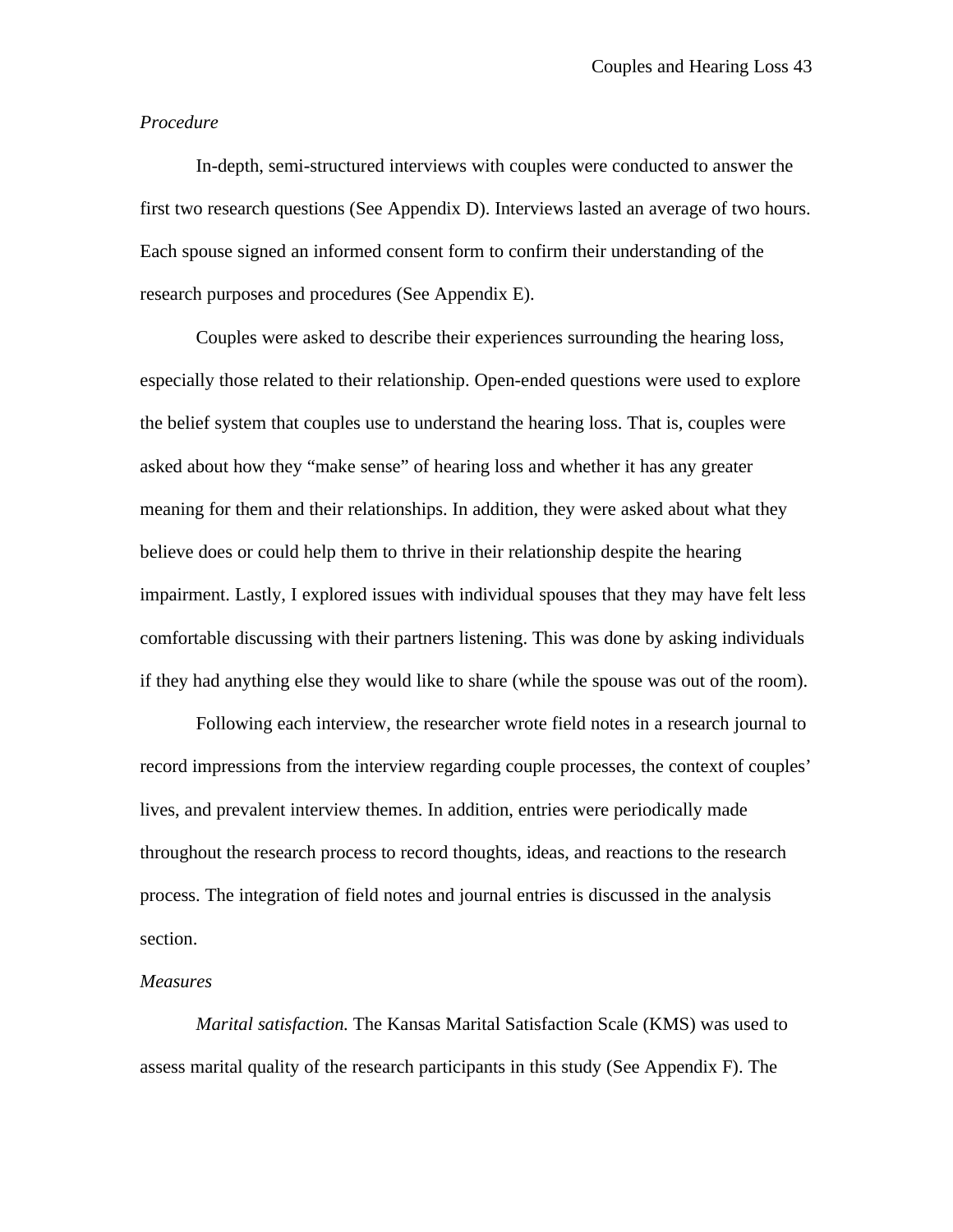## *Procedure*

In-depth, semi-structured interviews with couples were conducted to answer the first two research questions (See Appendix D). Interviews lasted an average of two hours. Each spouse signed an informed consent form to confirm their understanding of the research purposes and procedures (See Appendix E).

Couples were asked to describe their experiences surrounding the hearing loss, especially those related to their relationship. Open-ended questions were used to explore the belief system that couples use to understand the hearing loss. That is, couples were asked about how they "make sense" of hearing loss and whether it has any greater meaning for them and their relationships. In addition, they were asked about what they believe does or could help them to thrive in their relationship despite the hearing impairment. Lastly, I explored issues with individual spouses that they may have felt less comfortable discussing with their partners listening. This was done by asking individuals if they had anything else they would like to share (while the spouse was out of the room).

Following each interview, the researcher wrote field notes in a research journal to record impressions from the interview regarding couple processes, the context of couples' lives, and prevalent interview themes. In addition, entries were periodically made throughout the research process to record thoughts, ideas, and reactions to the research process. The integration of field notes and journal entries is discussed in the analysis section.

#### *Measures*

*Marital satisfaction.* The Kansas Marital Satisfaction Scale (KMS) was used to assess marital quality of the research participants in this study (See Appendix F). The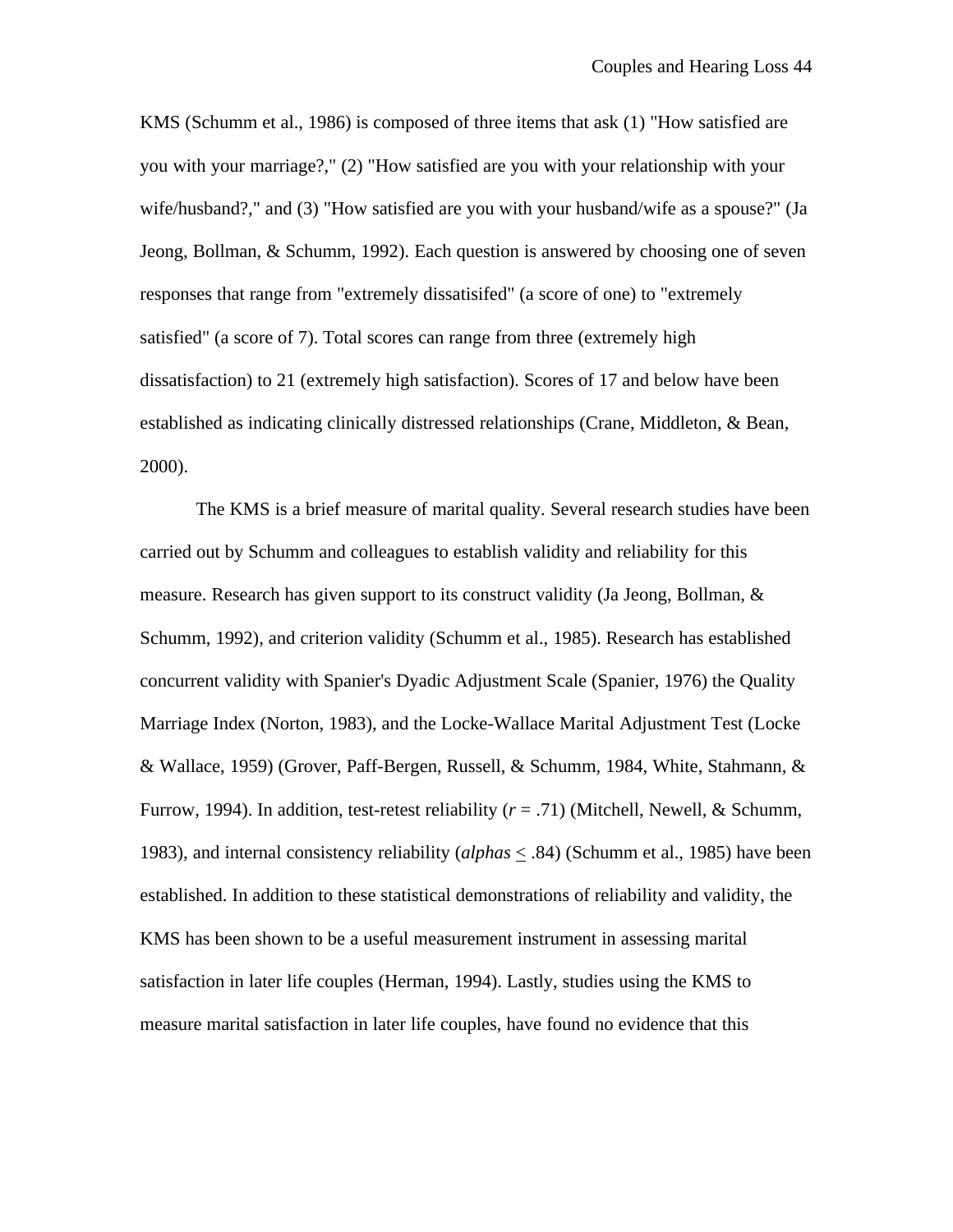KMS (Schumm et al., 1986) is composed of three items that ask (1) "How satisfied are you with your marriage?," (2) "How satisfied are you with your relationship with your wife/husband?," and (3) "How satisfied are you with your husband/wife as a spouse?" (Ja Jeong, Bollman, & Schumm, 1992). Each question is answered by choosing one of seven responses that range from "extremely dissatisifed" (a score of one) to "extremely satisfied" (a score of 7). Total scores can range from three (extremely high dissatisfaction) to 21 (extremely high satisfaction). Scores of 17 and below have been established as indicating clinically distressed relationships (Crane, Middleton, & Bean, 2000).

The KMS is a brief measure of marital quality. Several research studies have been carried out by Schumm and colleagues to establish validity and reliability for this measure. Research has given support to its construct validity (Ja Jeong, Bollman, & Schumm, 1992), and criterion validity (Schumm et al., 1985). Research has established concurrent validity with Spanier's Dyadic Adjustment Scale (Spanier, 1976) the Quality Marriage Index (Norton, 1983), and the Locke-Wallace Marital Adjustment Test (Locke & Wallace, 1959) (Grover, Paff-Bergen, Russell, & Schumm, 1984, White, Stahmann, & Furrow, 1994). In addition, test-retest reliability (*r* = .71) (Mitchell, Newell, & Schumm, 1983), and internal consistency reliability (*alphas* < .84) (Schumm et al., 1985) have been established. In addition to these statistical demonstrations of reliability and validity, the KMS has been shown to be a useful measurement instrument in assessing marital satisfaction in later life couples (Herman, 1994). Lastly, studies using the KMS to measure marital satisfaction in later life couples, have found no evidence that this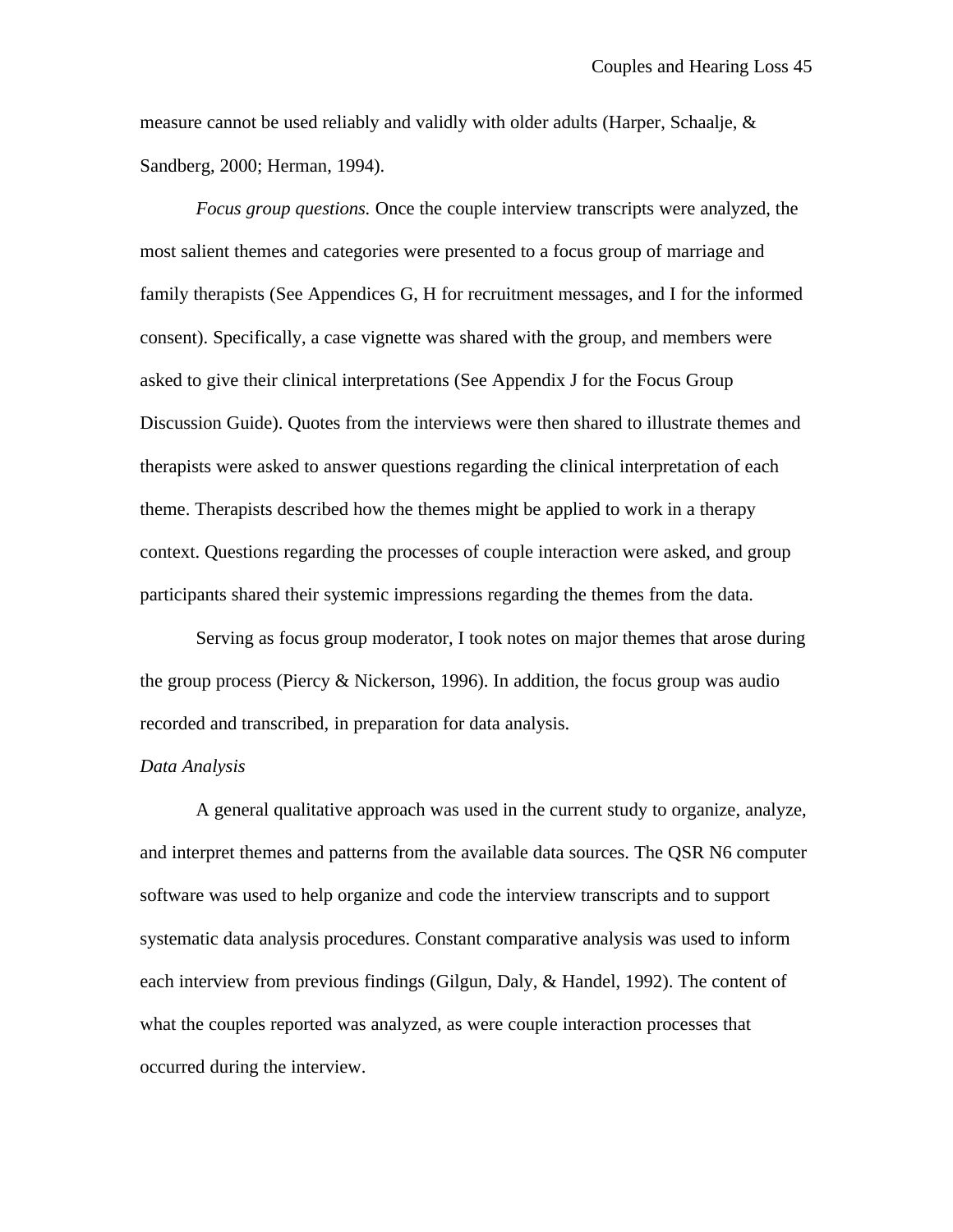measure cannot be used reliably and validly with older adults (Harper, Schaalje,  $\&$ Sandberg, 2000; Herman, 1994).

*Focus group questions.* Once the couple interview transcripts were analyzed, the most salient themes and categories were presented to a focus group of marriage and family therapists (See Appendices G, H for recruitment messages, and I for the informed consent). Specifically, a case vignette was shared with the group, and members were asked to give their clinical interpretations (See Appendix J for the Focus Group Discussion Guide). Quotes from the interviews were then shared to illustrate themes and therapists were asked to answer questions regarding the clinical interpretation of each theme. Therapists described how the themes might be applied to work in a therapy context. Questions regarding the processes of couple interaction were asked, and group participants shared their systemic impressions regarding the themes from the data.

Serving as focus group moderator, I took notes on major themes that arose during the group process (Piercy & Nickerson, 1996). In addition, the focus group was audio recorded and transcribed, in preparation for data analysis.

#### *Data Analysis*

A general qualitative approach was used in the current study to organize, analyze, and interpret themes and patterns from the available data sources. The QSR N6 computer software was used to help organize and code the interview transcripts and to support systematic data analysis procedures. Constant comparative analysis was used to inform each interview from previous findings (Gilgun, Daly, & Handel, 1992). The content of what the couples reported was analyzed, as were couple interaction processes that occurred during the interview.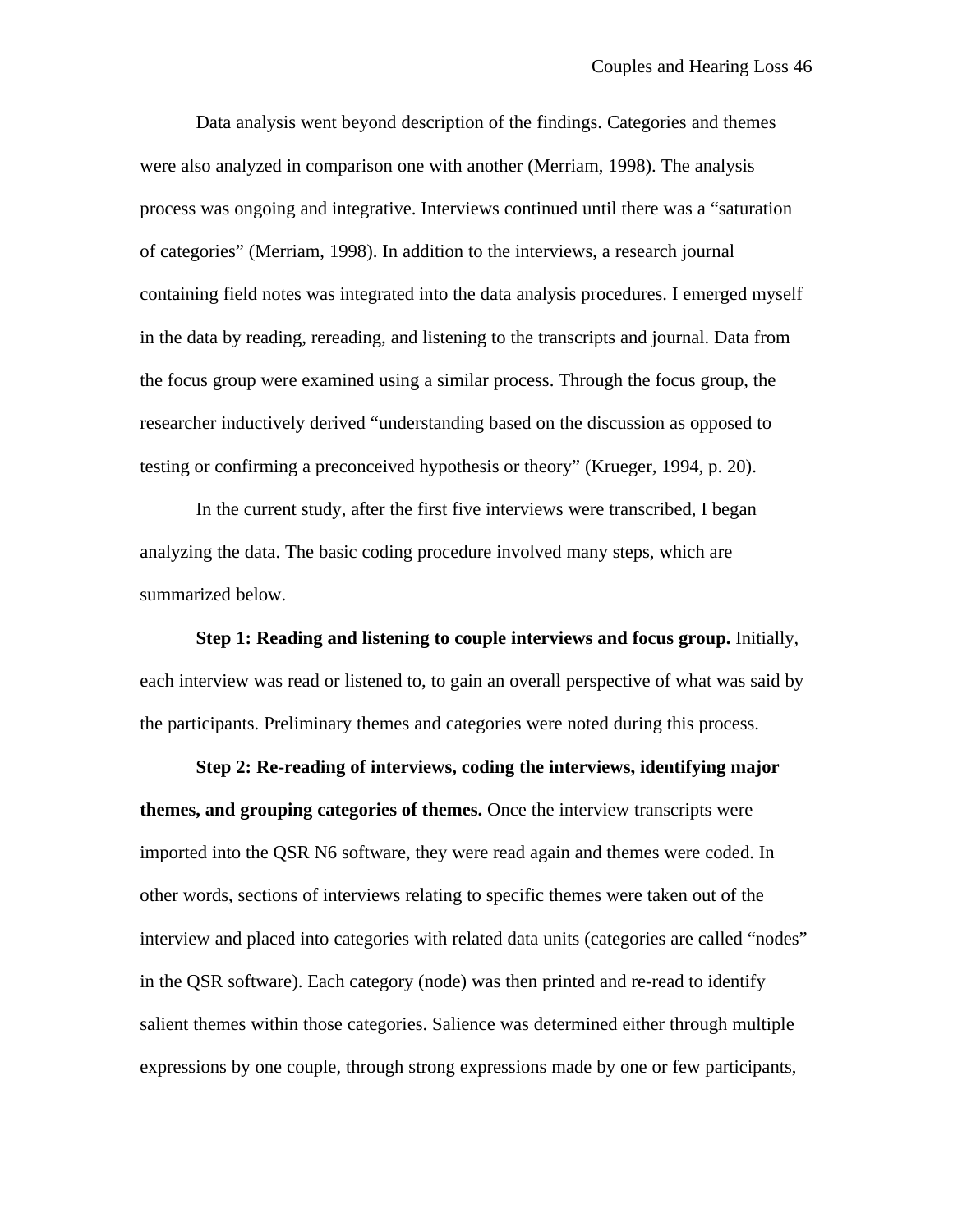Data analysis went beyond description of the findings. Categories and themes were also analyzed in comparison one with another (Merriam, 1998). The analysis process was ongoing and integrative. Interviews continued until there was a "saturation of categories" (Merriam, 1998). In addition to the interviews, a research journal containing field notes was integrated into the data analysis procedures. I emerged myself in the data by reading, rereading, and listening to the transcripts and journal. Data from the focus group were examined using a similar process. Through the focus group, the researcher inductively derived "understanding based on the discussion as opposed to testing or confirming a preconceived hypothesis or theory" (Krueger, 1994, p. 20).

In the current study, after the first five interviews were transcribed, I began analyzing the data. The basic coding procedure involved many steps, which are summarized below.

**Step 1: Reading and listening to couple interviews and focus group.** Initially, each interview was read or listened to, to gain an overall perspective of what was said by the participants. Preliminary themes and categories were noted during this process.

**Step 2: Re-reading of interviews, coding the interviews, identifying major themes, and grouping categories of themes.** Once the interview transcripts were imported into the QSR N6 software, they were read again and themes were coded. In other words, sections of interviews relating to specific themes were taken out of the interview and placed into categories with related data units (categories are called "nodes" in the QSR software). Each category (node) was then printed and re-read to identify salient themes within those categories. Salience was determined either through multiple expressions by one couple, through strong expressions made by one or few participants,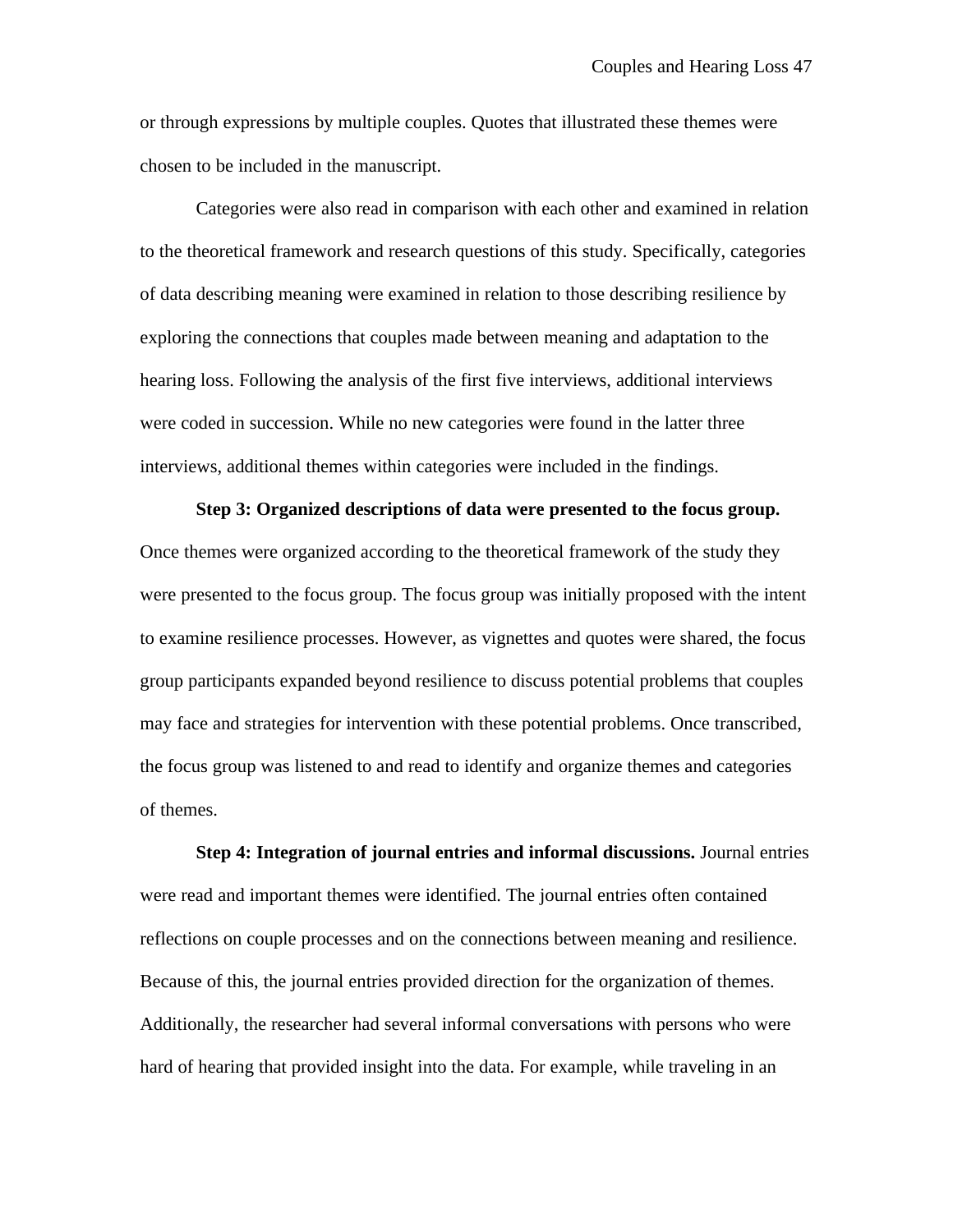or through expressions by multiple couples. Quotes that illustrated these themes were chosen to be included in the manuscript.

Categories were also read in comparison with each other and examined in relation to the theoretical framework and research questions of this study. Specifically, categories of data describing meaning were examined in relation to those describing resilience by exploring the connections that couples made between meaning and adaptation to the hearing loss. Following the analysis of the first five interviews, additional interviews were coded in succession. While no new categories were found in the latter three interviews, additional themes within categories were included in the findings.

#### **Step 3: Organized descriptions of data were presented to the focus group.**

Once themes were organized according to the theoretical framework of the study they were presented to the focus group. The focus group was initially proposed with the intent to examine resilience processes. However, as vignettes and quotes were shared, the focus group participants expanded beyond resilience to discuss potential problems that couples may face and strategies for intervention with these potential problems. Once transcribed, the focus group was listened to and read to identify and organize themes and categories of themes.

**Step 4: Integration of journal entries and informal discussions.** Journal entries were read and important themes were identified. The journal entries often contained reflections on couple processes and on the connections between meaning and resilience. Because of this, the journal entries provided direction for the organization of themes. Additionally, the researcher had several informal conversations with persons who were hard of hearing that provided insight into the data. For example, while traveling in an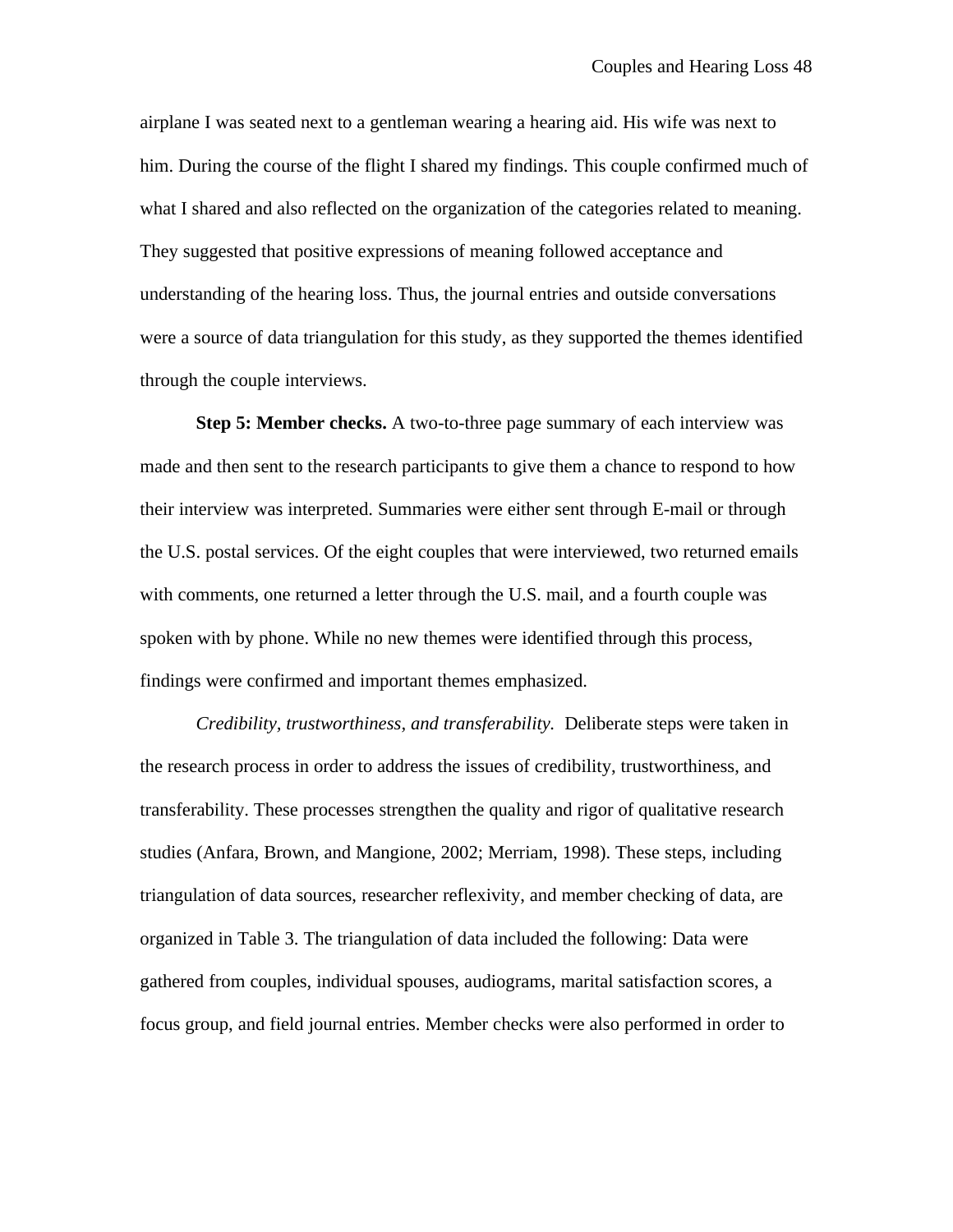airplane I was seated next to a gentleman wearing a hearing aid. His wife was next to him. During the course of the flight I shared my findings. This couple confirmed much of what I shared and also reflected on the organization of the categories related to meaning. They suggested that positive expressions of meaning followed acceptance and understanding of the hearing loss. Thus, the journal entries and outside conversations were a source of data triangulation for this study, as they supported the themes identified through the couple interviews.

**Step 5: Member checks.** A two-to-three page summary of each interview was made and then sent to the research participants to give them a chance to respond to how their interview was interpreted. Summaries were either sent through E-mail or through the U.S. postal services. Of the eight couples that were interviewed, two returned emails with comments, one returned a letter through the U.S. mail, and a fourth couple was spoken with by phone. While no new themes were identified through this process, findings were confirmed and important themes emphasized.

*Credibility, trustworthiness, and transferability.* Deliberate steps were taken in the research process in order to address the issues of credibility, trustworthiness, and transferability. These processes strengthen the quality and rigor of qualitative research studies (Anfara, Brown, and Mangione, 2002; Merriam, 1998). These steps, including triangulation of data sources, researcher reflexivity, and member checking of data, are organized in Table 3. The triangulation of data included the following: Data were gathered from couples, individual spouses, audiograms, marital satisfaction scores, a focus group, and field journal entries. Member checks were also performed in order to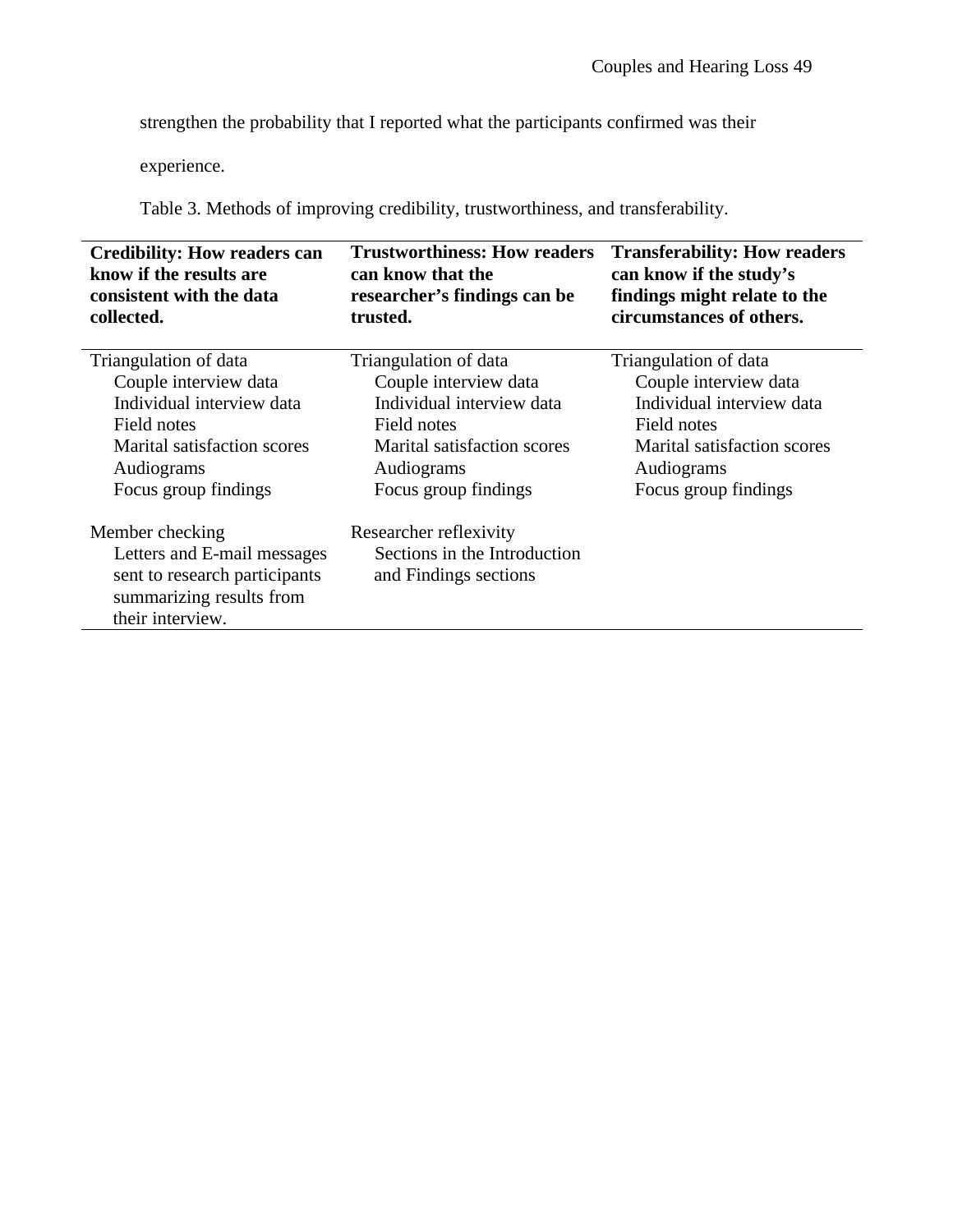strengthen the probability that I reported what the participants confirmed was their

experience.

Table 3. Methods of improving credibility, trustworthiness, and transferability.

| <b>Credibility: How readers can</b><br>know if the results are<br>consistent with the data<br>collected. | <b>Trustworthiness: How readers</b><br>can know that the<br>researcher's findings can be<br>trusted. | <b>Transferability: How readers</b><br>can know if the study's<br>findings might relate to the<br>circumstances of others. |
|----------------------------------------------------------------------------------------------------------|------------------------------------------------------------------------------------------------------|----------------------------------------------------------------------------------------------------------------------------|
| Triangulation of data                                                                                    | Triangulation of data                                                                                | Triangulation of data                                                                                                      |
| Couple interview data                                                                                    | Couple interview data                                                                                | Couple interview data                                                                                                      |
| Individual interview data                                                                                | Individual interview data                                                                            | Individual interview data                                                                                                  |
| Field notes                                                                                              | Field notes                                                                                          | Field notes                                                                                                                |
| Marital satisfaction scores                                                                              | Marital satisfaction scores                                                                          | <b>Marital satisfaction scores</b>                                                                                         |
| Audiograms                                                                                               | Audiograms                                                                                           | Audiograms                                                                                                                 |
| Focus group findings                                                                                     | Focus group findings                                                                                 | Focus group findings                                                                                                       |
| Member checking                                                                                          | Researcher reflexivity                                                                               |                                                                                                                            |
| Letters and E-mail messages                                                                              | Sections in the Introduction                                                                         |                                                                                                                            |
| sent to research participants<br>summarizing results from                                                | and Findings sections                                                                                |                                                                                                                            |
| their interview.                                                                                         |                                                                                                      |                                                                                                                            |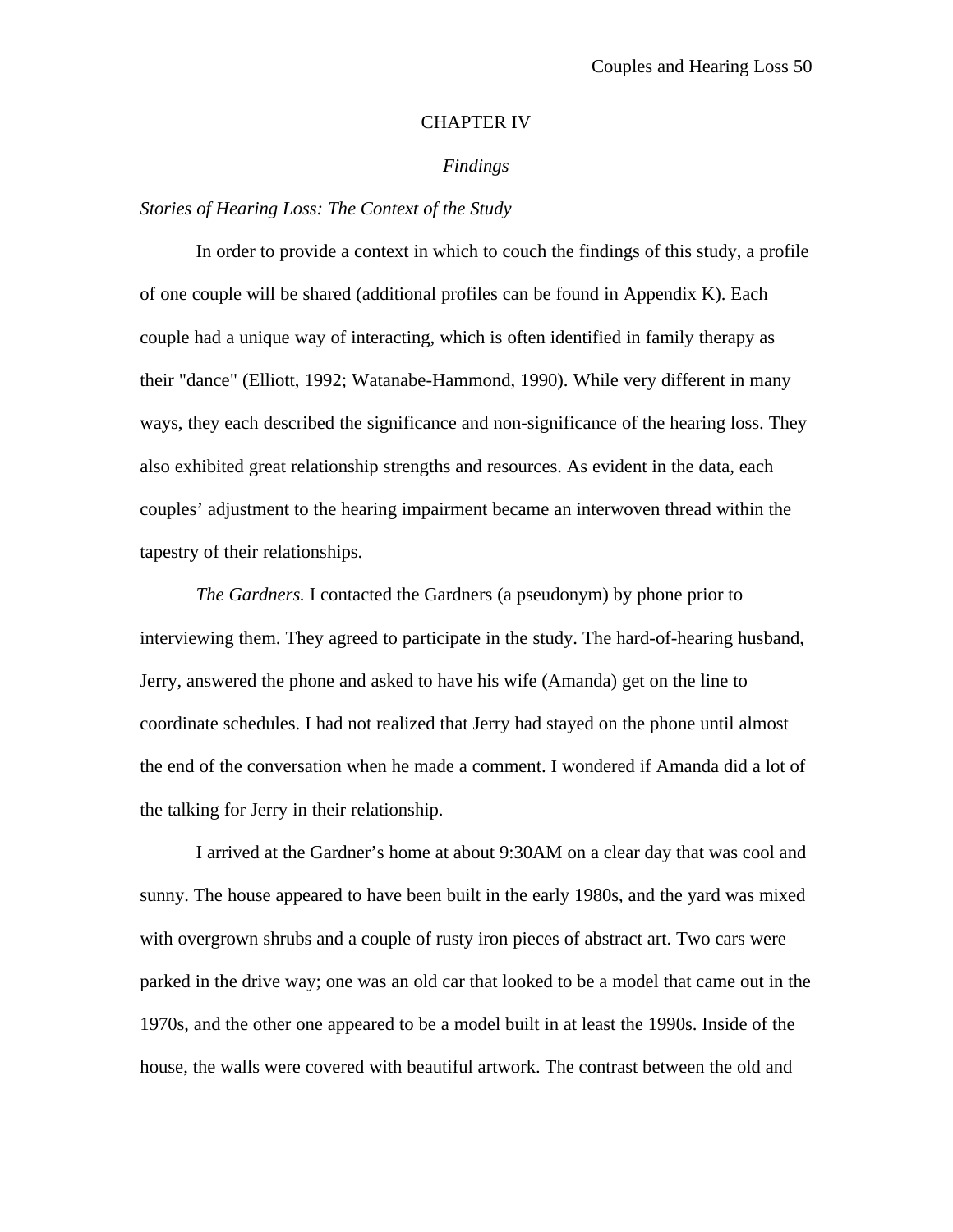#### CHAPTER IV

## *Findings*

## *Stories of Hearing Loss: The Context of the Study*

In order to provide a context in which to couch the findings of this study, a profile of one couple will be shared (additional profiles can be found in Appendix K). Each couple had a unique way of interacting, which is often identified in family therapy as their "dance" (Elliott, 1992; Watanabe-Hammond, 1990). While very different in many ways, they each described the significance and non-significance of the hearing loss. They also exhibited great relationship strengths and resources. As evident in the data, each couples' adjustment to the hearing impairment became an interwoven thread within the tapestry of their relationships.

*The Gardners.* I contacted the Gardners (a pseudonym) by phone prior to interviewing them. They agreed to participate in the study. The hard-of-hearing husband, Jerry, answered the phone and asked to have his wife (Amanda) get on the line to coordinate schedules. I had not realized that Jerry had stayed on the phone until almost the end of the conversation when he made a comment. I wondered if Amanda did a lot of the talking for Jerry in their relationship.

I arrived at the Gardner's home at about 9:30AM on a clear day that was cool and sunny. The house appeared to have been built in the early 1980s, and the yard was mixed with overgrown shrubs and a couple of rusty iron pieces of abstract art. Two cars were parked in the drive way; one was an old car that looked to be a model that came out in the 1970s, and the other one appeared to be a model built in at least the 1990s. Inside of the house, the walls were covered with beautiful artwork. The contrast between the old and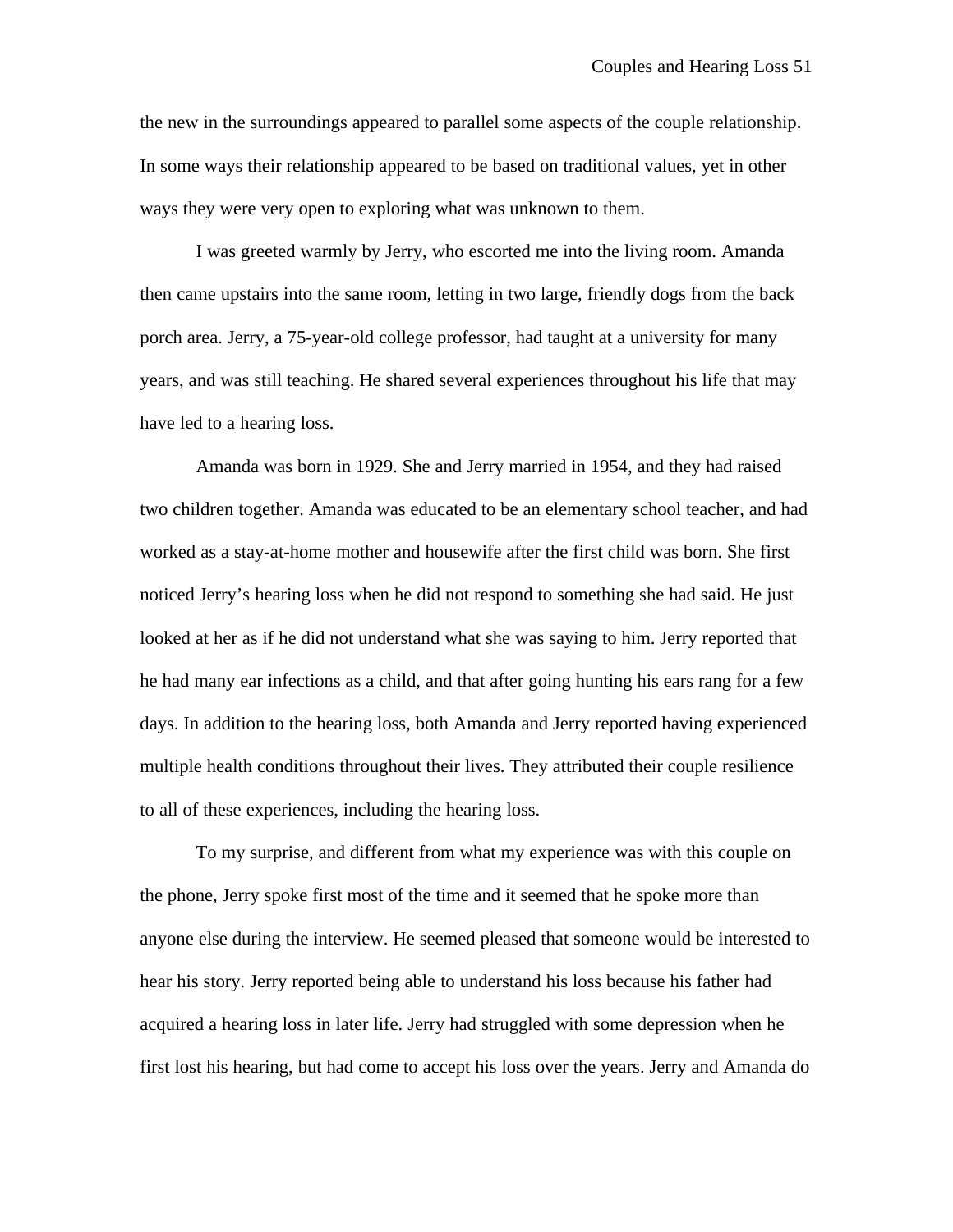the new in the surroundings appeared to parallel some aspects of the couple relationship. In some ways their relationship appeared to be based on traditional values, yet in other ways they were very open to exploring what was unknown to them.

I was greeted warmly by Jerry, who escorted me into the living room. Amanda then came upstairs into the same room, letting in two large, friendly dogs from the back porch area. Jerry, a 75-year-old college professor, had taught at a university for many years, and was still teaching. He shared several experiences throughout his life that may have led to a hearing loss.

Amanda was born in 1929. She and Jerry married in 1954, and they had raised two children together. Amanda was educated to be an elementary school teacher, and had worked as a stay-at-home mother and housewife after the first child was born. She first noticed Jerry's hearing loss when he did not respond to something she had said. He just looked at her as if he did not understand what she was saying to him. Jerry reported that he had many ear infections as a child, and that after going hunting his ears rang for a few days. In addition to the hearing loss, both Amanda and Jerry reported having experienced multiple health conditions throughout their lives. They attributed their couple resilience to all of these experiences, including the hearing loss.

To my surprise, and different from what my experience was with this couple on the phone, Jerry spoke first most of the time and it seemed that he spoke more than anyone else during the interview. He seemed pleased that someone would be interested to hear his story. Jerry reported being able to understand his loss because his father had acquired a hearing loss in later life. Jerry had struggled with some depression when he first lost his hearing, but had come to accept his loss over the years. Jerry and Amanda do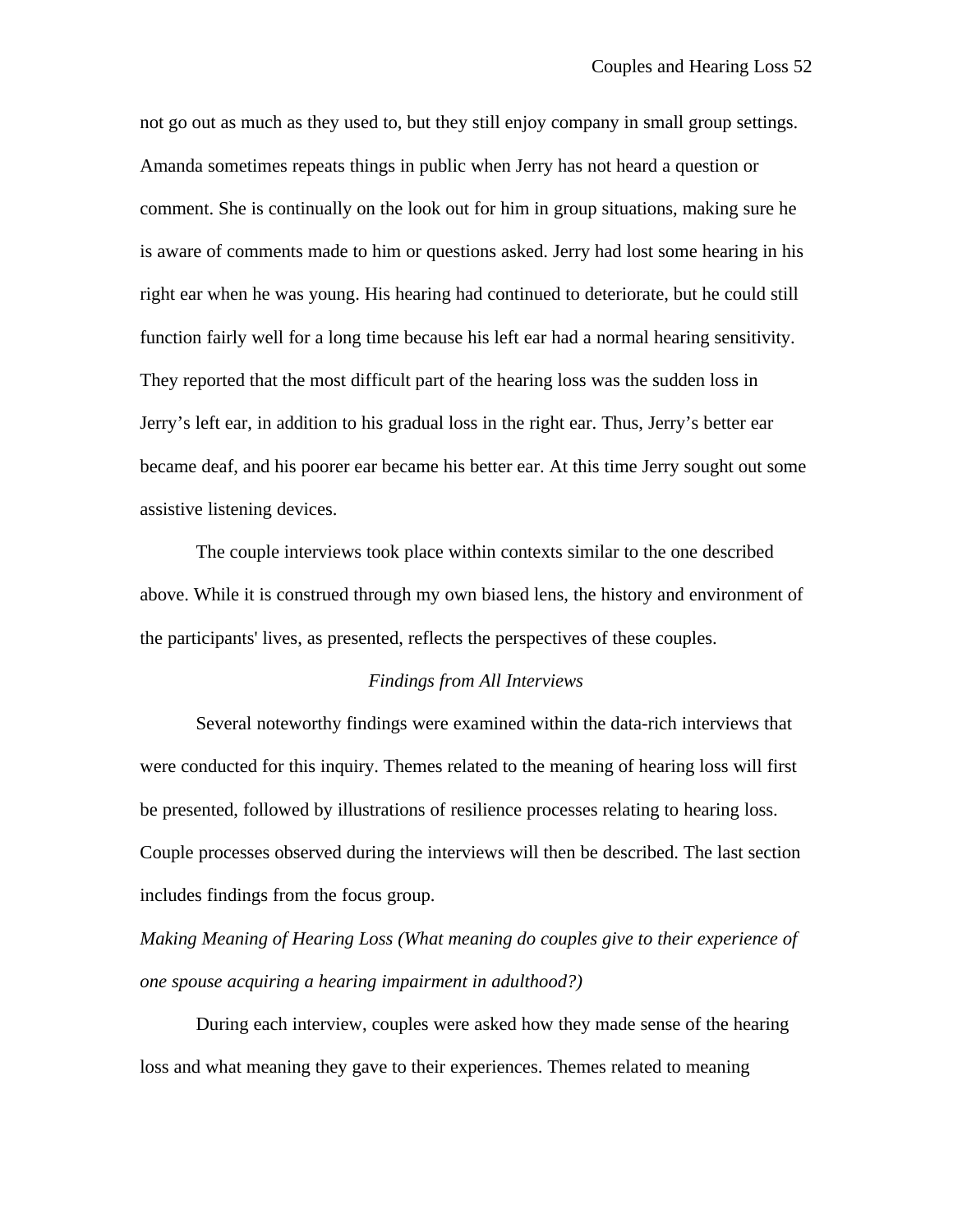not go out as much as they used to, but they still enjoy company in small group settings. Amanda sometimes repeats things in public when Jerry has not heard a question or comment. She is continually on the look out for him in group situations, making sure he is aware of comments made to him or questions asked. Jerry had lost some hearing in his right ear when he was young. His hearing had continued to deteriorate, but he could still function fairly well for a long time because his left ear had a normal hearing sensitivity. They reported that the most difficult part of the hearing loss was the sudden loss in Jerry's left ear, in addition to his gradual loss in the right ear. Thus, Jerry's better ear became deaf, and his poorer ear became his better ear. At this time Jerry sought out some assistive listening devices.

The couple interviews took place within contexts similar to the one described above. While it is construed through my own biased lens, the history and environment of the participants' lives, as presented, reflects the perspectives of these couples.

# *Findings from All Interviews*

Several noteworthy findings were examined within the data-rich interviews that were conducted for this inquiry. Themes related to the meaning of hearing loss will first be presented, followed by illustrations of resilience processes relating to hearing loss. Couple processes observed during the interviews will then be described. The last section includes findings from the focus group.

*Making Meaning of Hearing Loss (What meaning do couples give to their experience of one spouse acquiring a hearing impairment in adulthood?)*

During each interview, couples were asked how they made sense of the hearing loss and what meaning they gave to their experiences. Themes related to meaning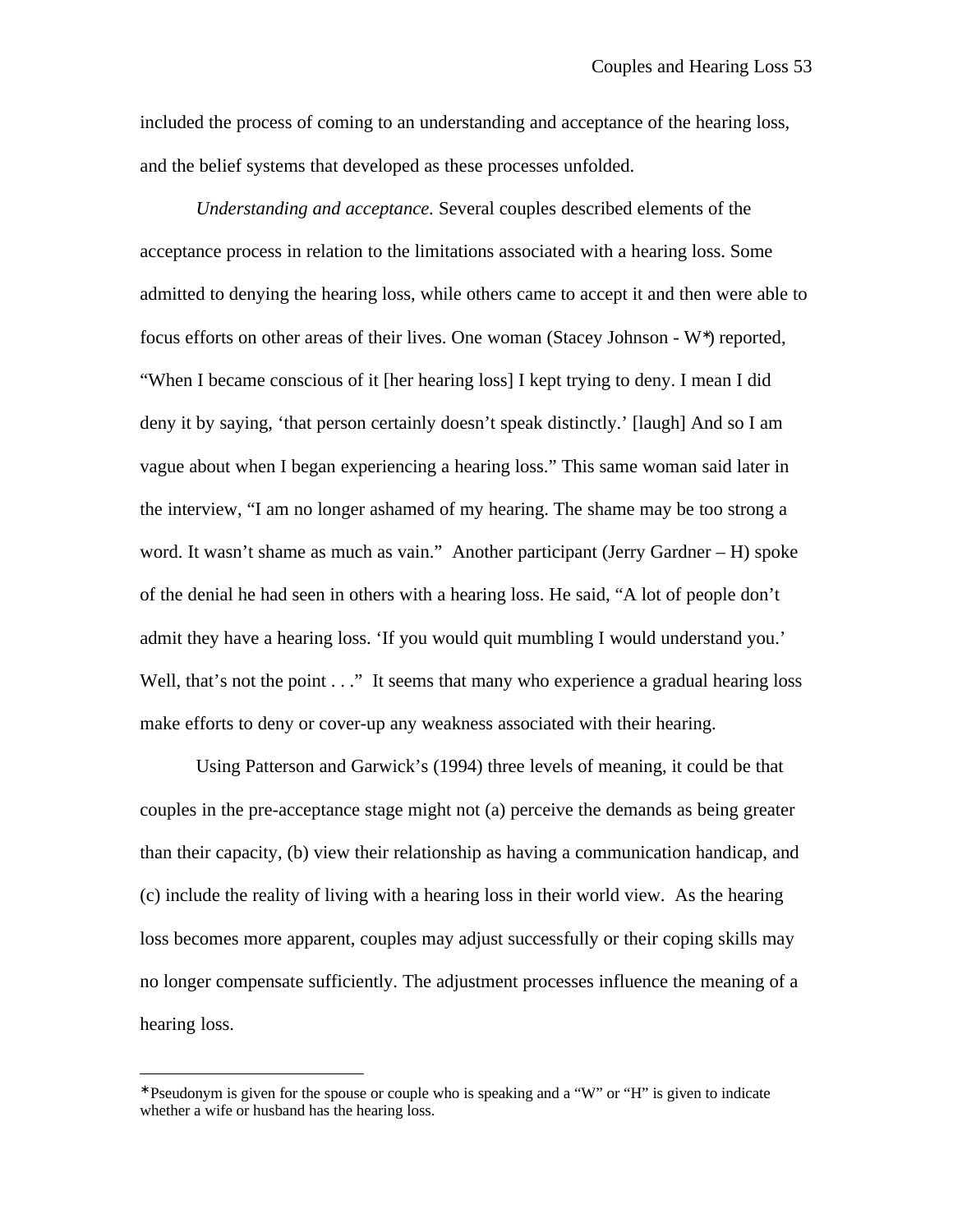included the process of coming to an understanding and acceptance of the hearing loss, and the belief systems that developed as these processes unfolded.

*Understanding and acceptance.* Several couples described elements of the acceptance process in relation to the limitations associated with a hearing loss. Some admitted to denying the hearing loss, while others came to accept it and then were able to focus efforts on other areas of their lives. One woman (Stacey Johnson - W<sup>\*</sup>) reported, "When I became conscious of it [her hearing loss] I kept trying to deny. I mean I did deny it by saying, 'that person certainly doesn't speak distinctly.' [laugh] And so I am vague about when I began experiencing a hearing loss." This same woman said later in the interview, "I am no longer ashamed of my hearing. The shame may be too strong a word. It wasn't shame as much as vain." Another participant (Jerry Gardner – H) spoke of the denial he had seen in others with a hearing loss. He said, "A lot of people don't admit they have a hearing loss. 'If you would quit mumbling I would understand you.' Well, that's not the point . . ." It seems that many who experience a gradual hearing loss make efforts to deny or cover-up any weakness associated with their hearing.

Using Patterson and Garwick's (1994) three levels of meaning, it could be that couples in the pre-acceptance stage might not (a) perceive the demands as being greater than their capacity, (b) view their relationship as having a communication handicap, and (c) include the reality of living with a hearing loss in their world view. As the hearing loss becomes more apparent, couples may adjust successfully or their coping skills may no longer compensate sufficiently. The adjustment processes influence the meaning of a hearing loss.

 $\overline{a}$ 

<sup>∗</sup> Pseudonym is given for the spouse or couple who is speaking and a "W" or "H" is given to indicate whether a wife or husband has the hearing loss.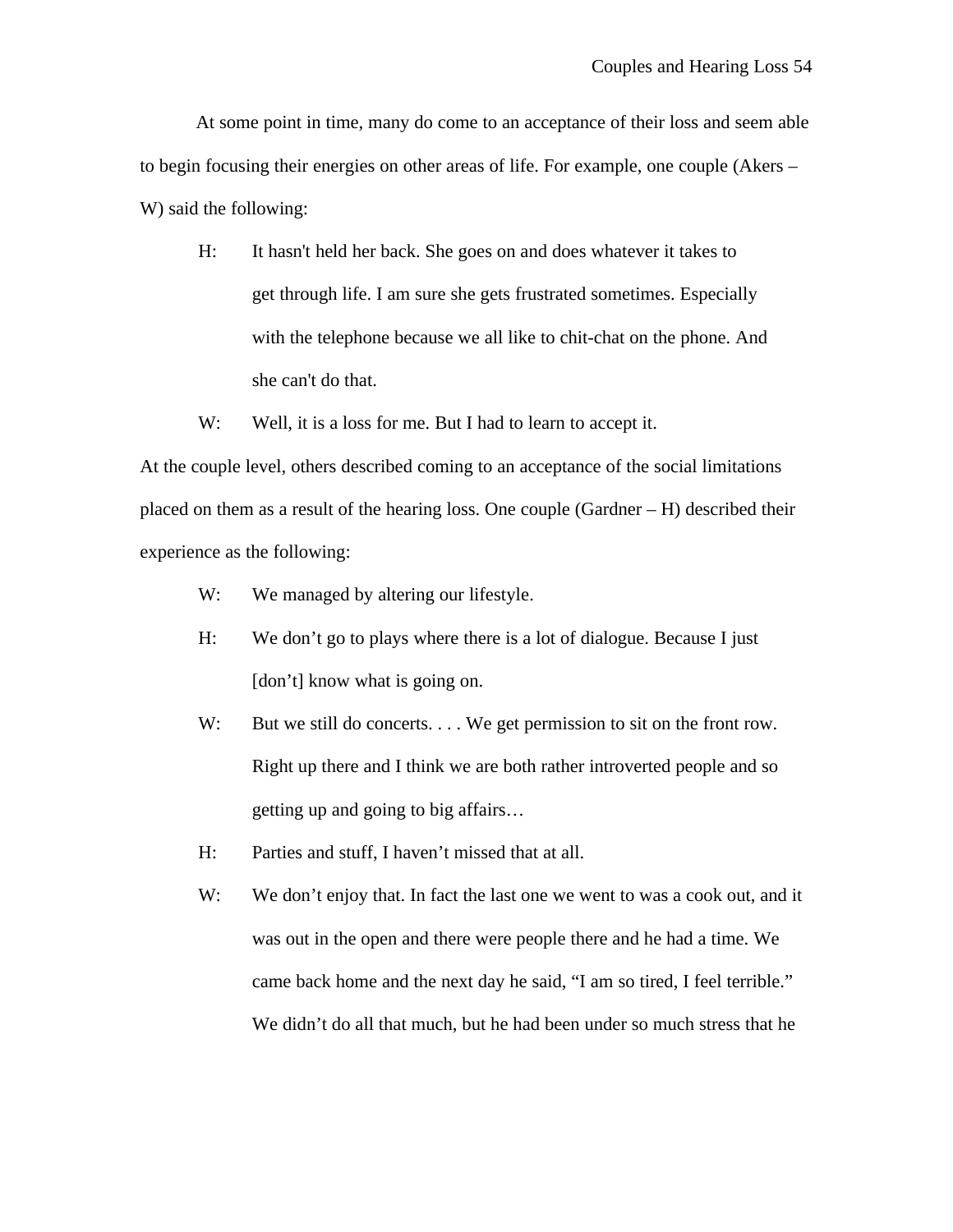At some point in time, many do come to an acceptance of their loss and seem able to begin focusing their energies on other areas of life. For example, one couple (Akers – W) said the following:

- H: It hasn't held her back. She goes on and does whatever it takes to get through life. I am sure she gets frustrated sometimes. Especially with the telephone because we all like to chit-chat on the phone. And she can't do that.
- W: Well, it is a loss for me. But I had to learn to accept it.

At the couple level, others described coming to an acceptance of the social limitations placed on them as a result of the hearing loss. One couple (Gardner – H) described their experience as the following:

- W: We managed by altering our lifestyle.
- H: We don't go to plays where there is a lot of dialogue. Because I just [don't] know what is going on.
- W: But we still do concerts.... We get permission to sit on the front row. Right up there and I think we are both rather introverted people and so getting up and going to big affairs…
- H: Parties and stuff, I haven't missed that at all.
- W: We don't enjoy that. In fact the last one we went to was a cook out, and it was out in the open and there were people there and he had a time. We came back home and the next day he said, "I am so tired, I feel terrible." We didn't do all that much, but he had been under so much stress that he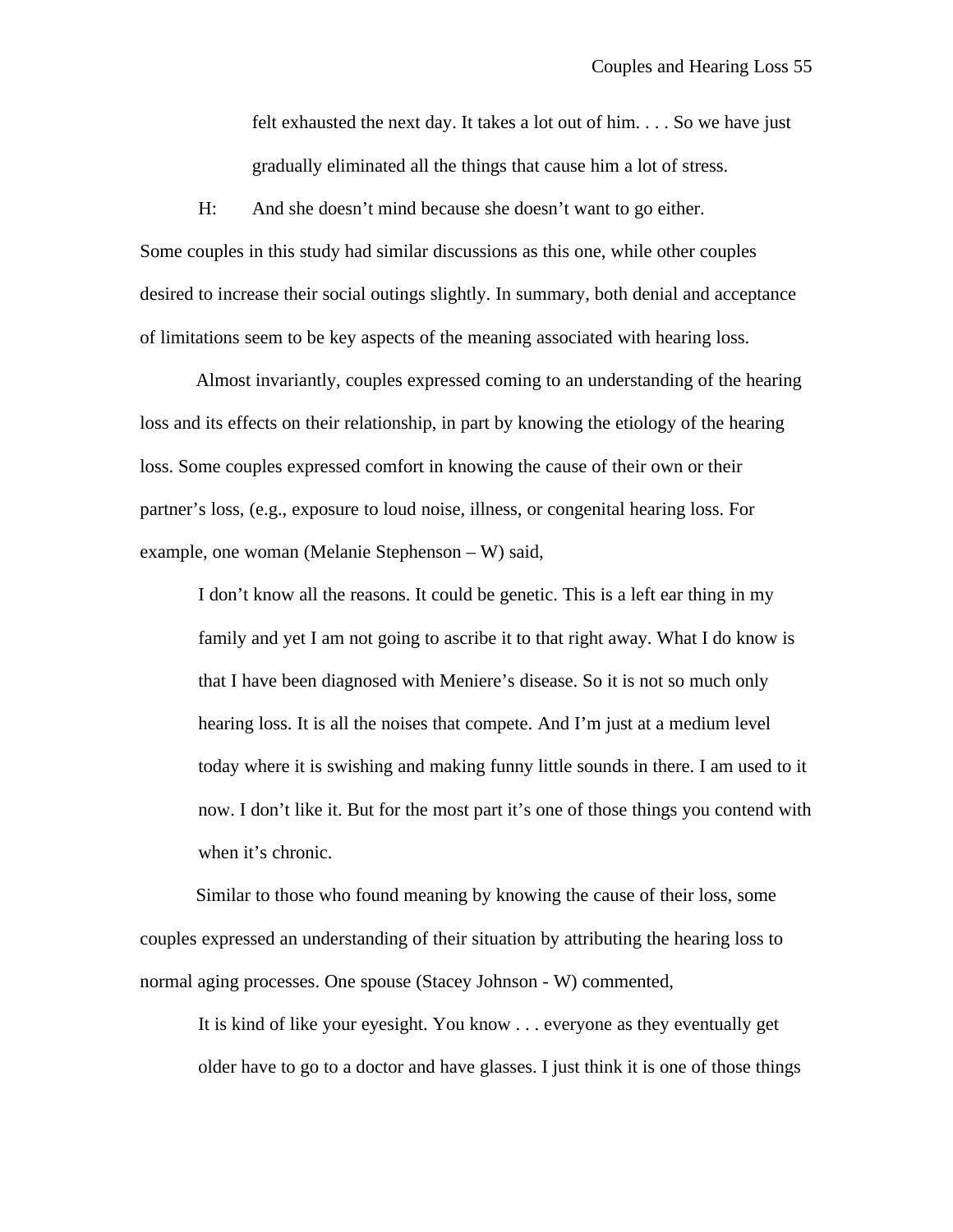felt exhausted the next day. It takes a lot out of him. . . . So we have just gradually eliminated all the things that cause him a lot of stress.

H: And she doesn't mind because she doesn't want to go either. Some couples in this study had similar discussions as this one, while other couples desired to increase their social outings slightly. In summary, both denial and acceptance of limitations seem to be key aspects of the meaning associated with hearing loss.

Almost invariantly, couples expressed coming to an understanding of the hearing loss and its effects on their relationship, in part by knowing the etiology of the hearing loss. Some couples expressed comfort in knowing the cause of their own or their partner's loss, (e.g., exposure to loud noise, illness, or congenital hearing loss. For example, one woman (Melanie Stephenson – W) said,

I don't know all the reasons. It could be genetic. This is a left ear thing in my family and yet I am not going to ascribe it to that right away. What I do know is that I have been diagnosed with Meniere's disease. So it is not so much only hearing loss. It is all the noises that compete. And I'm just at a medium level today where it is swishing and making funny little sounds in there. I am used to it now. I don't like it. But for the most part it's one of those things you contend with when it's chronic.

Similar to those who found meaning by knowing the cause of their loss, some couples expressed an understanding of their situation by attributing the hearing loss to normal aging processes. One spouse (Stacey Johnson - W) commented,

It is kind of like your eyesight. You know . . . everyone as they eventually get older have to go to a doctor and have glasses. I just think it is one of those things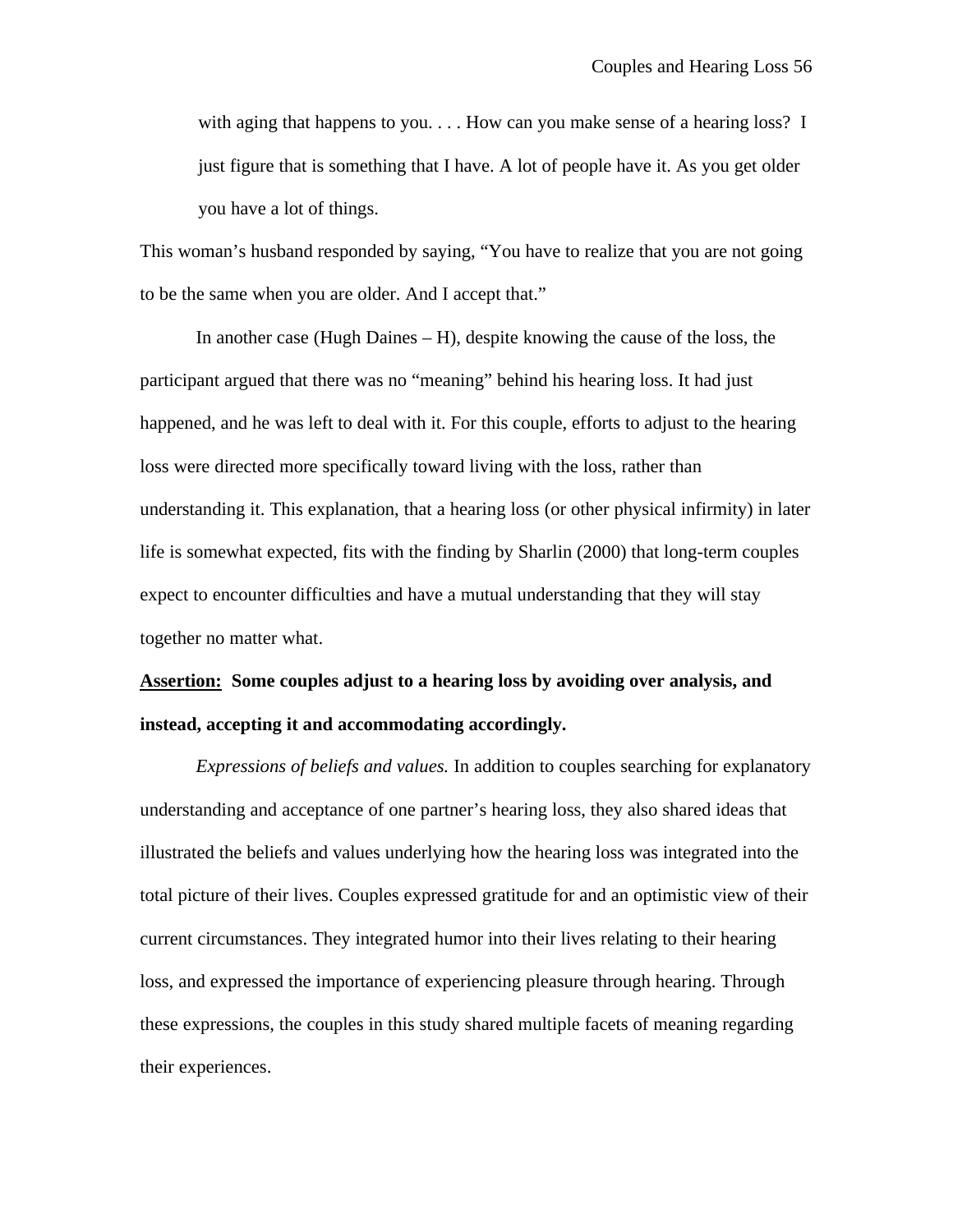with aging that happens to you.  $\ldots$  How can you make sense of a hearing loss? I just figure that is something that I have. A lot of people have it. As you get older you have a lot of things.

This woman's husband responded by saying, "You have to realize that you are not going to be the same when you are older. And I accept that."

In another case (Hugh Daines – H), despite knowing the cause of the loss, the participant argued that there was no "meaning" behind his hearing loss. It had just happened, and he was left to deal with it. For this couple, efforts to adjust to the hearing loss were directed more specifically toward living with the loss, rather than understanding it. This explanation, that a hearing loss (or other physical infirmity) in later life is somewhat expected, fits with the finding by Sharlin (2000) that long-term couples expect to encounter difficulties and have a mutual understanding that they will stay together no matter what.

# **Assertion: Some couples adjust to a hearing loss by avoiding over analysis, and instead, accepting it and accommodating accordingly.**

*Expressions of beliefs and values.* In addition to couples searching for explanatory understanding and acceptance of one partner's hearing loss, they also shared ideas that illustrated the beliefs and values underlying how the hearing loss was integrated into the total picture of their lives. Couples expressed gratitude for and an optimistic view of their current circumstances. They integrated humor into their lives relating to their hearing loss, and expressed the importance of experiencing pleasure through hearing. Through these expressions, the couples in this study shared multiple facets of meaning regarding their experiences.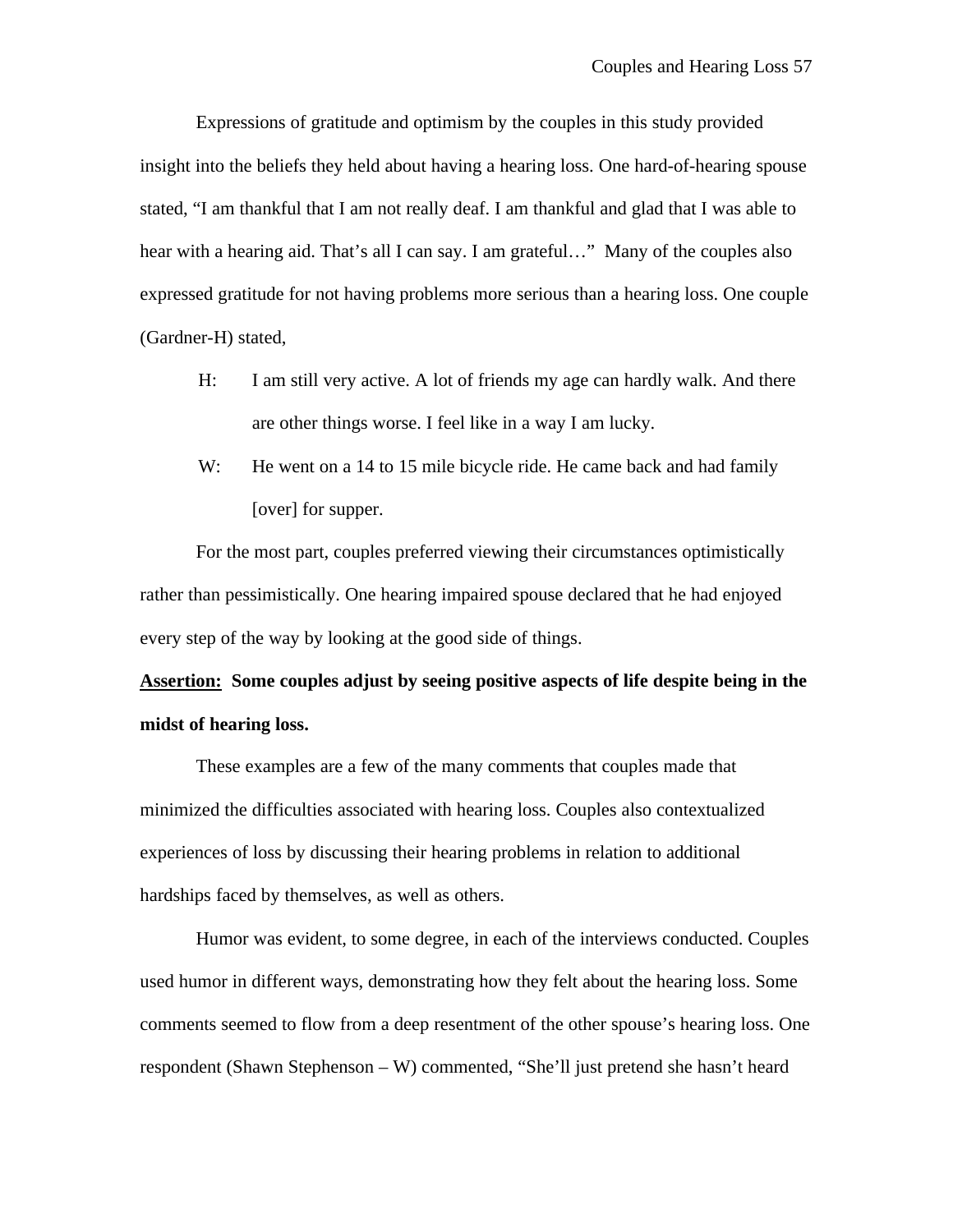Expressions of gratitude and optimism by the couples in this study provided insight into the beliefs they held about having a hearing loss. One hard-of-hearing spouse stated, "I am thankful that I am not really deaf. I am thankful and glad that I was able to hear with a hearing aid. That's all I can say. I am grateful..." Many of the couples also expressed gratitude for not having problems more serious than a hearing loss. One couple (Gardner-H) stated,

- H: I am still very active. A lot of friends my age can hardly walk. And there are other things worse. I feel like in a way I am lucky.
- W: He went on a 14 to 15 mile bicycle ride. He came back and had family [over] for supper.

For the most part, couples preferred viewing their circumstances optimistically rather than pessimistically. One hearing impaired spouse declared that he had enjoyed every step of the way by looking at the good side of things.

**Assertion: Some couples adjust by seeing positive aspects of life despite being in the midst of hearing loss.**

These examples are a few of the many comments that couples made that minimized the difficulties associated with hearing loss. Couples also contextualized experiences of loss by discussing their hearing problems in relation to additional hardships faced by themselves, as well as others.

Humor was evident, to some degree, in each of the interviews conducted. Couples used humor in different ways, demonstrating how they felt about the hearing loss. Some comments seemed to flow from a deep resentment of the other spouse's hearing loss. One respondent (Shawn Stephenson – W) commented, "She'll just pretend she hasn't heard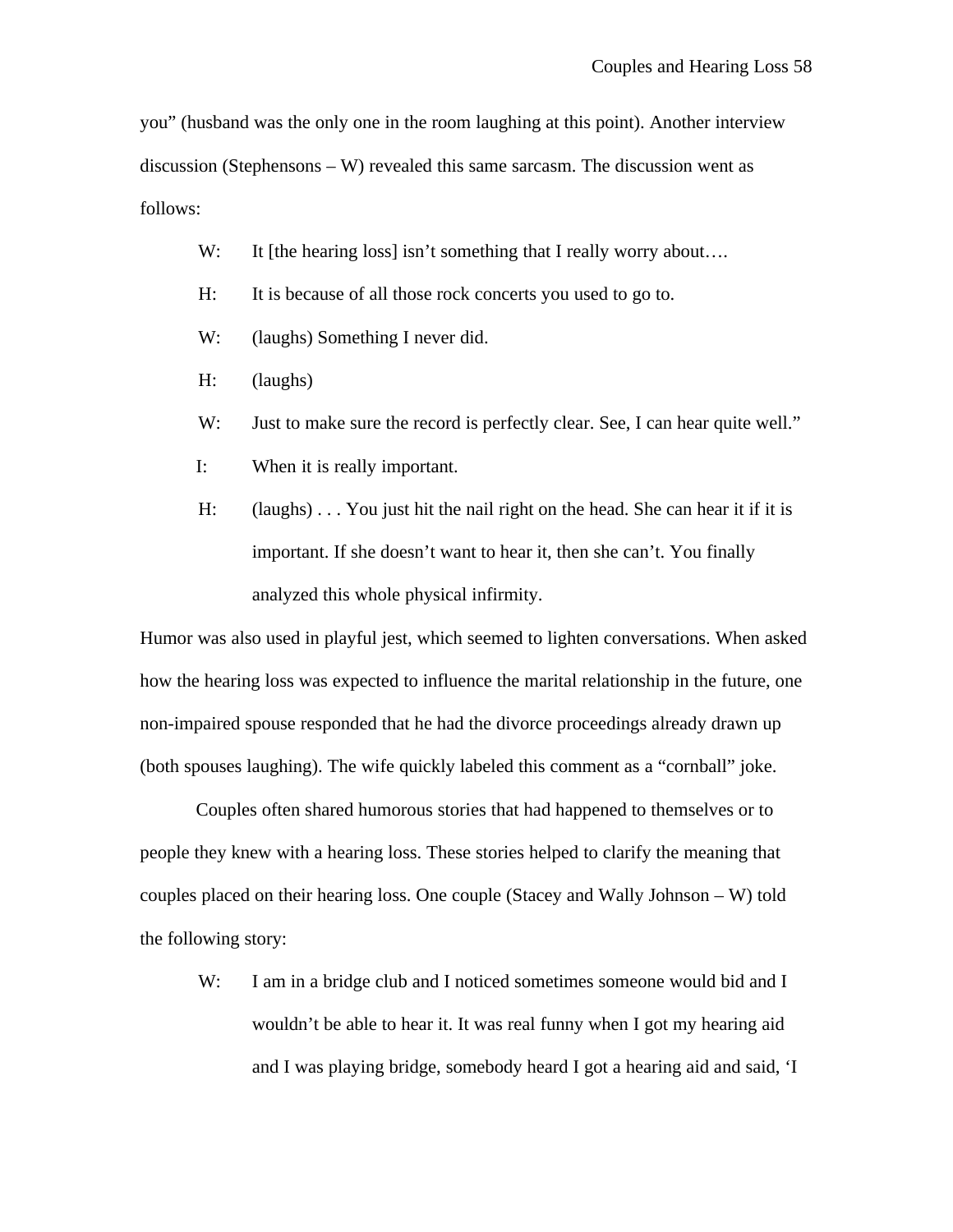you" (husband was the only one in the room laughing at this point). Another interview discussion (Stephensons  $-W$ ) revealed this same sarcasm. The discussion went as follows:

- W: It [the hearing loss] isn't something that I really worry about....
- H: It is because of all those rock concerts you used to go to.
- W: (laughs) Something I never did.
- H: (laughs)
- W: Just to make sure the record is perfectly clear. See, I can hear quite well."
- I: When it is really important.
- H: (laughs) . . . You just hit the nail right on the head. She can hear it if it is important. If she doesn't want to hear it, then she can't. You finally analyzed this whole physical infirmity.

Humor was also used in playful jest, which seemed to lighten conversations. When asked how the hearing loss was expected to influence the marital relationship in the future, one non-impaired spouse responded that he had the divorce proceedings already drawn up (both spouses laughing). The wife quickly labeled this comment as a "cornball" joke.

Couples often shared humorous stories that had happened to themselves or to people they knew with a hearing loss. These stories helped to clarify the meaning that couples placed on their hearing loss. One couple (Stacey and Wally Johnson – W) told the following story:

W: I am in a bridge club and I noticed sometimes someone would bid and I wouldn't be able to hear it. It was real funny when I got my hearing aid and I was playing bridge, somebody heard I got a hearing aid and said, 'I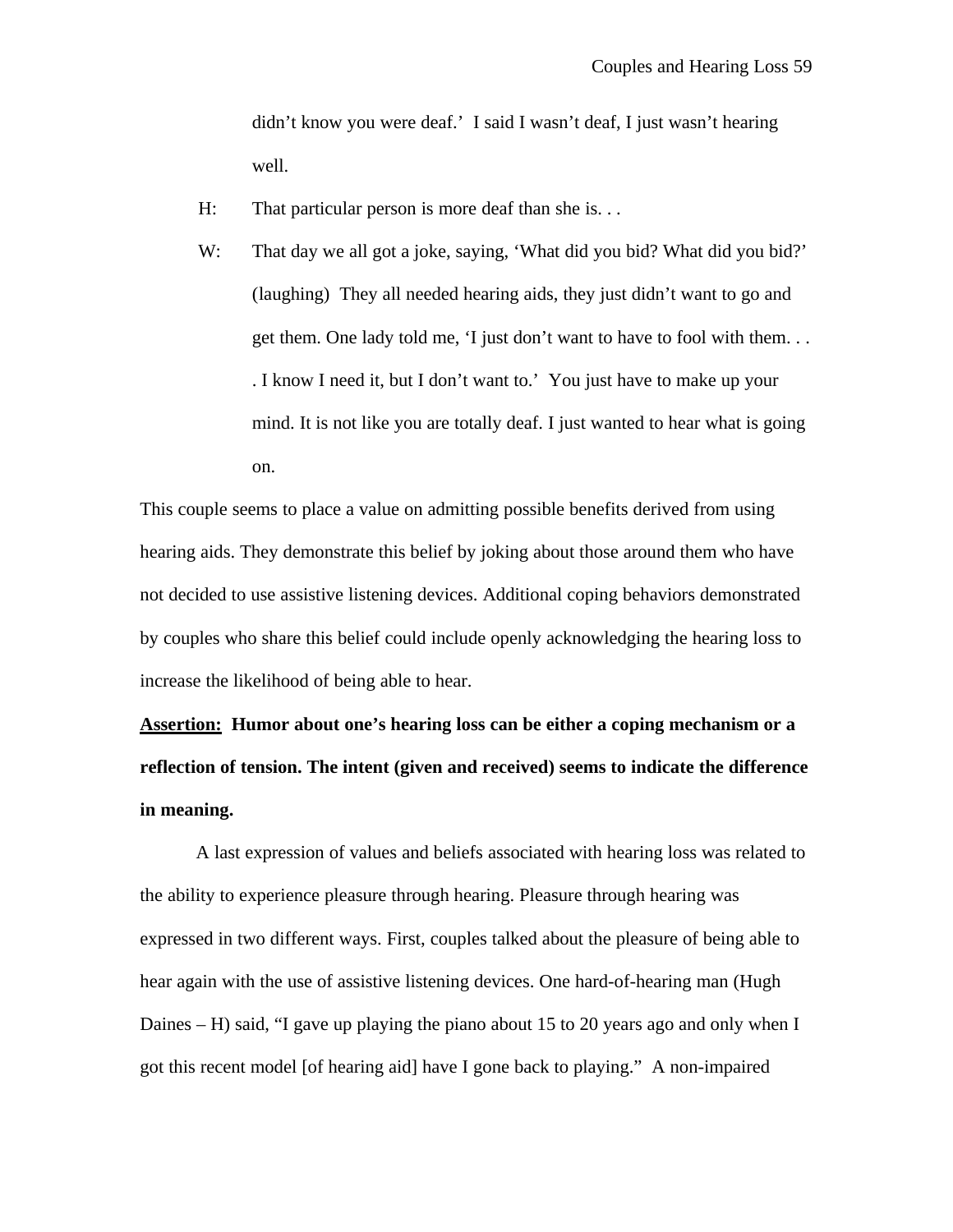didn't know you were deaf.' I said I wasn't deaf, I just wasn't hearing well.

- H: That particular person is more deaf than she is. . .
- W: That day we all got a joke, saying, 'What did you bid? What did you bid?' (laughing) They all needed hearing aids, they just didn't want to go and get them. One lady told me, 'I just don't want to have to fool with them. . . . I know I need it, but I don't want to.' You just have to make up your mind. It is not like you are totally deaf. I just wanted to hear what is going on.

This couple seems to place a value on admitting possible benefits derived from using hearing aids. They demonstrate this belief by joking about those around them who have not decided to use assistive listening devices. Additional coping behaviors demonstrated by couples who share this belief could include openly acknowledging the hearing loss to increase the likelihood of being able to hear.

**Assertion: Humor about one's hearing loss can be either a coping mechanism or a reflection of tension. The intent (given and received) seems to indicate the difference in meaning.**

A last expression of values and beliefs associated with hearing loss was related to the ability to experience pleasure through hearing. Pleasure through hearing was expressed in two different ways. First, couples talked about the pleasure of being able to hear again with the use of assistive listening devices. One hard-of-hearing man (Hugh Daines – H) said, "I gave up playing the piano about 15 to 20 years ago and only when I got this recent model [of hearing aid] have I gone back to playing." A non-impaired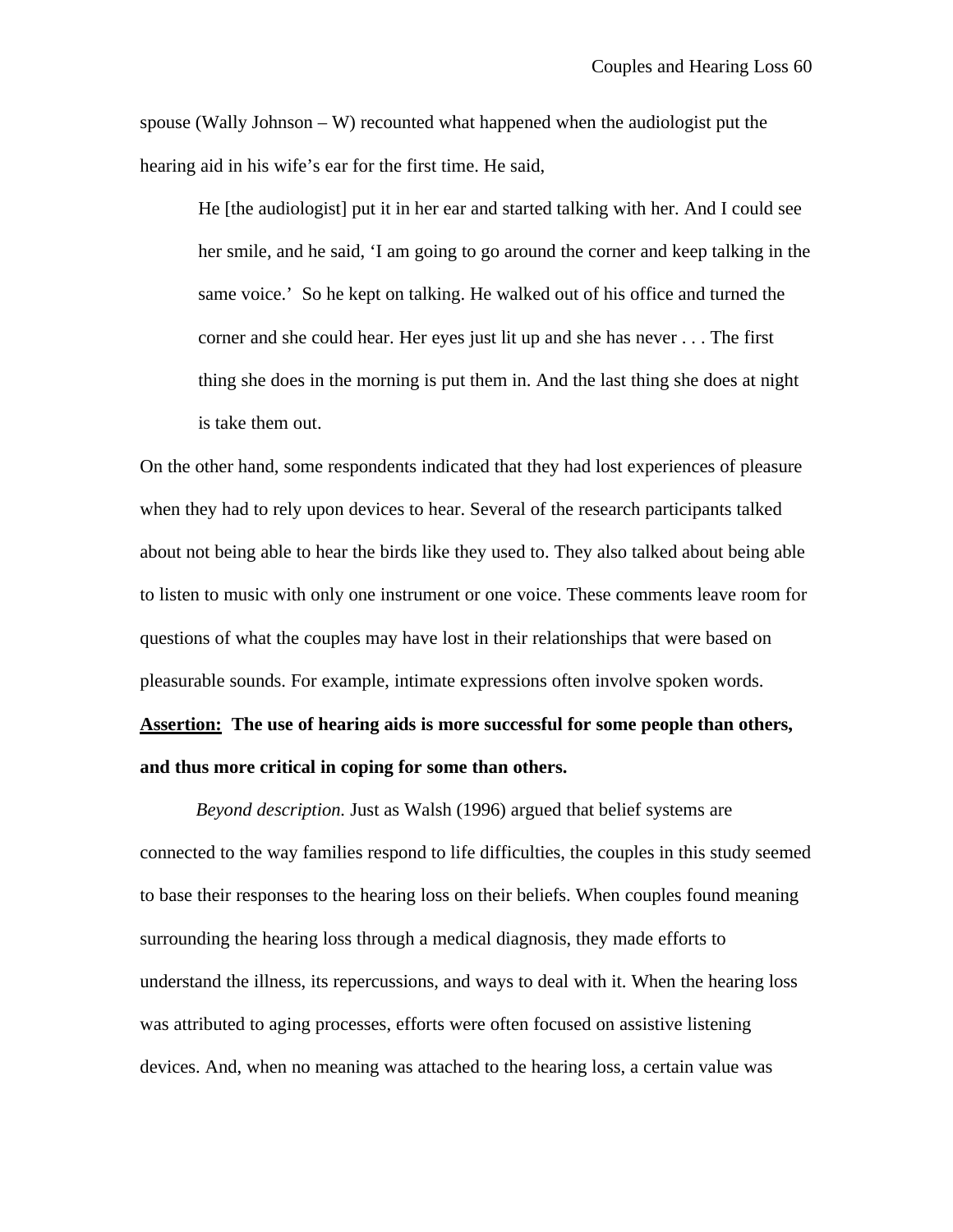spouse (Wally Johnson  $-W$ ) recounted what happened when the audiologist put the hearing aid in his wife's ear for the first time. He said,

He [the audiologist] put it in her ear and started talking with her. And I could see her smile, and he said, 'I am going to go around the corner and keep talking in the same voice.' So he kept on talking. He walked out of his office and turned the corner and she could hear. Her eyes just lit up and she has never . . . The first thing she does in the morning is put them in. And the last thing she does at night is take them out.

On the other hand, some respondents indicated that they had lost experiences of pleasure when they had to rely upon devices to hear. Several of the research participants talked about not being able to hear the birds like they used to. They also talked about being able to listen to music with only one instrument or one voice. These comments leave room for questions of what the couples may have lost in their relationships that were based on pleasurable sounds. For example, intimate expressions often involve spoken words. **Assertion: The use of hearing aids is more successful for some people than others,**

#### **and thus more critical in coping for some than others.**

*Beyond description.* Just as Walsh (1996) argued that belief systems are connected to the way families respond to life difficulties, the couples in this study seemed to base their responses to the hearing loss on their beliefs. When couples found meaning surrounding the hearing loss through a medical diagnosis, they made efforts to understand the illness, its repercussions, and ways to deal with it. When the hearing loss was attributed to aging processes, efforts were often focused on assistive listening devices. And, when no meaning was attached to the hearing loss, a certain value was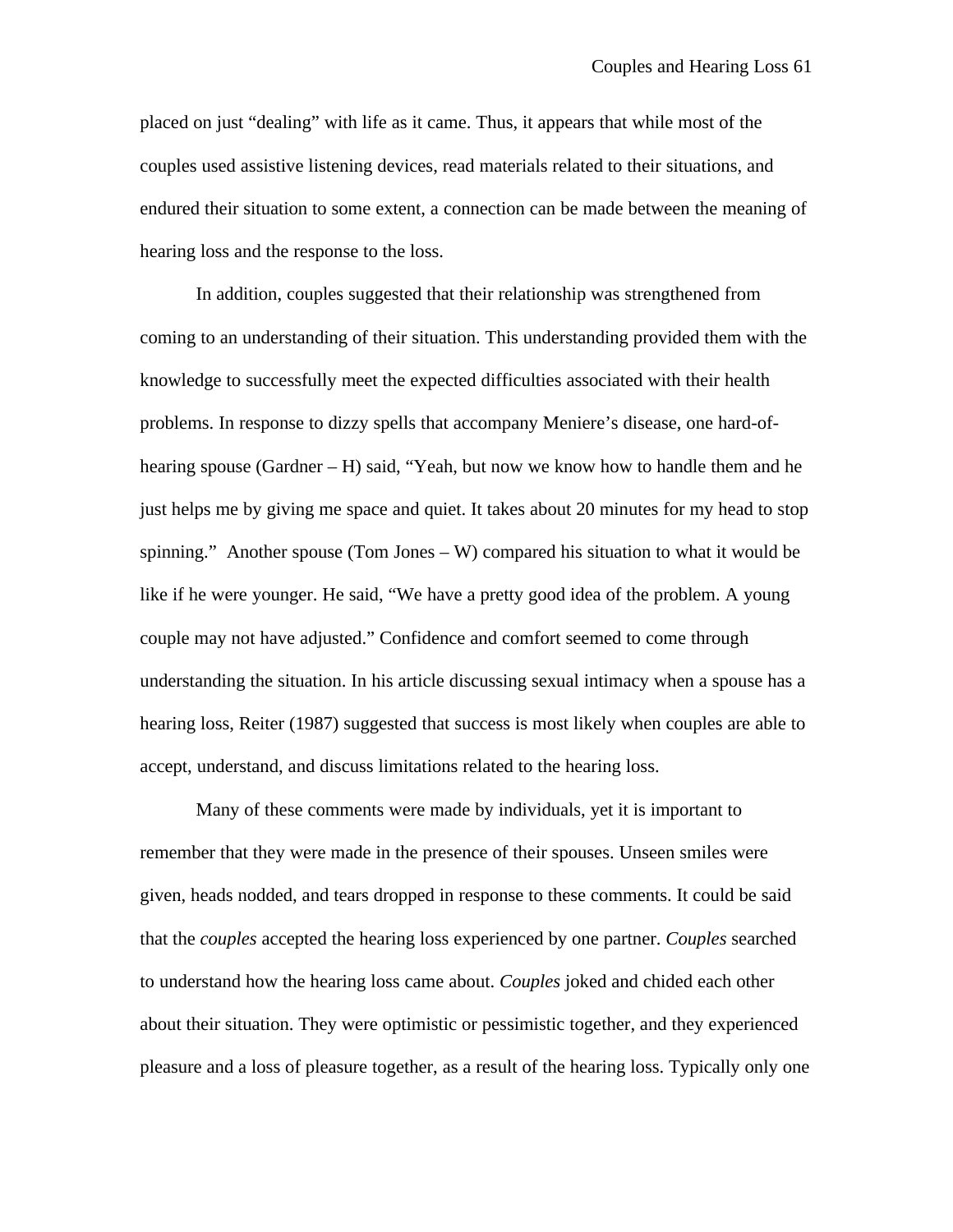placed on just "dealing" with life as it came. Thus, it appears that while most of the couples used assistive listening devices, read materials related to their situations, and endured their situation to some extent, a connection can be made between the meaning of hearing loss and the response to the loss.

In addition, couples suggested that their relationship was strengthened from coming to an understanding of their situation. This understanding provided them with the knowledge to successfully meet the expected difficulties associated with their health problems. In response to dizzy spells that accompany Meniere's disease, one hard-ofhearing spouse (Gardner – H) said, "Yeah, but now we know how to handle them and he just helps me by giving me space and quiet. It takes about 20 minutes for my head to stop spinning." Another spouse (Tom Jones – W) compared his situation to what it would be like if he were younger. He said, "We have a pretty good idea of the problem. A young couple may not have adjusted." Confidence and comfort seemed to come through understanding the situation. In his article discussing sexual intimacy when a spouse has a hearing loss, Reiter (1987) suggested that success is most likely when couples are able to accept, understand, and discuss limitations related to the hearing loss.

Many of these comments were made by individuals, yet it is important to remember that they were made in the presence of their spouses. Unseen smiles were given, heads nodded, and tears dropped in response to these comments. It could be said that the *couples* accepted the hearing loss experienced by one partner. *Couples* searched to understand how the hearing loss came about. *Couples* joked and chided each other about their situation. They were optimistic or pessimistic together, and they experienced pleasure and a loss of pleasure together, as a result of the hearing loss. Typically only one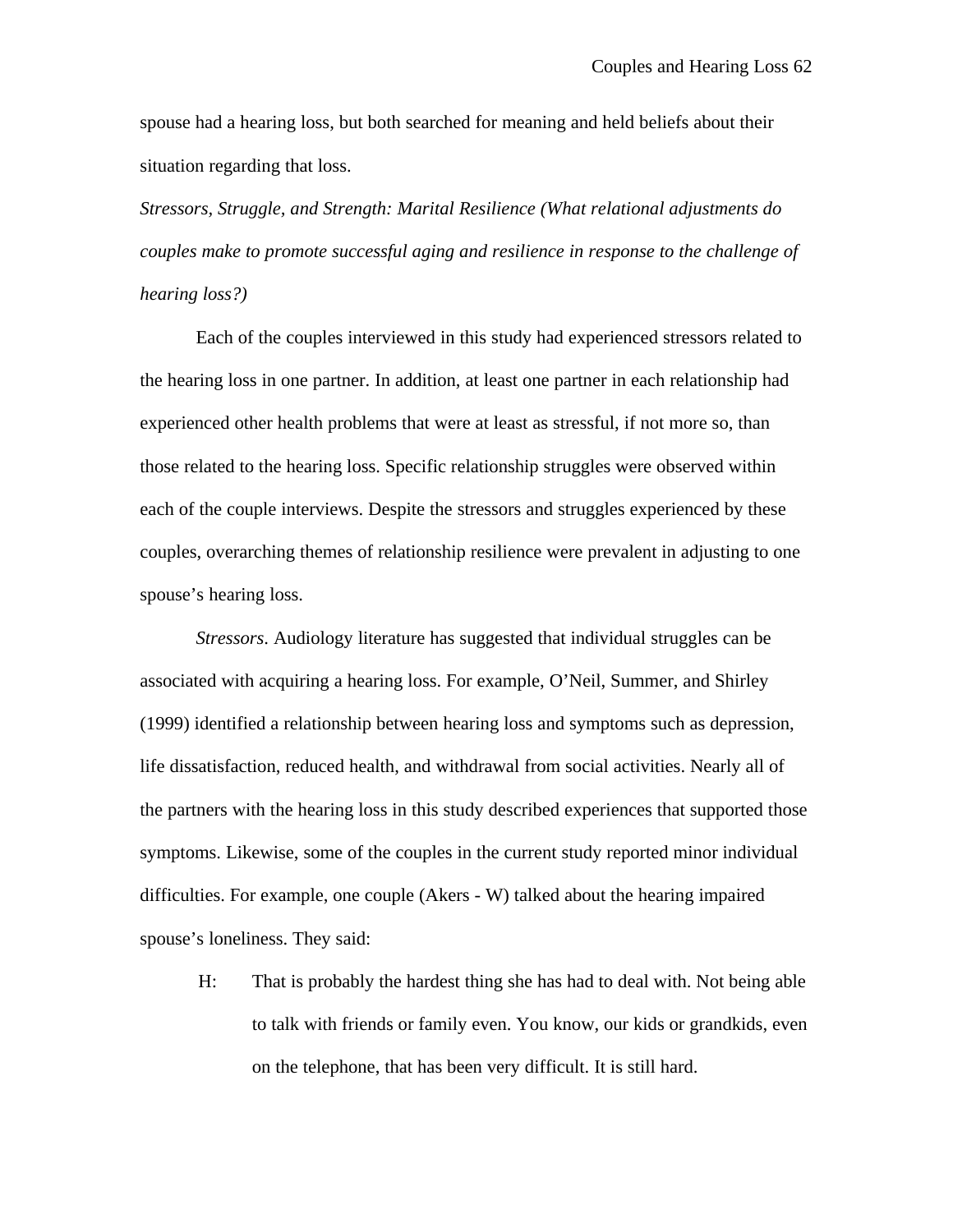spouse had a hearing loss, but both searched for meaning and held beliefs about their situation regarding that loss.

*Stressors, Struggle, and Strength: Marital Resilience (What relational adjustments do couples make to promote successful aging and resilience in response to the challenge of hearing loss?)*

Each of the couples interviewed in this study had experienced stressors related to the hearing loss in one partner. In addition, at least one partner in each relationship had experienced other health problems that were at least as stressful, if not more so, than those related to the hearing loss. Specific relationship struggles were observed within each of the couple interviews. Despite the stressors and struggles experienced by these couples, overarching themes of relationship resilience were prevalent in adjusting to one spouse's hearing loss.

*Stressors*. Audiology literature has suggested that individual struggles can be associated with acquiring a hearing loss. For example, O'Neil, Summer, and Shirley (1999) identified a relationship between hearing loss and symptoms such as depression, life dissatisfaction, reduced health, and withdrawal from social activities. Nearly all of the partners with the hearing loss in this study described experiences that supported those symptoms. Likewise, some of the couples in the current study reported minor individual difficulties. For example, one couple (Akers - W) talked about the hearing impaired spouse's loneliness. They said:

H: That is probably the hardest thing she has had to deal with. Not being able to talk with friends or family even. You know, our kids or grandkids, even on the telephone, that has been very difficult. It is still hard.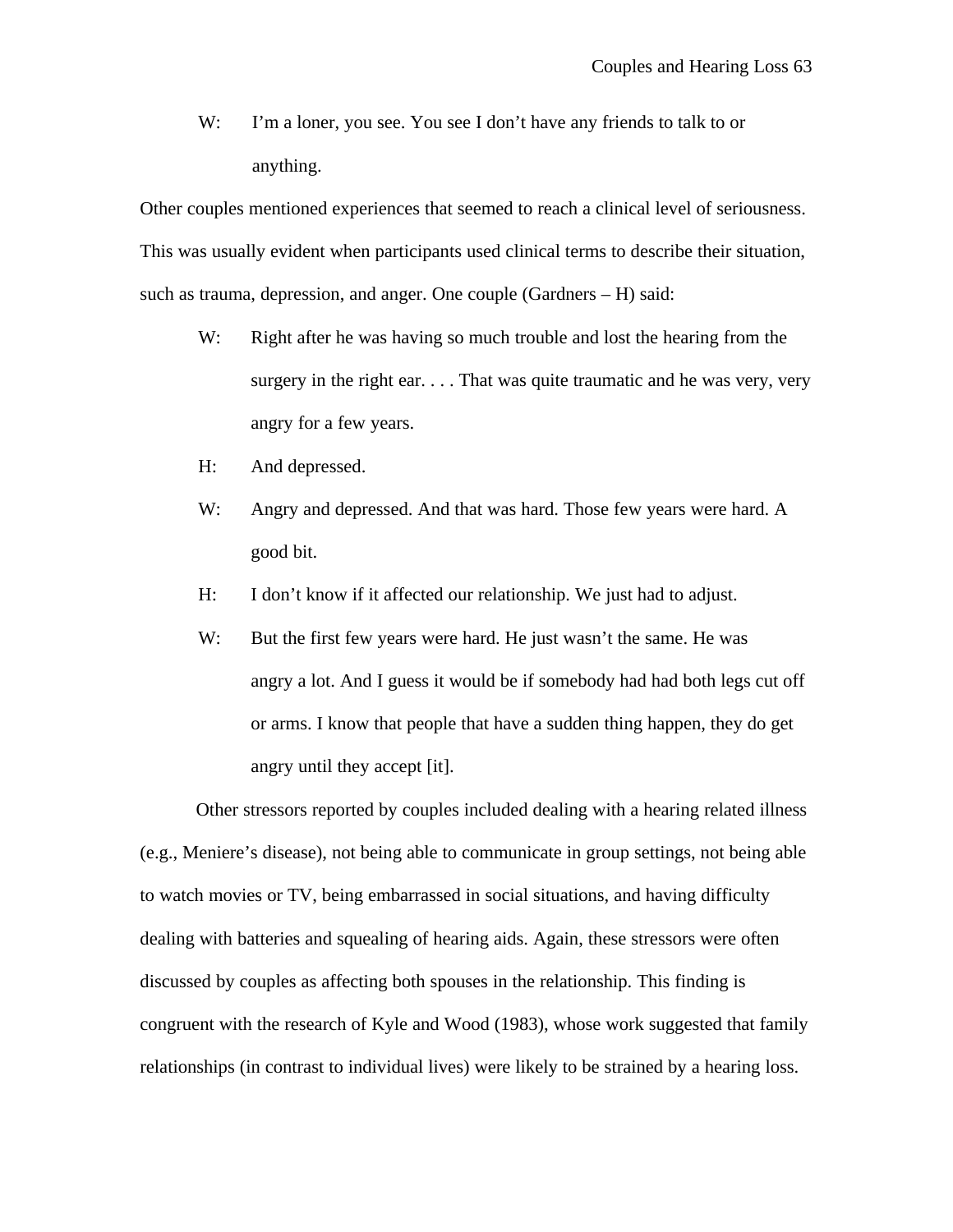W: I'm a loner, you see. You see I don't have any friends to talk to or anything.

Other couples mentioned experiences that seemed to reach a clinical level of seriousness. This was usually evident when participants used clinical terms to describe their situation, such as trauma, depression, and anger. One couple (Gardners – H) said:

- W: Right after he was having so much trouble and lost the hearing from the surgery in the right ear. . . . That was quite traumatic and he was very, very angry for a few years.
- H: And depressed.
- W: Angry and depressed. And that was hard. Those few years were hard. A good bit.
- H: I don't know if it affected our relationship. We just had to adjust.
- W: But the first few years were hard. He just wasn't the same. He was angry a lot. And I guess it would be if somebody had had both legs cut off or arms. I know that people that have a sudden thing happen, they do get angry until they accept [it].

Other stressors reported by couples included dealing with a hearing related illness (e.g., Meniere's disease), not being able to communicate in group settings, not being able to watch movies or TV, being embarrassed in social situations, and having difficulty dealing with batteries and squealing of hearing aids. Again, these stressors were often discussed by couples as affecting both spouses in the relationship. This finding is congruent with the research of Kyle and Wood (1983), whose work suggested that family relationships (in contrast to individual lives) were likely to be strained by a hearing loss.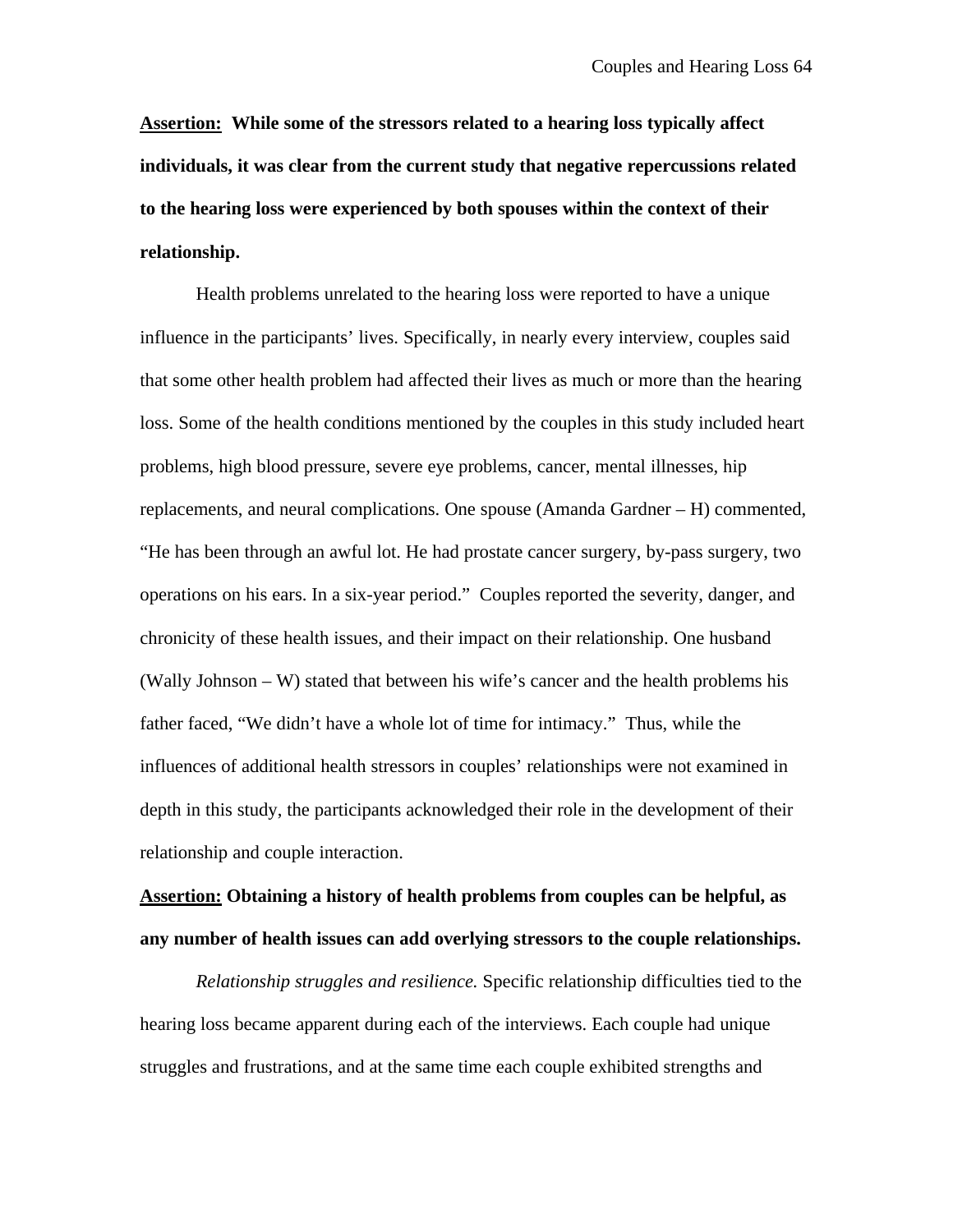**Assertion: While some of the stressors related to a hearing loss typically affect individuals, it was clear from the current study that negative repercussions related to the hearing loss were experienced by both spouses within the context of their relationship.**

Health problems unrelated to the hearing loss were reported to have a unique influence in the participants' lives. Specifically, in nearly every interview, couples said that some other health problem had affected their lives as much or more than the hearing loss. Some of the health conditions mentioned by the couples in this study included heart problems, high blood pressure, severe eye problems, cancer, mental illnesses, hip replacements, and neural complications. One spouse (Amanda Gardner – H) commented, "He has been through an awful lot. He had prostate cancer surgery, by-pass surgery, two operations on his ears. In a six-year period." Couples reported the severity, danger, and chronicity of these health issues, and their impact on their relationship. One husband (Wally Johnson – W) stated that between his wife's cancer and the health problems his father faced, "We didn't have a whole lot of time for intimacy." Thus, while the influences of additional health stressors in couples' relationships were not examined in depth in this study, the participants acknowledged their role in the development of their relationship and couple interaction.

**Assertion: Obtaining a history of health problems from couples can be helpful, as any number of health issues can add overlying stressors to the couple relationships.**

*Relationship struggles and resilience.* Specific relationship difficulties tied to the hearing loss became apparent during each of the interviews. Each couple had unique struggles and frustrations, and at the same time each couple exhibited strengths and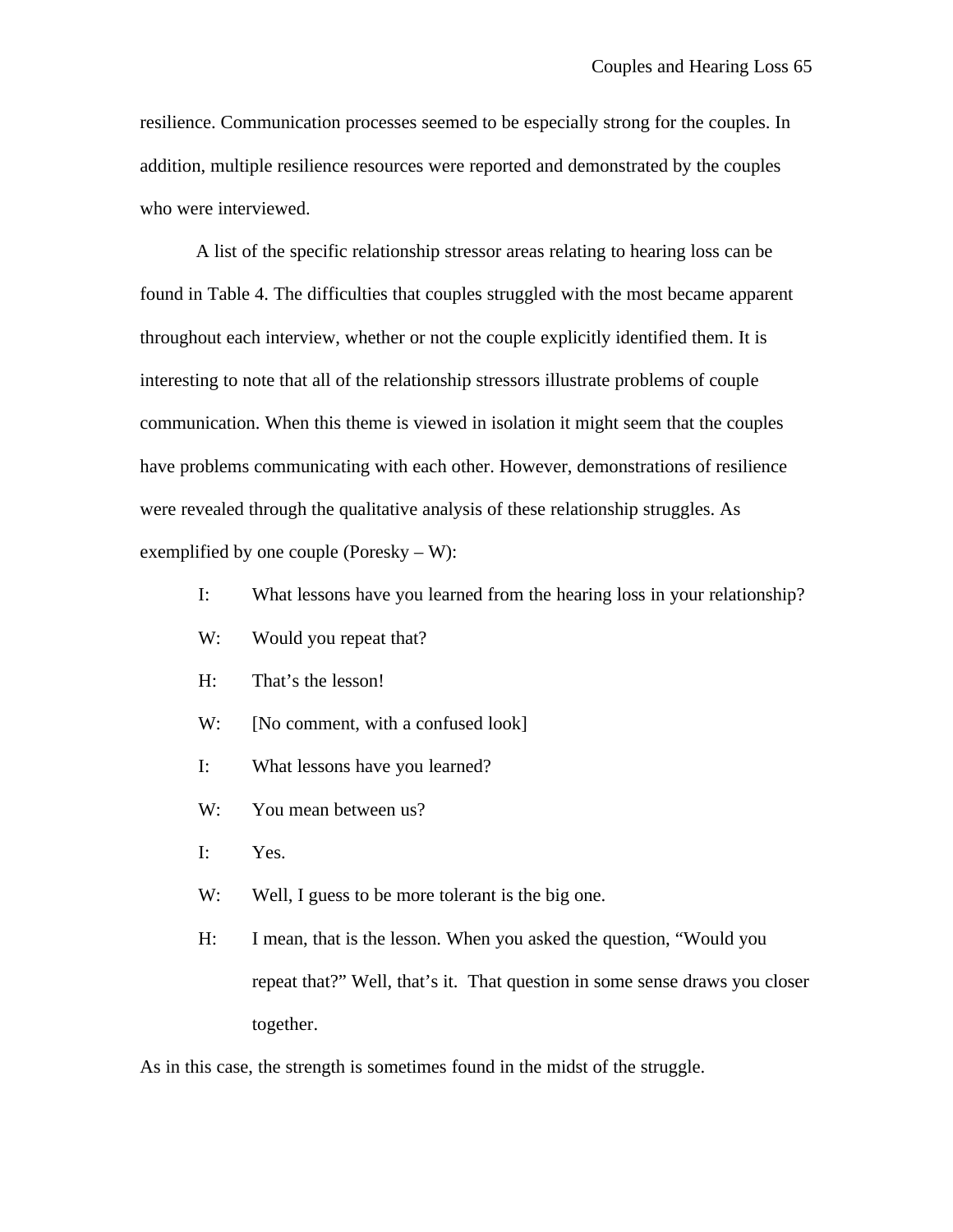resilience. Communication processes seemed to be especially strong for the couples. In addition, multiple resilience resources were reported and demonstrated by the couples who were interviewed.

A list of the specific relationship stressor areas relating to hearing loss can be found in Table 4. The difficulties that couples struggled with the most became apparent throughout each interview, whether or not the couple explicitly identified them. It is interesting to note that all of the relationship stressors illustrate problems of couple communication. When this theme is viewed in isolation it might seem that the couples have problems communicating with each other. However, demonstrations of resilience were revealed through the qualitative analysis of these relationship struggles. As exemplified by one couple (Poresky – W):

- I: What lessons have you learned from the hearing loss in your relationship?
- W: Would you repeat that?
- H: That's the lesson!
- W: [No comment, with a confused look]
- I: What lessons have you learned?
- W: You mean between us?
- I: Yes.
- W: Well, I guess to be more tolerant is the big one.
- H: I mean, that is the lesson. When you asked the question, "Would you repeat that?" Well, that's it. That question in some sense draws you closer together.

As in this case, the strength is sometimes found in the midst of the struggle.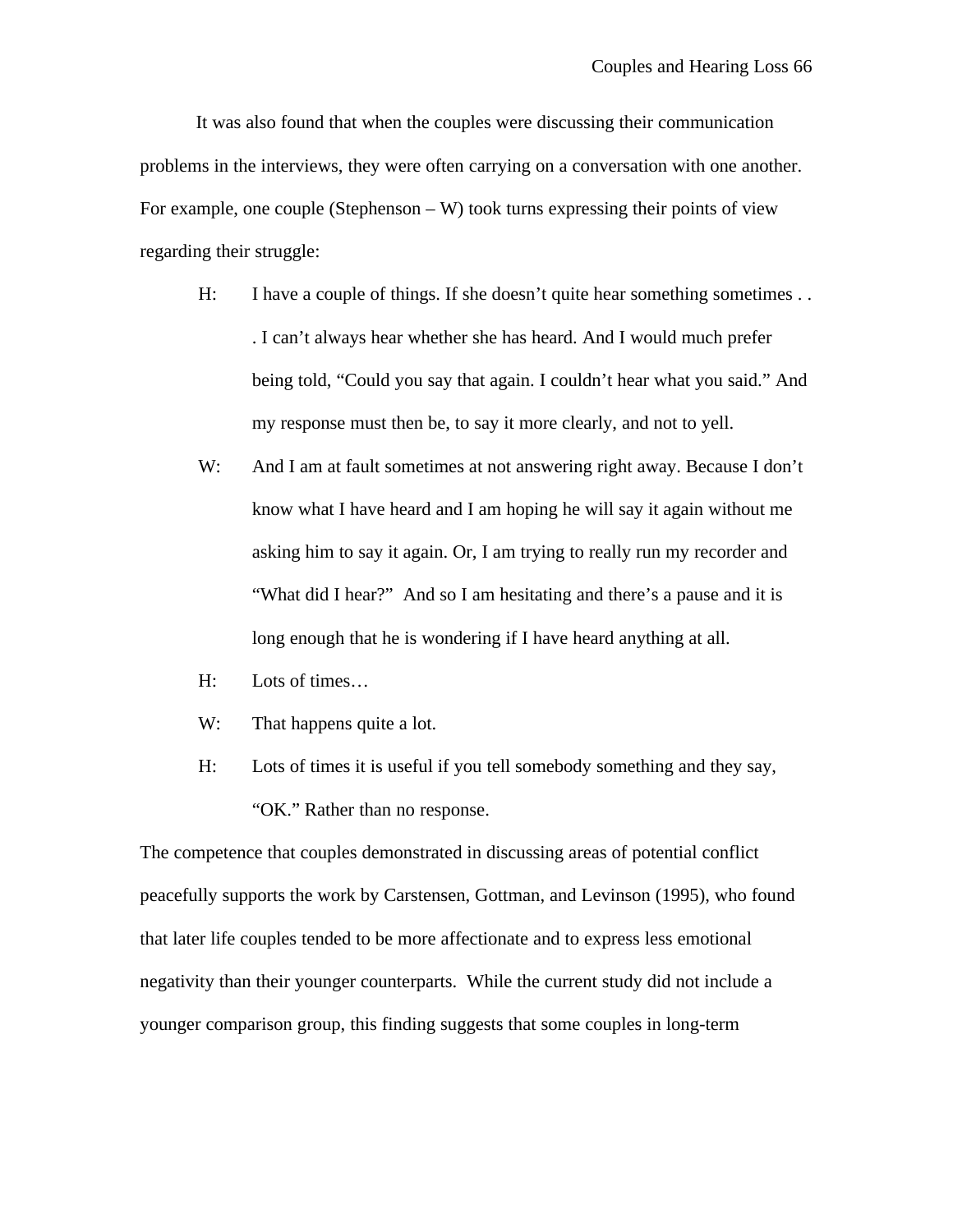It was also found that when the couples were discussing their communication problems in the interviews, they were often carrying on a conversation with one another. For example, one couple (Stephenson – W) took turns expressing their points of view regarding their struggle:

- H: I have a couple of things. If she doesn't quite hear something sometimes . . . I can't always hear whether she has heard. And I would much prefer being told, "Could you say that again. I couldn't hear what you said." And my response must then be, to say it more clearly, and not to yell.
- W: And I am at fault sometimes at not answering right away. Because I don't know what I have heard and I am hoping he will say it again without me asking him to say it again. Or, I am trying to really run my recorder and "What did I hear?" And so I am hesitating and there's a pause and it is long enough that he is wondering if I have heard anything at all.
- H: Lots of times…
- W: That happens quite a lot.
- H: Lots of times it is useful if you tell somebody something and they say, "OK." Rather than no response.

The competence that couples demonstrated in discussing areas of potential conflict peacefully supports the work by Carstensen, Gottman, and Levinson (1995), who found that later life couples tended to be more affectionate and to express less emotional negativity than their younger counterparts. While the current study did not include a younger comparison group, this finding suggests that some couples in long-term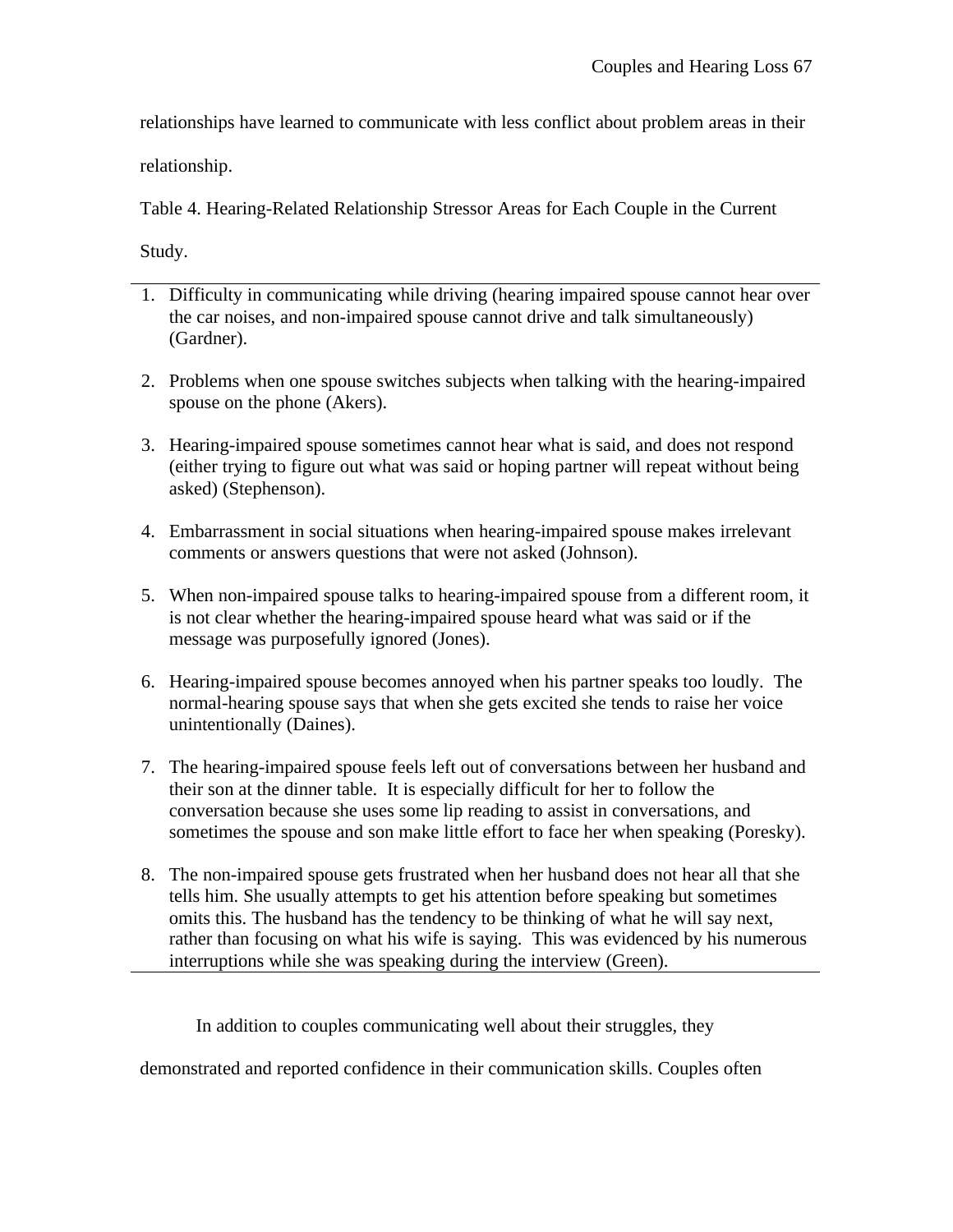relationships have learned to communicate with less conflict about problem areas in their

relationship.

Table 4. Hearing-Related Relationship Stressor Areas for Each Couple in the Current

Study.

- 1. Difficulty in communicating while driving (hearing impaired spouse cannot hear over the car noises, and non-impaired spouse cannot drive and talk simultaneously) (Gardner).
- 2. Problems when one spouse switches subjects when talking with the hearing-impaired spouse on the phone (Akers).
- 3. Hearing-impaired spouse sometimes cannot hear what is said, and does not respond (either trying to figure out what was said or hoping partner will repeat without being asked) (Stephenson).
- 4. Embarrassment in social situations when hearing-impaired spouse makes irrelevant comments or answers questions that were not asked (Johnson).
- 5. When non-impaired spouse talks to hearing-impaired spouse from a different room, it is not clear whether the hearing-impaired spouse heard what was said or if the message was purposefully ignored (Jones).
- 6. Hearing-impaired spouse becomes annoyed when his partner speaks too loudly. The normal-hearing spouse says that when she gets excited she tends to raise her voice unintentionally (Daines).
- 7. The hearing-impaired spouse feels left out of conversations between her husband and their son at the dinner table. It is especially difficult for her to follow the conversation because she uses some lip reading to assist in conversations, and sometimes the spouse and son make little effort to face her when speaking (Poresky).
- 8. The non-impaired spouse gets frustrated when her husband does not hear all that she tells him. She usually attempts to get his attention before speaking but sometimes omits this. The husband has the tendency to be thinking of what he will say next, rather than focusing on what his wife is saying. This was evidenced by his numerous interruptions while she was speaking during the interview (Green).

In addition to couples communicating well about their struggles, they

demonstrated and reported confidence in their communication skills. Couples often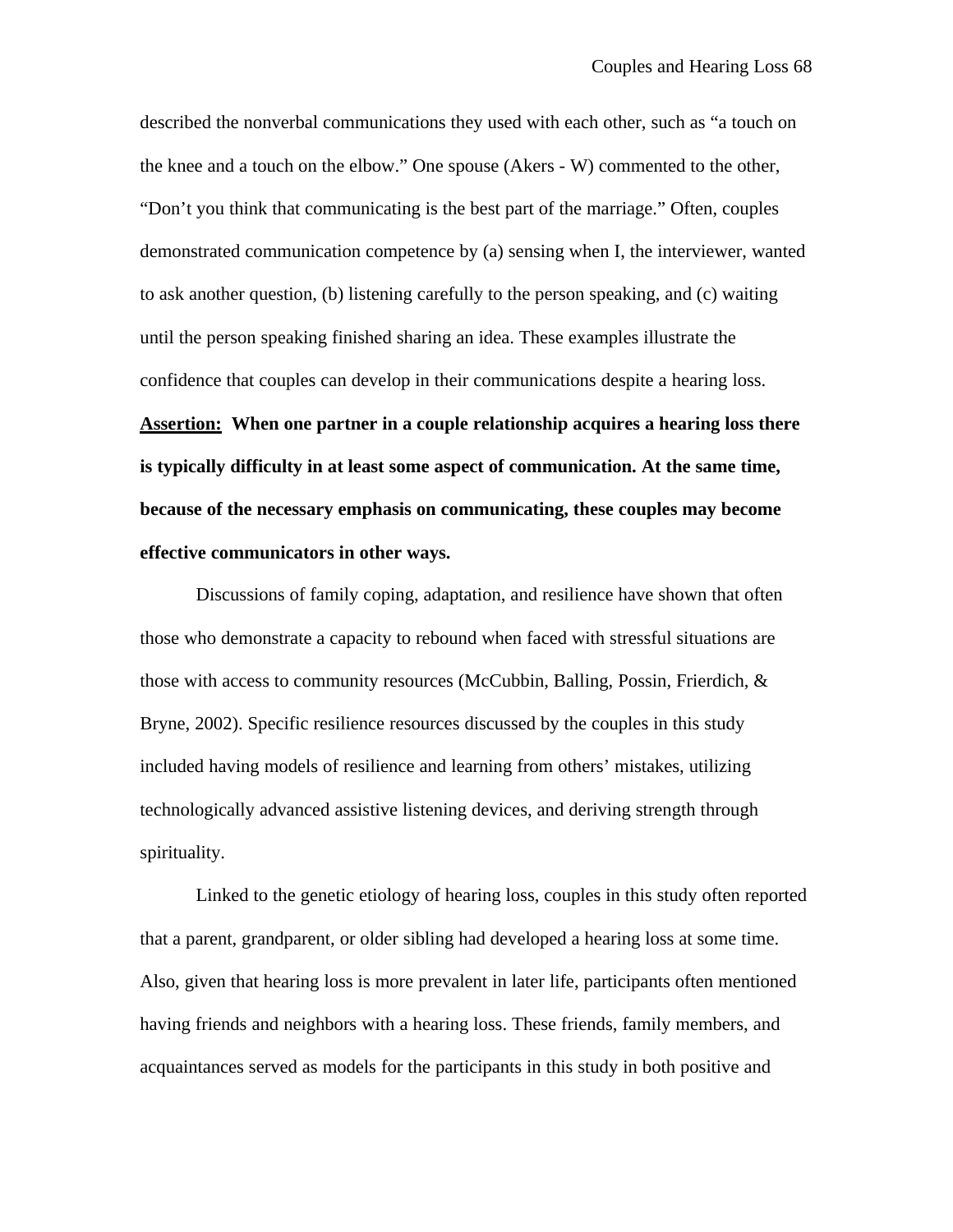described the nonverbal communications they used with each other, such as "a touch on the knee and a touch on the elbow." One spouse (Akers - W) commented to the other, "Don't you think that communicating is the best part of the marriage." Often, couples demonstrated communication competence by (a) sensing when I, the interviewer, wanted to ask another question, (b) listening carefully to the person speaking, and (c) waiting until the person speaking finished sharing an idea. These examples illustrate the confidence that couples can develop in their communications despite a hearing loss. **Assertion: When one partner in a couple relationship acquires a hearing loss there is typically difficulty in at least some aspect of communication. At the same time, because of the necessary emphasis on communicating, these couples may become effective communicators in other ways.**

Discussions of family coping, adaptation, and resilience have shown that often those who demonstrate a capacity to rebound when faced with stressful situations are those with access to community resources (McCubbin, Balling, Possin, Frierdich, & Bryne, 2002). Specific resilience resources discussed by the couples in this study included having models of resilience and learning from others' mistakes, utilizing technologically advanced assistive listening devices, and deriving strength through spirituality.

Linked to the genetic etiology of hearing loss, couples in this study often reported that a parent, grandparent, or older sibling had developed a hearing loss at some time. Also, given that hearing loss is more prevalent in later life, participants often mentioned having friends and neighbors with a hearing loss. These friends, family members, and acquaintances served as models for the participants in this study in both positive and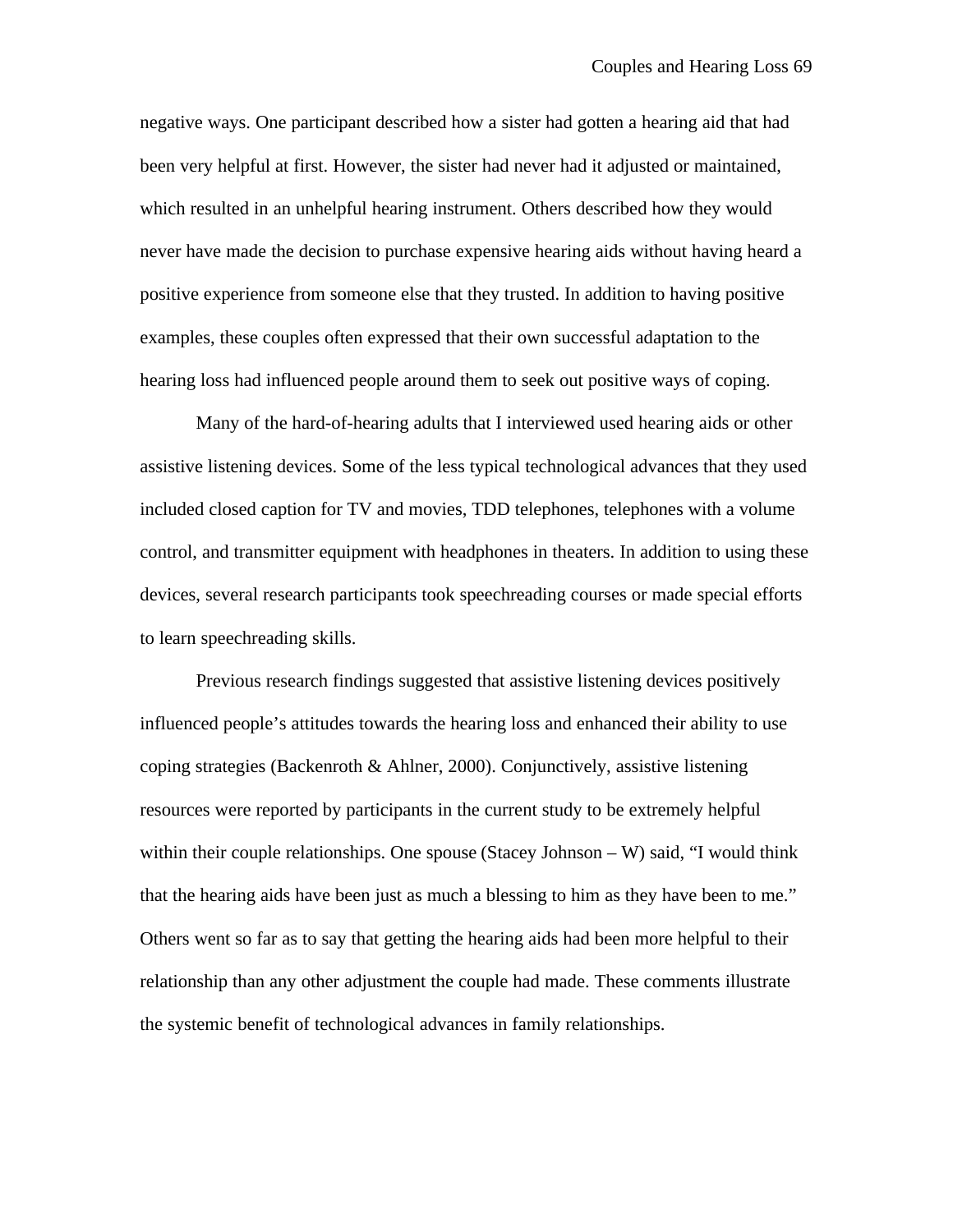negative ways. One participant described how a sister had gotten a hearing aid that had been very helpful at first. However, the sister had never had it adjusted or maintained, which resulted in an unhelpful hearing instrument. Others described how they would never have made the decision to purchase expensive hearing aids without having heard a positive experience from someone else that they trusted. In addition to having positive examples, these couples often expressed that their own successful adaptation to the hearing loss had influenced people around them to seek out positive ways of coping.

Many of the hard-of-hearing adults that I interviewed used hearing aids or other assistive listening devices. Some of the less typical technological advances that they used included closed caption for TV and movies, TDD telephones, telephones with a volume control, and transmitter equipment with headphones in theaters. In addition to using these devices, several research participants took speechreading courses or made special efforts to learn speechreading skills.

Previous research findings suggested that assistive listening devices positively influenced people's attitudes towards the hearing loss and enhanced their ability to use coping strategies (Backenroth & Ahlner, 2000). Conjunctively, assistive listening resources were reported by participants in the current study to be extremely helpful within their couple relationships. One spouse (Stacey Johnson – W) said, "I would think that the hearing aids have been just as much a blessing to him as they have been to me." Others went so far as to say that getting the hearing aids had been more helpful to their relationship than any other adjustment the couple had made. These comments illustrate the systemic benefit of technological advances in family relationships.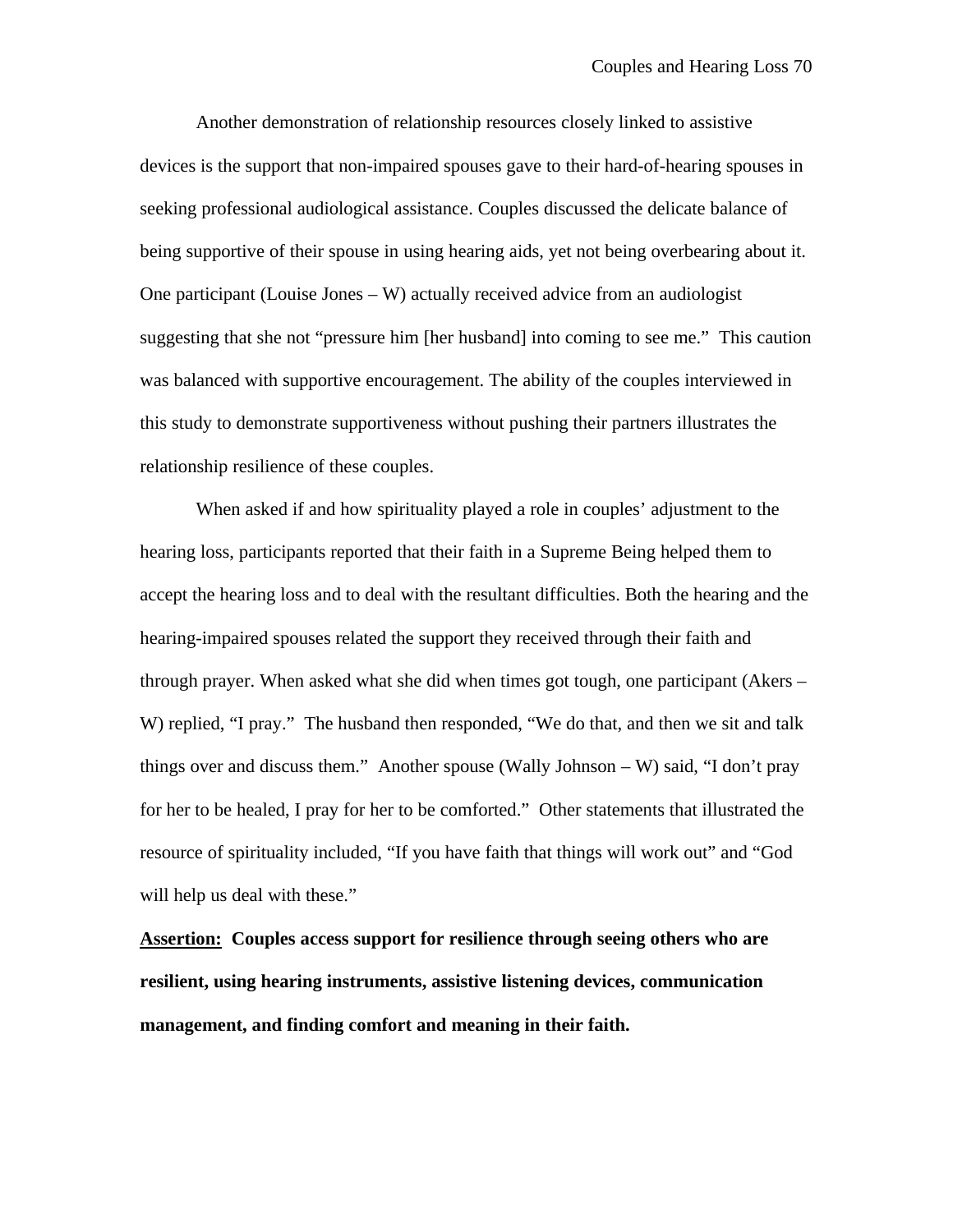Another demonstration of relationship resources closely linked to assistive devices is the support that non-impaired spouses gave to their hard-of-hearing spouses in seeking professional audiological assistance. Couples discussed the delicate balance of being supportive of their spouse in using hearing aids, yet not being overbearing about it. One participant (Louise Jones – W) actually received advice from an audiologist suggesting that she not "pressure him [her husband] into coming to see me." This caution was balanced with supportive encouragement. The ability of the couples interviewed in this study to demonstrate supportiveness without pushing their partners illustrates the relationship resilience of these couples.

When asked if and how spirituality played a role in couples' adjustment to the hearing loss, participants reported that their faith in a Supreme Being helped them to accept the hearing loss and to deal with the resultant difficulties. Both the hearing and the hearing-impaired spouses related the support they received through their faith and through prayer. When asked what she did when times got tough, one participant (Akers – W) replied, "I pray." The husband then responded, "We do that, and then we sit and talk things over and discuss them." Another spouse (Wally Johnson – W) said, "I don't pray for her to be healed, I pray for her to be comforted." Other statements that illustrated the resource of spirituality included, "If you have faith that things will work out" and "God will help us deal with these."

**Assertion: Couples access support for resilience through seeing others who are resilient, using hearing instruments, assistive listening devices, communication management, and finding comfort and meaning in their faith.**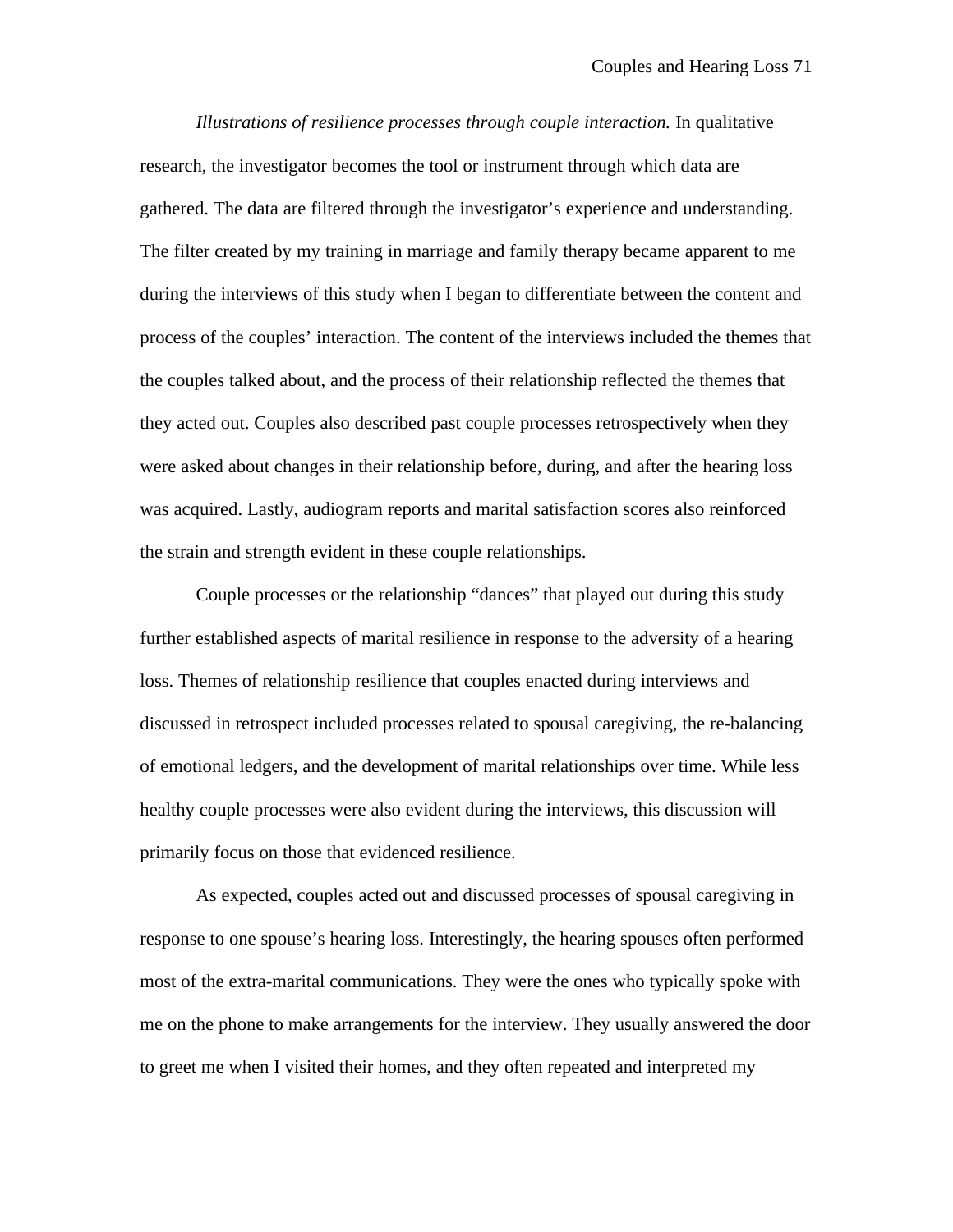*Illustrations of resilience processes through couple interaction.* In qualitative research, the investigator becomes the tool or instrument through which data are gathered. The data are filtered through the investigator's experience and understanding. The filter created by my training in marriage and family therapy became apparent to me during the interviews of this study when I began to differentiate between the content and process of the couples' interaction. The content of the interviews included the themes that the couples talked about, and the process of their relationship reflected the themes that they acted out. Couples also described past couple processes retrospectively when they were asked about changes in their relationship before, during, and after the hearing loss was acquired. Lastly, audiogram reports and marital satisfaction scores also reinforced the strain and strength evident in these couple relationships.

Couple processes or the relationship "dances" that played out during this study further established aspects of marital resilience in response to the adversity of a hearing loss. Themes of relationship resilience that couples enacted during interviews and discussed in retrospect included processes related to spousal caregiving, the re-balancing of emotional ledgers, and the development of marital relationships over time. While less healthy couple processes were also evident during the interviews, this discussion will primarily focus on those that evidenced resilience.

As expected, couples acted out and discussed processes of spousal caregiving in response to one spouse's hearing loss. Interestingly, the hearing spouses often performed most of the extra-marital communications. They were the ones who typically spoke with me on the phone to make arrangements for the interview. They usually answered the door to greet me when I visited their homes, and they often repeated and interpreted my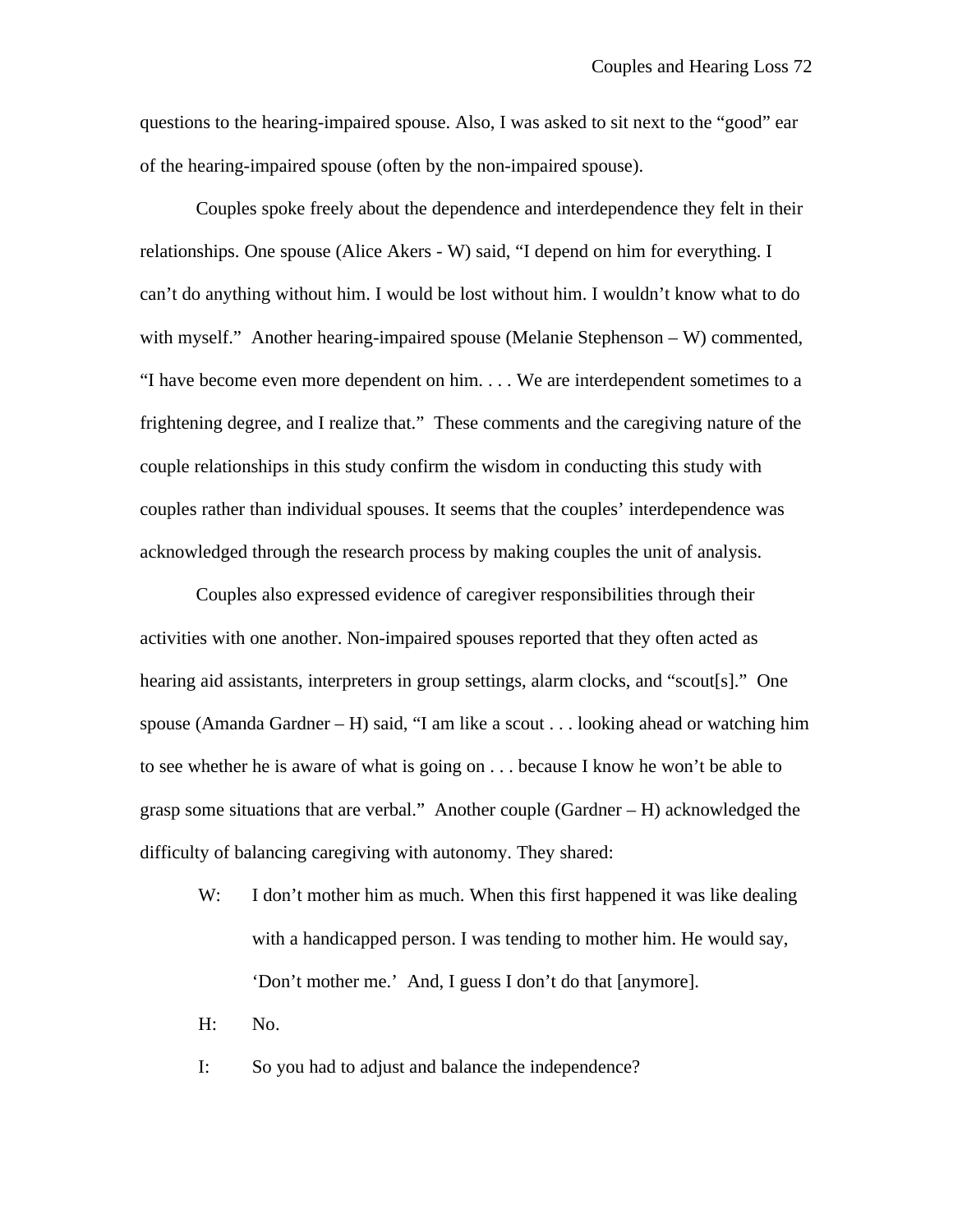questions to the hearing-impaired spouse. Also, I was asked to sit next to the "good" ear of the hearing-impaired spouse (often by the non-impaired spouse).

Couples spoke freely about the dependence and interdependence they felt in their relationships. One spouse (Alice Akers - W) said, "I depend on him for everything. I can't do anything without him. I would be lost without him. I wouldn't know what to do with myself." Another hearing-impaired spouse (Melanie Stephenson – W) commented, "I have become even more dependent on him. . . . We are interdependent sometimes to a frightening degree, and I realize that." These comments and the caregiving nature of the couple relationships in this study confirm the wisdom in conducting this study with couples rather than individual spouses. It seems that the couples' interdependence was acknowledged through the research process by making couples the unit of analysis.

Couples also expressed evidence of caregiver responsibilities through their activities with one another. Non-impaired spouses reported that they often acted as hearing aid assistants, interpreters in group settings, alarm clocks, and "scout[s]." One spouse (Amanda Gardner – H) said, "I am like a scout  $\ldots$  looking ahead or watching him to see whether he is aware of what is going on . . . because I know he won't be able to grasp some situations that are verbal." Another couple (Gardner – H) acknowledged the difficulty of balancing caregiving with autonomy. They shared:

- W: I don't mother him as much. When this first happened it was like dealing with a handicapped person. I was tending to mother him. He would say, 'Don't mother me.' And, I guess I don't do that [anymore].
- H: No.
- I: So you had to adjust and balance the independence?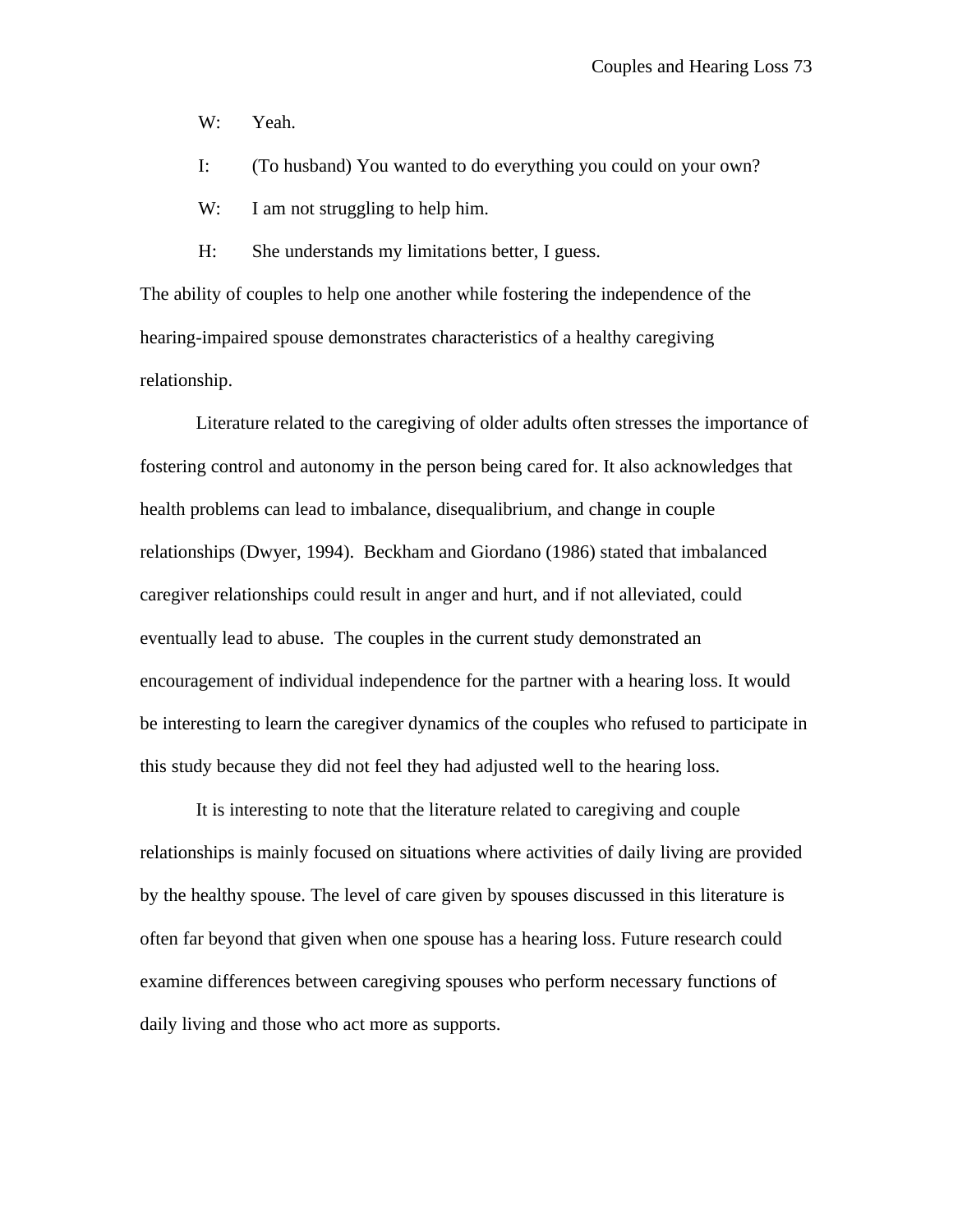W: Yeah.

I: (To husband) You wanted to do everything you could on your own?

W: I am not struggling to help him.

H: She understands my limitations better, I guess.

The ability of couples to help one another while fostering the independence of the hearing-impaired spouse demonstrates characteristics of a healthy caregiving relationship.

Literature related to the caregiving of older adults often stresses the importance of fostering control and autonomy in the person being cared for. It also acknowledges that health problems can lead to imbalance, disequalibrium, and change in couple relationships (Dwyer, 1994). Beckham and Giordano (1986) stated that imbalanced caregiver relationships could result in anger and hurt, and if not alleviated, could eventually lead to abuse. The couples in the current study demonstrated an encouragement of individual independence for the partner with a hearing loss. It would be interesting to learn the caregiver dynamics of the couples who refused to participate in this study because they did not feel they had adjusted well to the hearing loss.

It is interesting to note that the literature related to caregiving and couple relationships is mainly focused on situations where activities of daily living are provided by the healthy spouse. The level of care given by spouses discussed in this literature is often far beyond that given when one spouse has a hearing loss. Future research could examine differences between caregiving spouses who perform necessary functions of daily living and those who act more as supports.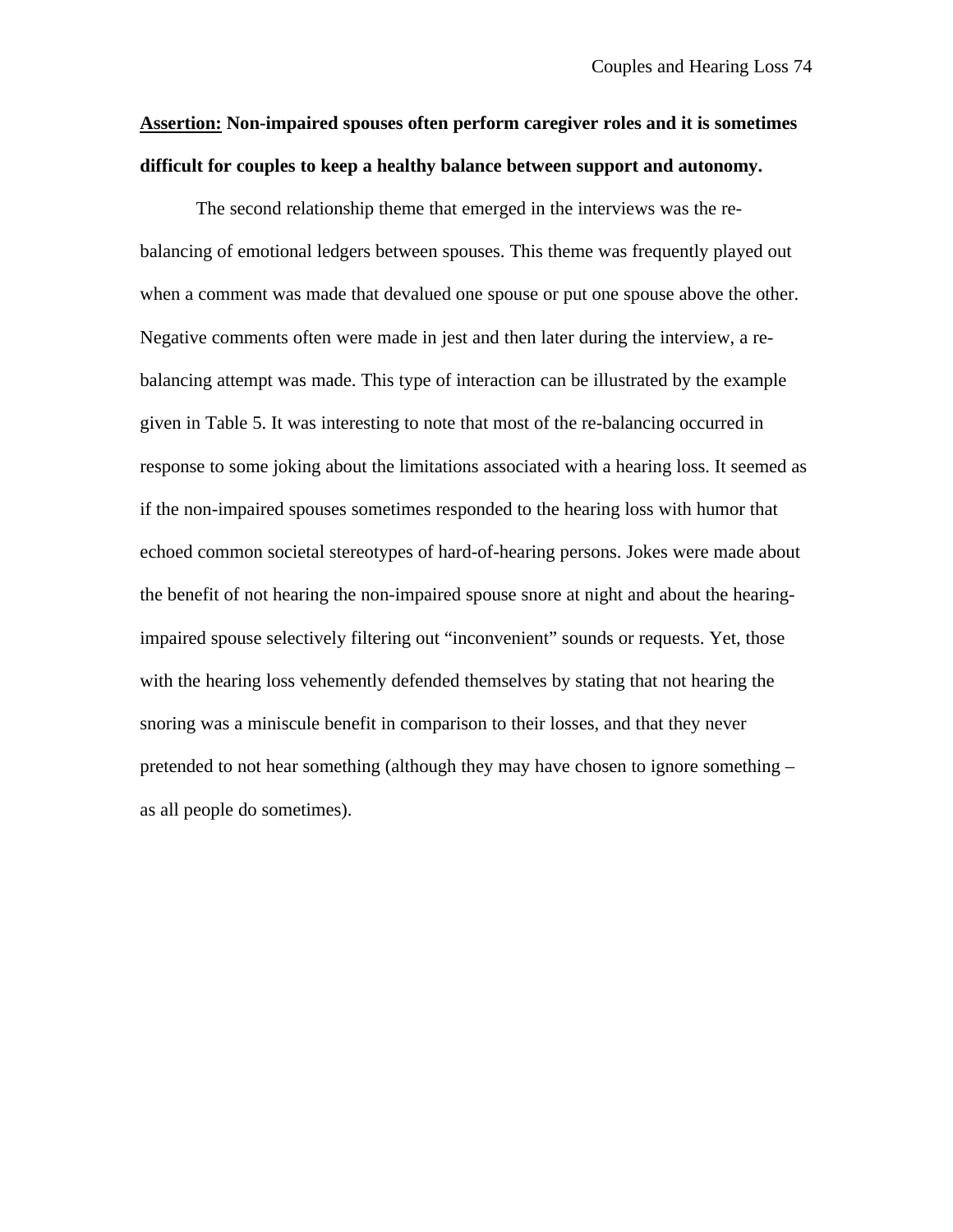## **Assertion: Non-impaired spouses often perform caregiver roles and it is sometimes difficult for couples to keep a healthy balance between support and autonomy.**

The second relationship theme that emerged in the interviews was the rebalancing of emotional ledgers between spouses. This theme was frequently played out when a comment was made that devalued one spouse or put one spouse above the other. Negative comments often were made in jest and then later during the interview, a rebalancing attempt was made. This type of interaction can be illustrated by the example given in Table 5. It was interesting to note that most of the re-balancing occurred in response to some joking about the limitations associated with a hearing loss. It seemed as if the non-impaired spouses sometimes responded to the hearing loss with humor that echoed common societal stereotypes of hard-of-hearing persons. Jokes were made about the benefit of not hearing the non-impaired spouse snore at night and about the hearingimpaired spouse selectively filtering out "inconvenient" sounds or requests. Yet, those with the hearing loss vehemently defended themselves by stating that not hearing the snoring was a miniscule benefit in comparison to their losses, and that they never pretended to not hear something (although they may have chosen to ignore something – as all people do sometimes).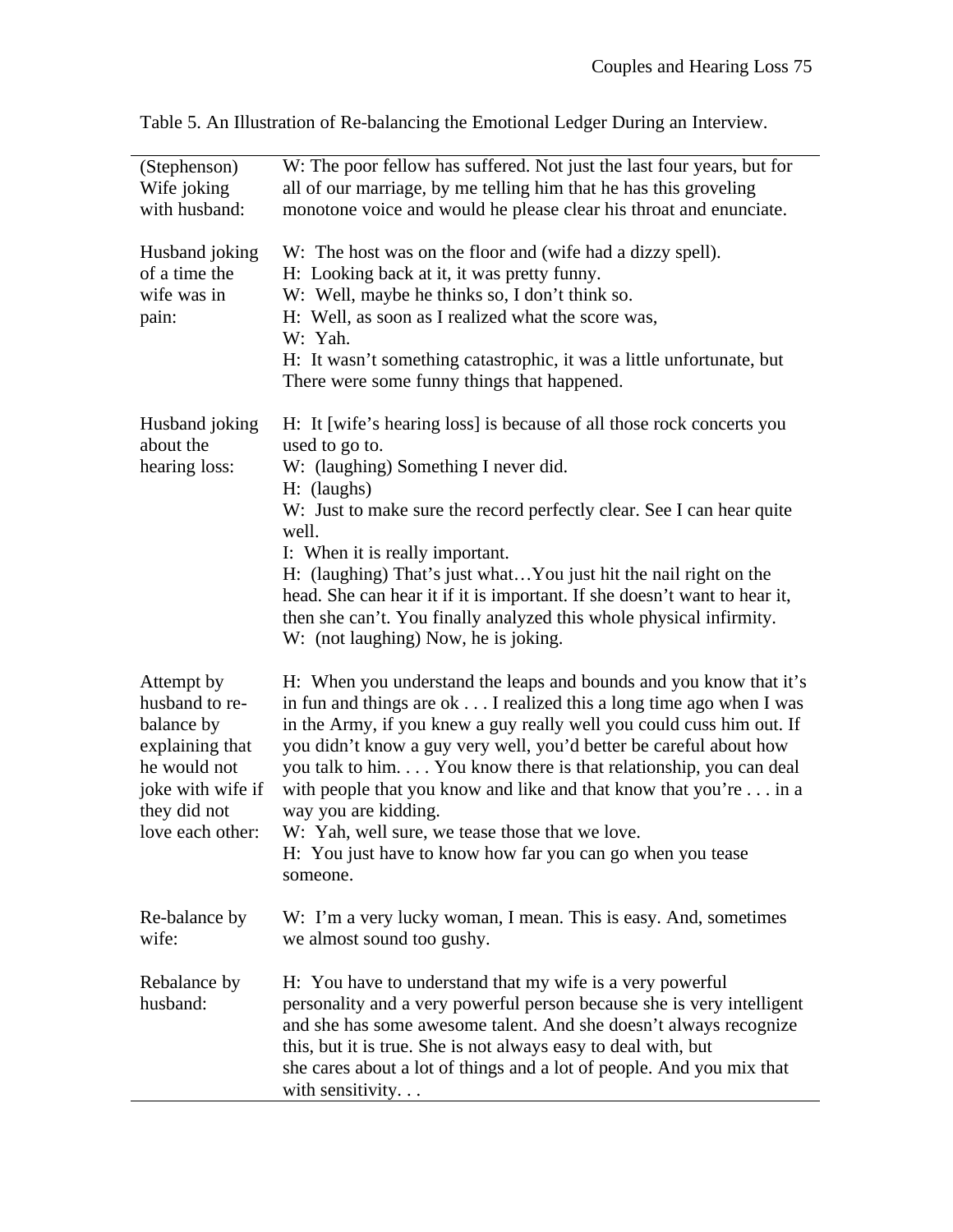| (Stephenson)<br>Wife joking<br>with husband:                                                                                           | W: The poor fellow has suffered. Not just the last four years, but for<br>all of our marriage, by me telling him that he has this groveling<br>monotone voice and would he please clear his throat and enunciate.                                                                                                                                                                                                                                                                                                                                                                        |
|----------------------------------------------------------------------------------------------------------------------------------------|------------------------------------------------------------------------------------------------------------------------------------------------------------------------------------------------------------------------------------------------------------------------------------------------------------------------------------------------------------------------------------------------------------------------------------------------------------------------------------------------------------------------------------------------------------------------------------------|
| Husband joking<br>of a time the<br>wife was in<br>pain:                                                                                | W: The host was on the floor and (wife had a dizzy spell).<br>H: Looking back at it, it was pretty funny.<br>W: Well, maybe he thinks so, I don't think so.<br>H: Well, as soon as I realized what the score was,<br>W: Yah.<br>H: It wasn't something catastrophic, it was a little unfortunate, but<br>There were some funny things that happened.                                                                                                                                                                                                                                     |
| Husband joking<br>about the<br>hearing loss:                                                                                           | H: It [wife's hearing loss] is because of all those rock concerts you<br>used to go to.<br>W: (laughing) Something I never did.<br>H: (laughs)<br>W: Just to make sure the record perfectly clear. See I can hear quite<br>well.<br>I: When it is really important.<br>H: (laughing) That's just whatYou just hit the nail right on the<br>head. She can hear it if it is important. If she doesn't want to hear it,<br>then she can't. You finally analyzed this whole physical infirmity.<br>W: (not laughing) Now, he is joking.                                                      |
| Attempt by<br>husband to re-<br>balance by<br>explaining that<br>he would not<br>joke with wife if<br>they did not<br>love each other: | H: When you understand the leaps and bounds and you know that it's<br>in fun and things are ok I realized this a long time ago when I was<br>in the Army, if you knew a guy really well you could cuss him out. If<br>you didn't know a guy very well, you'd better be careful about how<br>you talk to him. You know there is that relationship, you can deal<br>with people that you know and like and that know that you're in a<br>way you are kidding.<br>W: Yah, well sure, we tease those that we love.<br>H: You just have to know how far you can go when you tease<br>someone. |
| Re-balance by<br>wife:                                                                                                                 | W: I'm a very lucky woman, I mean. This is easy. And, sometimes<br>we almost sound too gushy.                                                                                                                                                                                                                                                                                                                                                                                                                                                                                            |
| Rebalance by<br>husband:                                                                                                               | H: You have to understand that my wife is a very powerful<br>personality and a very powerful person because she is very intelligent<br>and she has some awesome talent. And she doesn't always recognize<br>this, but it is true. She is not always easy to deal with, but<br>she cares about a lot of things and a lot of people. And you mix that<br>with sensitivity. $\ldots$                                                                                                                                                                                                        |

Table 5. An Illustration of Re-balancing the Emotional Ledger During an Interview.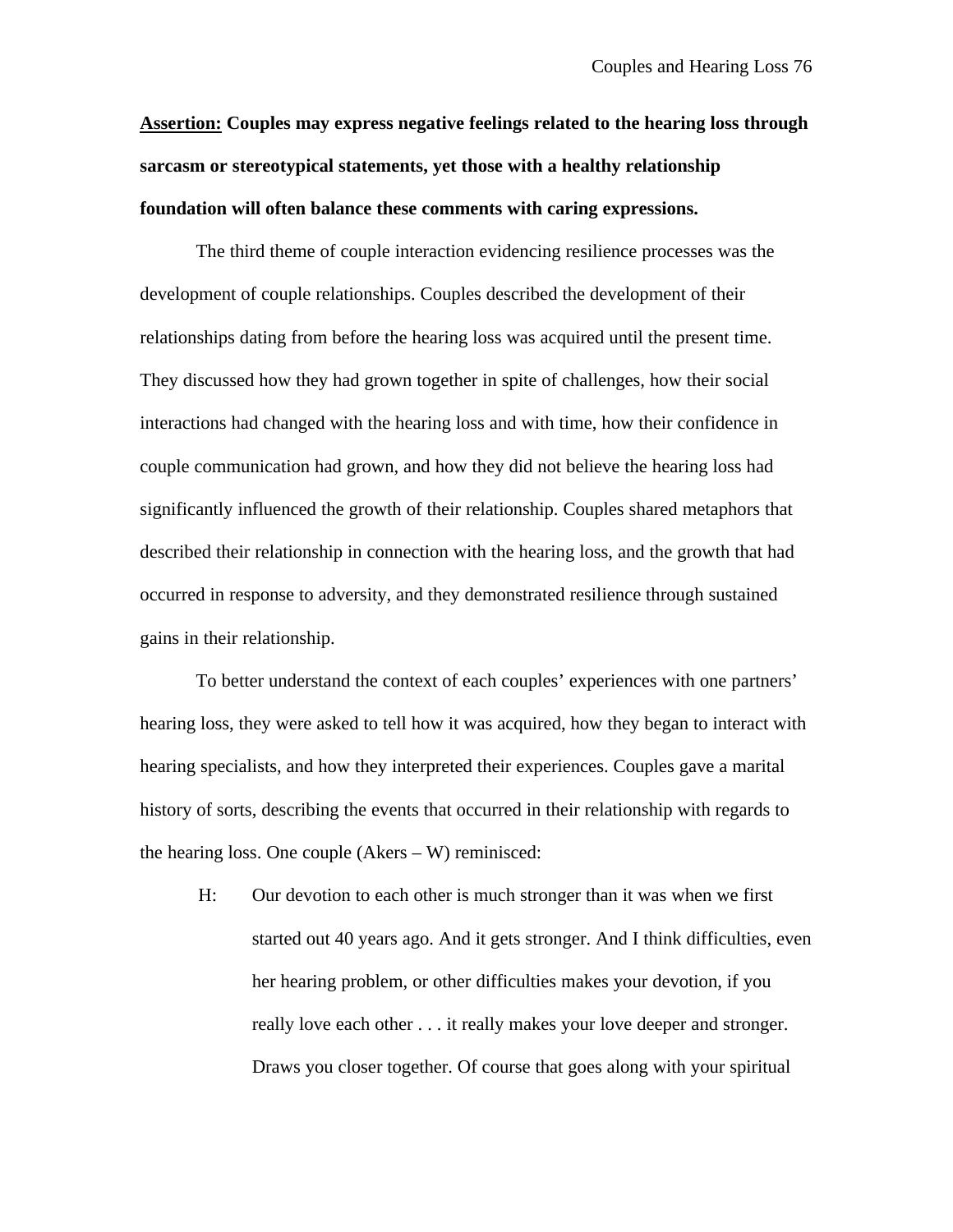**Assertion: Couples may express negative feelings related to the hearing loss through sarcasm or stereotypical statements, yet those with a healthy relationship foundation will often balance these comments with caring expressions.**

The third theme of couple interaction evidencing resilience processes was the development of couple relationships. Couples described the development of their relationships dating from before the hearing loss was acquired until the present time. They discussed how they had grown together in spite of challenges, how their social interactions had changed with the hearing loss and with time, how their confidence in couple communication had grown, and how they did not believe the hearing loss had significantly influenced the growth of their relationship. Couples shared metaphors that described their relationship in connection with the hearing loss, and the growth that had occurred in response to adversity, and they demonstrated resilience through sustained gains in their relationship.

To better understand the context of each couples' experiences with one partners' hearing loss, they were asked to tell how it was acquired, how they began to interact with hearing specialists, and how they interpreted their experiences. Couples gave a marital history of sorts, describing the events that occurred in their relationship with regards to the hearing loss. One couple (Akers – W) reminisced:

H: Our devotion to each other is much stronger than it was when we first started out 40 years ago. And it gets stronger. And I think difficulties, even her hearing problem, or other difficulties makes your devotion, if you really love each other . . . it really makes your love deeper and stronger. Draws you closer together. Of course that goes along with your spiritual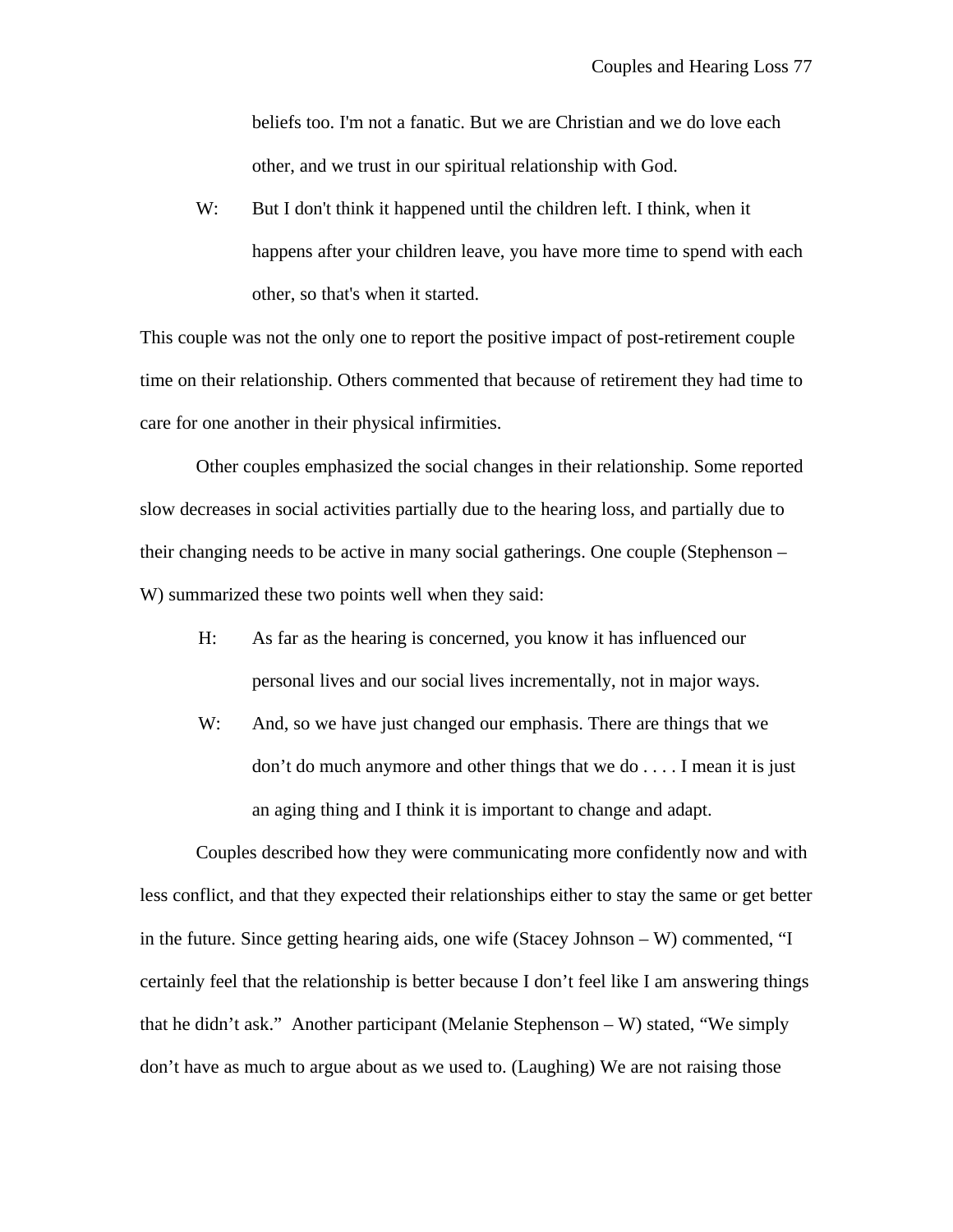beliefs too. I'm not a fanatic. But we are Christian and we do love each other, and we trust in our spiritual relationship with God.

W: But I don't think it happened until the children left. I think, when it happens after your children leave, you have more time to spend with each other, so that's when it started.

This couple was not the only one to report the positive impact of post-retirement couple time on their relationship. Others commented that because of retirement they had time to care for one another in their physical infirmities.

Other couples emphasized the social changes in their relationship. Some reported slow decreases in social activities partially due to the hearing loss, and partially due to their changing needs to be active in many social gatherings. One couple (Stephenson – W) summarized these two points well when they said:

- H: As far as the hearing is concerned, you know it has influenced our personal lives and our social lives incrementally, not in major ways.
- W: And, so we have just changed our emphasis. There are things that we don't do much anymore and other things that we do . . . . I mean it is just an aging thing and I think it is important to change and adapt.

 Couples described how they were communicating more confidently now and with less conflict, and that they expected their relationships either to stay the same or get better in the future. Since getting hearing aids, one wife (Stacey Johnson – W) commented, "I certainly feel that the relationship is better because I don't feel like I am answering things that he didn't ask." Another participant (Melanie Stephenson – W) stated, "We simply don't have as much to argue about as we used to. (Laughing) We are not raising those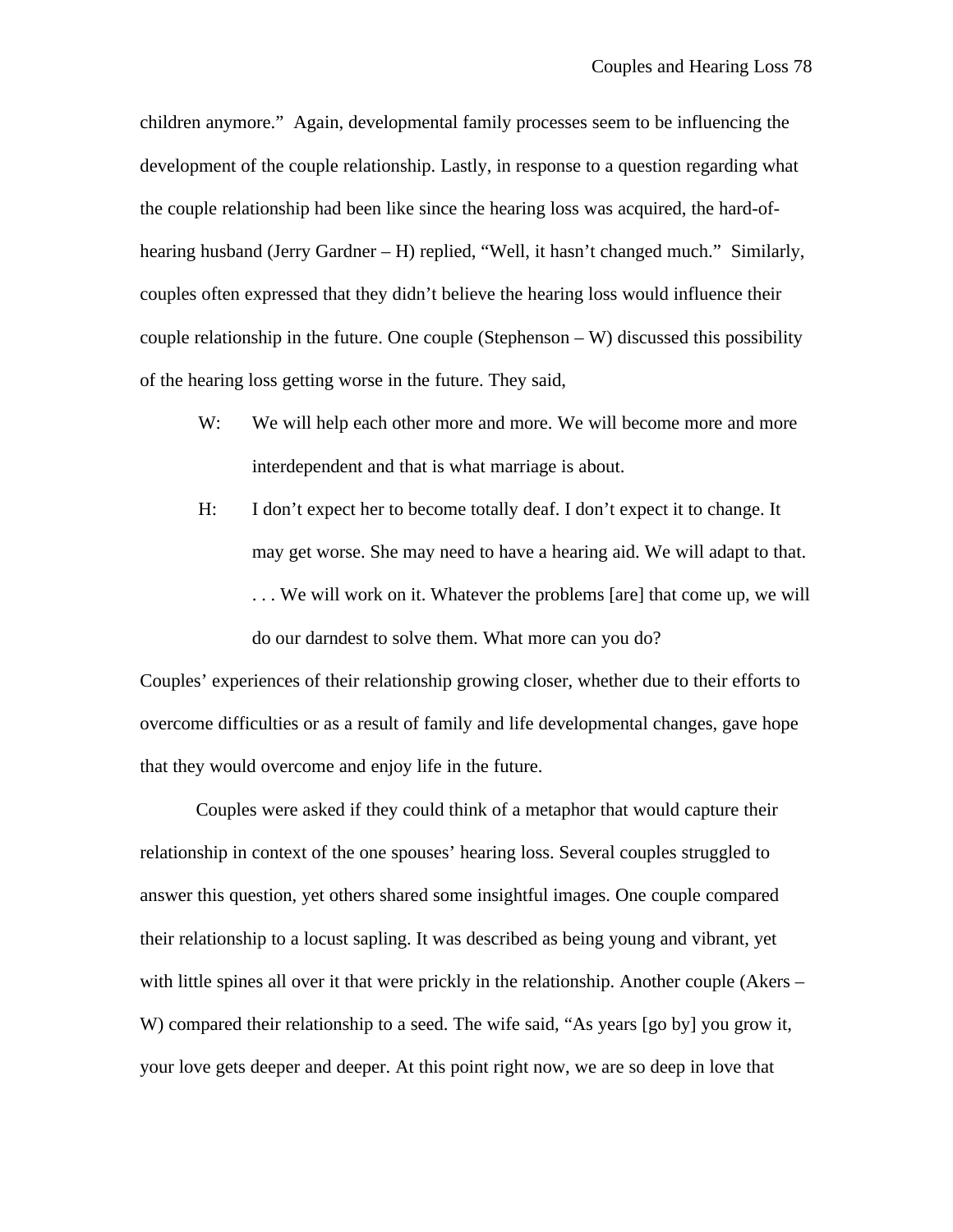children anymore." Again, developmental family processes seem to be influencing the development of the couple relationship. Lastly, in response to a question regarding what the couple relationship had been like since the hearing loss was acquired, the hard-ofhearing husband (Jerry Gardner – H) replied, "Well, it hasn't changed much." Similarly, couples often expressed that they didn't believe the hearing loss would influence their couple relationship in the future. One couple (Stephenson – W) discussed this possibility of the hearing loss getting worse in the future. They said,

- W: We will help each other more and more. We will become more and more interdependent and that is what marriage is about.
- H: I don't expect her to become totally deaf. I don't expect it to change. It may get worse. She may need to have a hearing aid. We will adapt to that. . . . We will work on it. Whatever the problems [are] that come up, we will do our darndest to solve them. What more can you do?

Couples' experiences of their relationship growing closer, whether due to their efforts to overcome difficulties or as a result of family and life developmental changes, gave hope that they would overcome and enjoy life in the future.

Couples were asked if they could think of a metaphor that would capture their relationship in context of the one spouses' hearing loss. Several couples struggled to answer this question, yet others shared some insightful images. One couple compared their relationship to a locust sapling. It was described as being young and vibrant, yet with little spines all over it that were prickly in the relationship. Another couple (Akers – W) compared their relationship to a seed. The wife said, "As years [go by] you grow it, your love gets deeper and deeper. At this point right now, we are so deep in love that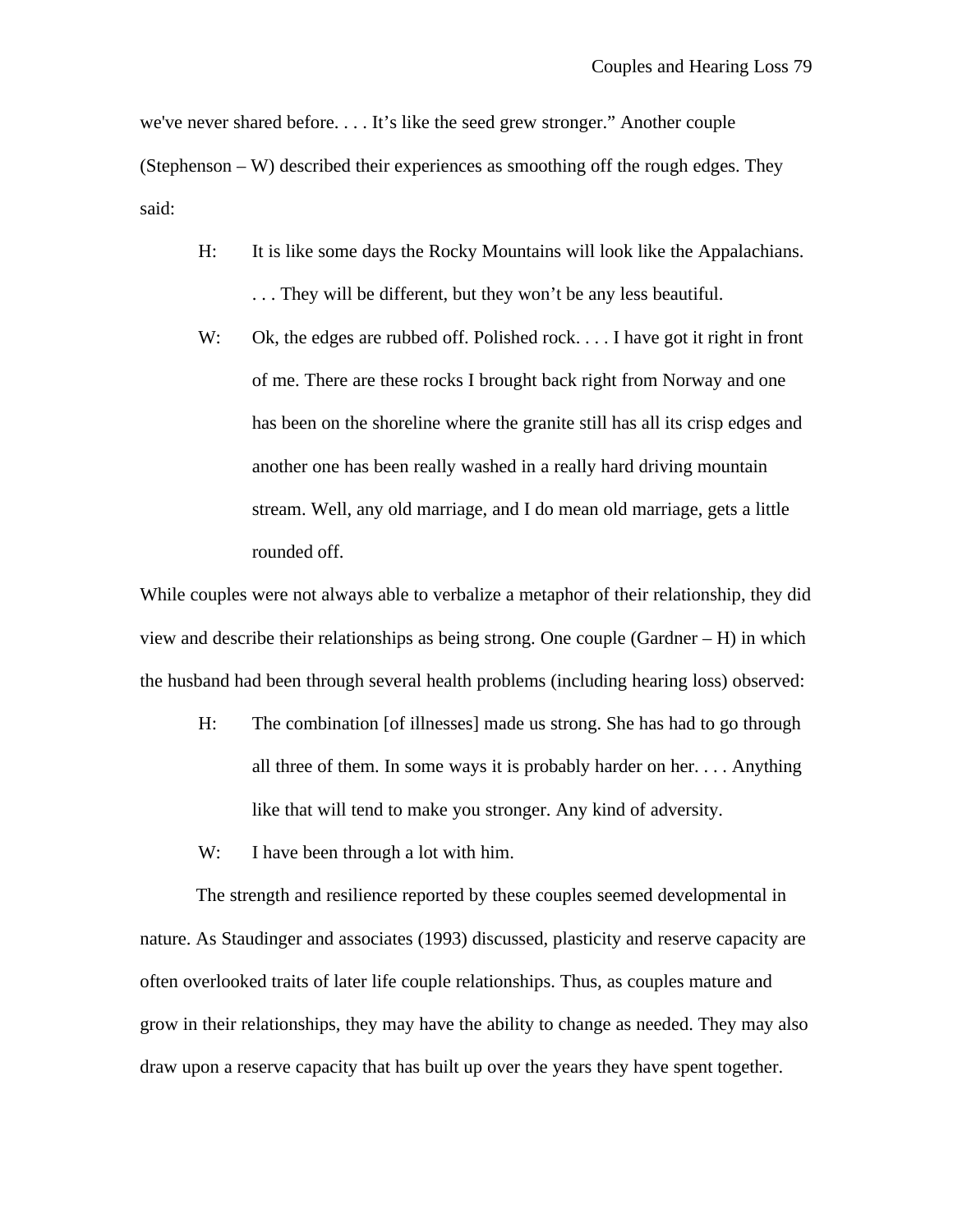we've never shared before. . . . It's like the seed grew stronger." Another couple (Stephenson – W) described their experiences as smoothing off the rough edges. They said:

- H: It is like some days the Rocky Mountains will look like the Appalachians. . . . They will be different, but they won't be any less beautiful.
- W: Ok, the edges are rubbed off. Polished rock. . . . I have got it right in front of me. There are these rocks I brought back right from Norway and one has been on the shoreline where the granite still has all its crisp edges and another one has been really washed in a really hard driving mountain stream. Well, any old marriage, and I do mean old marriage, gets a little rounded off.

While couples were not always able to verbalize a metaphor of their relationship, they did view and describe their relationships as being strong. One couple (Gardner – H) in which the husband had been through several health problems (including hearing loss) observed:

- H: The combination [of illnesses] made us strong. She has had to go through all three of them. In some ways it is probably harder on her. . . . Anything like that will tend to make you stronger. Any kind of adversity.
- W: I have been through a lot with him.

The strength and resilience reported by these couples seemed developmental in nature. As Staudinger and associates (1993) discussed, plasticity and reserve capacity are often overlooked traits of later life couple relationships. Thus, as couples mature and grow in their relationships, they may have the ability to change as needed. They may also draw upon a reserve capacity that has built up over the years they have spent together.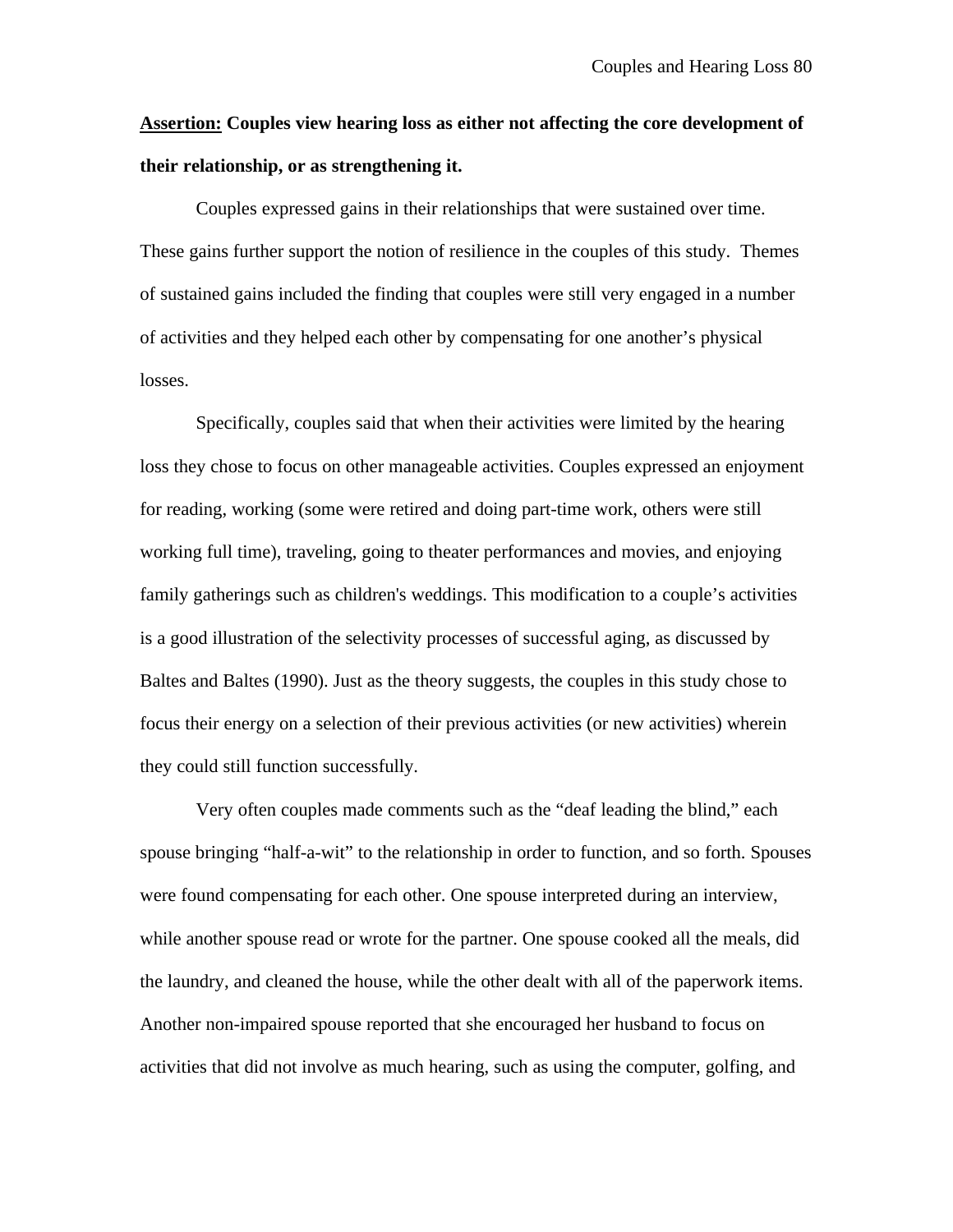**Assertion: Couples view hearing loss as either not affecting the core development of their relationship, or as strengthening it.**

Couples expressed gains in their relationships that were sustained over time. These gains further support the notion of resilience in the couples of this study. Themes of sustained gains included the finding that couples were still very engaged in a number of activities and they helped each other by compensating for one another's physical losses.

Specifically, couples said that when their activities were limited by the hearing loss they chose to focus on other manageable activities. Couples expressed an enjoyment for reading, working (some were retired and doing part-time work, others were still working full time), traveling, going to theater performances and movies, and enjoying family gatherings such as children's weddings. This modification to a couple's activities is a good illustration of the selectivity processes of successful aging, as discussed by Baltes and Baltes (1990). Just as the theory suggests, the couples in this study chose to focus their energy on a selection of their previous activities (or new activities) wherein they could still function successfully.

Very often couples made comments such as the "deaf leading the blind," each spouse bringing "half-a-wit" to the relationship in order to function, and so forth. Spouses were found compensating for each other. One spouse interpreted during an interview, while another spouse read or wrote for the partner. One spouse cooked all the meals, did the laundry, and cleaned the house, while the other dealt with all of the paperwork items. Another non-impaired spouse reported that she encouraged her husband to focus on activities that did not involve as much hearing, such as using the computer, golfing, and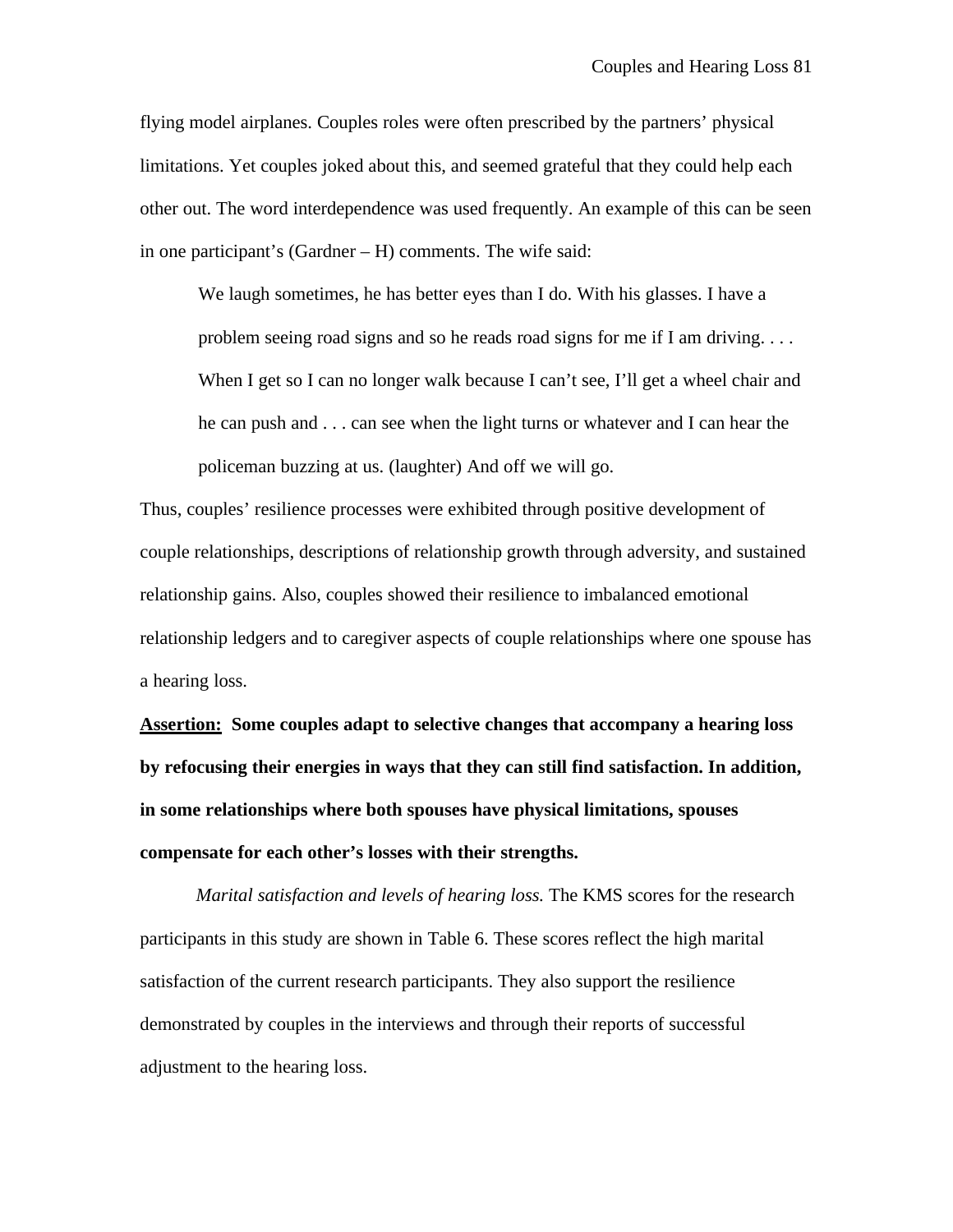flying model airplanes. Couples roles were often prescribed by the partners' physical limitations. Yet couples joked about this, and seemed grateful that they could help each other out. The word interdependence was used frequently. An example of this can be seen in one participant's (Gardner – H) comments. The wife said:

We laugh sometimes, he has better eyes than I do. With his glasses. I have a problem seeing road signs and so he reads road signs for me if I am driving. . . . When I get so I can no longer walk because I can't see, I'll get a wheel chair and he can push and . . . can see when the light turns or whatever and I can hear the policeman buzzing at us. (laughter) And off we will go.

Thus, couples' resilience processes were exhibited through positive development of couple relationships, descriptions of relationship growth through adversity, and sustained relationship gains. Also, couples showed their resilience to imbalanced emotional relationship ledgers and to caregiver aspects of couple relationships where one spouse has a hearing loss.

**Assertion: Some couples adapt to selective changes that accompany a hearing loss by refocusing their energies in ways that they can still find satisfaction. In addition, in some relationships where both spouses have physical limitations, spouses compensate for each other's losses with their strengths.**

*Marital satisfaction and levels of hearing loss.* The KMS scores for the research participants in this study are shown in Table 6. These scores reflect the high marital satisfaction of the current research participants. They also support the resilience demonstrated by couples in the interviews and through their reports of successful adjustment to the hearing loss.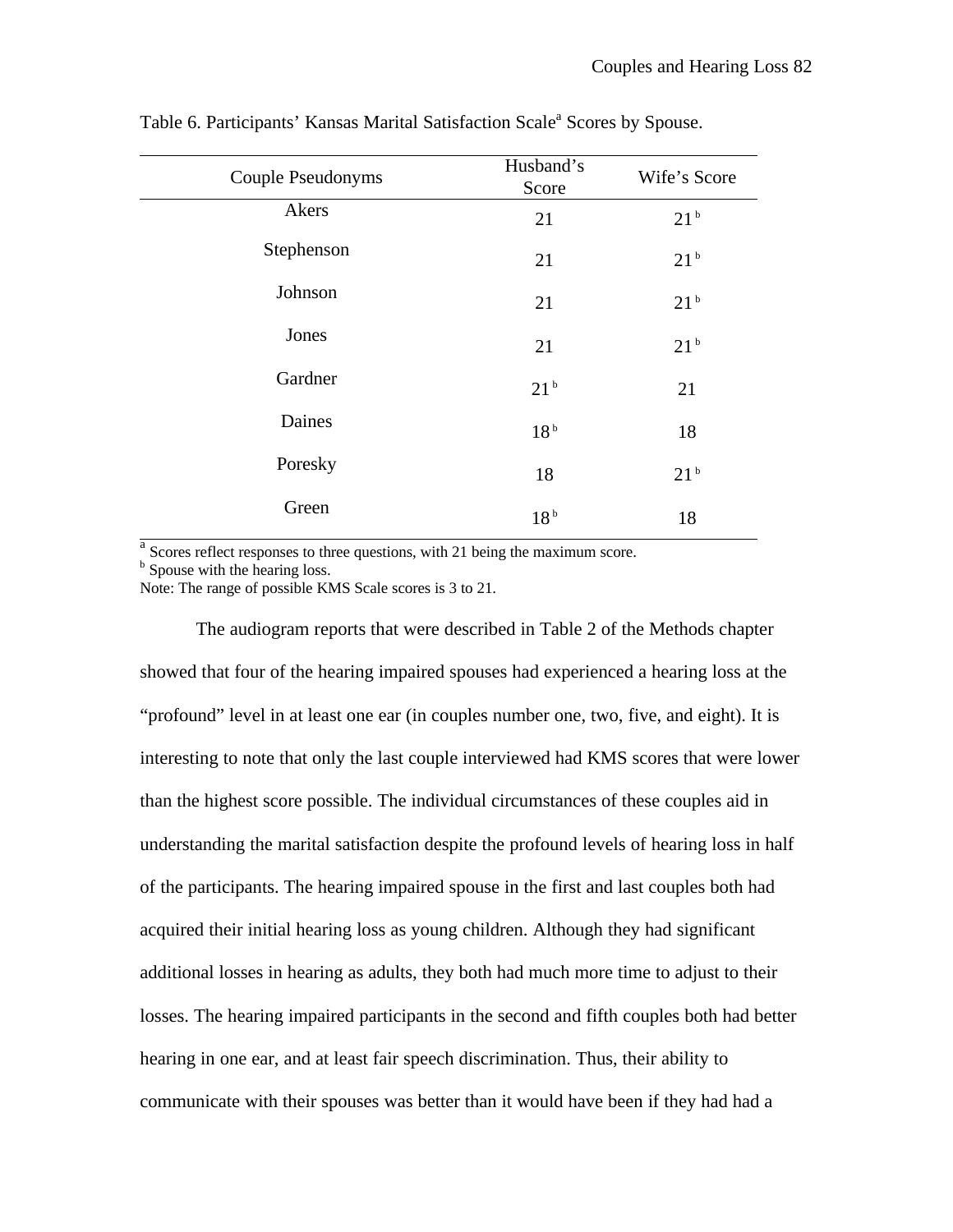| Couple Pseudonyms | Husband's<br>Score | Wife's Score    |
|-------------------|--------------------|-----------------|
| Akers             | 21                 | 21 <sup>b</sup> |
| Stephenson        | 21                 | 21 <sup>b</sup> |
| Johnson           | 21                 | 21 <sup>b</sup> |
| Jones             | 21                 | 21 <sup>b</sup> |
| Gardner           | 21 <sup>b</sup>    | 21              |
| Daines            | 18 <sup>b</sup>    | 18              |
| Poresky           | 18                 | 21 <sup>b</sup> |
| Green             | 18 <sup>b</sup>    | 18              |

Table 6. Participants' Kansas Marital Satisfaction Scale<sup>a</sup> Scores by Spouse.

<sup>a</sup> Scores reflect responses to three questions, with 21 being the maximum score. <sup>b</sup> Spouse with the hearing loss.

Note: The range of possible KMS Scale scores is 3 to 21.

The audiogram reports that were described in Table 2 of the Methods chapter showed that four of the hearing impaired spouses had experienced a hearing loss at the "profound" level in at least one ear (in couples number one, two, five, and eight). It is interesting to note that only the last couple interviewed had KMS scores that were lower than the highest score possible. The individual circumstances of these couples aid in understanding the marital satisfaction despite the profound levels of hearing loss in half of the participants. The hearing impaired spouse in the first and last couples both had acquired their initial hearing loss as young children. Although they had significant additional losses in hearing as adults, they both had much more time to adjust to their losses. The hearing impaired participants in the second and fifth couples both had better hearing in one ear, and at least fair speech discrimination. Thus, their ability to communicate with their spouses was better than it would have been if they had had a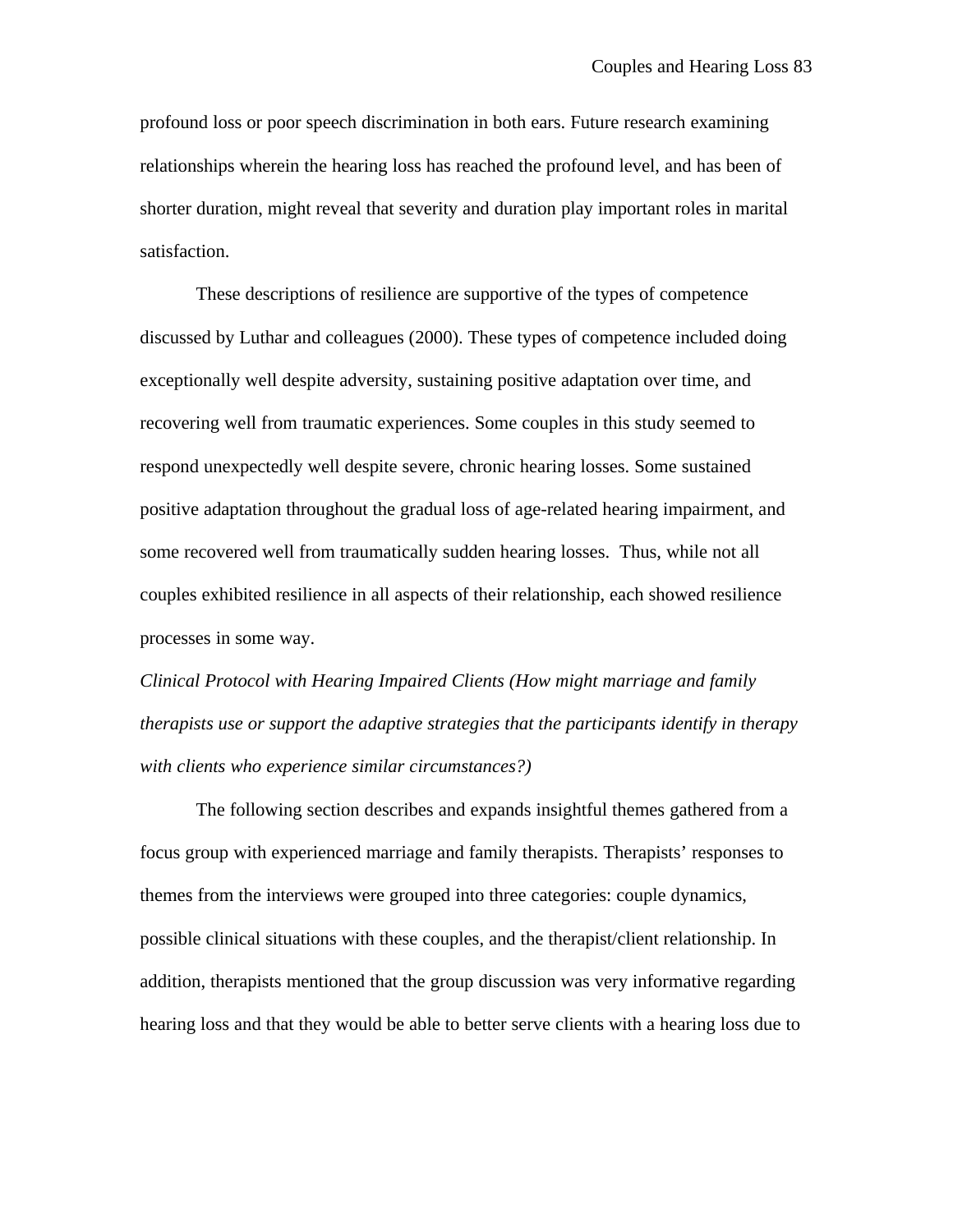profound loss or poor speech discrimination in both ears. Future research examining relationships wherein the hearing loss has reached the profound level, and has been of shorter duration, might reveal that severity and duration play important roles in marital satisfaction.

These descriptions of resilience are supportive of the types of competence discussed by Luthar and colleagues (2000). These types of competence included doing exceptionally well despite adversity, sustaining positive adaptation over time, and recovering well from traumatic experiences. Some couples in this study seemed to respond unexpectedly well despite severe, chronic hearing losses. Some sustained positive adaptation throughout the gradual loss of age-related hearing impairment, and some recovered well from traumatically sudden hearing losses. Thus, while not all couples exhibited resilience in all aspects of their relationship, each showed resilience processes in some way.

*Clinical Protocol with Hearing Impaired Clients (How might marriage and family therapists use or support the adaptive strategies that the participants identify in therapy with clients who experience similar circumstances?)*

The following section describes and expands insightful themes gathered from a focus group with experienced marriage and family therapists. Therapists' responses to themes from the interviews were grouped into three categories: couple dynamics, possible clinical situations with these couples, and the therapist/client relationship. In addition, therapists mentioned that the group discussion was very informative regarding hearing loss and that they would be able to better serve clients with a hearing loss due to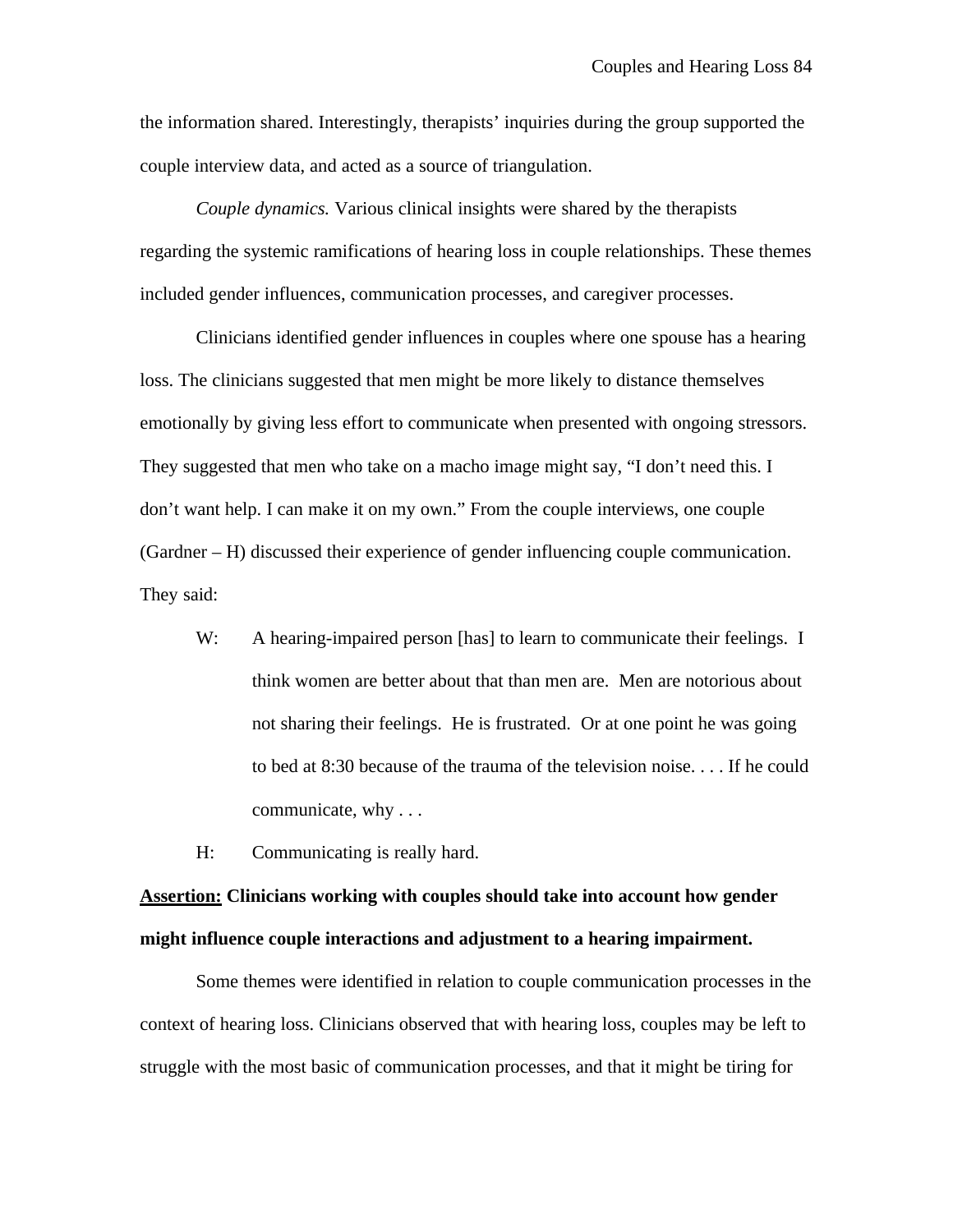the information shared. Interestingly, therapists' inquiries during the group supported the couple interview data, and acted as a source of triangulation.

*Couple dynamics.* Various clinical insights were shared by the therapists regarding the systemic ramifications of hearing loss in couple relationships. These themes included gender influences, communication processes, and caregiver processes.

Clinicians identified gender influences in couples where one spouse has a hearing loss. The clinicians suggested that men might be more likely to distance themselves emotionally by giving less effort to communicate when presented with ongoing stressors. They suggested that men who take on a macho image might say, "I don't need this. I don't want help. I can make it on my own." From the couple interviews, one couple (Gardner – H) discussed their experience of gender influencing couple communication. They said:

- W: A hearing-impaired person [has] to learn to communicate their feelings. I think women are better about that than men are. Men are notorious about not sharing their feelings. He is frustrated. Or at one point he was going to bed at 8:30 because of the trauma of the television noise. . . . If he could communicate, why . . .
- H: Communicating is really hard.

### **Assertion: Clinicians working with couples should take into account how gender might influence couple interactions and adjustment to a hearing impairment.**

Some themes were identified in relation to couple communication processes in the context of hearing loss. Clinicians observed that with hearing loss, couples may be left to struggle with the most basic of communication processes, and that it might be tiring for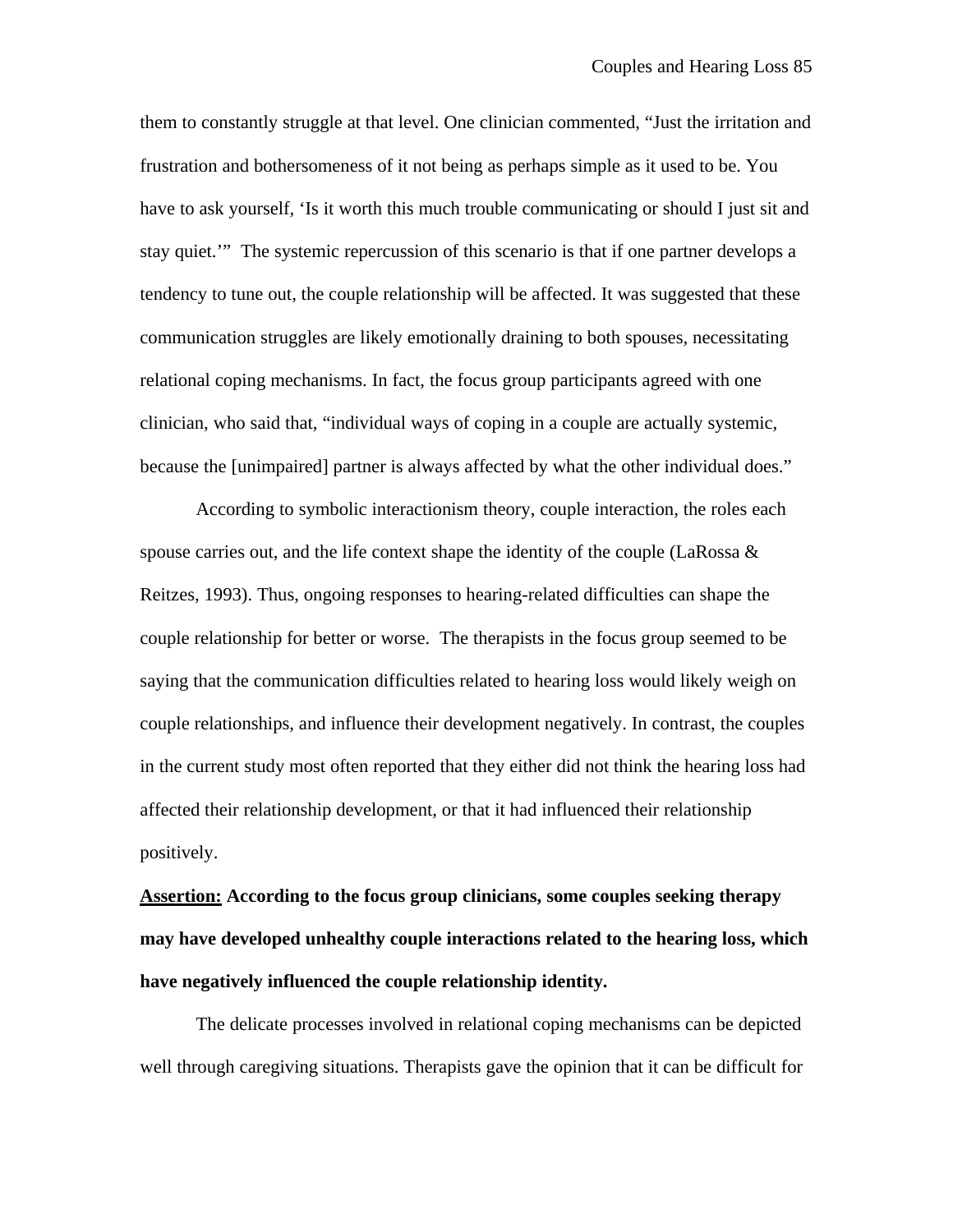them to constantly struggle at that level. One clinician commented, "Just the irritation and frustration and bothersomeness of it not being as perhaps simple as it used to be. You have to ask yourself, 'Is it worth this much trouble communicating or should I just sit and stay quiet.'" The systemic repercussion of this scenario is that if one partner develops a tendency to tune out, the couple relationship will be affected. It was suggested that these communication struggles are likely emotionally draining to both spouses, necessitating relational coping mechanisms. In fact, the focus group participants agreed with one clinician, who said that, "individual ways of coping in a couple are actually systemic, because the [unimpaired] partner is always affected by what the other individual does."

According to symbolic interactionism theory, couple interaction, the roles each spouse carries out, and the life context shape the identity of the couple (LaRossa  $\&$ Reitzes, 1993). Thus, ongoing responses to hearing-related difficulties can shape the couple relationship for better or worse. The therapists in the focus group seemed to be saying that the communication difficulties related to hearing loss would likely weigh on couple relationships, and influence their development negatively. In contrast, the couples in the current study most often reported that they either did not think the hearing loss had affected their relationship development, or that it had influenced their relationship positively.

**Assertion: According to the focus group clinicians, some couples seeking therapy may have developed unhealthy couple interactions related to the hearing loss, which have negatively influenced the couple relationship identity.**

The delicate processes involved in relational coping mechanisms can be depicted well through caregiving situations. Therapists gave the opinion that it can be difficult for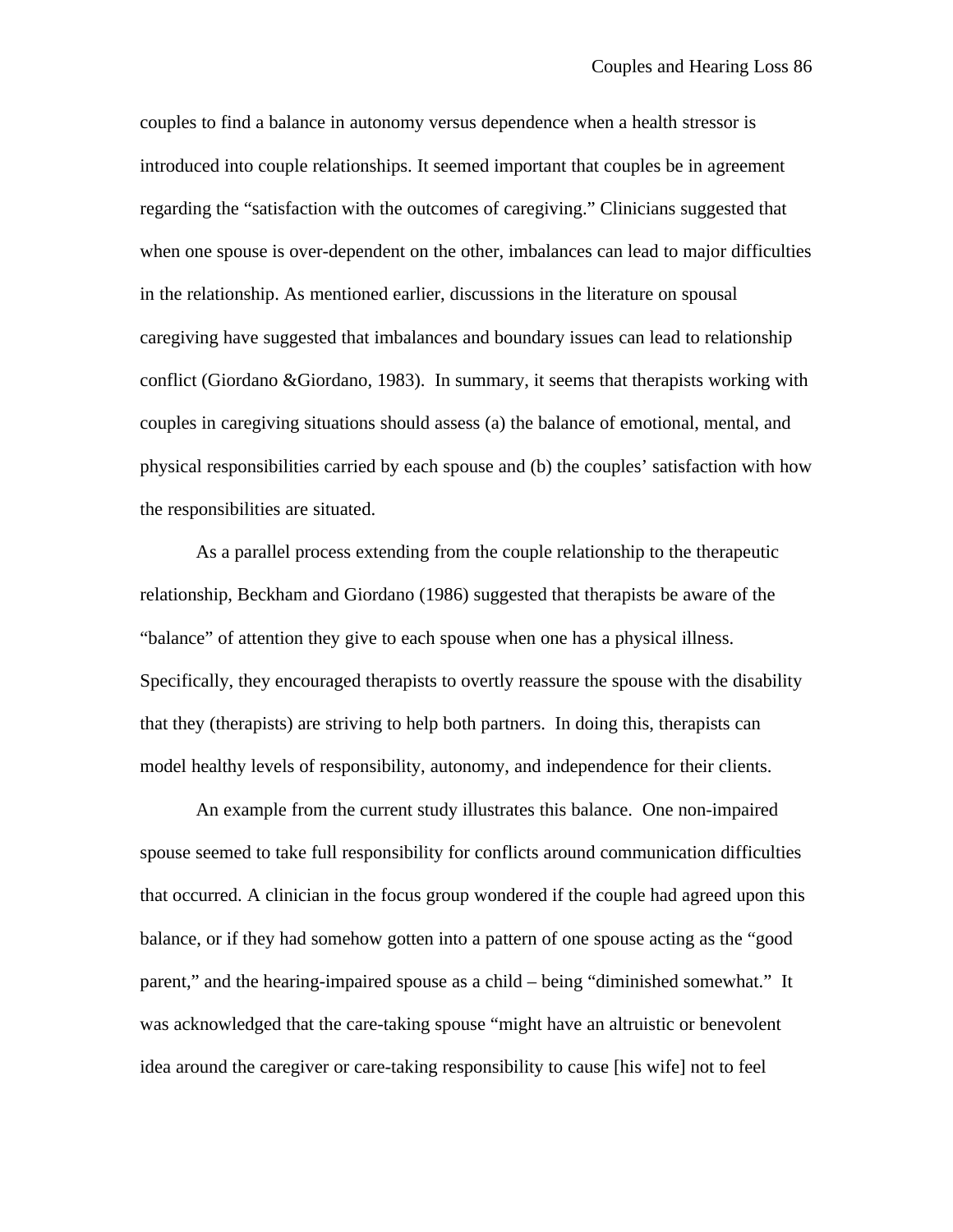couples to find a balance in autonomy versus dependence when a health stressor is introduced into couple relationships. It seemed important that couples be in agreement regarding the "satisfaction with the outcomes of caregiving." Clinicians suggested that when one spouse is over-dependent on the other, imbalances can lead to major difficulties in the relationship. As mentioned earlier, discussions in the literature on spousal caregiving have suggested that imbalances and boundary issues can lead to relationship conflict (Giordano &Giordano, 1983). In summary, it seems that therapists working with couples in caregiving situations should assess (a) the balance of emotional, mental, and physical responsibilities carried by each spouse and (b) the couples' satisfaction with how the responsibilities are situated.

As a parallel process extending from the couple relationship to the therapeutic relationship, Beckham and Giordano (1986) suggested that therapists be aware of the "balance" of attention they give to each spouse when one has a physical illness. Specifically, they encouraged therapists to overtly reassure the spouse with the disability that they (therapists) are striving to help both partners. In doing this, therapists can model healthy levels of responsibility, autonomy, and independence for their clients.

An example from the current study illustrates this balance. One non-impaired spouse seemed to take full responsibility for conflicts around communication difficulties that occurred. A clinician in the focus group wondered if the couple had agreed upon this balance, or if they had somehow gotten into a pattern of one spouse acting as the "good parent," and the hearing-impaired spouse as a child – being "diminished somewhat." It was acknowledged that the care-taking spouse "might have an altruistic or benevolent idea around the caregiver or care-taking responsibility to cause [his wife] not to feel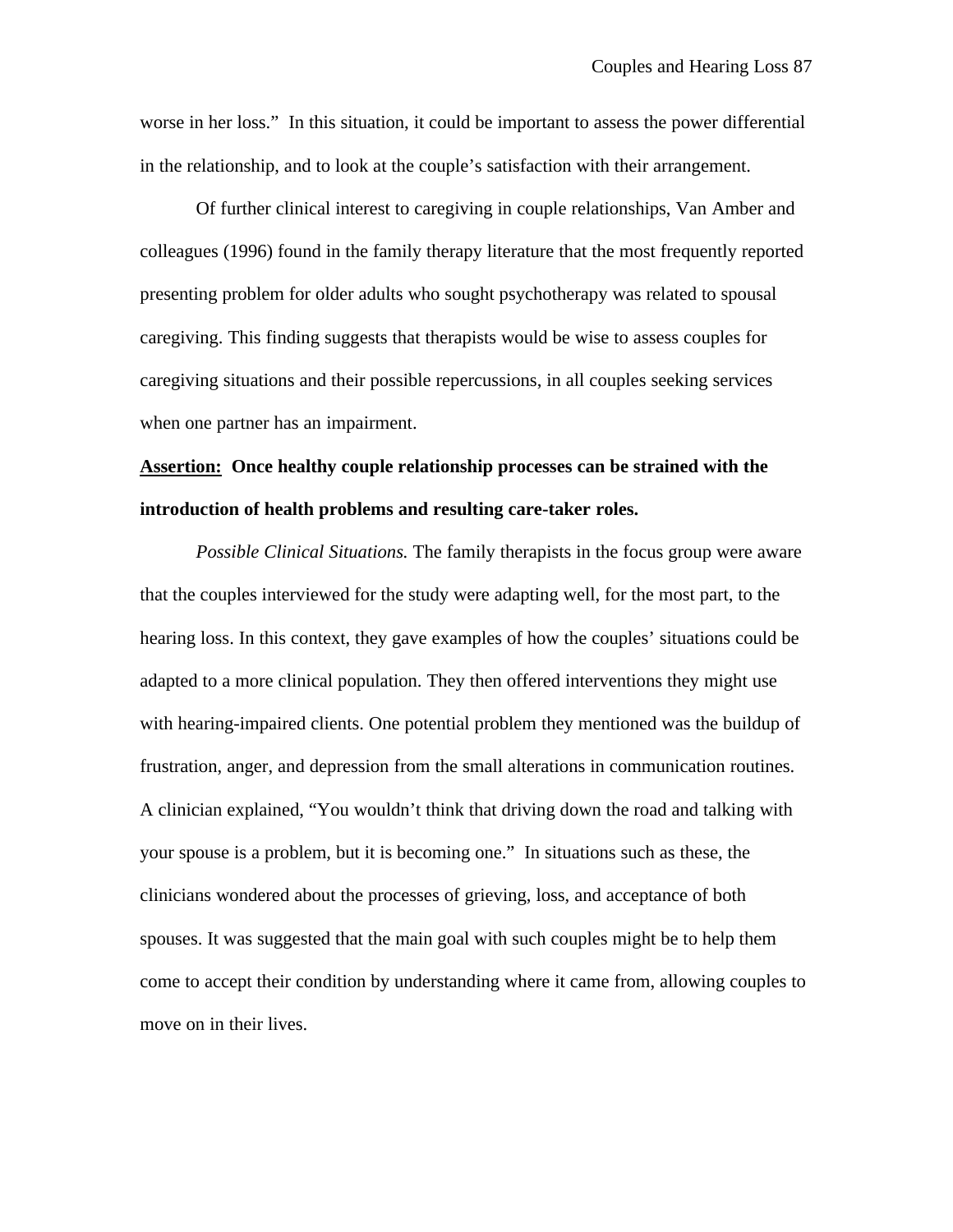worse in her loss." In this situation, it could be important to assess the power differential in the relationship, and to look at the couple's satisfaction with their arrangement.

Of further clinical interest to caregiving in couple relationships, Van Amber and colleagues (1996) found in the family therapy literature that the most frequently reported presenting problem for older adults who sought psychotherapy was related to spousal caregiving. This finding suggests that therapists would be wise to assess couples for caregiving situations and their possible repercussions, in all couples seeking services when one partner has an impairment.

### **Assertion: Once healthy couple relationship processes can be strained with the introduction of health problems and resulting care-taker roles.**

*Possible Clinical Situations.* The family therapists in the focus group were aware that the couples interviewed for the study were adapting well, for the most part, to the hearing loss. In this context, they gave examples of how the couples' situations could be adapted to a more clinical population. They then offered interventions they might use with hearing-impaired clients. One potential problem they mentioned was the buildup of frustration, anger, and depression from the small alterations in communication routines. A clinician explained, "You wouldn't think that driving down the road and talking with your spouse is a problem, but it is becoming one." In situations such as these, the clinicians wondered about the processes of grieving, loss, and acceptance of both spouses. It was suggested that the main goal with such couples might be to help them come to accept their condition by understanding where it came from, allowing couples to move on in their lives.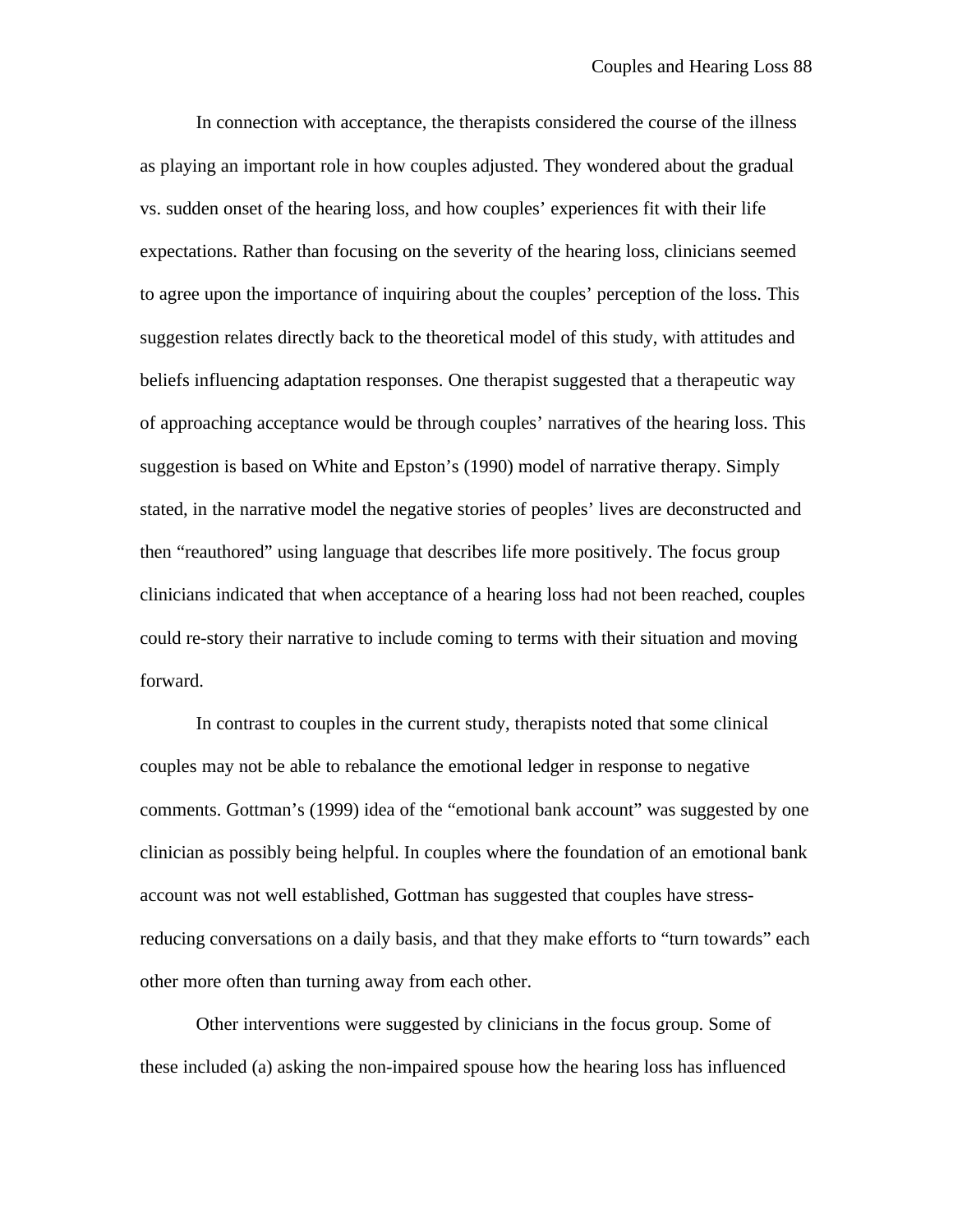In connection with acceptance, the therapists considered the course of the illness as playing an important role in how couples adjusted. They wondered about the gradual vs. sudden onset of the hearing loss, and how couples' experiences fit with their life expectations. Rather than focusing on the severity of the hearing loss, clinicians seemed to agree upon the importance of inquiring about the couples' perception of the loss. This suggestion relates directly back to the theoretical model of this study, with attitudes and beliefs influencing adaptation responses. One therapist suggested that a therapeutic way of approaching acceptance would be through couples' narratives of the hearing loss. This suggestion is based on White and Epston's (1990) model of narrative therapy. Simply stated, in the narrative model the negative stories of peoples' lives are deconstructed and then "reauthored" using language that describes life more positively. The focus group clinicians indicated that when acceptance of a hearing loss had not been reached, couples could re-story their narrative to include coming to terms with their situation and moving forward.

In contrast to couples in the current study, therapists noted that some clinical couples may not be able to rebalance the emotional ledger in response to negative comments. Gottman's (1999) idea of the "emotional bank account" was suggested by one clinician as possibly being helpful. In couples where the foundation of an emotional bank account was not well established, Gottman has suggested that couples have stressreducing conversations on a daily basis, and that they make efforts to "turn towards" each other more often than turning away from each other.

Other interventions were suggested by clinicians in the focus group. Some of these included (a) asking the non-impaired spouse how the hearing loss has influenced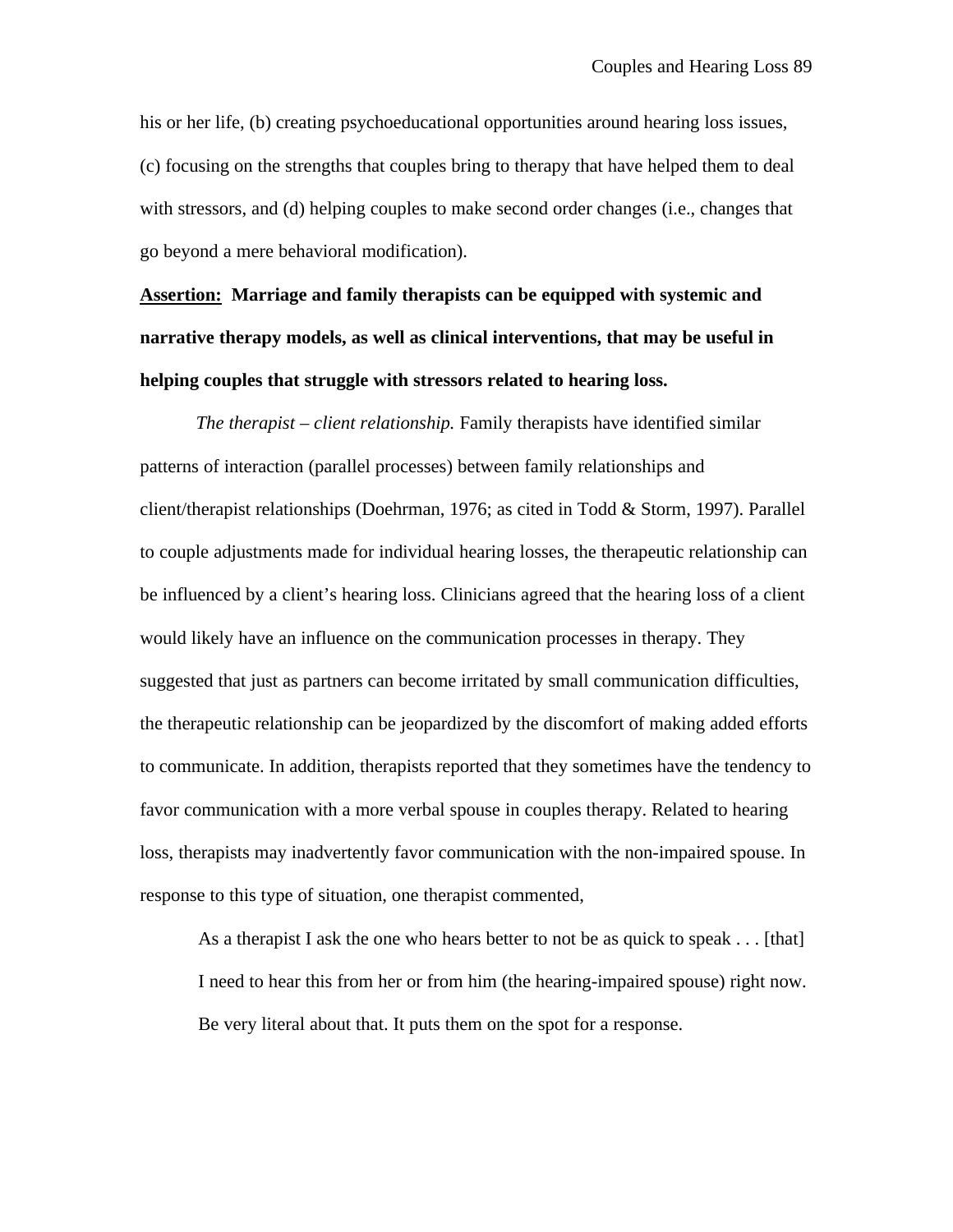his or her life, (b) creating psychoeducational opportunities around hearing loss issues, (c) focusing on the strengths that couples bring to therapy that have helped them to deal with stressors, and (d) helping couples to make second order changes (i.e., changes that go beyond a mere behavioral modification).

# **Assertion: Marriage and family therapists can be equipped with systemic and narrative therapy models, as well as clinical interventions, that may be useful in helping couples that struggle with stressors related to hearing loss.**

*The therapist – client relationship.* Family therapists have identified similar patterns of interaction (parallel processes) between family relationships and client/therapist relationships (Doehrman, 1976; as cited in Todd & Storm, 1997). Parallel to couple adjustments made for individual hearing losses, the therapeutic relationship can be influenced by a client's hearing loss. Clinicians agreed that the hearing loss of a client would likely have an influence on the communication processes in therapy. They suggested that just as partners can become irritated by small communication difficulties, the therapeutic relationship can be jeopardized by the discomfort of making added efforts to communicate. In addition, therapists reported that they sometimes have the tendency to favor communication with a more verbal spouse in couples therapy. Related to hearing loss, therapists may inadvertently favor communication with the non-impaired spouse. In response to this type of situation, one therapist commented,

As a therapist I ask the one who hears better to not be as quick to speak . . . [that] I need to hear this from her or from him (the hearing-impaired spouse) right now. Be very literal about that. It puts them on the spot for a response.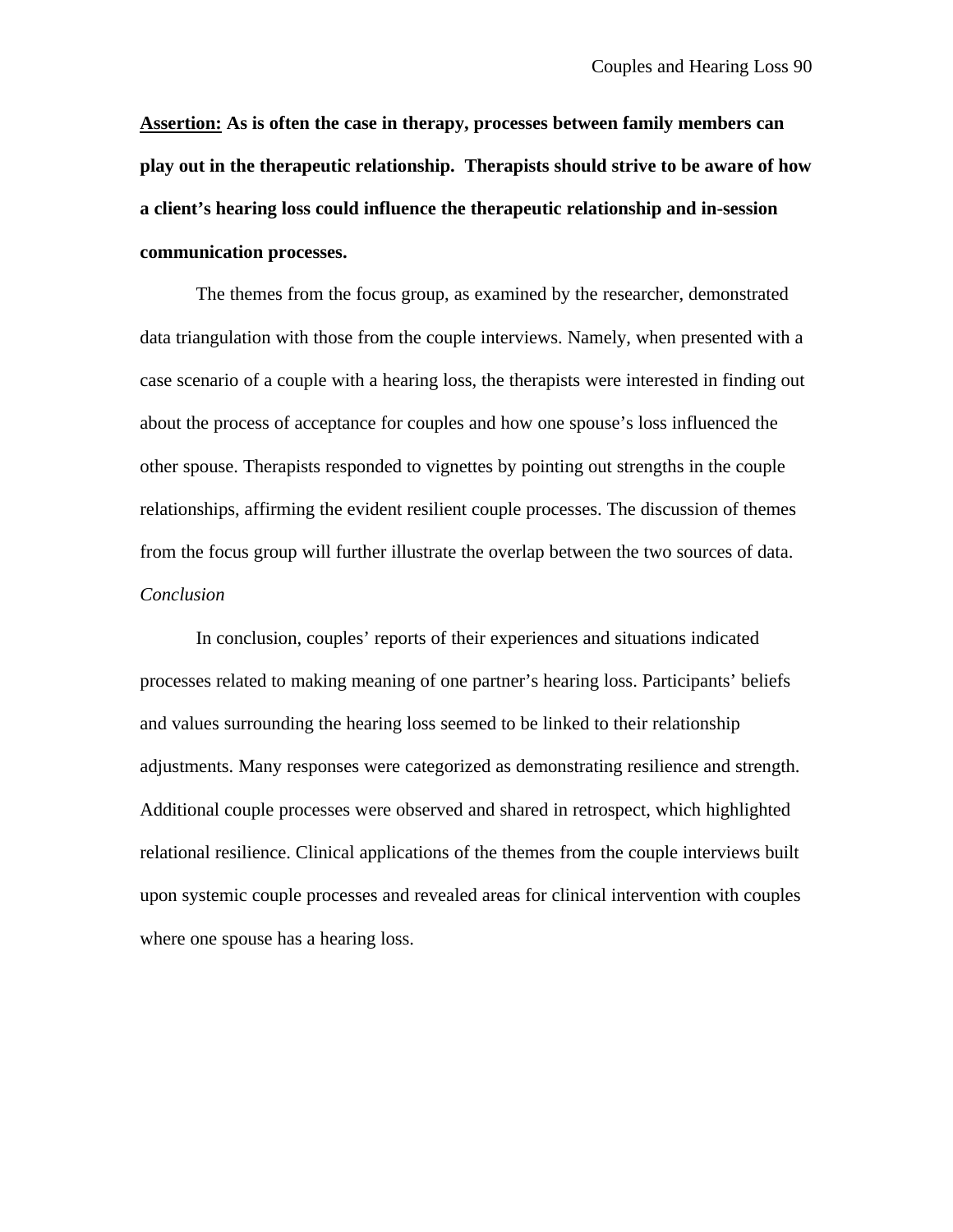**Assertion: As is often the case in therapy, processes between family members can play out in the therapeutic relationship. Therapists should strive to be aware of how a client's hearing loss could influence the therapeutic relationship and in-session communication processes.**

The themes from the focus group, as examined by the researcher, demonstrated data triangulation with those from the couple interviews. Namely, when presented with a case scenario of a couple with a hearing loss, the therapists were interested in finding out about the process of acceptance for couples and how one spouse's loss influenced the other spouse. Therapists responded to vignettes by pointing out strengths in the couple relationships, affirming the evident resilient couple processes. The discussion of themes from the focus group will further illustrate the overlap between the two sources of data. *Conclusion*

In conclusion, couples' reports of their experiences and situations indicated processes related to making meaning of one partner's hearing loss. Participants' beliefs and values surrounding the hearing loss seemed to be linked to their relationship adjustments. Many responses were categorized as demonstrating resilience and strength. Additional couple processes were observed and shared in retrospect, which highlighted relational resilience. Clinical applications of the themes from the couple interviews built upon systemic couple processes and revealed areas for clinical intervention with couples where one spouse has a hearing loss.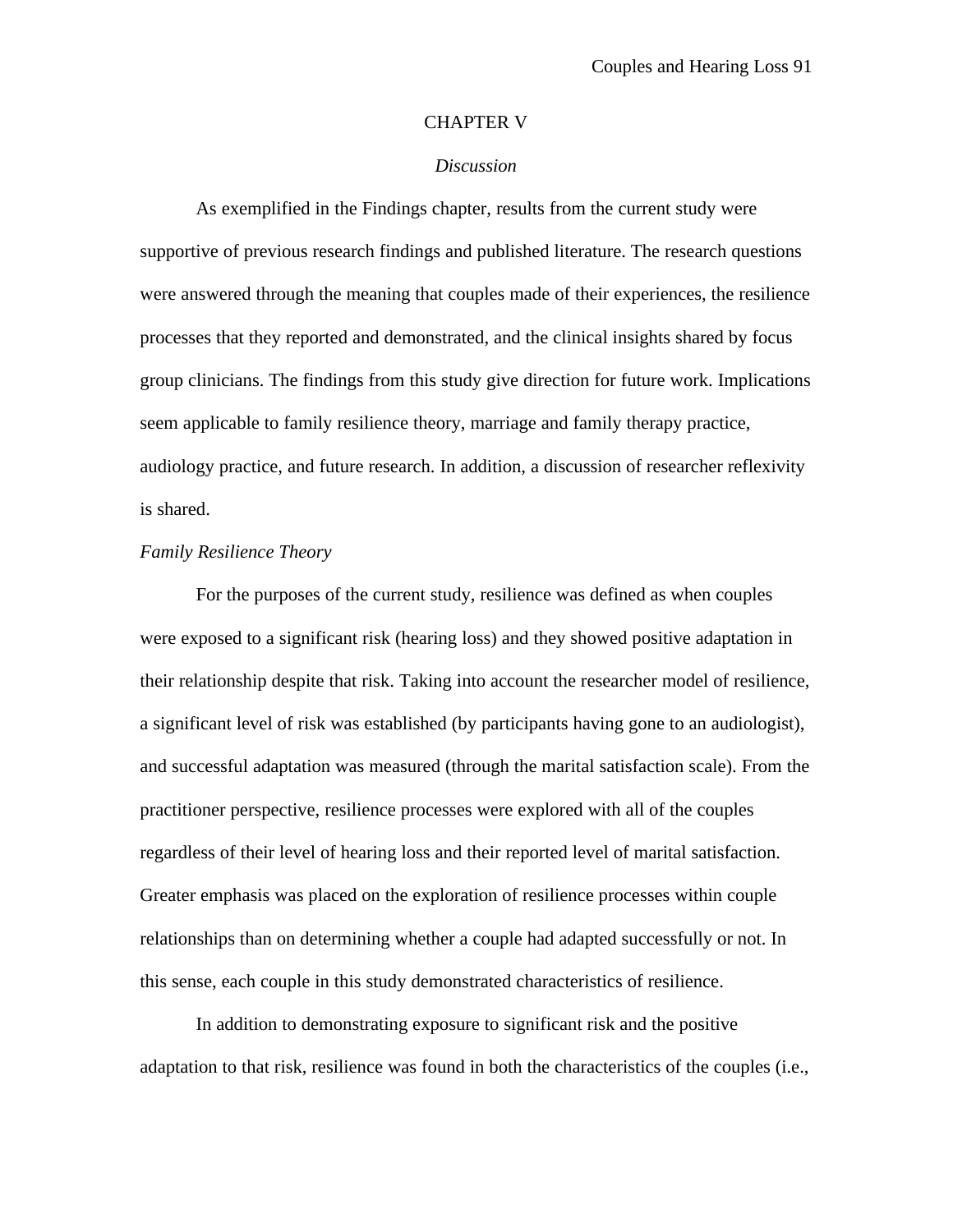#### CHAPTER V

#### *Discussion*

As exemplified in the Findings chapter, results from the current study were supportive of previous research findings and published literature. The research questions were answered through the meaning that couples made of their experiences, the resilience processes that they reported and demonstrated, and the clinical insights shared by focus group clinicians. The findings from this study give direction for future work. Implications seem applicable to family resilience theory, marriage and family therapy practice, audiology practice, and future research. In addition, a discussion of researcher reflexivity is shared.

#### *Family Resilience Theory*

For the purposes of the current study, resilience was defined as when couples were exposed to a significant risk (hearing loss) and they showed positive adaptation in their relationship despite that risk. Taking into account the researcher model of resilience, a significant level of risk was established (by participants having gone to an audiologist), and successful adaptation was measured (through the marital satisfaction scale). From the practitioner perspective, resilience processes were explored with all of the couples regardless of their level of hearing loss and their reported level of marital satisfaction. Greater emphasis was placed on the exploration of resilience processes within couple relationships than on determining whether a couple had adapted successfully or not. In this sense, each couple in this study demonstrated characteristics of resilience.

In addition to demonstrating exposure to significant risk and the positive adaptation to that risk, resilience was found in both the characteristics of the couples (i.e.,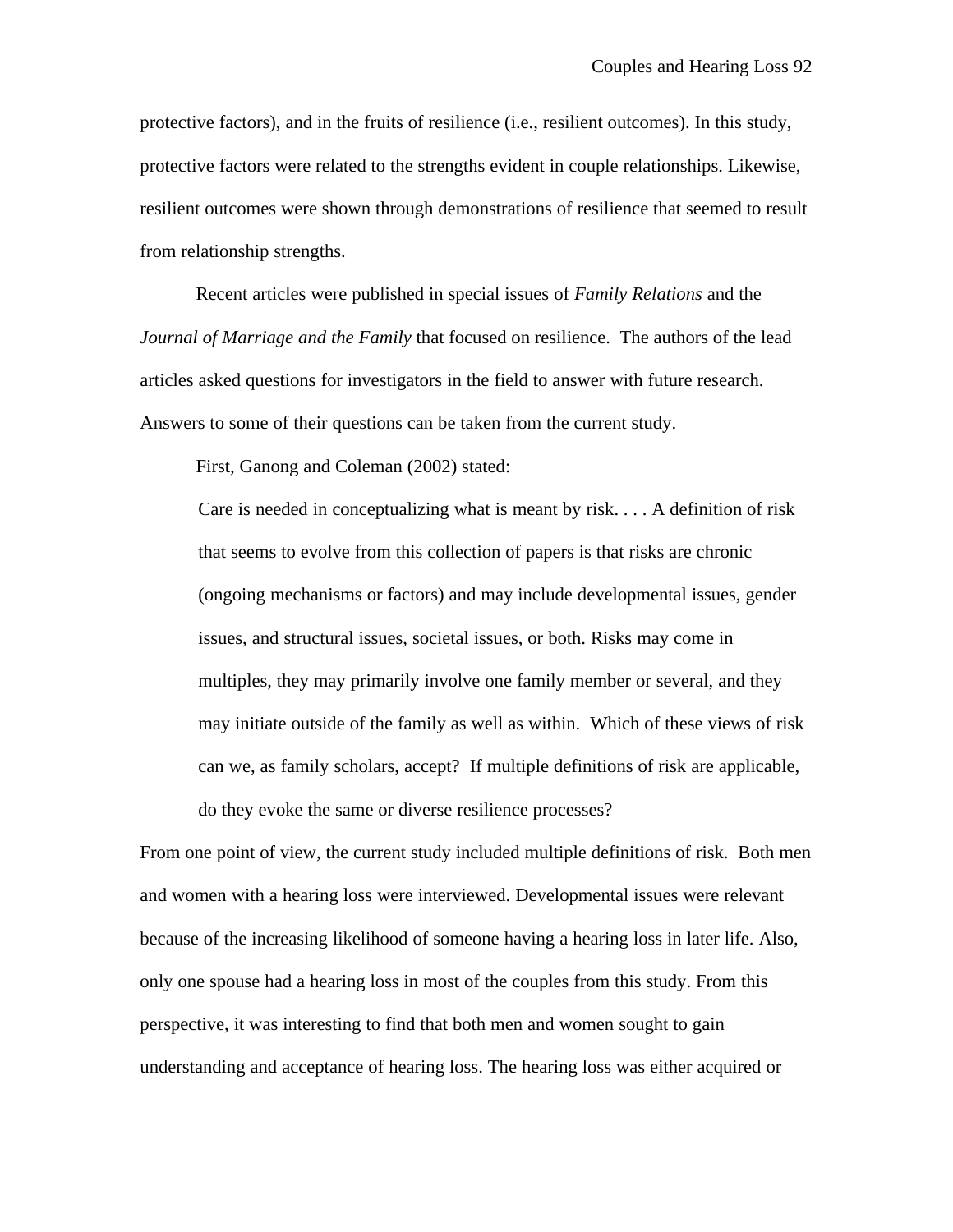protective factors), and in the fruits of resilience (i.e., resilient outcomes). In this study, protective factors were related to the strengths evident in couple relationships. Likewise, resilient outcomes were shown through demonstrations of resilience that seemed to result from relationship strengths.

Recent articles were published in special issues of *Family Relations* and the *Journal of Marriage and the Family* that focused on resilience. The authors of the lead articles asked questions for investigators in the field to answer with future research. Answers to some of their questions can be taken from the current study.

First, Ganong and Coleman (2002) stated:

Care is needed in conceptualizing what is meant by risk. . . . A definition of risk that seems to evolve from this collection of papers is that risks are chronic (ongoing mechanisms or factors) and may include developmental issues, gender issues, and structural issues, societal issues, or both. Risks may come in multiples, they may primarily involve one family member or several, and they may initiate outside of the family as well as within. Which of these views of risk can we, as family scholars, accept? If multiple definitions of risk are applicable, do they evoke the same or diverse resilience processes?

From one point of view, the current study included multiple definitions of risk. Both men and women with a hearing loss were interviewed. Developmental issues were relevant because of the increasing likelihood of someone having a hearing loss in later life. Also, only one spouse had a hearing loss in most of the couples from this study. From this perspective, it was interesting to find that both men and women sought to gain understanding and acceptance of hearing loss. The hearing loss was either acquired or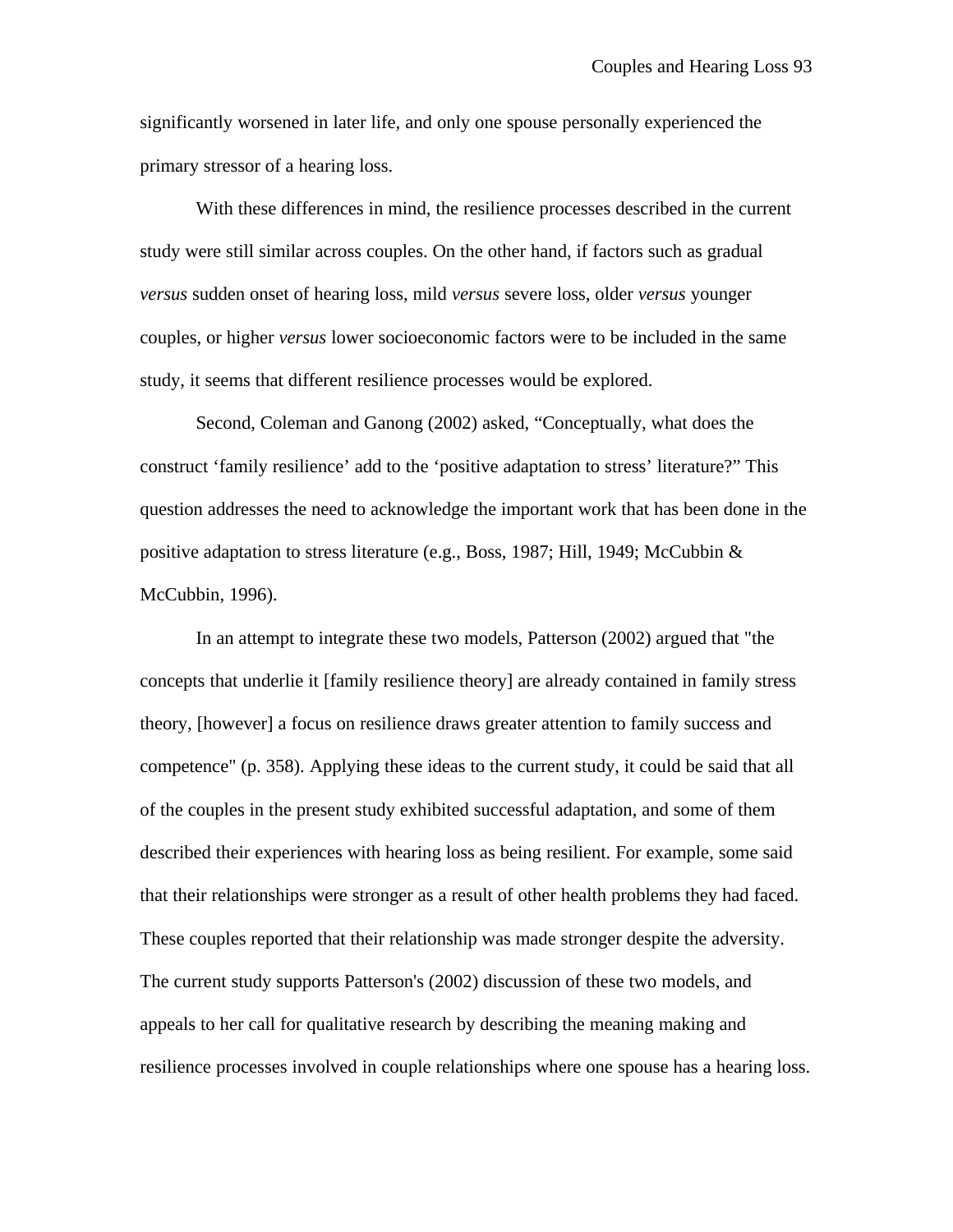significantly worsened in later life, and only one spouse personally experienced the primary stressor of a hearing loss.

With these differences in mind, the resilience processes described in the current study were still similar across couples. On the other hand, if factors such as gradual *versus* sudden onset of hearing loss, mild *versus* severe loss, older *versus* younger couples, or higher *versus* lower socioeconomic factors were to be included in the same study, it seems that different resilience processes would be explored.

Second, Coleman and Ganong (2002) asked, "Conceptually, what does the construct 'family resilience' add to the 'positive adaptation to stress' literature?" This question addresses the need to acknowledge the important work that has been done in the positive adaptation to stress literature (e.g., Boss, 1987; Hill, 1949; McCubbin & McCubbin, 1996).

In an attempt to integrate these two models, Patterson (2002) argued that "the concepts that underlie it [family resilience theory] are already contained in family stress theory, [however] a focus on resilience draws greater attention to family success and competence" (p. 358). Applying these ideas to the current study, it could be said that all of the couples in the present study exhibited successful adaptation, and some of them described their experiences with hearing loss as being resilient. For example, some said that their relationships were stronger as a result of other health problems they had faced. These couples reported that their relationship was made stronger despite the adversity. The current study supports Patterson's (2002) discussion of these two models, and appeals to her call for qualitative research by describing the meaning making and resilience processes involved in couple relationships where one spouse has a hearing loss.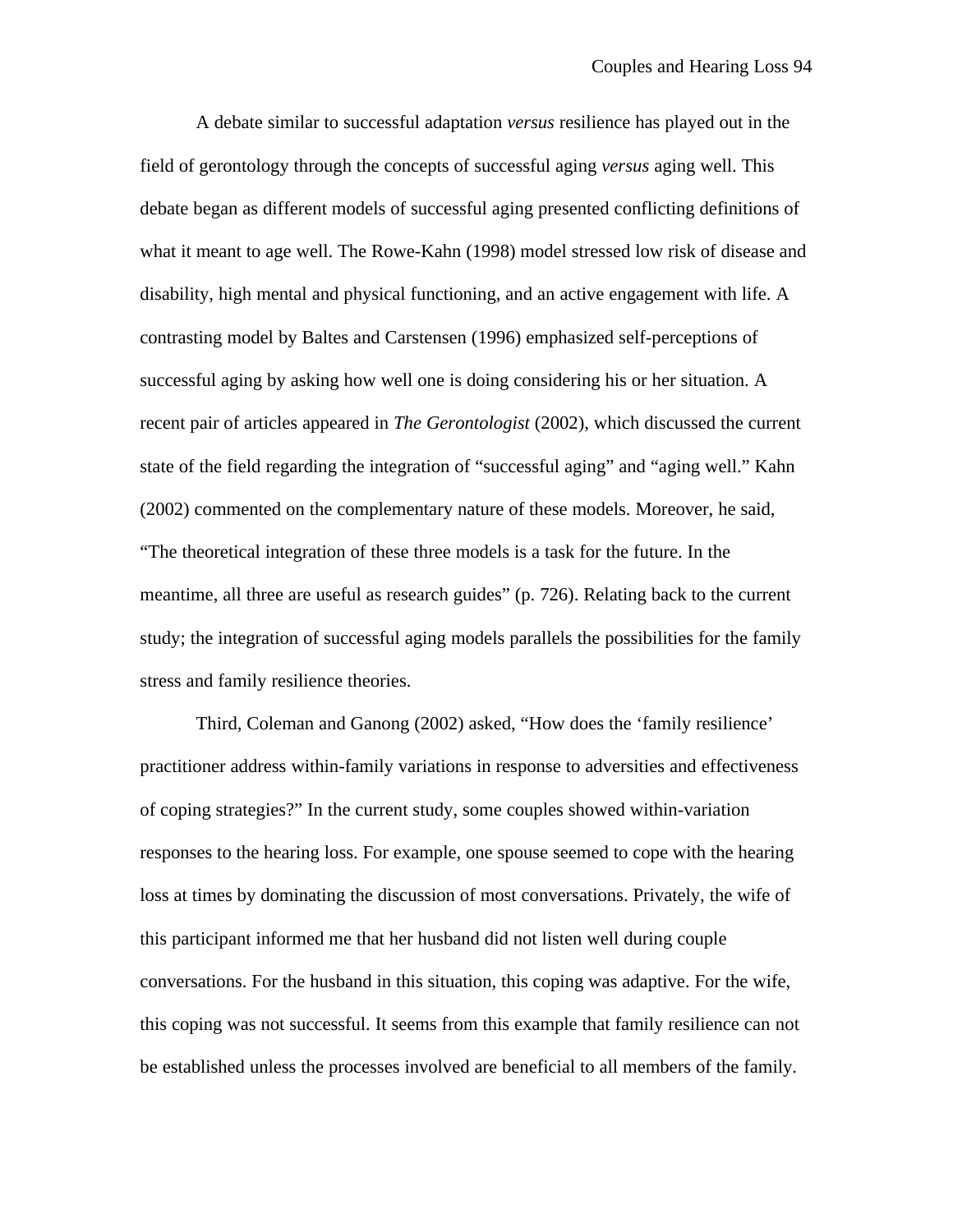A debate similar to successful adaptation *versus* resilience has played out in the field of gerontology through the concepts of successful aging *versus* aging well. This debate began as different models of successful aging presented conflicting definitions of what it meant to age well. The Rowe-Kahn (1998) model stressed low risk of disease and disability, high mental and physical functioning, and an active engagement with life. A contrasting model by Baltes and Carstensen (1996) emphasized self-perceptions of successful aging by asking how well one is doing considering his or her situation. A recent pair of articles appeared in *The Gerontologist* (2002), which discussed the current state of the field regarding the integration of "successful aging" and "aging well." Kahn (2002) commented on the complementary nature of these models. Moreover, he said, "The theoretical integration of these three models is a task for the future. In the meantime, all three are useful as research guides" (p. 726). Relating back to the current study; the integration of successful aging models parallels the possibilities for the family stress and family resilience theories.

Third, Coleman and Ganong (2002) asked, "How does the 'family resilience' practitioner address within-family variations in response to adversities and effectiveness of coping strategies?" In the current study, some couples showed within-variation responses to the hearing loss. For example, one spouse seemed to cope with the hearing loss at times by dominating the discussion of most conversations. Privately, the wife of this participant informed me that her husband did not listen well during couple conversations. For the husband in this situation, this coping was adaptive. For the wife, this coping was not successful. It seems from this example that family resilience can not be established unless the processes involved are beneficial to all members of the family.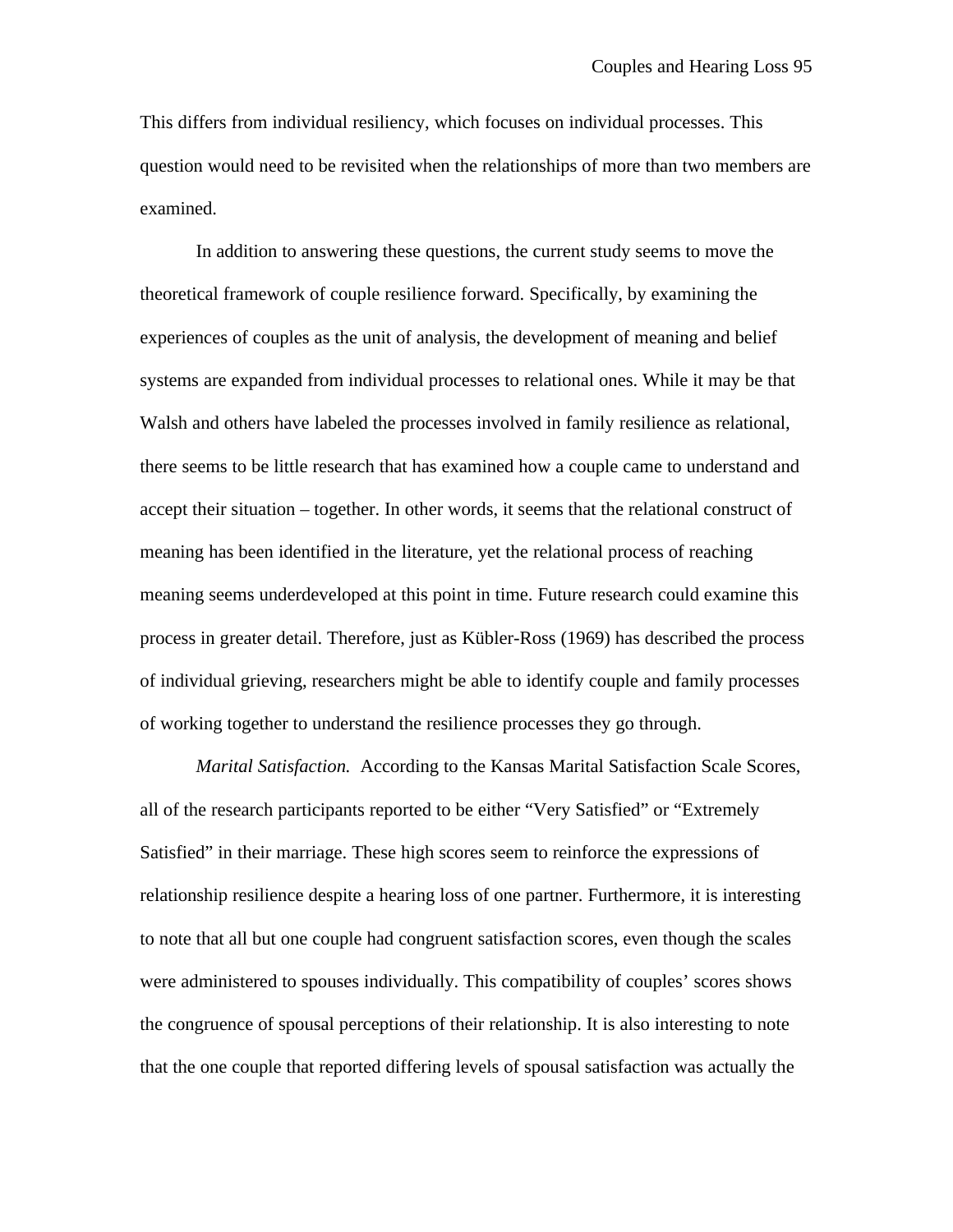This differs from individual resiliency, which focuses on individual processes. This question would need to be revisited when the relationships of more than two members are examined.

In addition to answering these questions, the current study seems to move the theoretical framework of couple resilience forward. Specifically, by examining the experiences of couples as the unit of analysis, the development of meaning and belief systems are expanded from individual processes to relational ones. While it may be that Walsh and others have labeled the processes involved in family resilience as relational, there seems to be little research that has examined how a couple came to understand and accept their situation – together. In other words, it seems that the relational construct of meaning has been identified in the literature, yet the relational process of reaching meaning seems underdeveloped at this point in time. Future research could examine this process in greater detail. Therefore, just as Kübler-Ross (1969) has described the process of individual grieving, researchers might be able to identify couple and family processes of working together to understand the resilience processes they go through.

*Marital Satisfaction.* According to the Kansas Marital Satisfaction Scale Scores, all of the research participants reported to be either "Very Satisfied" or "Extremely Satisfied" in their marriage. These high scores seem to reinforce the expressions of relationship resilience despite a hearing loss of one partner. Furthermore, it is interesting to note that all but one couple had congruent satisfaction scores, even though the scales were administered to spouses individually. This compatibility of couples' scores shows the congruence of spousal perceptions of their relationship. It is also interesting to note that the one couple that reported differing levels of spousal satisfaction was actually the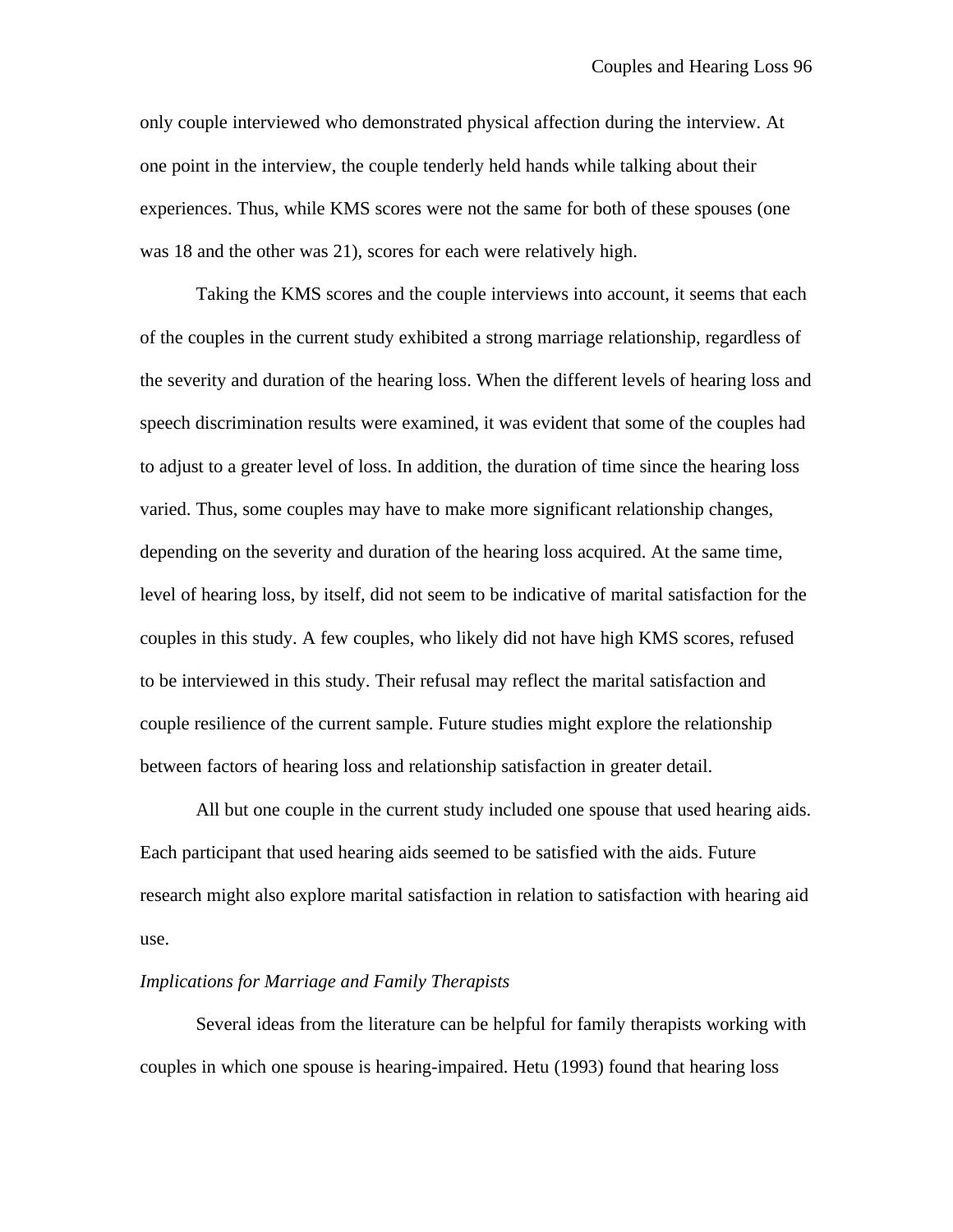only couple interviewed who demonstrated physical affection during the interview. At one point in the interview, the couple tenderly held hands while talking about their experiences. Thus, while KMS scores were not the same for both of these spouses (one was 18 and the other was 21), scores for each were relatively high.

Taking the KMS scores and the couple interviews into account, it seems that each of the couples in the current study exhibited a strong marriage relationship, regardless of the severity and duration of the hearing loss. When the different levels of hearing loss and speech discrimination results were examined, it was evident that some of the couples had to adjust to a greater level of loss. In addition, the duration of time since the hearing loss varied. Thus, some couples may have to make more significant relationship changes, depending on the severity and duration of the hearing loss acquired. At the same time, level of hearing loss, by itself, did not seem to be indicative of marital satisfaction for the couples in this study. A few couples, who likely did not have high KMS scores, refused to be interviewed in this study. Their refusal may reflect the marital satisfaction and couple resilience of the current sample. Future studies might explore the relationship between factors of hearing loss and relationship satisfaction in greater detail.

All but one couple in the current study included one spouse that used hearing aids. Each participant that used hearing aids seemed to be satisfied with the aids. Future research might also explore marital satisfaction in relation to satisfaction with hearing aid use.

### *Implications for Marriage and Family Therapists*

Several ideas from the literature can be helpful for family therapists working with couples in which one spouse is hearing-impaired. Hetu (1993) found that hearing loss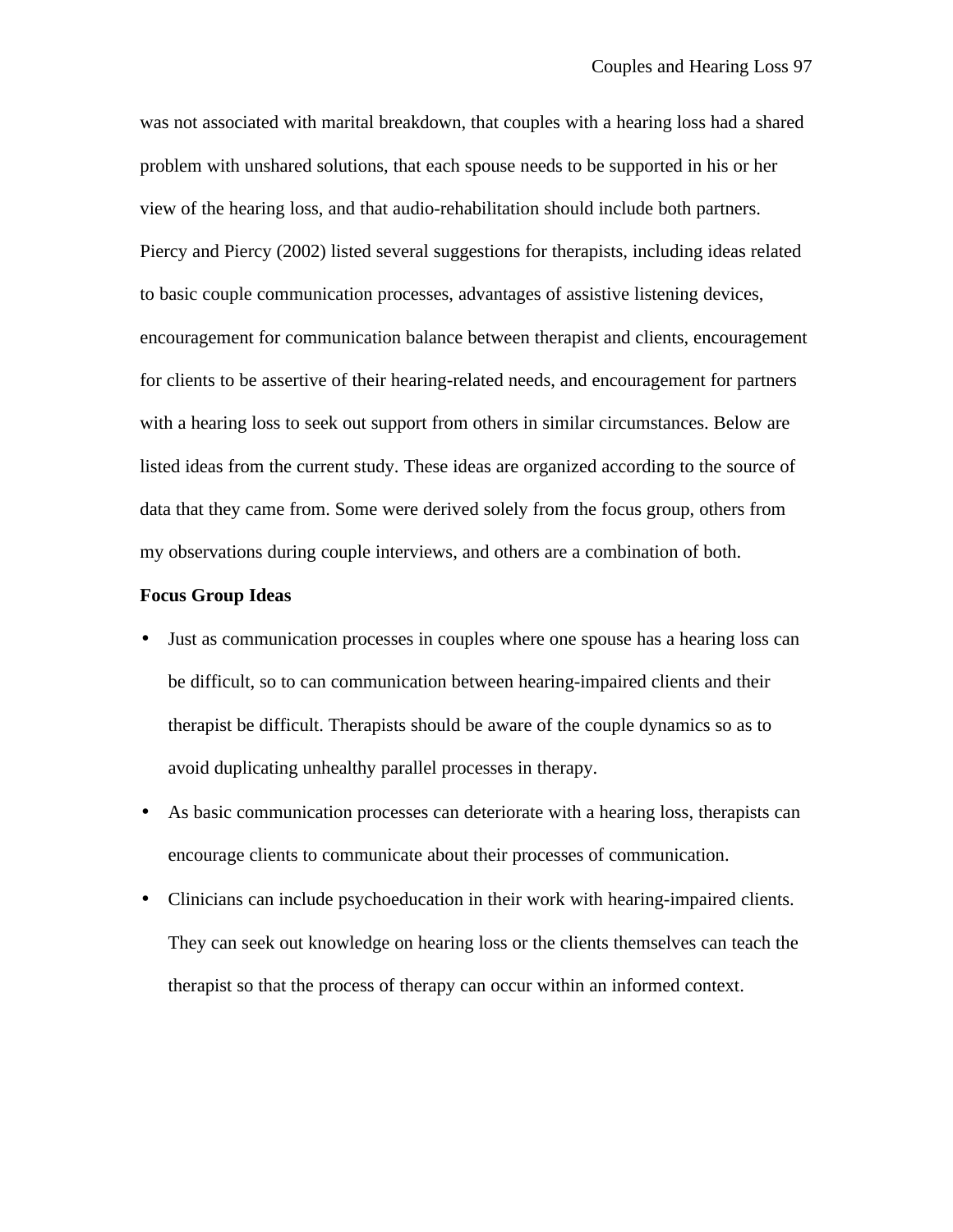was not associated with marital breakdown, that couples with a hearing loss had a shared problem with unshared solutions, that each spouse needs to be supported in his or her view of the hearing loss, and that audio-rehabilitation should include both partners. Piercy and Piercy (2002) listed several suggestions for therapists, including ideas related to basic couple communication processes, advantages of assistive listening devices, encouragement for communication balance between therapist and clients, encouragement for clients to be assertive of their hearing-related needs, and encouragement for partners with a hearing loss to seek out support from others in similar circumstances. Below are listed ideas from the current study. These ideas are organized according to the source of data that they came from. Some were derived solely from the focus group, others from my observations during couple interviews, and others are a combination of both.

#### **Focus Group Ideas**

- Just as communication processes in couples where one spouse has a hearing loss can be difficult, so to can communication between hearing-impaired clients and their therapist be difficult. Therapists should be aware of the couple dynamics so as to avoid duplicating unhealthy parallel processes in therapy.
- As basic communication processes can deteriorate with a hearing loss, therapists can encourage clients to communicate about their processes of communication.
- Clinicians can include psychoeducation in their work with hearing-impaired clients. They can seek out knowledge on hearing loss or the clients themselves can teach the therapist so that the process of therapy can occur within an informed context.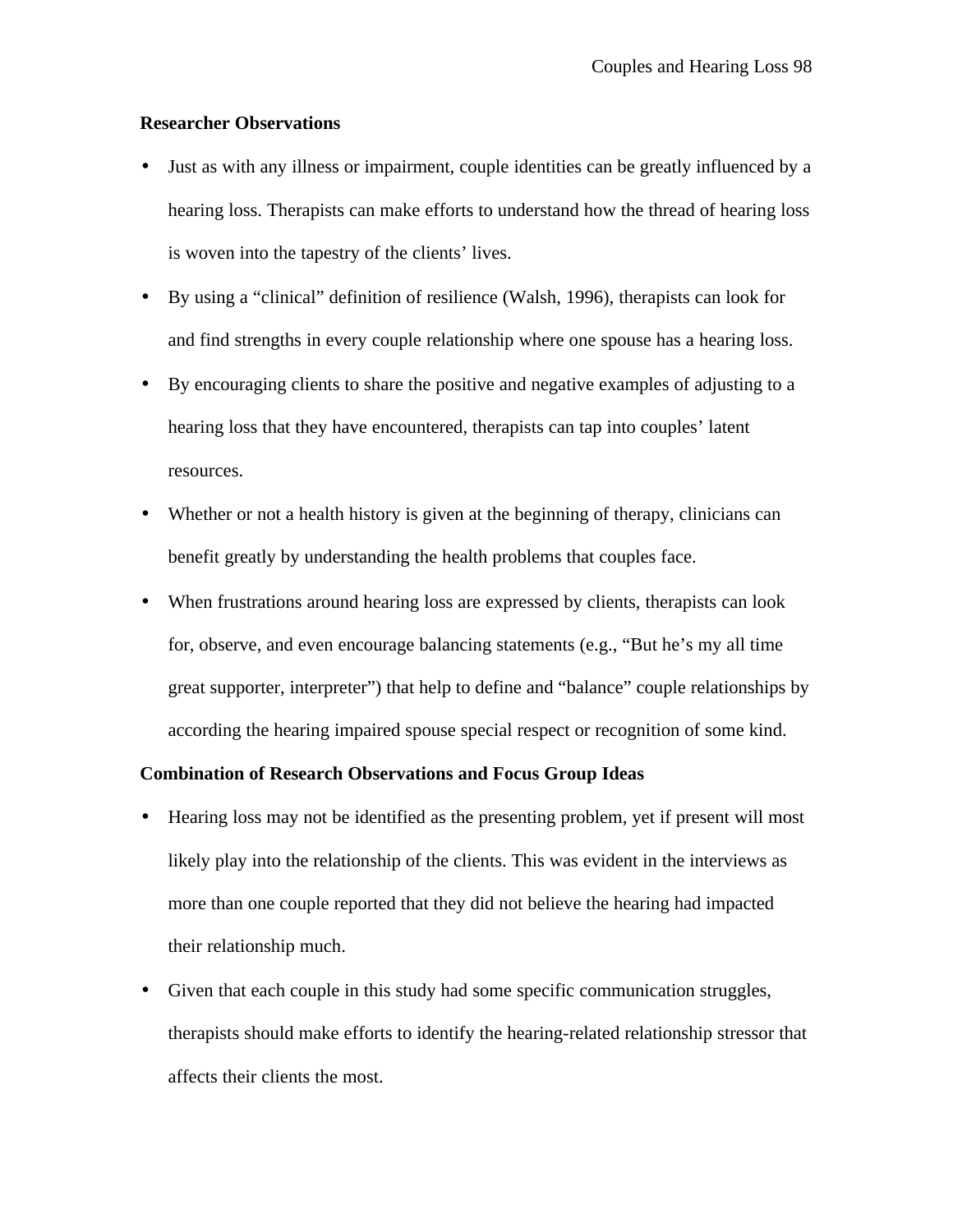#### **Researcher Observations**

- Just as with any illness or impairment, couple identities can be greatly influenced by a hearing loss. Therapists can make efforts to understand how the thread of hearing loss is woven into the tapestry of the clients' lives.
- By using a "clinical" definition of resilience (Walsh, 1996), therapists can look for and find strengths in every couple relationship where one spouse has a hearing loss.
- By encouraging clients to share the positive and negative examples of adjusting to a hearing loss that they have encountered, therapists can tap into couples' latent resources.
- Whether or not a health history is given at the beginning of therapy, clinicians can benefit greatly by understanding the health problems that couples face.
- When frustrations around hearing loss are expressed by clients, therapists can look for, observe, and even encourage balancing statements (e.g., "But he's my all time great supporter, interpreter") that help to define and "balance" couple relationships by according the hearing impaired spouse special respect or recognition of some kind.

#### **Combination of Research Observations and Focus Group Ideas**

- Hearing loss may not be identified as the presenting problem, yet if present will most likely play into the relationship of the clients. This was evident in the interviews as more than one couple reported that they did not believe the hearing had impacted their relationship much.
- Given that each couple in this study had some specific communication struggles, therapists should make efforts to identify the hearing-related relationship stressor that affects their clients the most.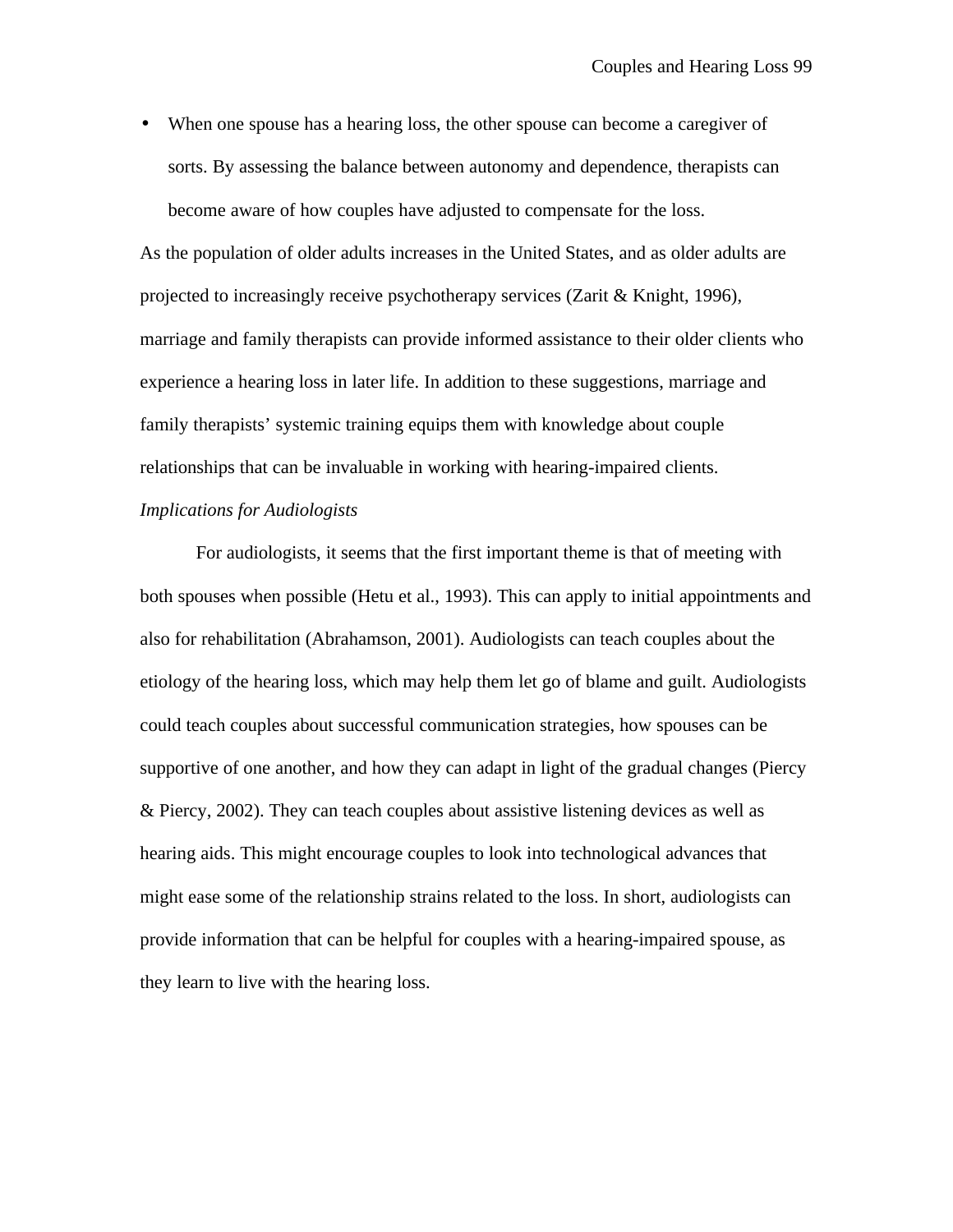• When one spouse has a hearing loss, the other spouse can become a caregiver of sorts. By assessing the balance between autonomy and dependence, therapists can become aware of how couples have adjusted to compensate for the loss.

As the population of older adults increases in the United States, and as older adults are projected to increasingly receive psychotherapy services (Zarit & Knight, 1996), marriage and family therapists can provide informed assistance to their older clients who experience a hearing loss in later life. In addition to these suggestions, marriage and family therapists' systemic training equips them with knowledge about couple relationships that can be invaluable in working with hearing-impaired clients. *Implications for Audiologists*

For audiologists, it seems that the first important theme is that of meeting with both spouses when possible (Hetu et al., 1993). This can apply to initial appointments and also for rehabilitation (Abrahamson, 2001). Audiologists can teach couples about the etiology of the hearing loss, which may help them let go of blame and guilt. Audiologists could teach couples about successful communication strategies, how spouses can be supportive of one another, and how they can adapt in light of the gradual changes (Piercy & Piercy, 2002). They can teach couples about assistive listening devices as well as hearing aids. This might encourage couples to look into technological advances that might ease some of the relationship strains related to the loss. In short, audiologists can provide information that can be helpful for couples with a hearing-impaired spouse, as they learn to live with the hearing loss.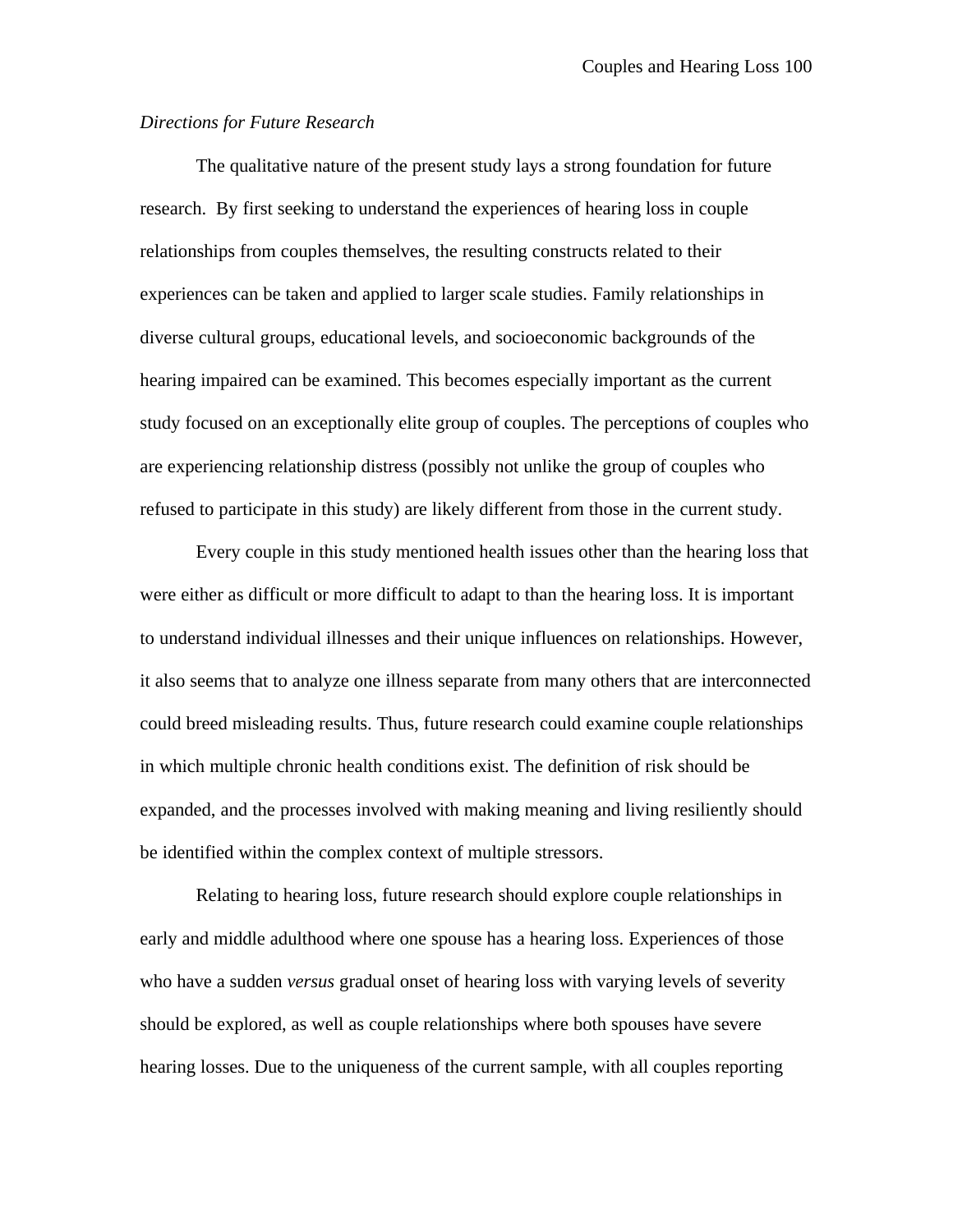#### *Directions for Future Research*

The qualitative nature of the present study lays a strong foundation for future research. By first seeking to understand the experiences of hearing loss in couple relationships from couples themselves, the resulting constructs related to their experiences can be taken and applied to larger scale studies. Family relationships in diverse cultural groups, educational levels, and socioeconomic backgrounds of the hearing impaired can be examined. This becomes especially important as the current study focused on an exceptionally elite group of couples. The perceptions of couples who are experiencing relationship distress (possibly not unlike the group of couples who refused to participate in this study) are likely different from those in the current study.

Every couple in this study mentioned health issues other than the hearing loss that were either as difficult or more difficult to adapt to than the hearing loss. It is important to understand individual illnesses and their unique influences on relationships. However, it also seems that to analyze one illness separate from many others that are interconnected could breed misleading results. Thus, future research could examine couple relationships in which multiple chronic health conditions exist. The definition of risk should be expanded, and the processes involved with making meaning and living resiliently should be identified within the complex context of multiple stressors.

Relating to hearing loss, future research should explore couple relationships in early and middle adulthood where one spouse has a hearing loss. Experiences of those who have a sudden *versus* gradual onset of hearing loss with varying levels of severity should be explored, as well as couple relationships where both spouses have severe hearing losses. Due to the uniqueness of the current sample, with all couples reporting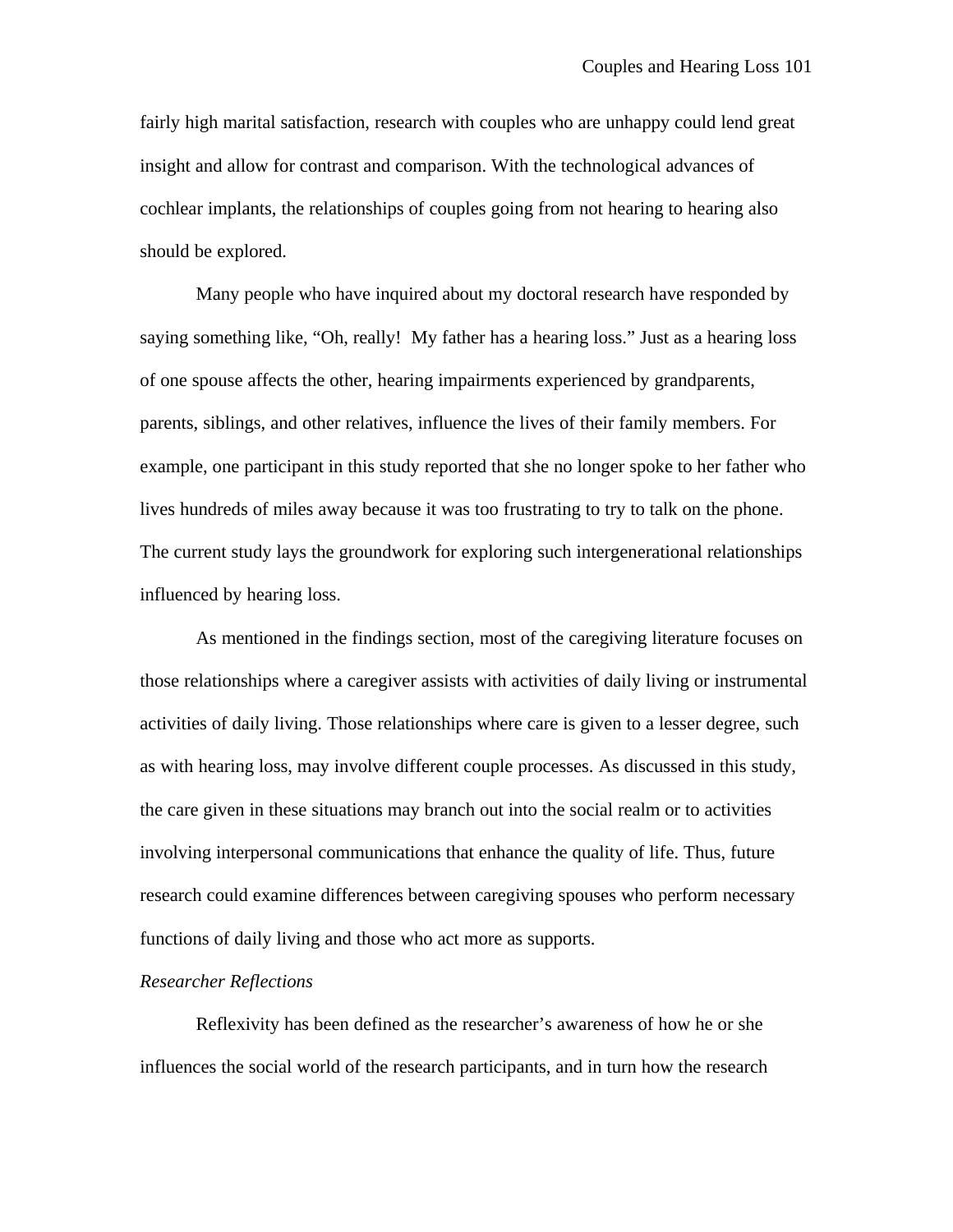fairly high marital satisfaction, research with couples who are unhappy could lend great insight and allow for contrast and comparison. With the technological advances of cochlear implants, the relationships of couples going from not hearing to hearing also should be explored.

Many people who have inquired about my doctoral research have responded by saying something like, "Oh, really! My father has a hearing loss." Just as a hearing loss of one spouse affects the other, hearing impairments experienced by grandparents, parents, siblings, and other relatives, influence the lives of their family members. For example, one participant in this study reported that she no longer spoke to her father who lives hundreds of miles away because it was too frustrating to try to talk on the phone. The current study lays the groundwork for exploring such intergenerational relationships influenced by hearing loss.

As mentioned in the findings section, most of the caregiving literature focuses on those relationships where a caregiver assists with activities of daily living or instrumental activities of daily living. Those relationships where care is given to a lesser degree, such as with hearing loss, may involve different couple processes. As discussed in this study, the care given in these situations may branch out into the social realm or to activities involving interpersonal communications that enhance the quality of life. Thus, future research could examine differences between caregiving spouses who perform necessary functions of daily living and those who act more as supports.

#### *Researcher Reflections*

Reflexivity has been defined as the researcher's awareness of how he or she influences the social world of the research participants, and in turn how the research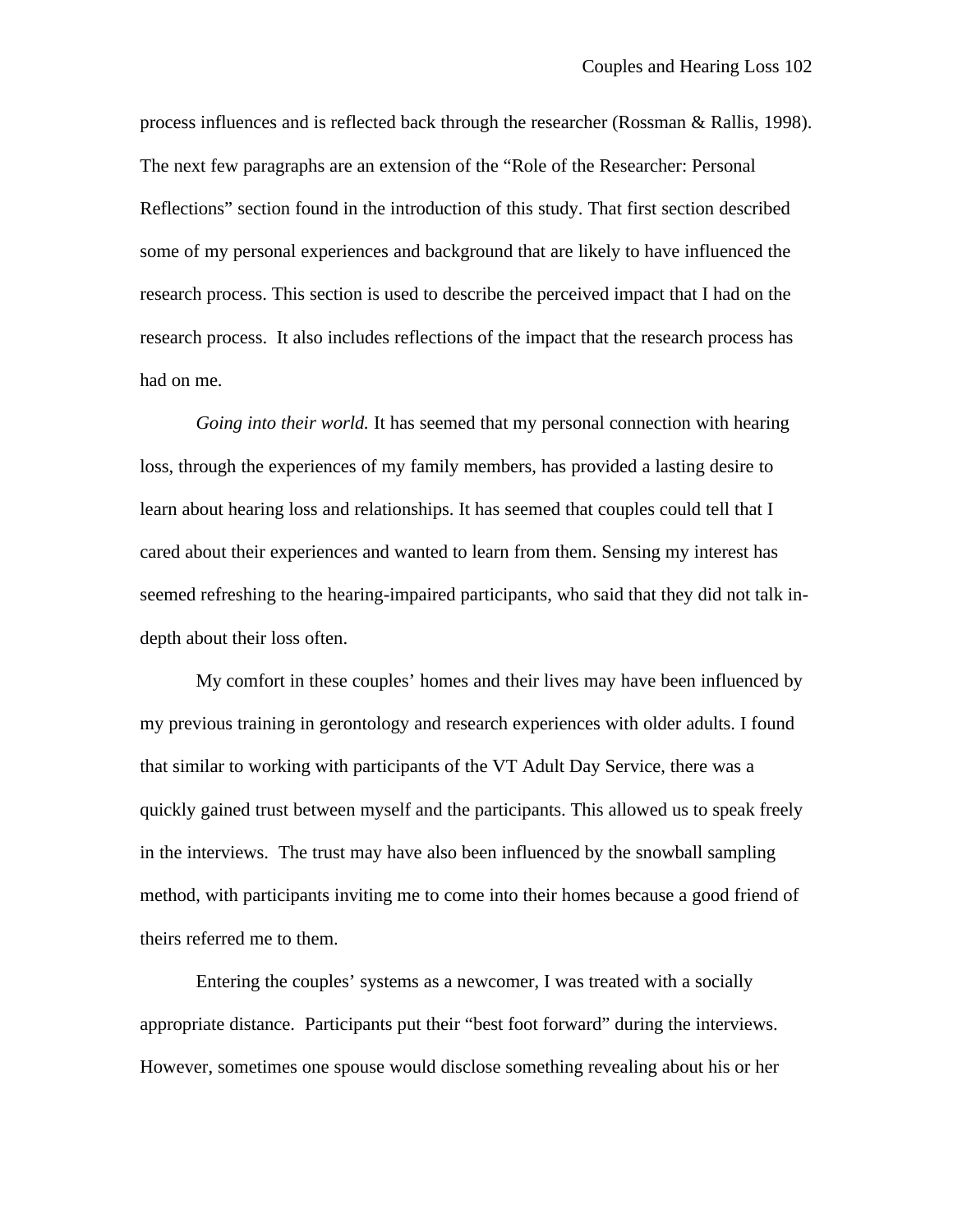process influences and is reflected back through the researcher (Rossman & Rallis, 1998). The next few paragraphs are an extension of the "Role of the Researcher: Personal Reflections" section found in the introduction of this study. That first section described some of my personal experiences and background that are likely to have influenced the research process. This section is used to describe the perceived impact that I had on the research process. It also includes reflections of the impact that the research process has had on me.

*Going into their world.* It has seemed that my personal connection with hearing loss, through the experiences of my family members, has provided a lasting desire to learn about hearing loss and relationships. It has seemed that couples could tell that I cared about their experiences and wanted to learn from them. Sensing my interest has seemed refreshing to the hearing-impaired participants, who said that they did not talk indepth about their loss often.

My comfort in these couples' homes and their lives may have been influenced by my previous training in gerontology and research experiences with older adults. I found that similar to working with participants of the VT Adult Day Service, there was a quickly gained trust between myself and the participants. This allowed us to speak freely in the interviews. The trust may have also been influenced by the snowball sampling method, with participants inviting me to come into their homes because a good friend of theirs referred me to them.

Entering the couples' systems as a newcomer, I was treated with a socially appropriate distance. Participants put their "best foot forward" during the interviews. However, sometimes one spouse would disclose something revealing about his or her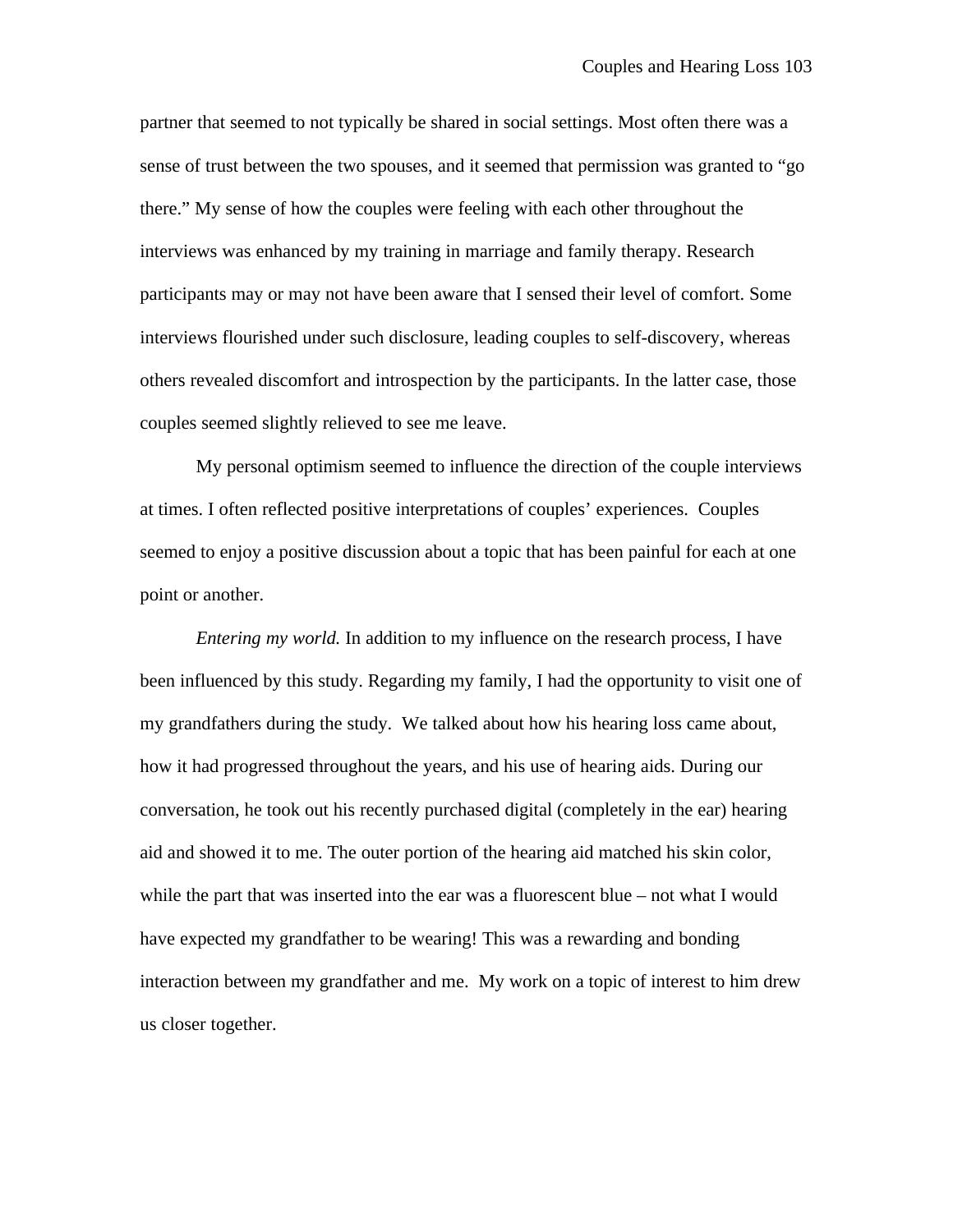partner that seemed to not typically be shared in social settings. Most often there was a sense of trust between the two spouses, and it seemed that permission was granted to "go there." My sense of how the couples were feeling with each other throughout the interviews was enhanced by my training in marriage and family therapy. Research participants may or may not have been aware that I sensed their level of comfort. Some interviews flourished under such disclosure, leading couples to self-discovery, whereas others revealed discomfort and introspection by the participants. In the latter case, those couples seemed slightly relieved to see me leave.

My personal optimism seemed to influence the direction of the couple interviews at times. I often reflected positive interpretations of couples' experiences. Couples seemed to enjoy a positive discussion about a topic that has been painful for each at one point or another.

*Entering my world.* In addition to my influence on the research process, I have been influenced by this study. Regarding my family, I had the opportunity to visit one of my grandfathers during the study. We talked about how his hearing loss came about, how it had progressed throughout the years, and his use of hearing aids. During our conversation, he took out his recently purchased digital (completely in the ear) hearing aid and showed it to me. The outer portion of the hearing aid matched his skin color, while the part that was inserted into the ear was a fluorescent blue – not what I would have expected my grandfather to be wearing! This was a rewarding and bonding interaction between my grandfather and me. My work on a topic of interest to him drew us closer together.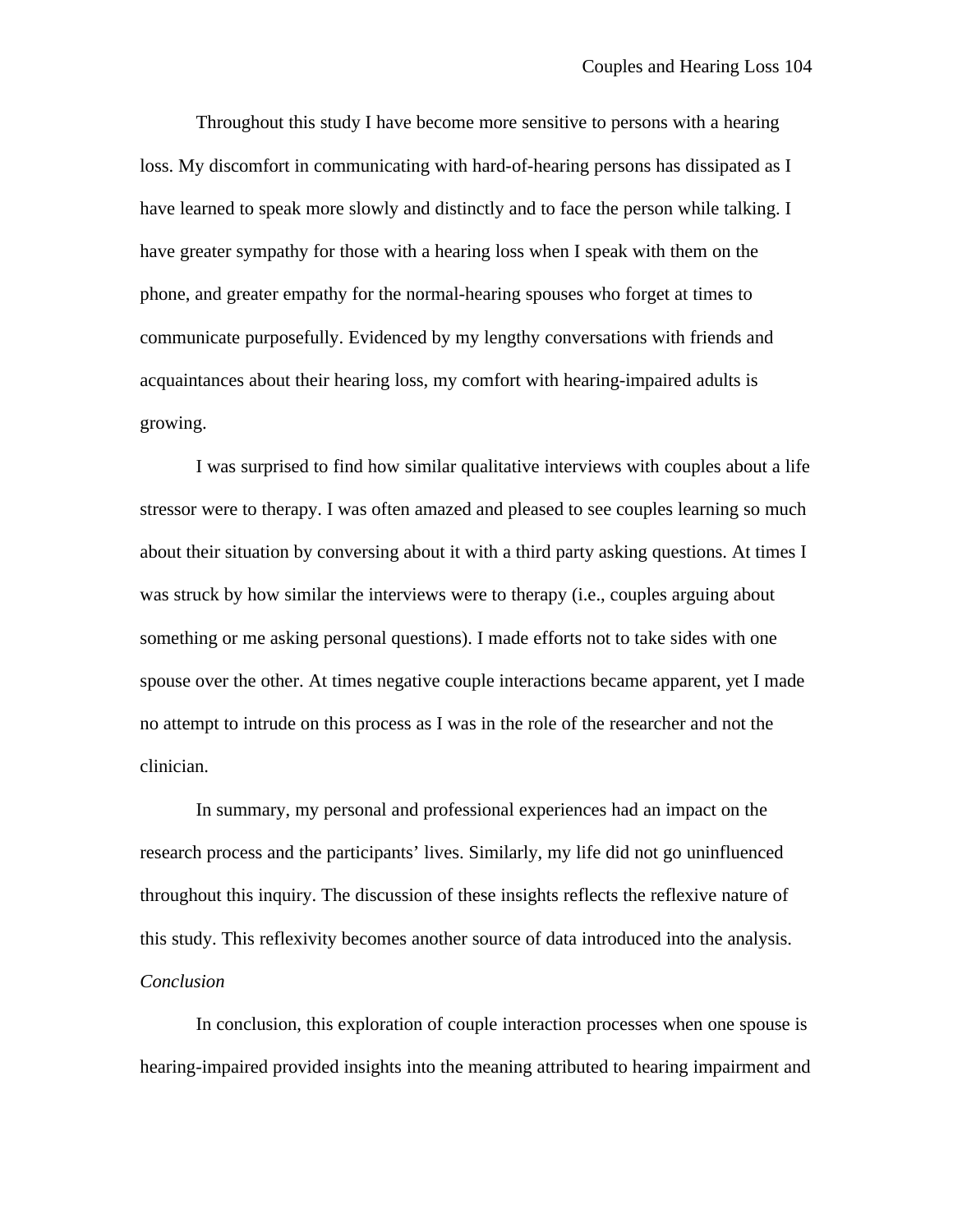Throughout this study I have become more sensitive to persons with a hearing loss. My discomfort in communicating with hard-of-hearing persons has dissipated as I have learned to speak more slowly and distinctly and to face the person while talking. I have greater sympathy for those with a hearing loss when I speak with them on the phone, and greater empathy for the normal-hearing spouses who forget at times to communicate purposefully. Evidenced by my lengthy conversations with friends and acquaintances about their hearing loss, my comfort with hearing-impaired adults is growing.

I was surprised to find how similar qualitative interviews with couples about a life stressor were to therapy. I was often amazed and pleased to see couples learning so much about their situation by conversing about it with a third party asking questions. At times I was struck by how similar the interviews were to therapy (i.e., couples arguing about something or me asking personal questions). I made efforts not to take sides with one spouse over the other. At times negative couple interactions became apparent, yet I made no attempt to intrude on this process as I was in the role of the researcher and not the clinician.

In summary, my personal and professional experiences had an impact on the research process and the participants' lives. Similarly, my life did not go uninfluenced throughout this inquiry. The discussion of these insights reflects the reflexive nature of this study. This reflexivity becomes another source of data introduced into the analysis. *Conclusion*

In conclusion, this exploration of couple interaction processes when one spouse is hearing-impaired provided insights into the meaning attributed to hearing impairment and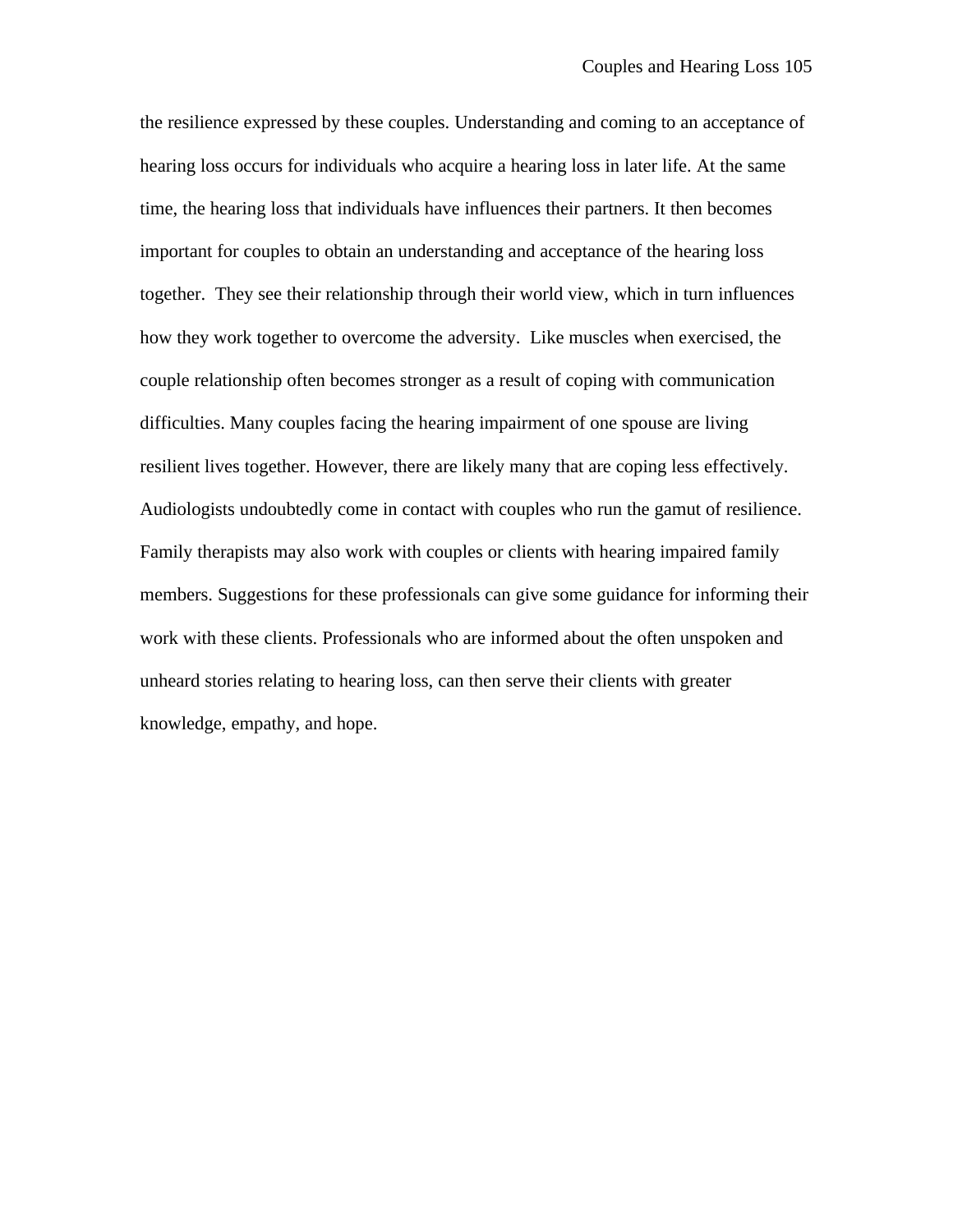the resilience expressed by these couples. Understanding and coming to an acceptance of hearing loss occurs for individuals who acquire a hearing loss in later life. At the same time, the hearing loss that individuals have influences their partners. It then becomes important for couples to obtain an understanding and acceptance of the hearing loss together. They see their relationship through their world view, which in turn influences how they work together to overcome the adversity. Like muscles when exercised, the couple relationship often becomes stronger as a result of coping with communication difficulties. Many couples facing the hearing impairment of one spouse are living resilient lives together. However, there are likely many that are coping less effectively. Audiologists undoubtedly come in contact with couples who run the gamut of resilience. Family therapists may also work with couples or clients with hearing impaired family members. Suggestions for these professionals can give some guidance for informing their work with these clients. Professionals who are informed about the often unspoken and unheard stories relating to hearing loss, can then serve their clients with greater knowledge, empathy, and hope.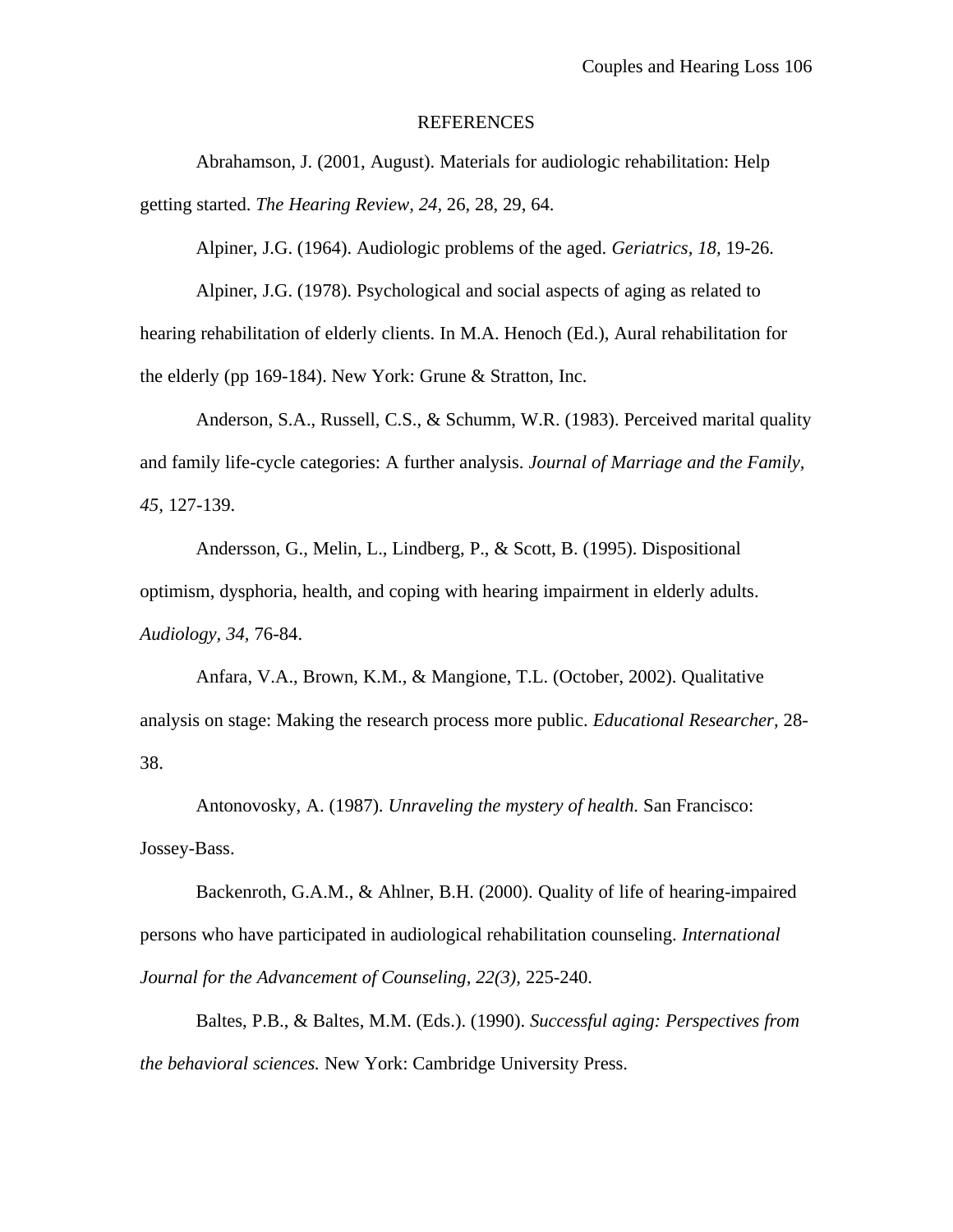#### REFERENCES

Abrahamson, J. (2001, August). Materials for audiologic rehabilitation: Help getting started. *The Hearing Review, 24,* 26, 28, 29, 64.

Alpiner, J.G. (1964). Audiologic problems of the aged. *Geriatrics, 18,* 19-26.

Alpiner, J.G. (1978). Psychological and social aspects of aging as related to hearing rehabilitation of elderly clients. In M.A. Henoch (Ed.), Aural rehabilitation for the elderly (pp 169-184). New York: Grune & Stratton, Inc.

Anderson, S.A., Russell, C.S., & Schumm, W.R. (1983). Perceived marital quality and family life-cycle categories: A further analysis. *Journal of Marriage and the Family, 45,* 127-139.

Andersson, G., Melin, L., Lindberg, P., & Scott, B. (1995). Dispositional optimism, dysphoria, health, and coping with hearing impairment in elderly adults. *Audiology, 34,* 76-84.

Anfara, V.A., Brown, K.M., & Mangione, T.L. (October, 2002). Qualitative analysis on stage: Making the research process more public. *Educational Researcher,* 28- 38.

Antonovosky, A. (1987). *Unraveling the mystery of health.* San Francisco: Jossey-Bass.

Backenroth, G.A.M., & Ahlner, B.H. (2000). Quality of life of hearing-impaired persons who have participated in audiological rehabilitation counseling. *International Journal for the Advancement of Counseling, 22(3),* 225-240.

Baltes, P.B., & Baltes, M.M. (Eds.). (1990). *Successful aging: Perspectives from the behavioral sciences.* New York: Cambridge University Press.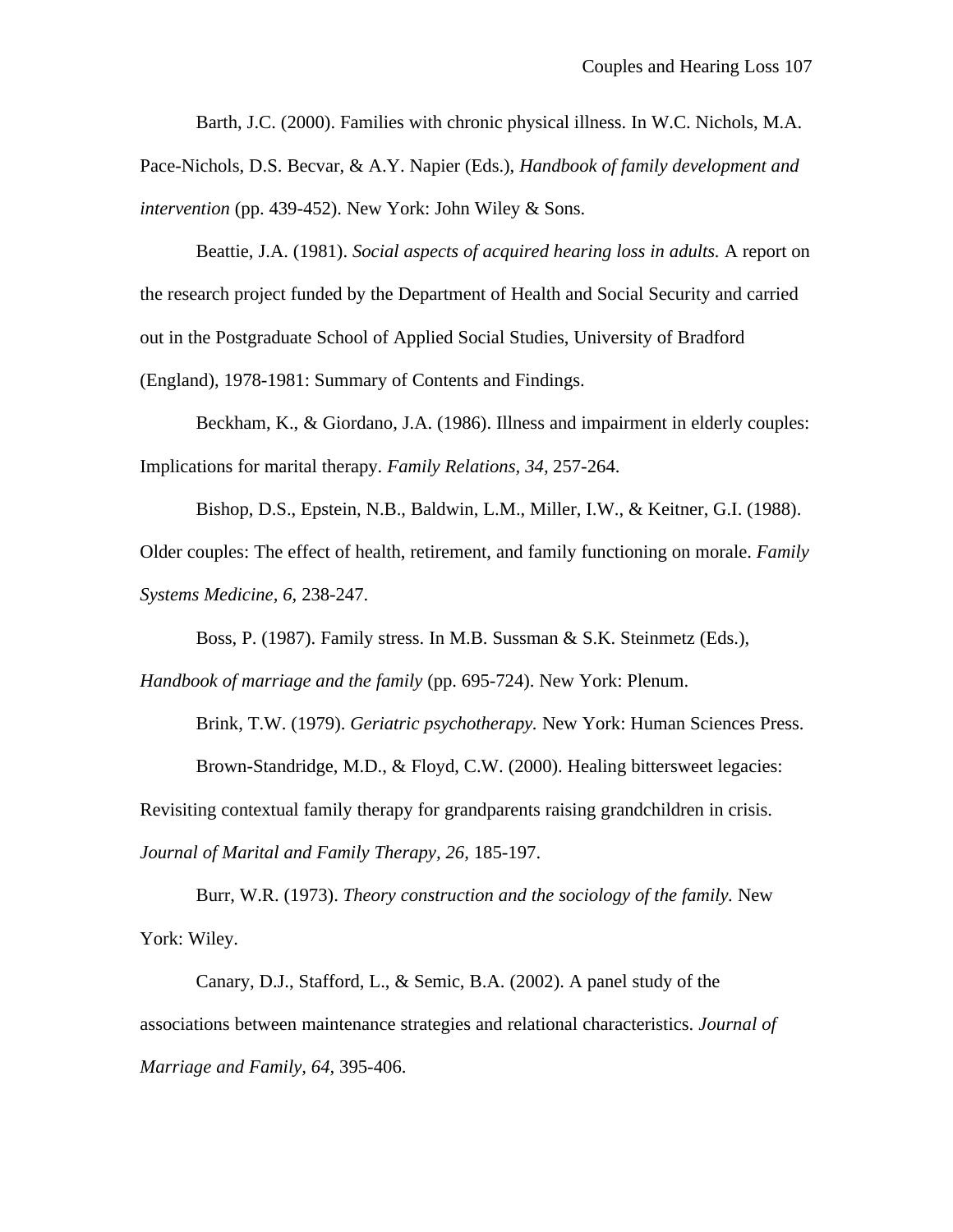Barth, J.C. (2000). Families with chronic physical illness. In W.C. Nichols, M.A.

Pace-Nichols, D.S. Becvar, & A.Y. Napier (Eds.), *Handbook of family development and intervention* (pp. 439-452). New York: John Wiley & Sons.

Beattie, J.A. (1981). *Social aspects of acquired hearing loss in adults.* A report on the research project funded by the Department of Health and Social Security and carried out in the Postgraduate School of Applied Social Studies, University of Bradford (England), 1978-1981: Summary of Contents and Findings.

Beckham, K., & Giordano, J.A. (1986). Illness and impairment in elderly couples: Implications for marital therapy. *Family Relations, 34,* 257-264.

Bishop, D.S., Epstein, N.B., Baldwin, L.M., Miller, I.W., & Keitner, G.I. (1988). Older couples: The effect of health, retirement, and family functioning on morale. *Family Systems Medicine, 6,* 238-247.

Boss, P. (1987). Family stress. In M.B. Sussman & S.K. Steinmetz (Eds.),

*Handbook of marriage and the family* (pp. 695-724). New York: Plenum.

Brink, T.W. (1979). *Geriatric psychotherapy.* New York: Human Sciences Press. Brown-Standridge, M.D., & Floyd, C.W. (2000). Healing bittersweet legacies:

Revisiting contextual family therapy for grandparents raising grandchildren in crisis.

*Journal of Marital and Family Therapy, 26,* 185-197.

Burr, W.R. (1973). *Theory construction and the sociology of the family.* New York: Wiley.

Canary, D.J., Stafford, L., & Semic, B.A. (2002). A panel study of the associations between maintenance strategies and relational characteristics. *Journal of Marriage and Family, 64,* 395-406.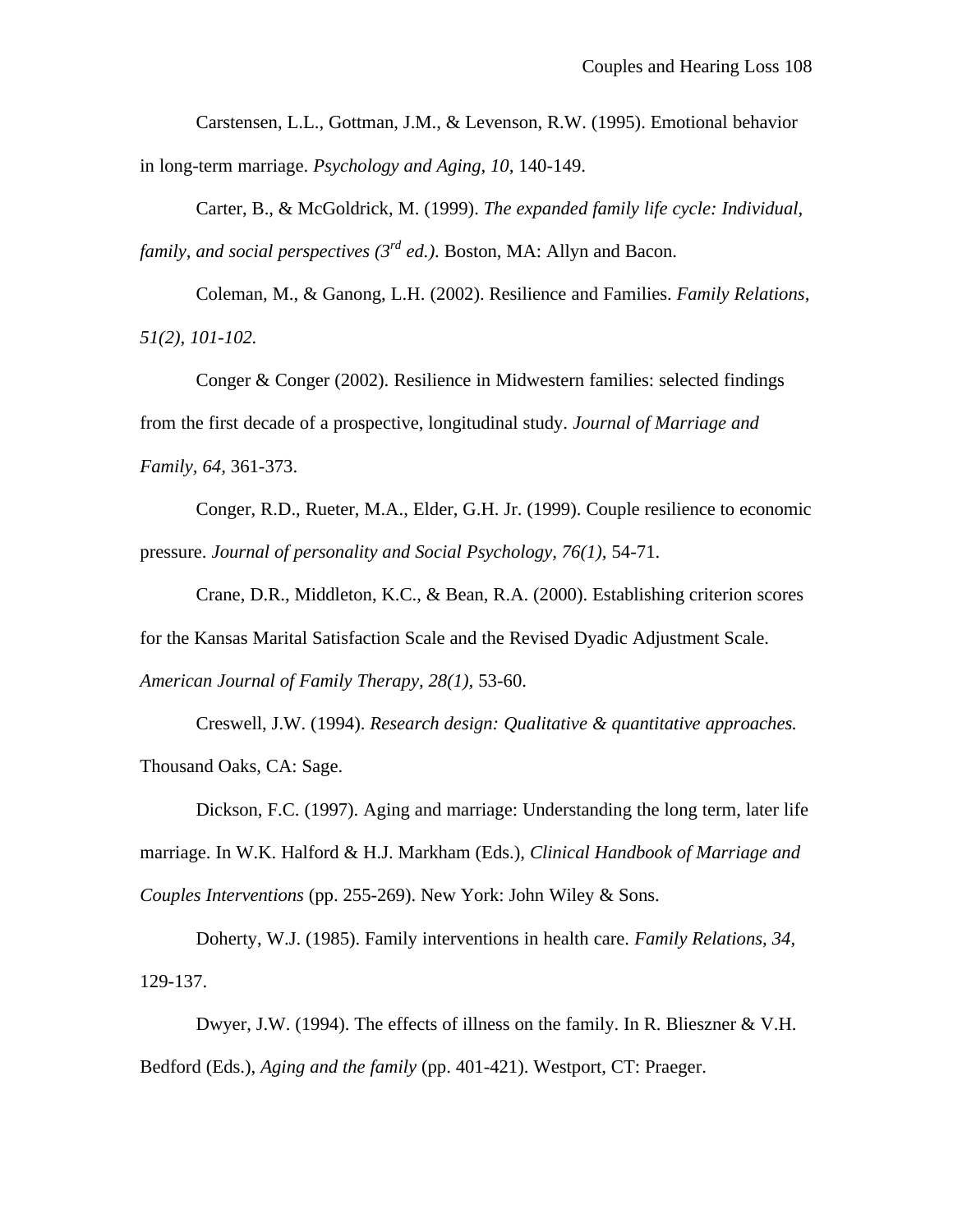Carstensen, L.L., Gottman, J.M., & Levenson, R.W. (1995). Emotional behavior in long-term marriage. *Psychology and Aging, 10,* 140-149.

Carter, B., & McGoldrick, M. (1999). *The expanded family life cycle: Individual, family, and social perspectives (3rd ed.).* Boston, MA: Allyn and Bacon.

Coleman, M., & Ganong, L.H. (2002). Resilience and Families. *Family Relations, 51(2), 101-102.*

Conger & Conger (2002). Resilience in Midwestern families: selected findings from the first decade of a prospective, longitudinal study. *Journal of Marriage and Family, 64,* 361-373.

Conger, R.D., Rueter, M.A., Elder, G.H. Jr. (1999). Couple resilience to economic pressure. *Journal of personality and Social Psychology, 76(1),* 54-71.

Crane, D.R., Middleton, K.C., & Bean, R.A. (2000). Establishing criterion scores for the Kansas Marital Satisfaction Scale and the Revised Dyadic Adjustment Scale. *American Journal of Family Therapy, 28(1),* 53-60.

Creswell, J.W. (1994). *Research design: Qualitative & quantitative approaches.* Thousand Oaks, CA: Sage.

Dickson, F.C. (1997). Aging and marriage: Understanding the long term, later life marriage. In W.K. Halford & H.J. Markham (Eds.), *Clinical Handbook of Marriage and Couples Interventions* (pp. 255-269). New York: John Wiley & Sons.

Doherty, W.J. (1985). Family interventions in health care. *Family Relations, 34,* 129-137.

Dwyer, J.W. (1994). The effects of illness on the family. In R. Blieszner & V.H. Bedford (Eds.), *Aging and the family* (pp. 401-421). Westport, CT: Praeger.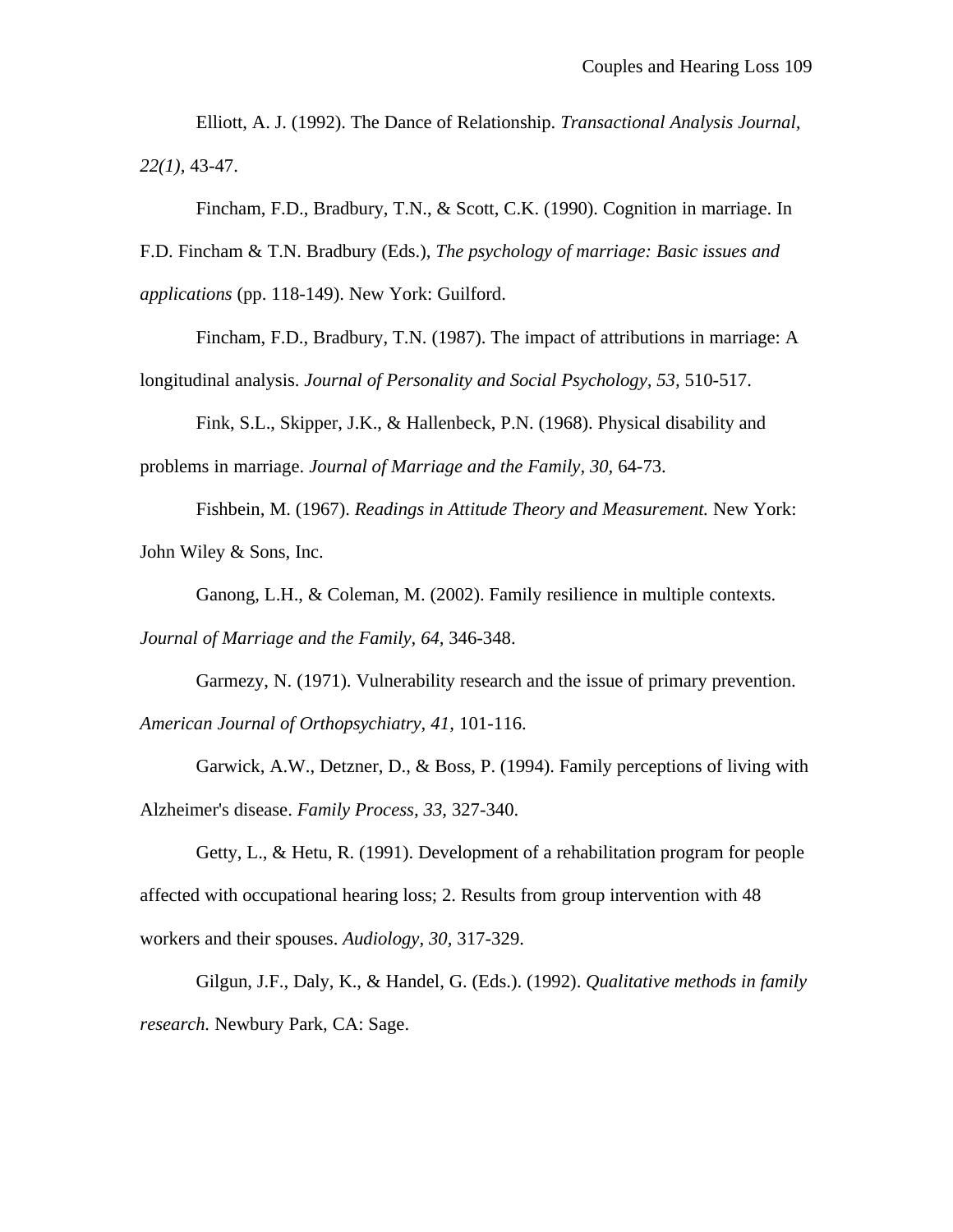Elliott, A. J. (1992). The Dance of Relationship. *Transactional Analysis Journal, 22(1),* 43-47.

Fincham, F.D., Bradbury, T.N., & Scott, C.K. (1990). Cognition in marriage. In F.D. Fincham & T.N. Bradbury (Eds.), *The psychology of marriage: Basic issues and applications* (pp. 118-149). New York: Guilford.

Fincham, F.D., Bradbury, T.N. (1987). The impact of attributions in marriage: A longitudinal analysis. *Journal of Personality and Social Psychology, 53,* 510-517.

Fink, S.L., Skipper, J.K., & Hallenbeck, P.N. (1968). Physical disability and problems in marriage. *Journal of Marriage and the Family, 30,* 64-73.

Fishbein, M. (1967). *Readings in Attitude Theory and Measurement.* New York: John Wiley & Sons, Inc.

Ganong, L.H., & Coleman, M. (2002). Family resilience in multiple contexts.

*Journal of Marriage and the Family, 64,* 346-348.

Garmezy, N. (1971). Vulnerability research and the issue of primary prevention. *American Journal of Orthopsychiatry, 41,* 101-116.

Garwick, A.W., Detzner, D., & Boss, P. (1994). Family perceptions of living with Alzheimer's disease. *Family Process, 33,* 327-340.

Getty, L., & Hetu, R. (1991). Development of a rehabilitation program for people affected with occupational hearing loss; 2. Results from group intervention with 48 workers and their spouses. *Audiology, 30,* 317-329.

Gilgun, J.F., Daly, K., & Handel, G. (Eds.). (1992). *Qualitative methods in family research.* Newbury Park, CA: Sage.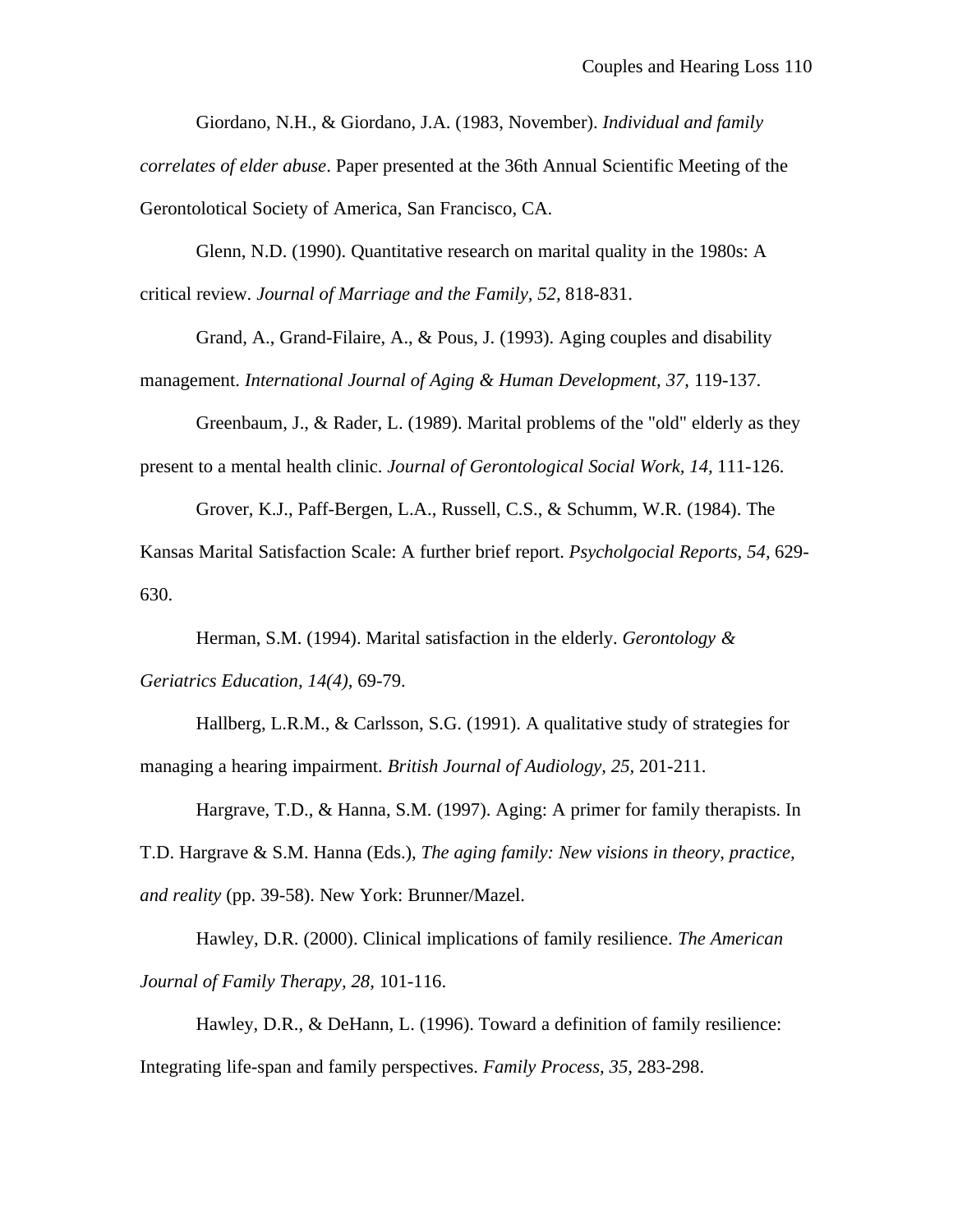Giordano, N.H., & Giordano, J.A. (1983, November). *Individual and family*

*correlates of elder abuse*. Paper presented at the 36th Annual Scientific Meeting of the Gerontolotical Society of America, San Francisco, CA.

Glenn, N.D. (1990). Quantitative research on marital quality in the 1980s: A critical review. *Journal of Marriage and the Family, 52,* 818-831.

Grand, A., Grand-Filaire, A., & Pous, J. (1993). Aging couples and disability management. *International Journal of Aging & Human Development, 37,* 119-137.

Greenbaum, J., & Rader, L. (1989). Marital problems of the "old" elderly as they present to a mental health clinic. *Journal of Gerontological Social Work, 14,* 111-126.

Grover, K.J., Paff-Bergen, L.A., Russell, C.S., & Schumm, W.R. (1984). The Kansas Marital Satisfaction Scale: A further brief report. *Psycholgocial Reports, 54,* 629- 630.

Herman, S.M. (1994). Marital satisfaction in the elderly. *Gerontology & Geriatrics Education, 14(4),* 69-79.

Hallberg, L.R.M., & Carlsson, S.G. (1991). A qualitative study of strategies for managing a hearing impairment. *British Journal of Audiology, 25,* 201-211.

Hargrave, T.D., & Hanna, S.M. (1997). Aging: A primer for family therapists. In T.D. Hargrave & S.M. Hanna (Eds.), *The aging family: New visions in theory, practice, and reality* (pp. 39-58). New York: Brunner/Mazel.

Hawley, D.R. (2000). Clinical implications of family resilience. *The American Journal of Family Therapy, 28,* 101-116.

Hawley, D.R., & DeHann, L. (1996). Toward a definition of family resilience: Integrating life-span and family perspectives. *Family Process, 35,* 283-298.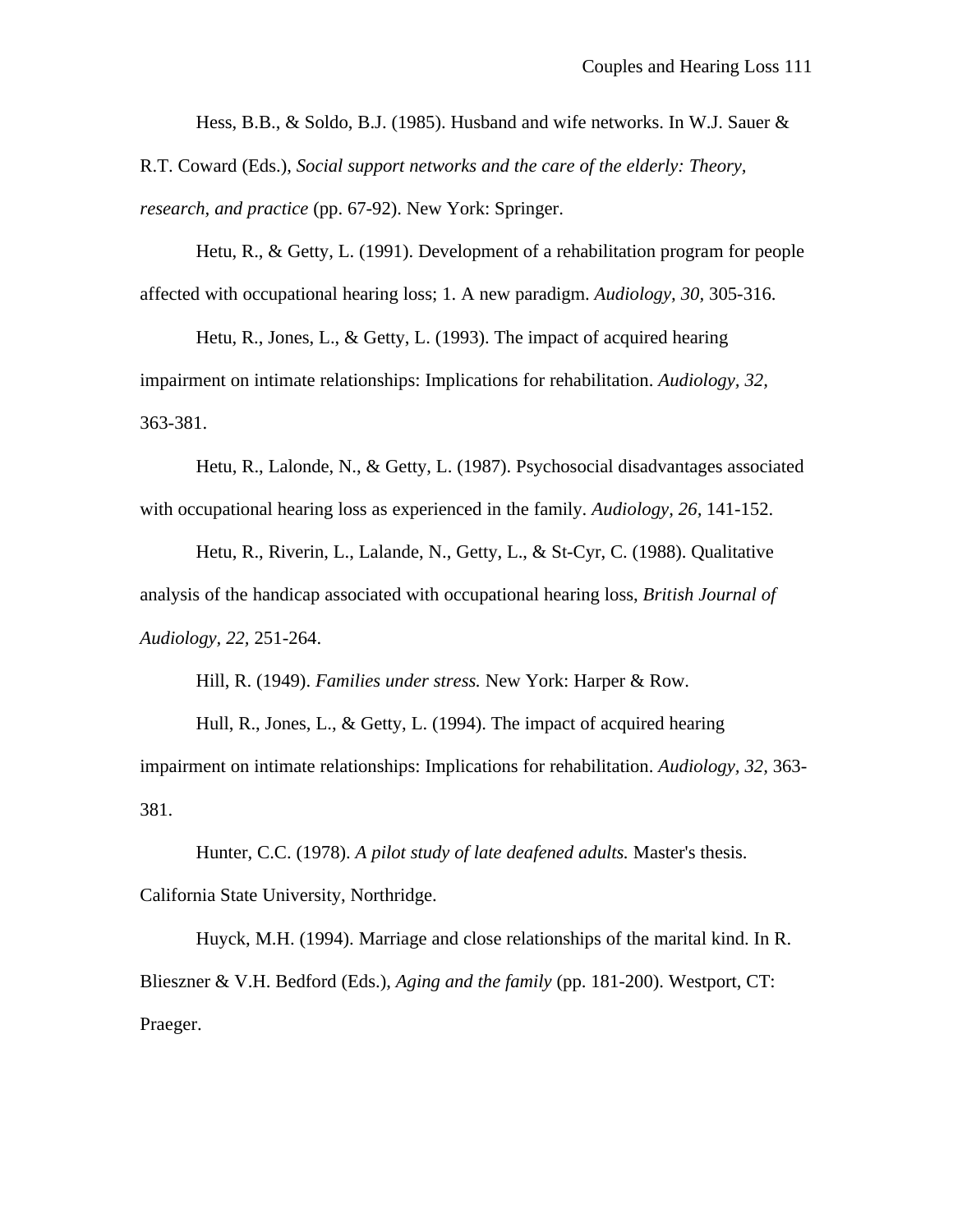Hess, B.B., & Soldo, B.J. (1985). Husband and wife networks. In W.J. Sauer  $\&$ 

R.T. Coward (Eds.), *Social support networks and the care of the elderly: Theory, research, and practice* (pp. 67-92). New York: Springer.

Hetu, R., & Getty, L. (1991). Development of a rehabilitation program for people affected with occupational hearing loss; 1. A new paradigm. *Audiology, 30,* 305-316.

Hetu, R., Jones, L., & Getty, L. (1993). The impact of acquired hearing impairment on intimate relationships: Implications for rehabilitation. *Audiology, 32,* 363-381.

Hetu, R., Lalonde, N., & Getty, L. (1987). Psychosocial disadvantages associated with occupational hearing loss as experienced in the family. *Audiology, 26,* 141-152.

Hetu, R., Riverin, L., Lalande, N., Getty, L., & St-Cyr, C. (1988). Qualitative analysis of the handicap associated with occupational hearing loss, *British Journal of Audiology, 22,* 251-264.

Hill, R. (1949). *Families under stress.* New York: Harper & Row.

Hull, R., Jones, L., & Getty, L. (1994). The impact of acquired hearing impairment on intimate relationships: Implications for rehabilitation. *Audiology, 32,* 363- 381.

Hunter, C.C. (1978). *A pilot study of late deafened adults.* Master's thesis. California State University, Northridge.

Huyck, M.H. (1994). Marriage and close relationships of the marital kind. In R. Blieszner & V.H. Bedford (Eds.), *Aging and the family* (pp. 181-200). Westport, CT: Praeger.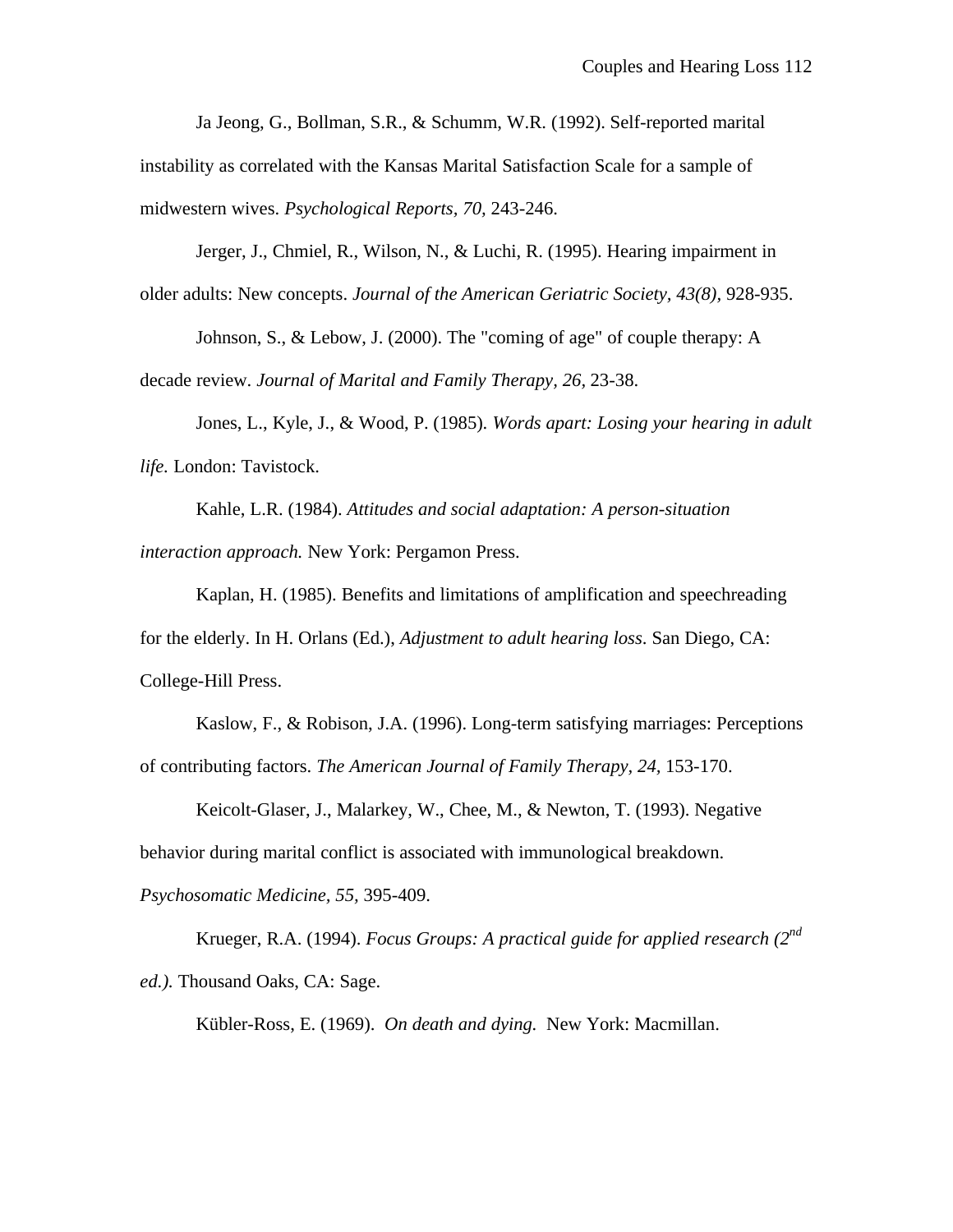Ja Jeong, G., Bollman, S.R., & Schumm, W.R. (1992). Self-reported marital

instability as correlated with the Kansas Marital Satisfaction Scale for a sample of midwestern wives. *Psychological Reports, 70,* 243-246.

Jerger, J., Chmiel, R., Wilson, N., & Luchi, R. (1995). Hearing impairment in older adults: New concepts. *Journal of the American Geriatric Society, 43(8),* 928-935.

Johnson, S., & Lebow, J. (2000). The "coming of age" of couple therapy: A decade review. *Journal of Marital and Family Therapy, 26,* 23-38.

Jones, L., Kyle, J., & Wood, P. (1985). *Words apart: Losing your hearing in adult life.* London: Tavistock.

Kahle, L.R. (1984). *Attitudes and social adaptation: A person-situation interaction approach.* New York: Pergamon Press.

Kaplan, H. (1985). Benefits and limitations of amplification and speechreading for the elderly. In H. Orlans (Ed.), *Adjustment to adult hearing loss*. San Diego, CA: College-Hill Press.

Kaslow, F., & Robison, J.A. (1996). Long-term satisfying marriages: Perceptions of contributing factors. *The American Journal of Family Therapy, 24,* 153-170.

Keicolt-Glaser, J., Malarkey, W., Chee, M., & Newton, T. (1993). Negative behavior during marital conflict is associated with immunological breakdown.

*Psychosomatic Medicine, 55,* 395-409.

Krueger, R.A. (1994). *Focus Groups: A practical guide for applied research (2nd ed.).* Thousand Oaks, CA: Sage.

Kübler-Ross, E. (1969). *On death and dying.* New York: Macmillan.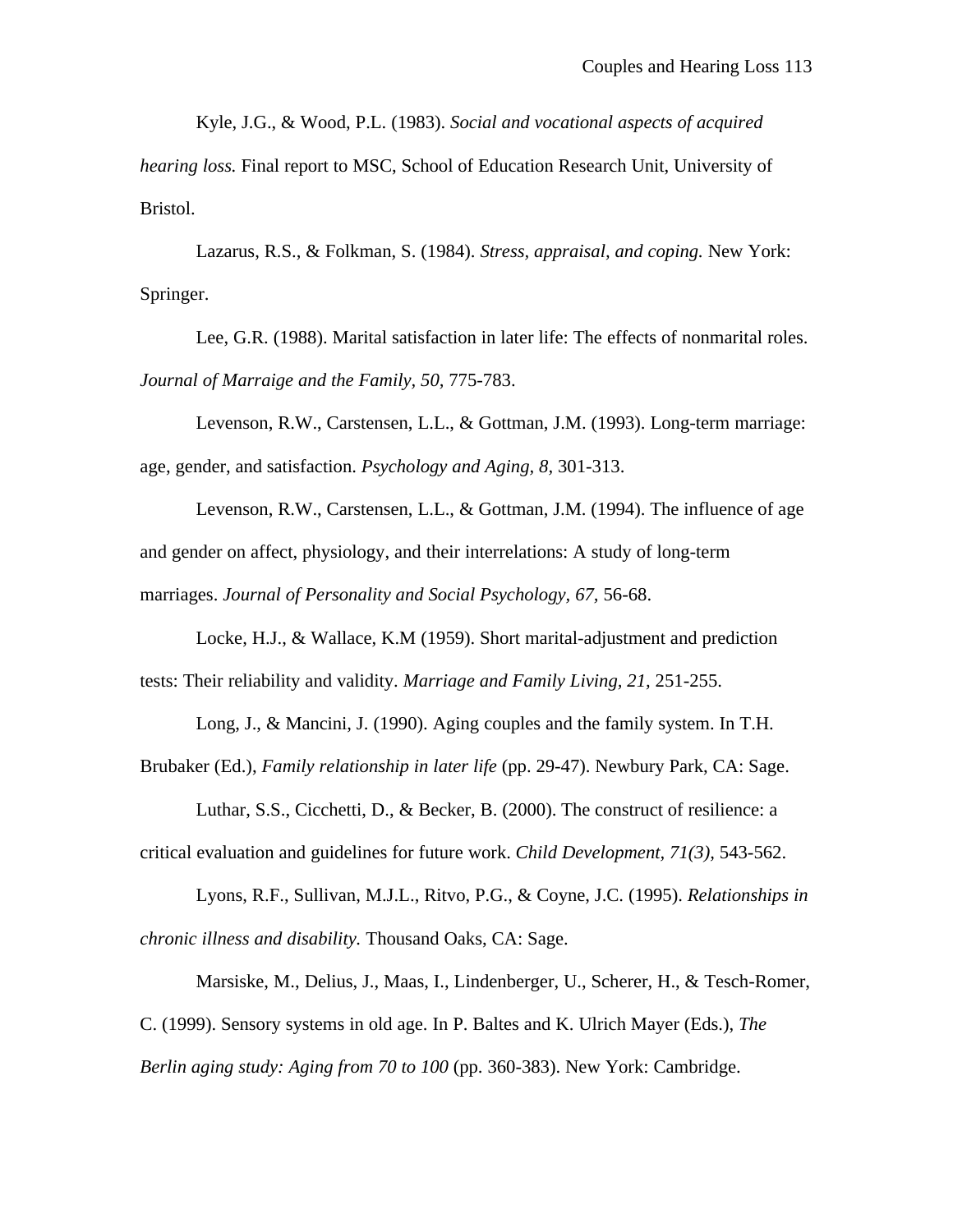Kyle, J.G., & Wood, P.L. (1983). *Social and vocational aspects of acquired*

*hearing loss.* Final report to MSC, School of Education Research Unit, University of Bristol.

Lazarus, R.S., & Folkman, S. (1984). *Stress, appraisal, and coping.* New York: Springer.

Lee, G.R. (1988). Marital satisfaction in later life: The effects of nonmarital roles. *Journal of Marraige and the Family, 50,* 775-783.

Levenson, R.W., Carstensen, L.L., & Gottman, J.M. (1993). Long-term marriage: age, gender, and satisfaction. *Psychology and Aging, 8,* 301-313.

Levenson, R.W., Carstensen, L.L., & Gottman, J.M. (1994). The influence of age and gender on affect, physiology, and their interrelations: A study of long-term marriages. *Journal of Personality and Social Psychology, 67,* 56-68.

Locke, H.J., & Wallace, K.M (1959). Short marital-adjustment and prediction tests: Their reliability and validity. *Marriage and Family Living, 21,* 251-255.

Long, J., & Mancini, J. (1990). Aging couples and the family system. In T.H.

Brubaker (Ed.), *Family relationship in later life* (pp. 29-47). Newbury Park, CA: Sage.

Luthar, S.S., Cicchetti, D., & Becker, B. (2000). The construct of resilience: a critical evaluation and guidelines for future work. *Child Development, 71(3),* 543-562.

Lyons, R.F., Sullivan, M.J.L., Ritvo, P.G., & Coyne, J.C. (1995). *Relationships in chronic illness and disability.* Thousand Oaks, CA: Sage.

Marsiske, M., Delius, J., Maas, I., Lindenberger, U., Scherer, H., & Tesch-Romer, C. (1999). Sensory systems in old age. In P. Baltes and K. Ulrich Mayer (Eds.), *The Berlin aging study: Aging from 70 to 100* (pp. 360-383). New York: Cambridge.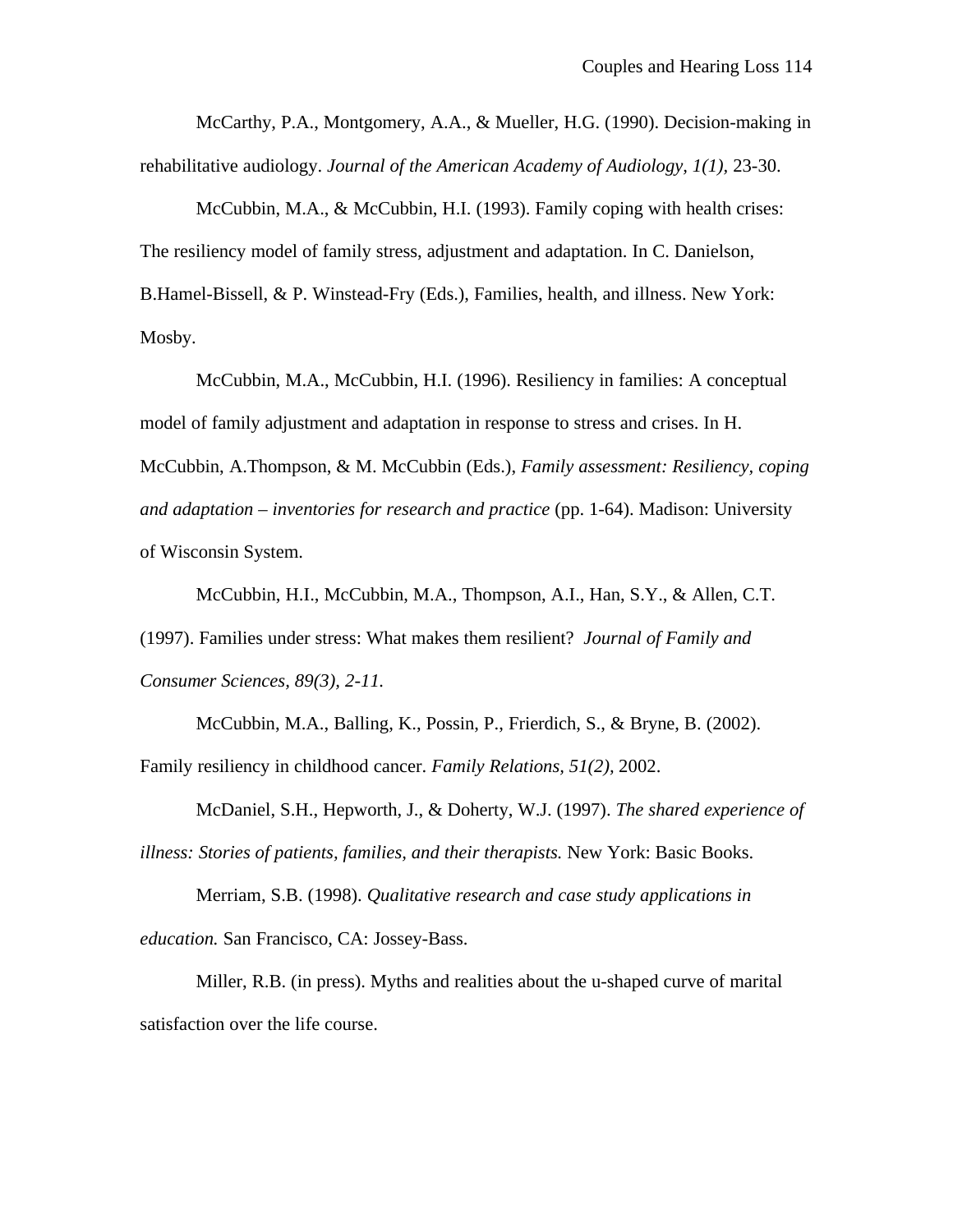McCarthy, P.A., Montgomery, A.A., & Mueller, H.G. (1990). Decision-making in rehabilitative audiology. *Journal of the American Academy of Audiology, 1(1),* 23-30.

McCubbin, M.A., & McCubbin, H.I. (1993). Family coping with health crises: The resiliency model of family stress, adjustment and adaptation. In C. Danielson, B.Hamel-Bissell, & P. Winstead-Fry (Eds.), Families, health, and illness. New York: Mosby.

McCubbin, M.A., McCubbin, H.I. (1996). Resiliency in families: A conceptual model of family adjustment and adaptation in response to stress and crises. In H. McCubbin, A.Thompson, & M. McCubbin (Eds.), *Family assessment: Resiliency, coping and adaptation – inventories for research and practice* (pp. 1-64). Madison: University of Wisconsin System.

McCubbin, H.I., McCubbin, M.A., Thompson, A.I., Han, S.Y., & Allen, C.T. (1997). Families under stress: What makes them resilient? *Journal of Family and Consumer Sciences, 89(3), 2-11.*

McCubbin, M.A., Balling, K., Possin, P., Frierdich, S., & Bryne, B. (2002). Family resiliency in childhood cancer. *Family Relations, 51(2),* 2002.

McDaniel, S.H., Hepworth, J., & Doherty, W.J. (1997). *The shared experience of illness: Stories of patients, families, and their therapists.* New York: Basic Books.

Merriam, S.B. (1998). *Qualitative research and case study applications in education.* San Francisco, CA: Jossey-Bass.

Miller, R.B. (in press). Myths and realities about the u-shaped curve of marital satisfaction over the life course.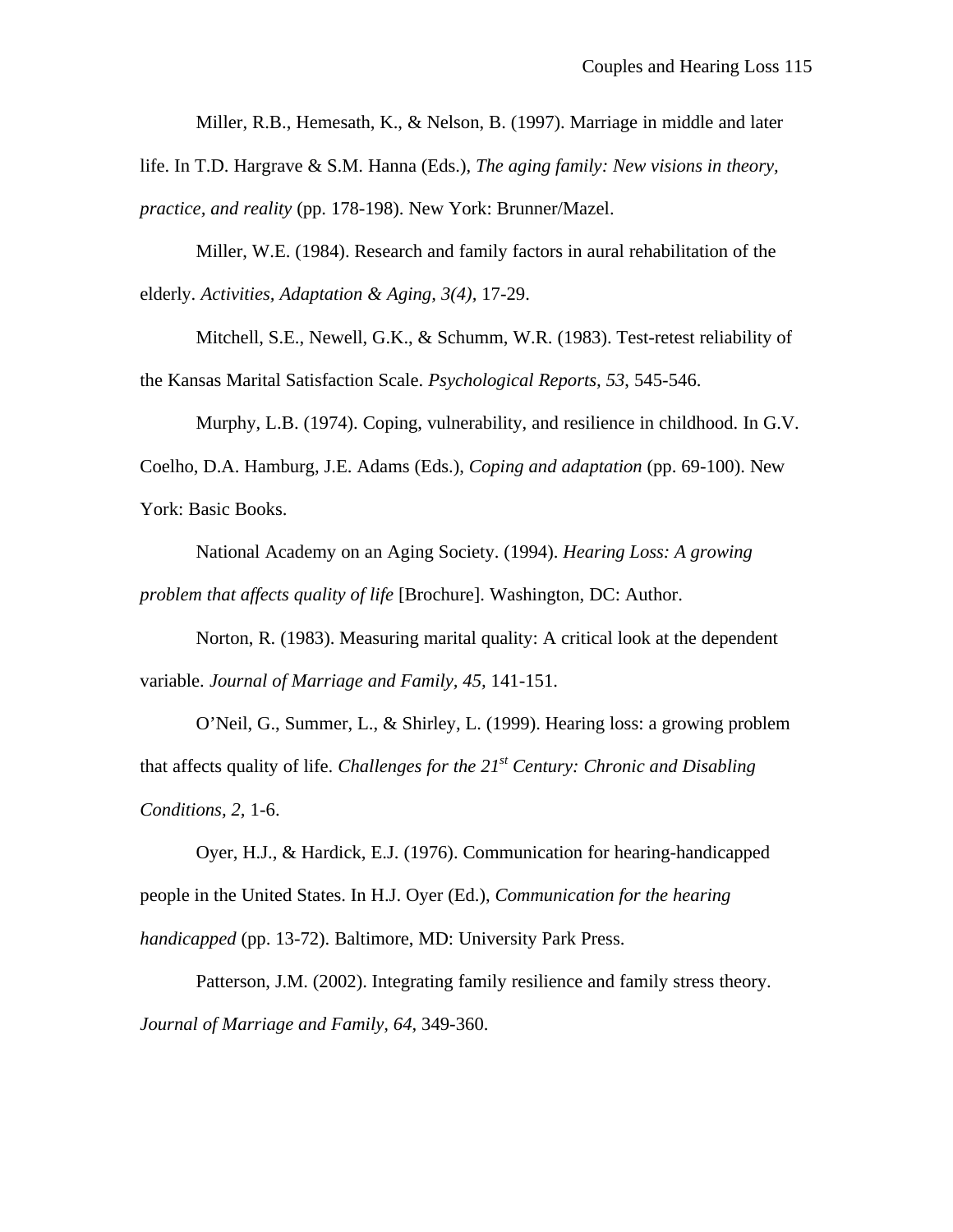Miller, R.B., Hemesath, K., & Nelson, B. (1997). Marriage in middle and later

life. In T.D. Hargrave & S.M. Hanna (Eds.), *The aging family: New visions in theory, practice, and reality* (pp. 178-198). New York: Brunner/Mazel.

Miller, W.E. (1984). Research and family factors in aural rehabilitation of the elderly. *Activities, Adaptation & Aging, 3(4),* 17-29.

Mitchell, S.E., Newell, G.K., & Schumm, W.R. (1983). Test-retest reliability of the Kansas Marital Satisfaction Scale. *Psychological Reports, 53*, 545-546.

Murphy, L.B. (1974). Coping, vulnerability, and resilience in childhood. In G.V. Coelho, D.A. Hamburg, J.E. Adams (Eds.), *Coping and adaptation* (pp. 69-100). New York: Basic Books.

National Academy on an Aging Society. (1994). *Hearing Loss: A growing problem that affects quality of life* [Brochure]. Washington, DC: Author.

Norton, R. (1983). Measuring marital quality: A critical look at the dependent variable. *Journal of Marriage and Family, 45,* 141-151.

O'Neil, G., Summer, L., & Shirley, L. (1999). Hearing loss: a growing problem that affects quality of life. *Challenges for the 21st Century: Chronic and Disabling Conditions, 2,* 1-6.

Oyer, H.J., & Hardick, E.J. (1976). Communication for hearing-handicapped people in the United States. In H.J. Oyer (Ed.), *Communication for the hearing handicapped* (pp. 13-72). Baltimore, MD: University Park Press.

Patterson, J.M. (2002). Integrating family resilience and family stress theory. *Journal of Marriage and Family, 64,* 349-360.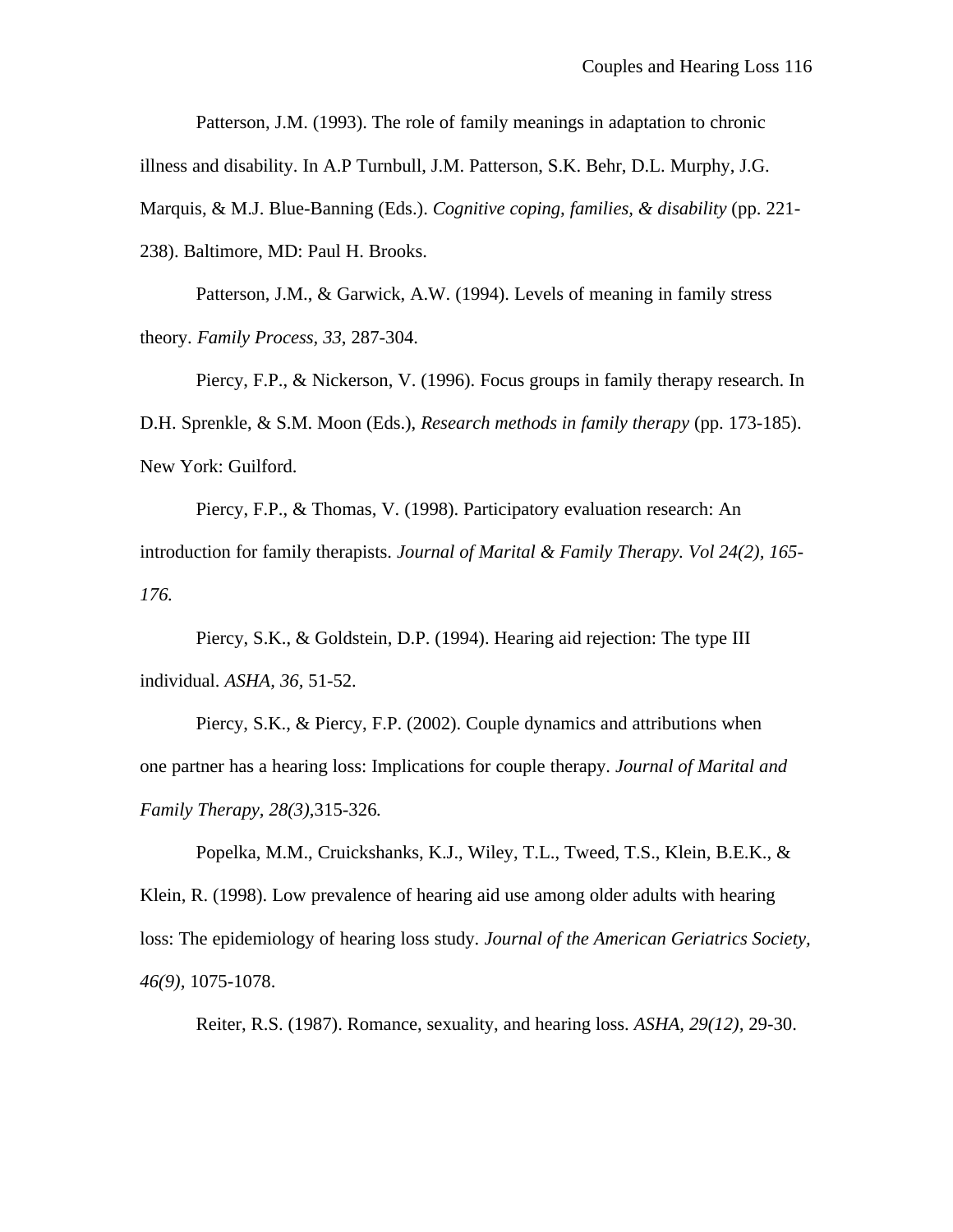Patterson, J.M. (1993). The role of family meanings in adaptation to chronic

illness and disability. In A.P Turnbull, J.M. Patterson, S.K. Behr, D.L. Murphy, J.G.

Marquis, & M.J. Blue-Banning (Eds.). *Cognitive coping, families, & disability* (pp. 221-

238). Baltimore, MD: Paul H. Brooks.

Patterson, J.M., & Garwick, A.W. (1994). Levels of meaning in family stress theory. *Family Process, 33*, 287-304.

Piercy, F.P., & Nickerson, V. (1996). Focus groups in family therapy research. In D.H. Sprenkle, & S.M. Moon (Eds.), *Research methods in family therapy* (pp. 173-185). New York: Guilford.

Piercy, F.P., & Thomas, V. (1998). Participatory evaluation research: An introduction for family therapists. *Journal of Marital & Family Therapy. Vol 24(2), 165- 176.*

Piercy, S.K., & Goldstein, D.P. (1994). Hearing aid rejection: The type III individual. *ASHA, 36,* 51-52.

Piercy, S.K., & Piercy, F.P. (2002). Couple dynamics and attributions when one partner has a hearing loss: Implications for couple therapy. *Journal of Marital and Family Therapy, 28(3)*,315-326*.*

Popelka, M.M., Cruickshanks, K.J., Wiley, T.L., Tweed, T.S., Klein, B.E.K., & Klein, R. (1998). Low prevalence of hearing aid use among older adults with hearing loss: The epidemiology of hearing loss study. *Journal of the American Geriatrics Society, 46(9),* 1075-1078.

Reiter, R.S. (1987). Romance, sexuality, and hearing loss. *ASHA, 29(12),* 29-30.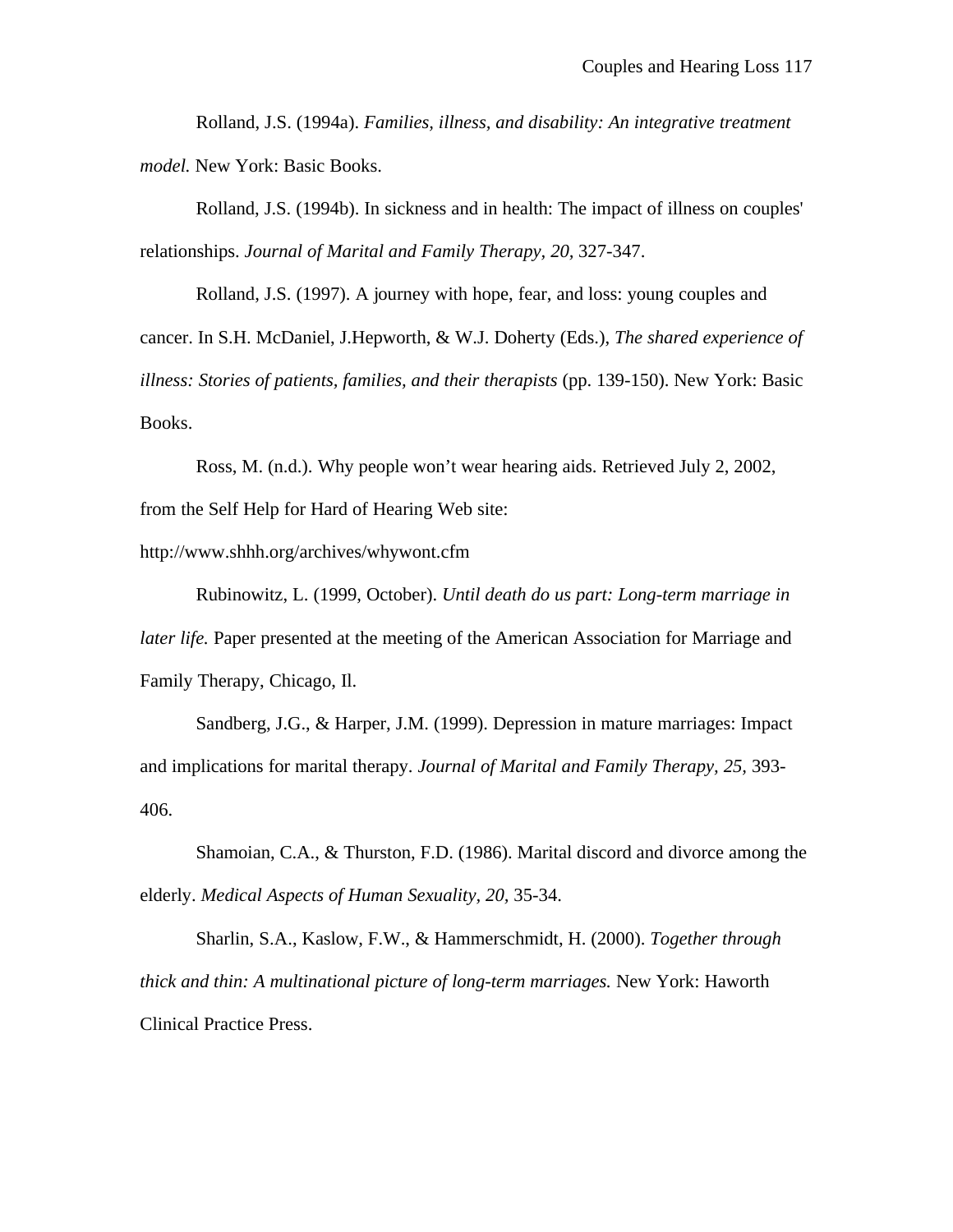Rolland, J.S. (1994a). *Families, illness, and disability: An integrative treatment model.* New York: Basic Books.

Rolland, J.S. (1994b). In sickness and in health: The impact of illness on couples' relationships. *Journal of Marital and Family Therapy, 20,* 327-347.

Rolland, J.S. (1997). A journey with hope, fear, and loss: young couples and cancer. In S.H. McDaniel, J.Hepworth, & W.J. Doherty (Eds.), *The shared experience of illness: Stories of patients, families, and their therapists* (pp. 139-150). New York: Basic Books.

Ross, M. (n.d.). Why people won't wear hearing aids. Retrieved July 2, 2002, from the Self Help for Hard of Hearing Web site:

http://www.shhh.org/archives/whywont.cfm

Rubinowitz, L. (1999, October). *Until death do us part: Long-term marriage in later life.* Paper presented at the meeting of the American Association for Marriage and Family Therapy, Chicago, Il.

Sandberg, J.G., & Harper, J.M. (1999). Depression in mature marriages: Impact and implications for marital therapy. *Journal of Marital and Family Therapy, 25,* 393- 406.

Shamoian, C.A., & Thurston, F.D. (1986). Marital discord and divorce among the elderly. *Medical Aspects of Human Sexuality, 20,* 35-34.

Sharlin, S.A., Kaslow, F.W., & Hammerschmidt, H. (2000). *Together through thick and thin: A multinational picture of long-term marriages.* New York: Haworth Clinical Practice Press.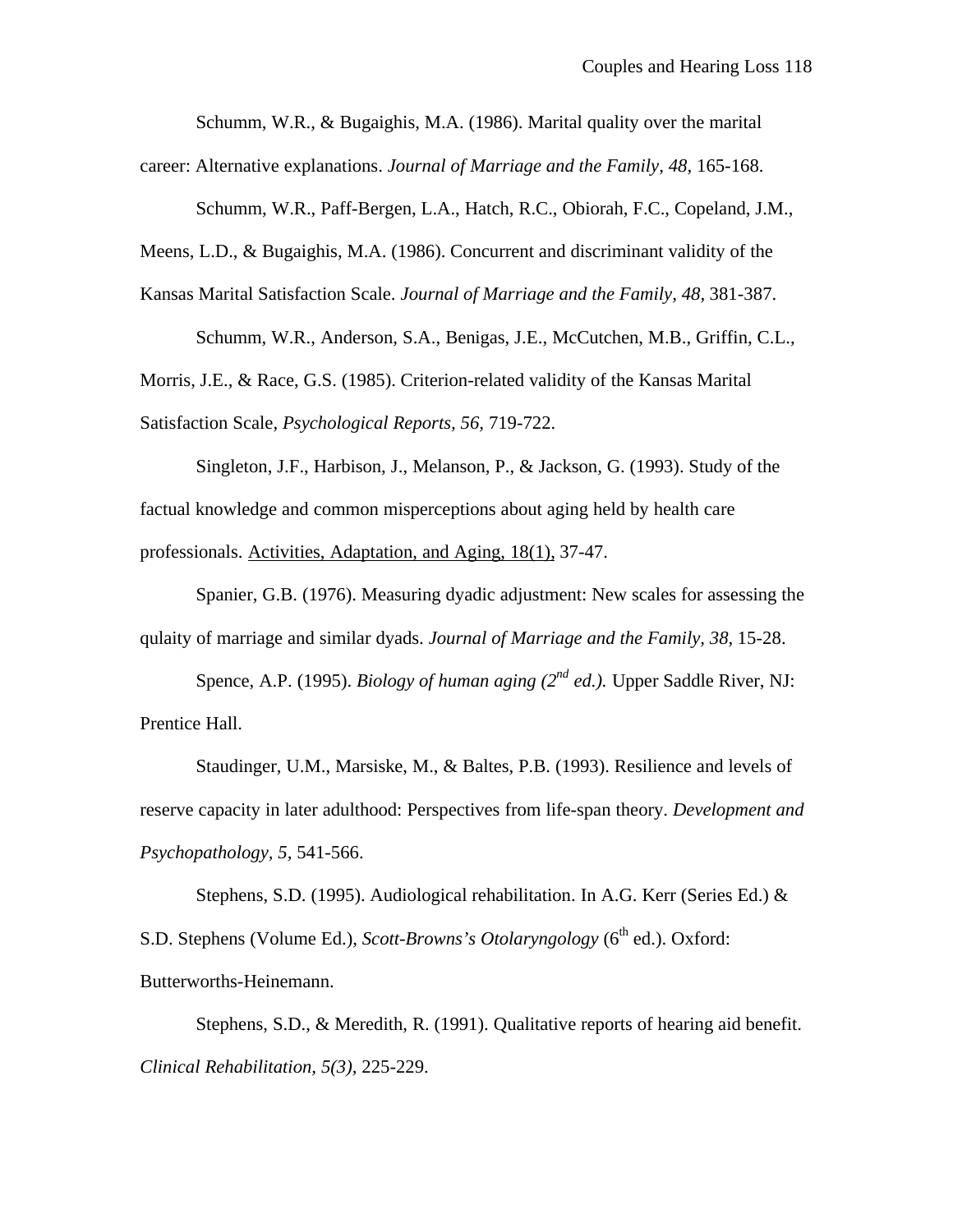Schumm, W.R., & Bugaighis, M.A. (1986). Marital quality over the marital

career: Alternative explanations. *Journal of Marriage and the Family, 48,* 165-168.

Schumm, W.R., Paff-Bergen, L.A., Hatch, R.C., Obiorah, F.C., Copeland, J.M.,

Meens, L.D., & Bugaighis, M.A. (1986). Concurrent and discriminant validity of the

Kansas Marital Satisfaction Scale. *Journal of Marriage and the Family, 48,* 381-387.

Schumm, W.R., Anderson, S.A., Benigas, J.E., McCutchen, M.B., Griffin, C.L.,

Morris, J.E., & Race, G.S. (1985). Criterion-related validity of the Kansas Marital Satisfaction Scale, *Psychological Reports, 56,* 719-722.

Singleton, J.F., Harbison, J., Melanson, P., & Jackson, G. (1993). Study of the factual knowledge and common misperceptions about aging held by health care professionals. Activities, Adaptation, and Aging, 18(1), 37-47.

Spanier, G.B. (1976). Measuring dyadic adjustment: New scales for assessing the qulaity of marriage and similar dyads. *Journal of Marriage and the Family, 38,* 15-28.

Spence, A.P. (1995). *Biology of human aging (2nd ed.).* Upper Saddle River, NJ: Prentice Hall.

Staudinger, U.M., Marsiske, M., & Baltes, P.B. (1993). Resilience and levels of reserve capacity in later adulthood: Perspectives from life-span theory. *Development and Psychopathology, 5,* 541-566.

Stephens, S.D. (1995). Audiological rehabilitation. In A.G. Kerr (Series Ed.) & S.D. Stephens (Volume Ed.), *Scott-Browns's Otolaryngology* (6<sup>th</sup> ed.). Oxford: Butterworths-Heinemann.

Stephens, S.D., & Meredith, R. (1991). Qualitative reports of hearing aid benefit. *Clinical Rehabilitation, 5(3),* 225-229.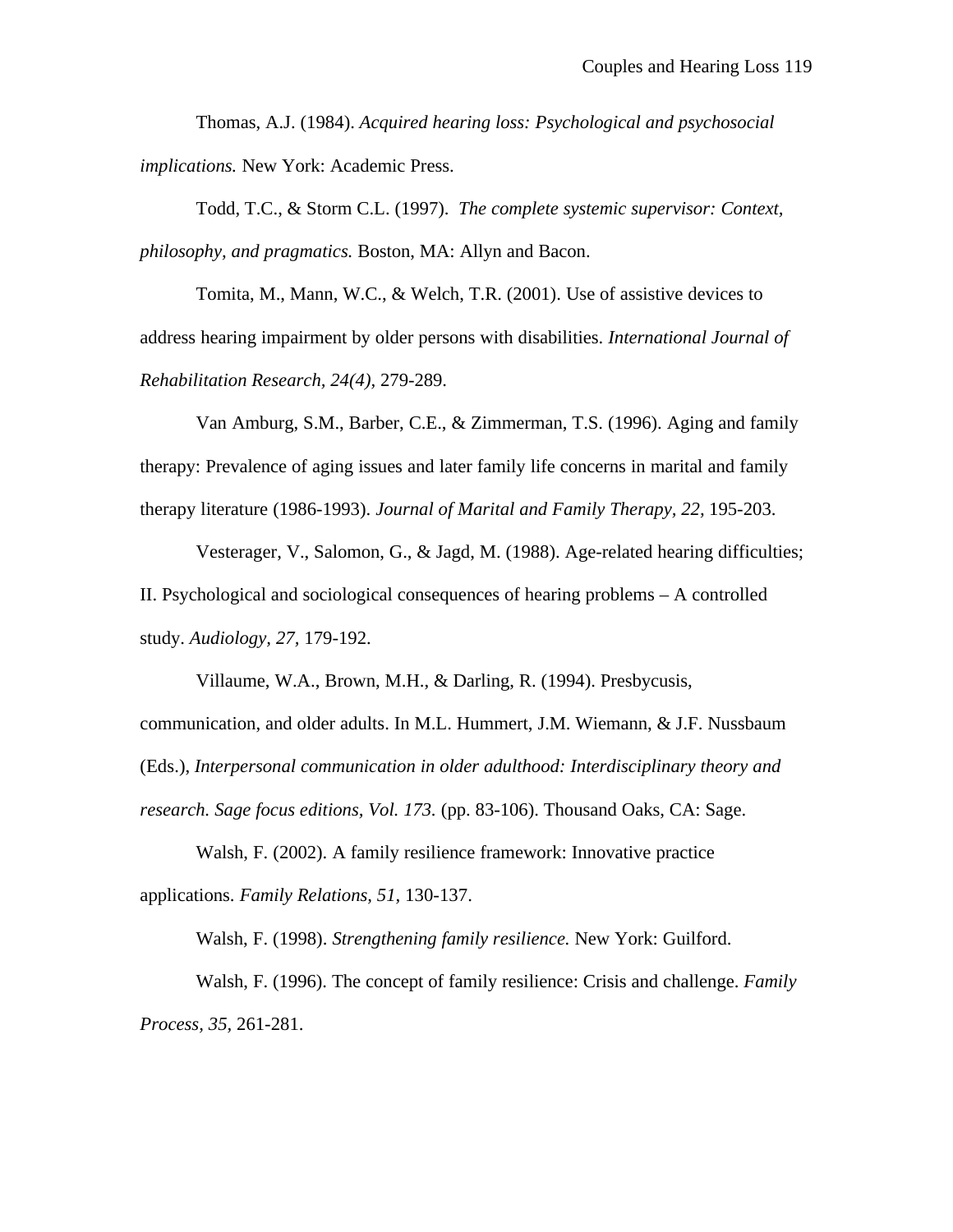Thomas, A.J. (1984). *Acquired hearing loss: Psychological and psychosocial implications.* New York: Academic Press.

Todd, T.C., & Storm C.L. (1997). *The complete systemic supervisor: Context, philosophy, and pragmatics.* Boston, MA: Allyn and Bacon.

Tomita, M., Mann, W.C., & Welch, T.R. (2001). Use of assistive devices to address hearing impairment by older persons with disabilities. *International Journal of Rehabilitation Research, 24(4),* 279-289.

Van Amburg, S.M., Barber, C.E., & Zimmerman, T.S. (1996). Aging and family therapy: Prevalence of aging issues and later family life concerns in marital and family therapy literature (1986-1993). *Journal of Marital and Family Therapy, 22,* 195-203.

Vesterager, V., Salomon, G., & Jagd, M. (1988). Age-related hearing difficulties; II. Psychological and sociological consequences of hearing problems – A controlled study. *Audiology, 27,* 179-192.

Villaume, W.A., Brown, M.H., & Darling, R. (1994). Presbycusis, communication, and older adults. In M.L. Hummert, J.M. Wiemann, & J.F. Nussbaum (Eds.), *Interpersonal communication in older adulthood: Interdisciplinary theory and research. Sage focus editions, Vol. 173.* (pp. 83-106). Thousand Oaks, CA: Sage.

Walsh, F. (2002). A family resilience framework: Innovative practice applications. *Family Relations, 51,* 130-137.

Walsh, F. (1998). *Strengthening family resilience.* New York: Guilford.

Walsh, F. (1996). The concept of family resilience: Crisis and challenge. *Family Process, 35,* 261-281.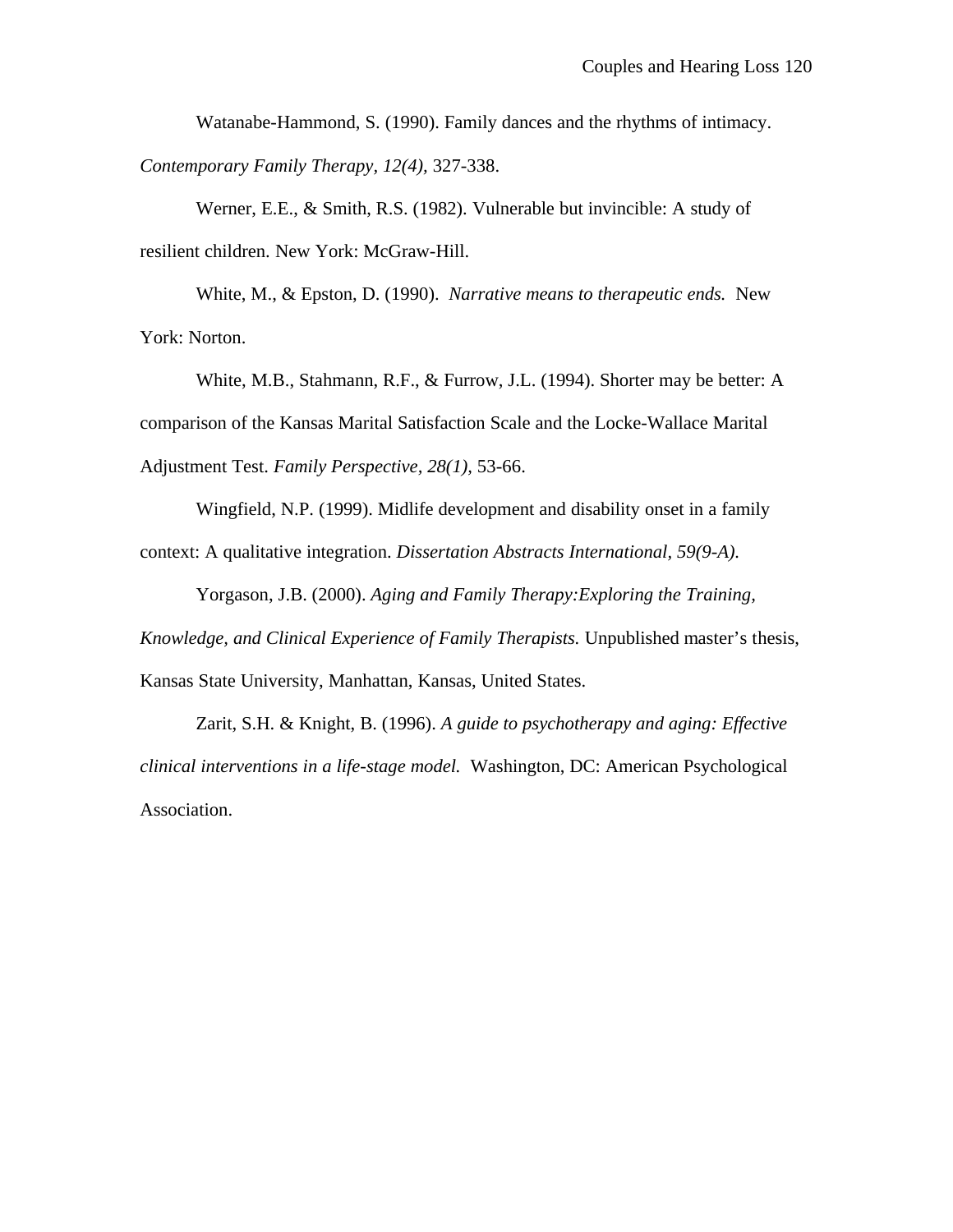Watanabe-Hammond, S. (1990). Family dances and the rhythms of intimacy. *Contemporary Family Therapy, 12(4),* 327-338.

Werner, E.E., & Smith, R.S. (1982). Vulnerable but invincible: A study of resilient children. New York: McGraw-Hill.

White, M., & Epston, D. (1990). *Narrative means to therapeutic ends.* New York: Norton.

White, M.B., Stahmann, R.F., & Furrow, J.L. (1994). Shorter may be better: A comparison of the Kansas Marital Satisfaction Scale and the Locke-Wallace Marital Adjustment Test. *Family Perspective, 28(1),* 53-66.

Wingfield, N.P. (1999). Midlife development and disability onset in a family context: A qualitative integration. *Dissertation Abstracts International, 59(9-A).*

Yorgason, J.B. (2000). *Aging and Family Therapy:Exploring the Training,*

*Knowledge, and Clinical Experience of Family Therapists.* Unpublished master's thesis, Kansas State University, Manhattan, Kansas, United States.

Zarit, S.H. & Knight, B. (1996). *A guide to psychotherapy and aging: Effective clinical interventions in a life-stage model.* Washington, DC: American Psychological Association.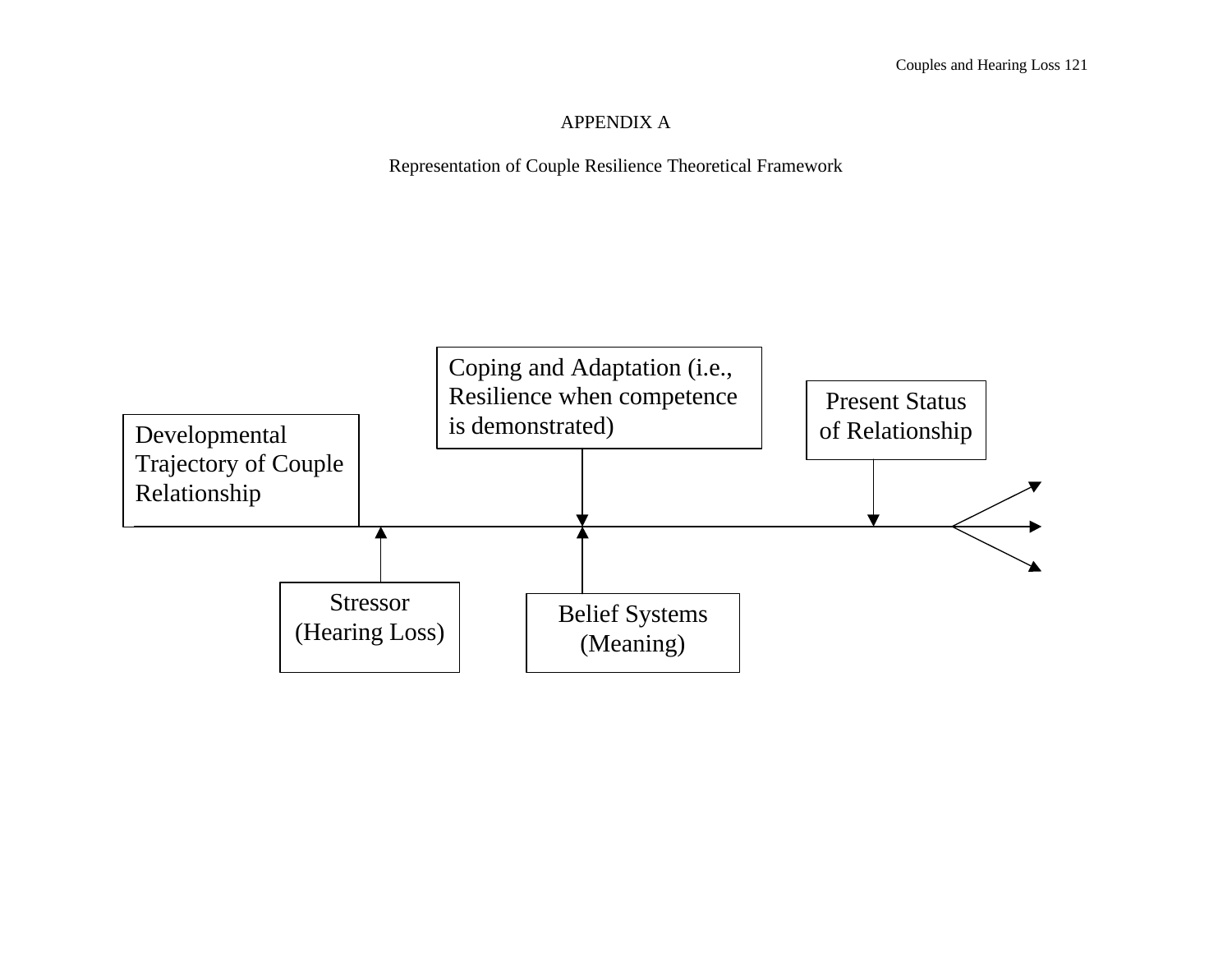#### APPENDIX A

Representation of Couple Resilience Theoretical Framework

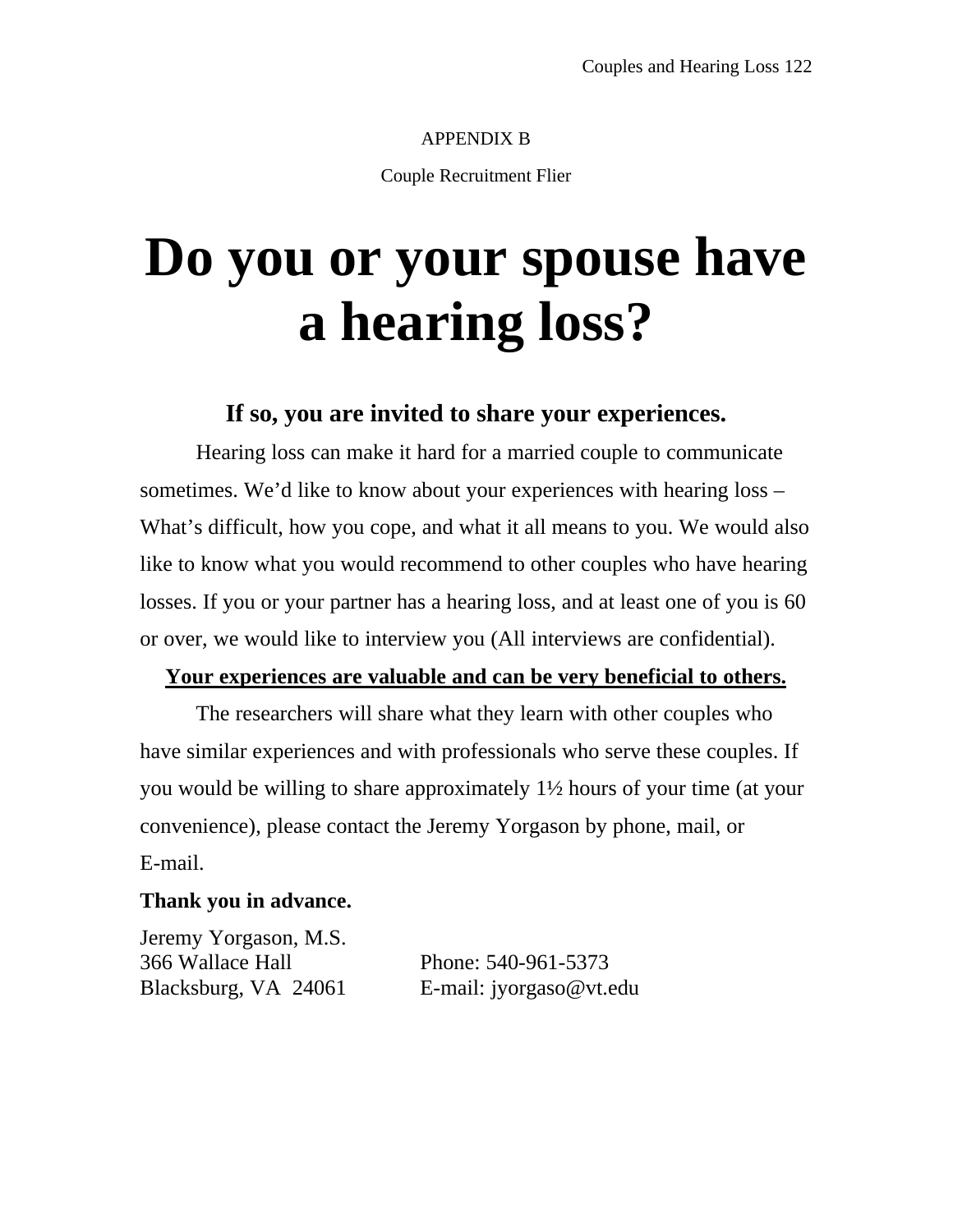#### APPENDIX B

Couple Recruitment Flier

# **Do you or your spouse have a hearing loss?**

## **If so, you are invited to share your experiences.**

Hearing loss can make it hard for a married couple to communicate sometimes. We'd like to know about your experiences with hearing loss – What's difficult, how you cope, and what it all means to you. We would also like to know what you would recommend to other couples who have hearing losses. If you or your partner has a hearing loss, and at least one of you is 60 or over, we would like to interview you (All interviews are confidential).

#### **Your experiences are valuable and can be very beneficial to others.**

The researchers will share what they learn with other couples who have similar experiences and with professionals who serve these couples. If you would be willing to share approximately 1½ hours of your time (at your convenience), please contact the Jeremy Yorgason by phone, mail, or E-mail.

#### **Thank you in advance.**

Jeremy Yorgason, M.S. 366 Wallace Hall Phone: 540-961-5373

Blacksburg, VA 24061 E-mail: jyorgaso@vt.edu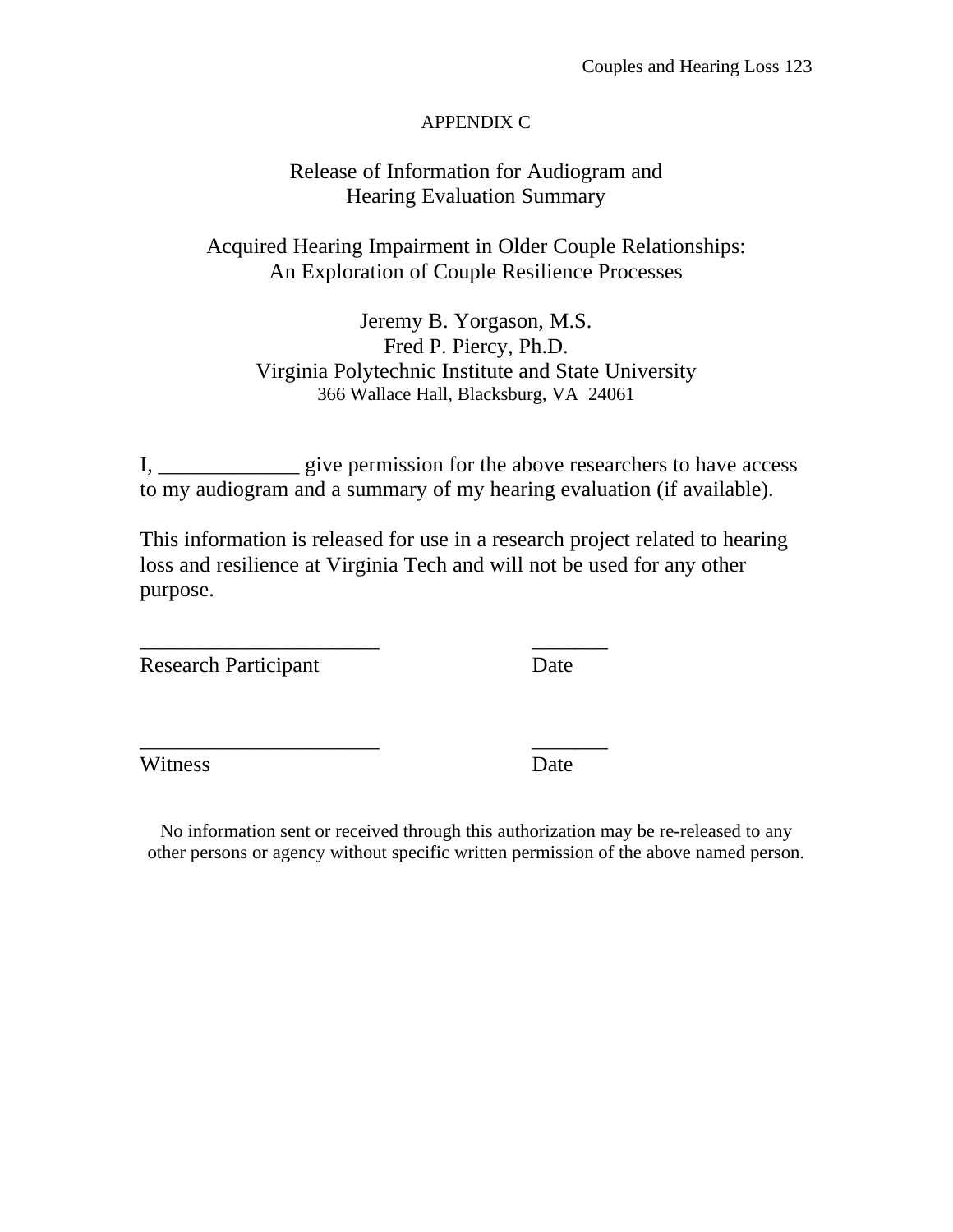#### APPENDIX C

## Release of Information for Audiogram and Hearing Evaluation Summary

## Acquired Hearing Impairment in Older Couple Relationships: An Exploration of Couple Resilience Processes

Jeremy B. Yorgason, M.S. Fred P. Piercy, Ph.D. Virginia Polytechnic Institute and State University 366 Wallace Hall, Blacksburg, VA 24061

I, \_\_\_\_\_\_\_\_\_\_\_\_\_ give permission for the above researchers to have access to my audiogram and a summary of my hearing evaluation (if available).

This information is released for use in a research project related to hearing loss and resilience at Virginia Tech and will not be used for any other purpose.

\_\_\_\_\_\_\_\_\_\_\_\_\_\_\_\_\_\_\_\_\_\_ \_\_\_\_\_\_\_

\_\_\_\_\_\_\_\_\_\_\_\_\_\_\_\_\_\_\_\_\_\_ \_\_\_\_\_\_\_

Research Participant Date

Witness Date

No information sent or received through this authorization may be re-released to any other persons or agency without specific written permission of the above named person.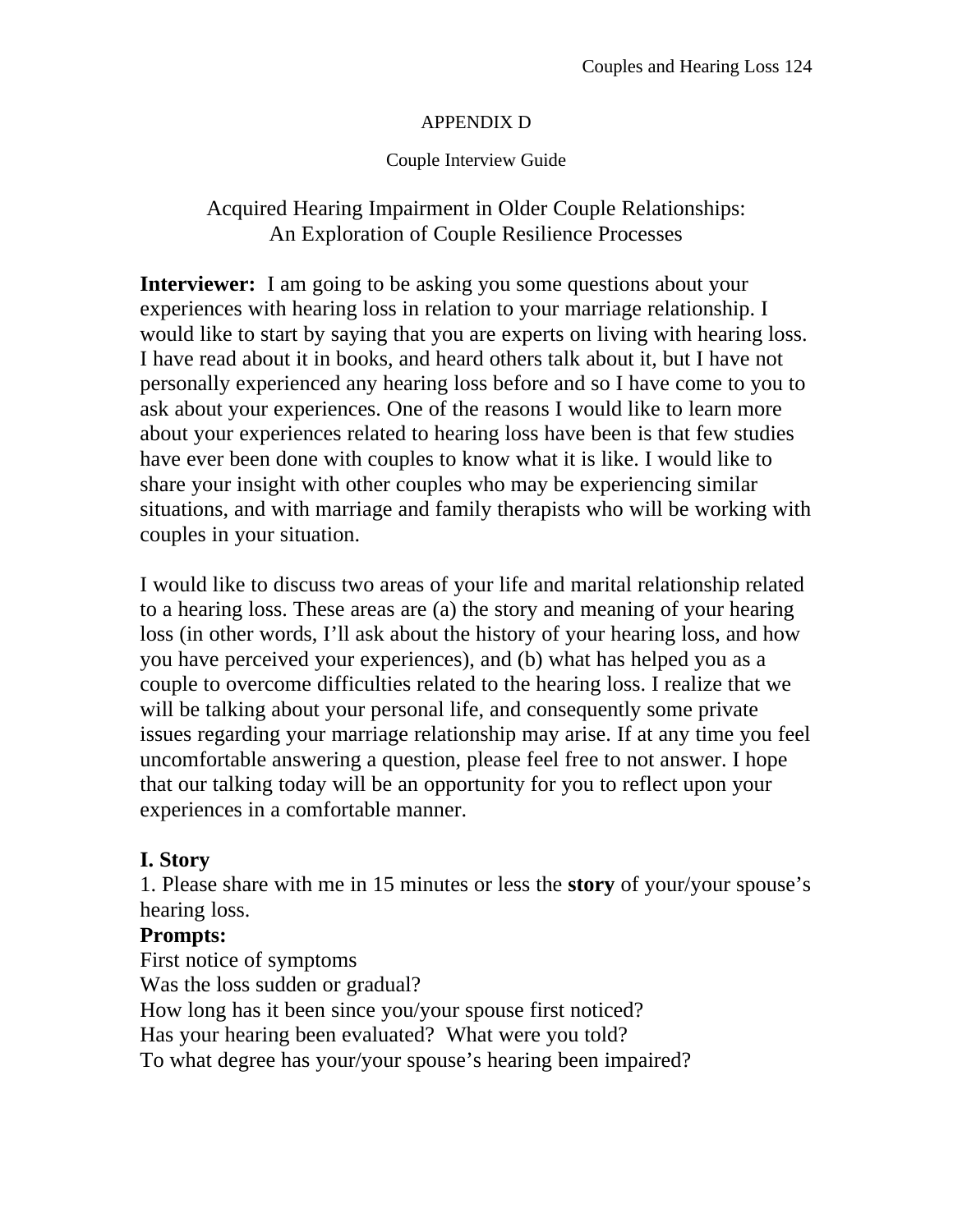#### APPENDIX D

## Couple Interview Guide

## Acquired Hearing Impairment in Older Couple Relationships: An Exploration of Couple Resilience Processes

**Interviewer:** I am going to be asking you some questions about your experiences with hearing loss in relation to your marriage relationship. I would like to start by saying that you are experts on living with hearing loss. I have read about it in books, and heard others talk about it, but I have not personally experienced any hearing loss before and so I have come to you to ask about your experiences. One of the reasons I would like to learn more about your experiences related to hearing loss have been is that few studies have ever been done with couples to know what it is like. I would like to share your insight with other couples who may be experiencing similar situations, and with marriage and family therapists who will be working with couples in your situation.

I would like to discuss two areas of your life and marital relationship related to a hearing loss. These areas are (a) the story and meaning of your hearing loss (in other words, I'll ask about the history of your hearing loss, and how you have perceived your experiences), and (b) what has helped you as a couple to overcome difficulties related to the hearing loss. I realize that we will be talking about your personal life, and consequently some private issues regarding your marriage relationship may arise. If at any time you feel uncomfortable answering a question, please feel free to not answer. I hope that our talking today will be an opportunity for you to reflect upon your experiences in a comfortable manner.

## **I. Story**

1. Please share with me in 15 minutes or less the **story** of your/your spouse's hearing loss.

## **Prompts:**

First notice of symptoms Was the loss sudden or gradual? How long has it been since you/your spouse first noticed? Has your hearing been evaluated? What were you told? To what degree has your/your spouse's hearing been impaired?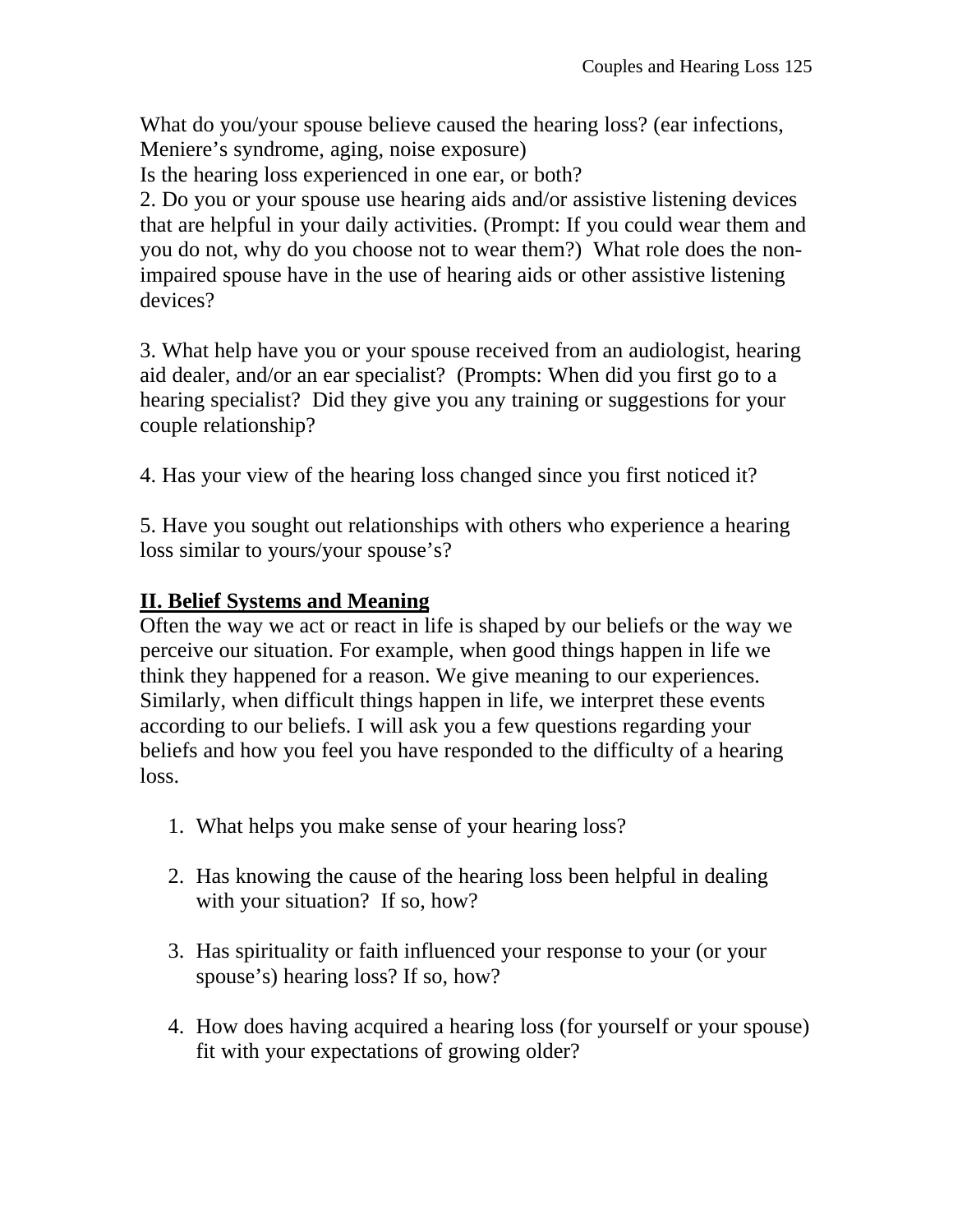What do you/your spouse believe caused the hearing loss? (ear infections, Meniere's syndrome, aging, noise exposure)

Is the hearing loss experienced in one ear, or both?

2. Do you or your spouse use hearing aids and/or assistive listening devices that are helpful in your daily activities. (Prompt: If you could wear them and you do not, why do you choose not to wear them?) What role does the nonimpaired spouse have in the use of hearing aids or other assistive listening devices?

3. What help have you or your spouse received from an audiologist, hearing aid dealer, and/or an ear specialist? (Prompts: When did you first go to a hearing specialist? Did they give you any training or suggestions for your couple relationship?

4. Has your view of the hearing loss changed since you first noticed it?

5. Have you sought out relationships with others who experience a hearing loss similar to yours/your spouse's?

## **II. Belief Systems and Meaning**

Often the way we act or react in life is shaped by our beliefs or the way we perceive our situation. For example, when good things happen in life we think they happened for a reason. We give meaning to our experiences. Similarly, when difficult things happen in life, we interpret these events according to our beliefs. I will ask you a few questions regarding your beliefs and how you feel you have responded to the difficulty of a hearing loss.

- 1. What helps you make sense of your hearing loss?
- 2. Has knowing the cause of the hearing loss been helpful in dealing with your situation? If so, how?
- 3. Has spirituality or faith influenced your response to your (or your spouse's) hearing loss? If so, how?
- 4. How does having acquired a hearing loss (for yourself or your spouse) fit with your expectations of growing older?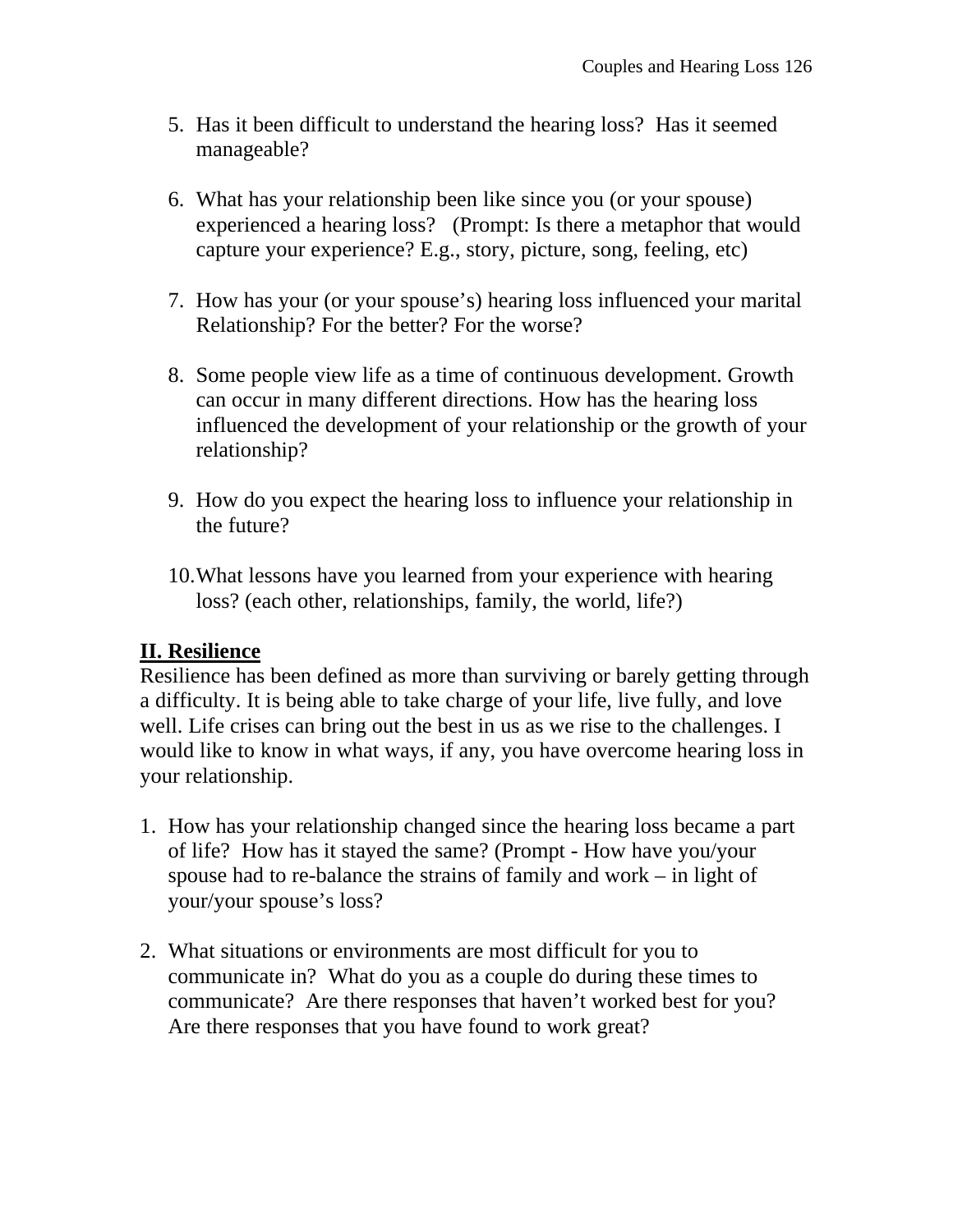- 5. Has it been difficult to understand the hearing loss? Has it seemed manageable?
- 6. What has your relationship been like since you (or your spouse) experienced a hearing loss? (Prompt: Is there a metaphor that would capture your experience? E.g., story, picture, song, feeling, etc)
- 7. How has your (or your spouse's) hearing loss influenced your marital Relationship? For the better? For the worse?
- 8. Some people view life as a time of continuous development. Growth can occur in many different directions. How has the hearing loss influenced the development of your relationship or the growth of your relationship?
- 9. How do you expect the hearing loss to influence your relationship in the future?
- 10.What lessons have you learned from your experience with hearing loss? (each other, relationships, family, the world, life?)

## **II. Resilience**

Resilience has been defined as more than surviving or barely getting through a difficulty. It is being able to take charge of your life, live fully, and love well. Life crises can bring out the best in us as we rise to the challenges. I would like to know in what ways, if any, you have overcome hearing loss in your relationship.

- 1. How has your relationship changed since the hearing loss became a part of life? How has it stayed the same? (Prompt - How have you/your spouse had to re-balance the strains of family and work – in light of your/your spouse's loss?
- 2. What situations or environments are most difficult for you to communicate in? What do you as a couple do during these times to communicate? Are there responses that haven't worked best for you? Are there responses that you have found to work great?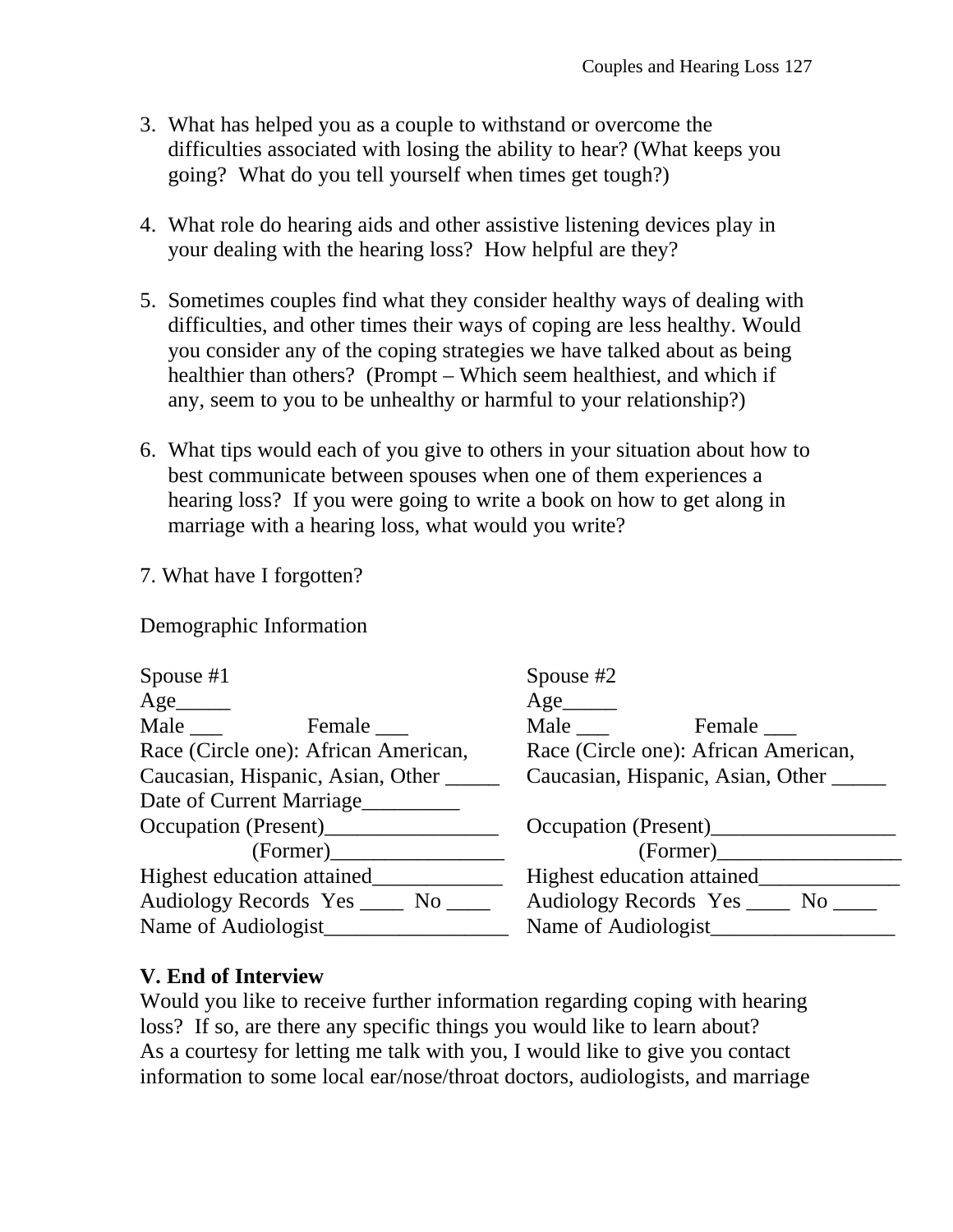- 3. What has helped you as a couple to withstand or overcome the difficulties associated with losing the ability to hear? (What keeps you going? What do you tell yourself when times get tough?)
- 4. What role do hearing aids and other assistive listening devices play in your dealing with the hearing loss? How helpful are they?
- 5. Sometimes couples find what they consider healthy ways of dealing with difficulties, and other times their ways of coping are less healthy. Would you consider any of the coping strategies we have talked about as being healthier than others? (Prompt – Which seem healthiest, and which if any, seem to you to be unhealthy or harmful to your relationship?)
- 6. What tips would each of you give to others in your situation about how to best communicate between spouses when one of them experiences a hearing loss? If you were going to write a book on how to get along in marriage with a hearing loss, what would you write?
- 7. What have I forgotten?

Demographic Information

| Spouse $#1$                          | Spouse $#2$                          |  |  |  |  |
|--------------------------------------|--------------------------------------|--|--|--|--|
| $Age$ <sub>________</sub>            | Age                                  |  |  |  |  |
| Male<br>Female                       | Male<br>Female ______                |  |  |  |  |
| Race (Circle one): African American, | Race (Circle one): African American, |  |  |  |  |
| Caucasian, Hispanic, Asian, Other    | Caucasian, Hispanic, Asian, Other    |  |  |  |  |
| Date of Current Marriage             |                                      |  |  |  |  |
| Occupation (Present)                 | Occupation (Present)                 |  |  |  |  |
| (Former)                             |                                      |  |  |  |  |
| Highest education attained           | Highest education attained           |  |  |  |  |
| Audiology Records Yes _____ No _____ | Audiology Records Yes _____ No       |  |  |  |  |
| Name of Audiologist                  | Name of Audiologist                  |  |  |  |  |

## **V. End of Interview**

Would you like to receive further information regarding coping with hearing loss? If so, are there any specific things you would like to learn about? As a courtesy for letting me talk with you, I would like to give you contact information to some local ear/nose/throat doctors, audiologists, and marriage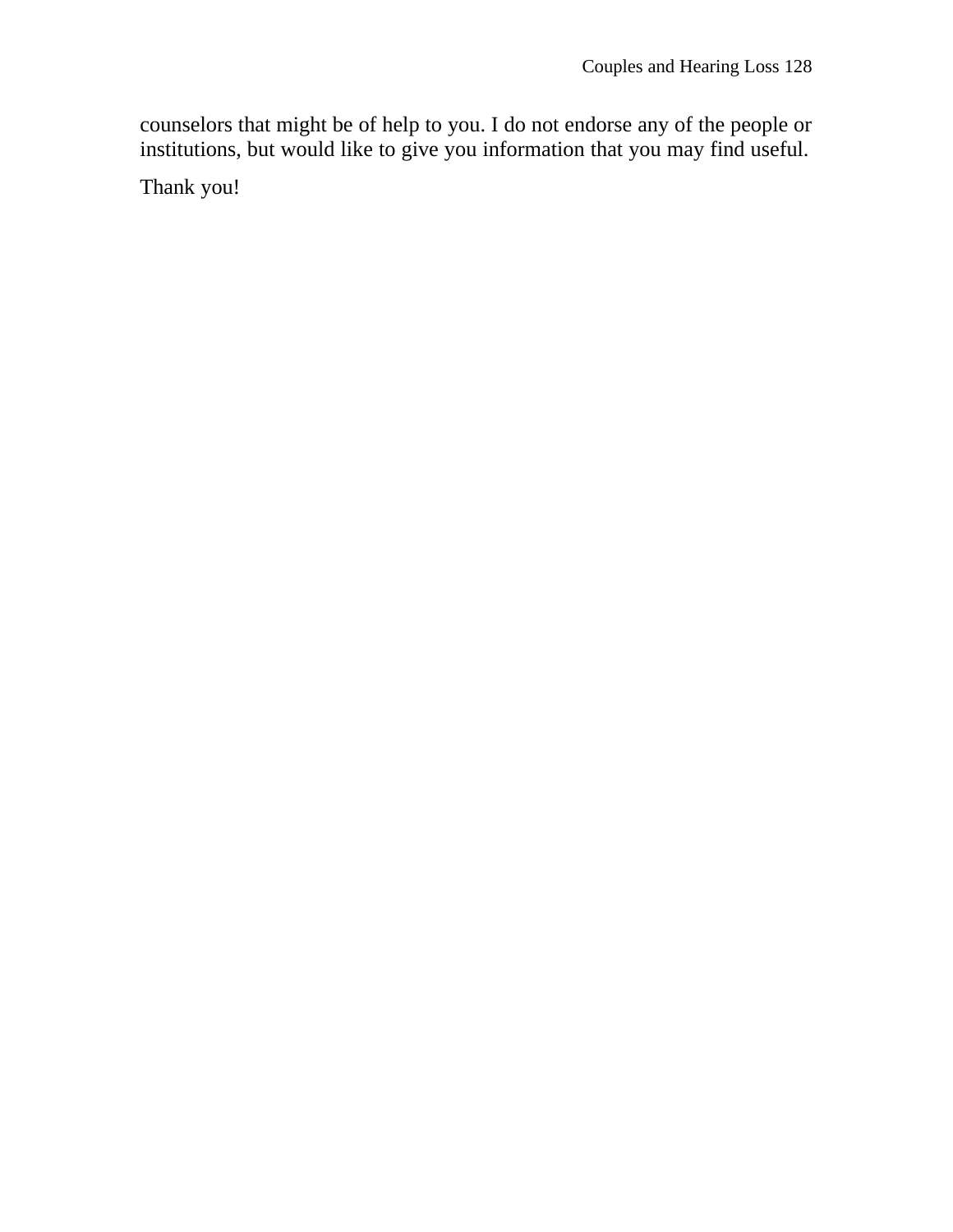counselors that might be of help to you. I do not endorse any of the people or institutions, but would like to give you information that you may find useful.

Thank you!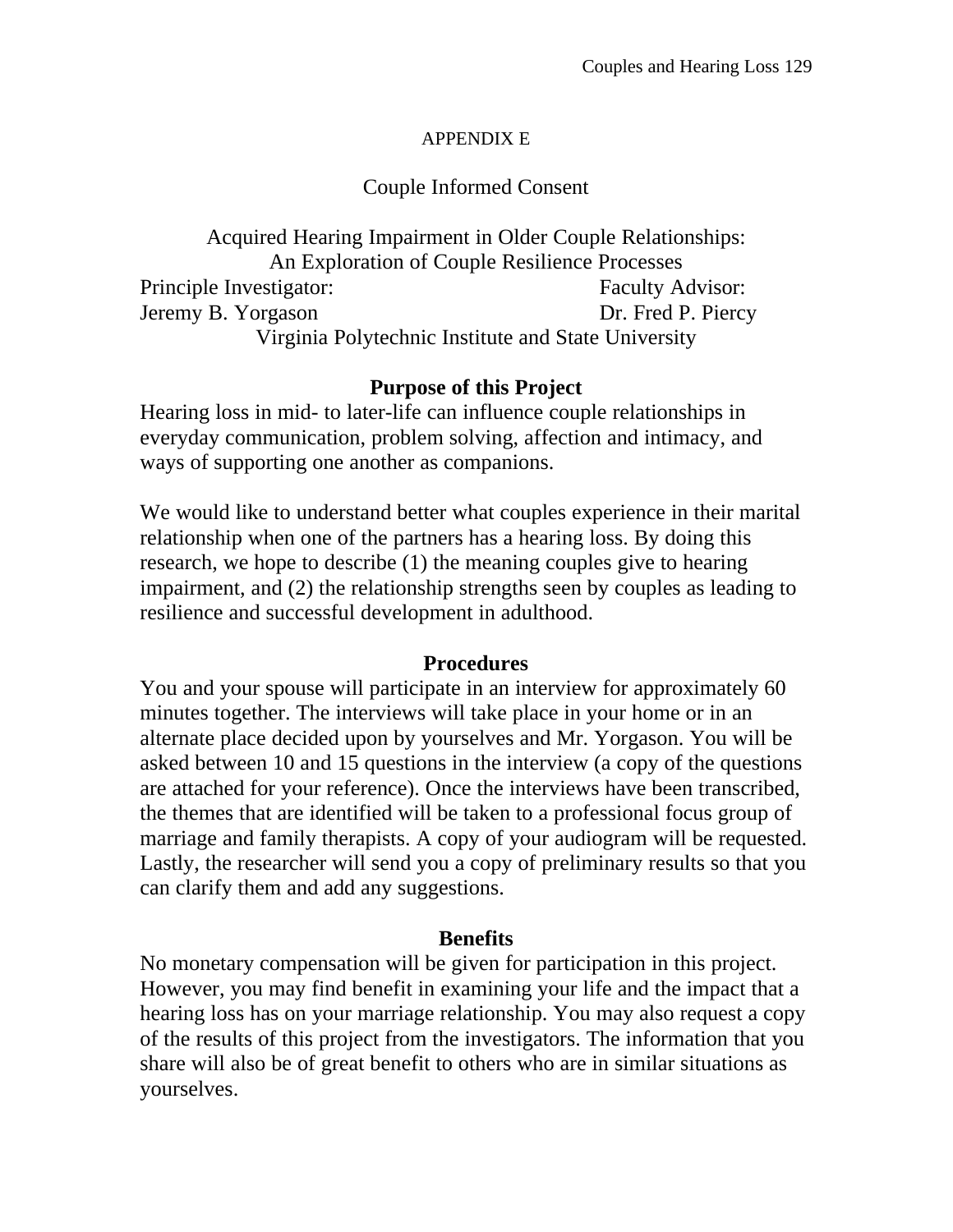#### APPENDIX E

## Couple Informed Consent

Acquired Hearing Impairment in Older Couple Relationships: An Exploration of Couple Resilience Processes Principle Investigator: Faculty Advisor: Jeremy B. Yorgason Dr. Fred P. Piercy Virginia Polytechnic Institute and State University

## **Purpose of this Project**

Hearing loss in mid- to later-life can influence couple relationships in everyday communication, problem solving, affection and intimacy, and ways of supporting one another as companions.

We would like to understand better what couples experience in their marital relationship when one of the partners has a hearing loss. By doing this research, we hope to describe (1) the meaning couples give to hearing impairment, and (2) the relationship strengths seen by couples as leading to resilience and successful development in adulthood.

#### **Procedures**

You and your spouse will participate in an interview for approximately 60 minutes together. The interviews will take place in your home or in an alternate place decided upon by yourselves and Mr. Yorgason. You will be asked between 10 and 15 questions in the interview (a copy of the questions are attached for your reference). Once the interviews have been transcribed, the themes that are identified will be taken to a professional focus group of marriage and family therapists. A copy of your audiogram will be requested. Lastly, the researcher will send you a copy of preliminary results so that you can clarify them and add any suggestions.

#### **Benefits**

No monetary compensation will be given for participation in this project. However, you may find benefit in examining your life and the impact that a hearing loss has on your marriage relationship. You may also request a copy of the results of this project from the investigators. The information that you share will also be of great benefit to others who are in similar situations as yourselves.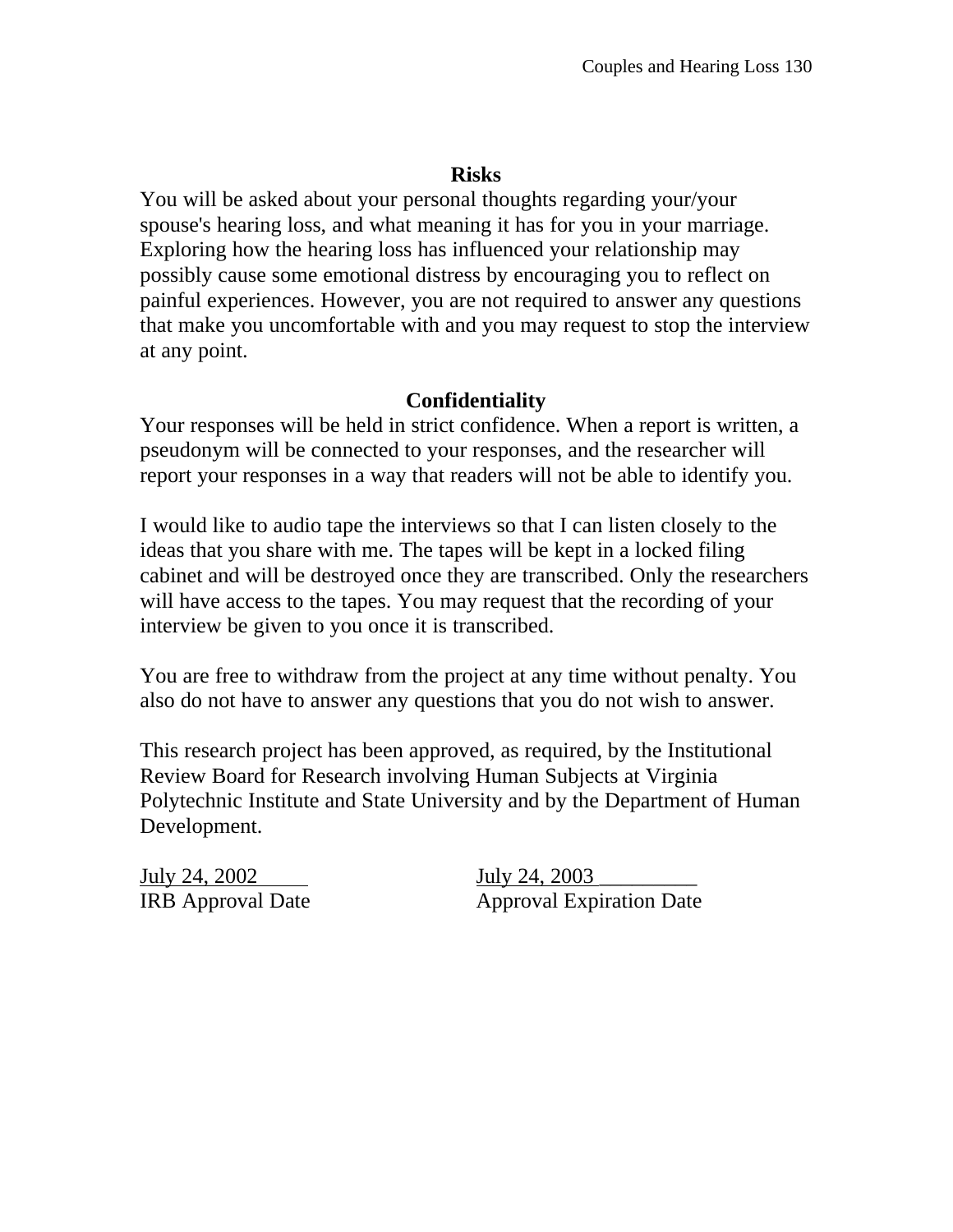## **Risks**

You will be asked about your personal thoughts regarding your/your spouse's hearing loss, and what meaning it has for you in your marriage. Exploring how the hearing loss has influenced your relationship may possibly cause some emotional distress by encouraging you to reflect on painful experiences. However, you are not required to answer any questions that make you uncomfortable with and you may request to stop the interview at any point.

## **Confidentiality**

Your responses will be held in strict confidence. When a report is written, a pseudonym will be connected to your responses, and the researcher will report your responses in a way that readers will not be able to identify you.

I would like to audio tape the interviews so that I can listen closely to the ideas that you share with me. The tapes will be kept in a locked filing cabinet and will be destroyed once they are transcribed. Only the researchers will have access to the tapes. You may request that the recording of your interview be given to you once it is transcribed.

You are free to withdraw from the project at any time without penalty. You also do not have to answer any questions that you do not wish to answer.

This research project has been approved, as required, by the Institutional Review Board for Research involving Human Subjects at Virginia Polytechnic Institute and State University and by the Department of Human Development.

July 24, 2002 **July 24, 2003** 

IRB Approval Date Approval Expiration Date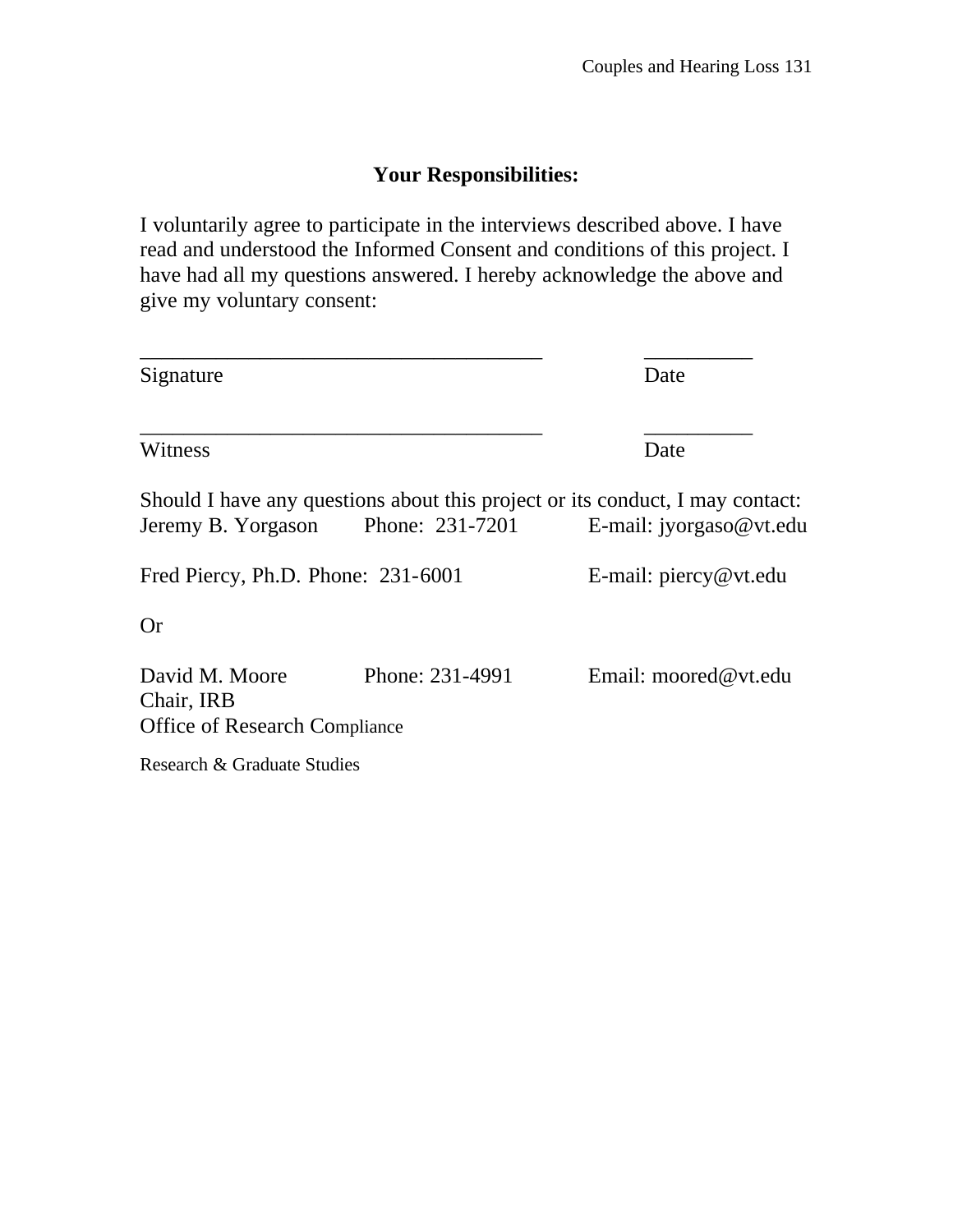# **Your Responsibilities:**

I voluntarily agree to participate in the interviews described above. I have read and understood the Informed Consent and conditions of this project. I have had all my questions answered. I hereby acknowledge the above and give my voluntary consent:

| Signature                                                            | Date                               |                                                                                                            |  |
|----------------------------------------------------------------------|------------------------------------|------------------------------------------------------------------------------------------------------------|--|
| Witness                                                              | Date                               |                                                                                                            |  |
|                                                                      | Jeremy B. Yorgason Phone: 231-7201 | Should I have any questions about this project or its conduct, I may contact:<br>E-mail: $ijorgaso@vt.edu$ |  |
| Fred Piercy, Ph.D. Phone: 231-6001                                   | E-mail: $\text{piercy@vt.edu}$     |                                                                                                            |  |
| <b>Or</b>                                                            |                                    |                                                                                                            |  |
| David M. Moore<br>Chair, IRB<br><b>Office of Research Compliance</b> | Phone: 231-4991                    | Email: moored@vt.edu                                                                                       |  |
| Research & Graduate Studies                                          |                                    |                                                                                                            |  |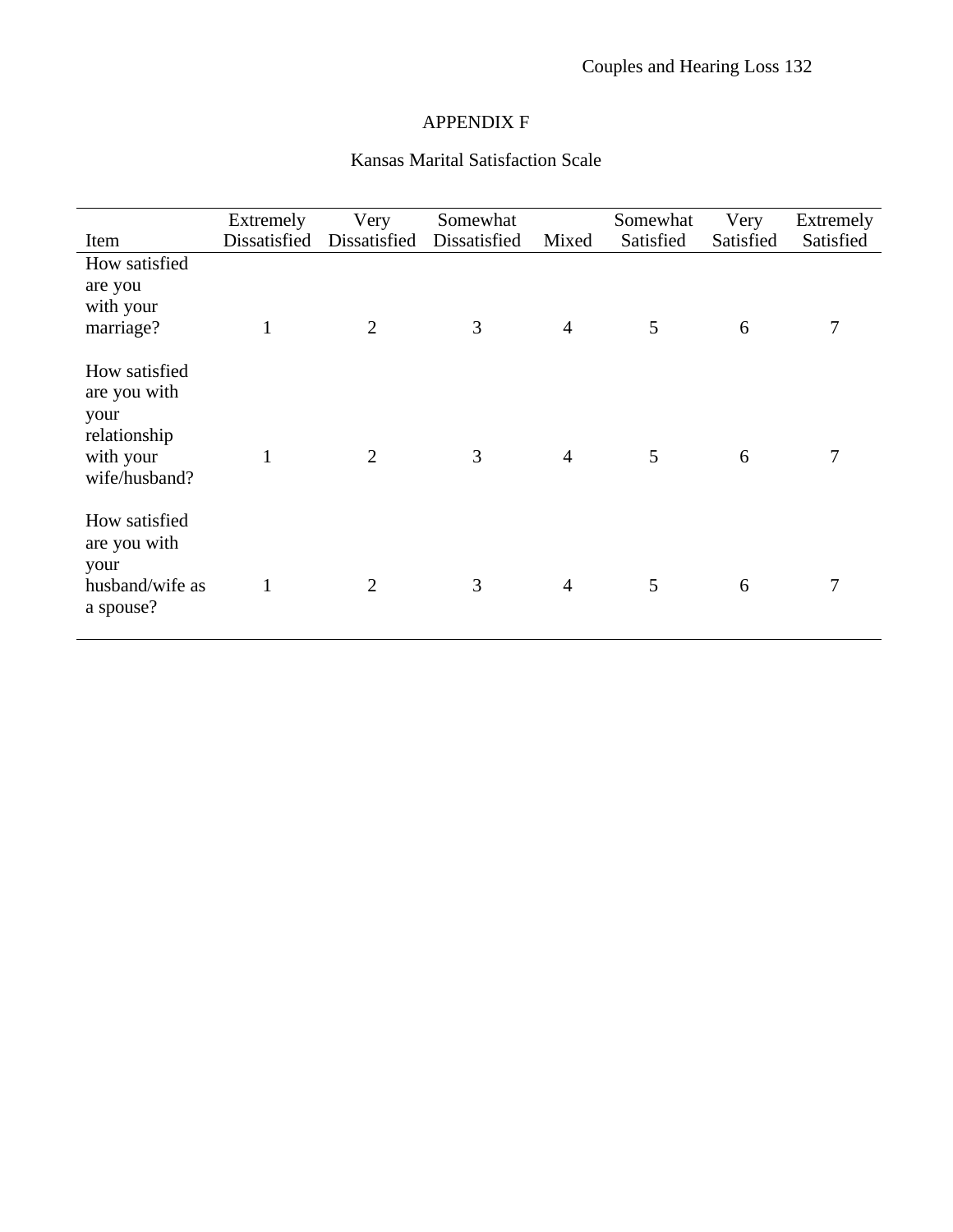#### APPENDIX F

# Kansas Marital Satisfaction Scale

|                                                                                     | Extremely    | Very           | Somewhat     |                | Somewhat  | Very      | Extremely |
|-------------------------------------------------------------------------------------|--------------|----------------|--------------|----------------|-----------|-----------|-----------|
| Item                                                                                | Dissatisfied | Dissatisfied   | Dissatisfied | Mixed          | Satisfied | Satisfied | Satisfied |
| How satisfied                                                                       |              |                |              |                |           |           |           |
| are you                                                                             |              |                |              |                |           |           |           |
| with your                                                                           |              |                |              |                |           |           |           |
| marriage?                                                                           | $\mathbf{1}$ | $\overline{2}$ | 3            | $\overline{4}$ | 5         | 6         | 7         |
|                                                                                     |              |                |              |                |           |           |           |
| How satisfied<br>are you with<br>your<br>relationship<br>with your<br>wife/husband? | 1            | $\overline{2}$ | 3            | $\overline{4}$ | 5         | 6         | 7         |
| How satisfied<br>are you with<br>your<br>husband/wife as<br>a spouse?               | 1            | $\overline{2}$ | 3            | $\overline{4}$ | 5         | 6         | 7         |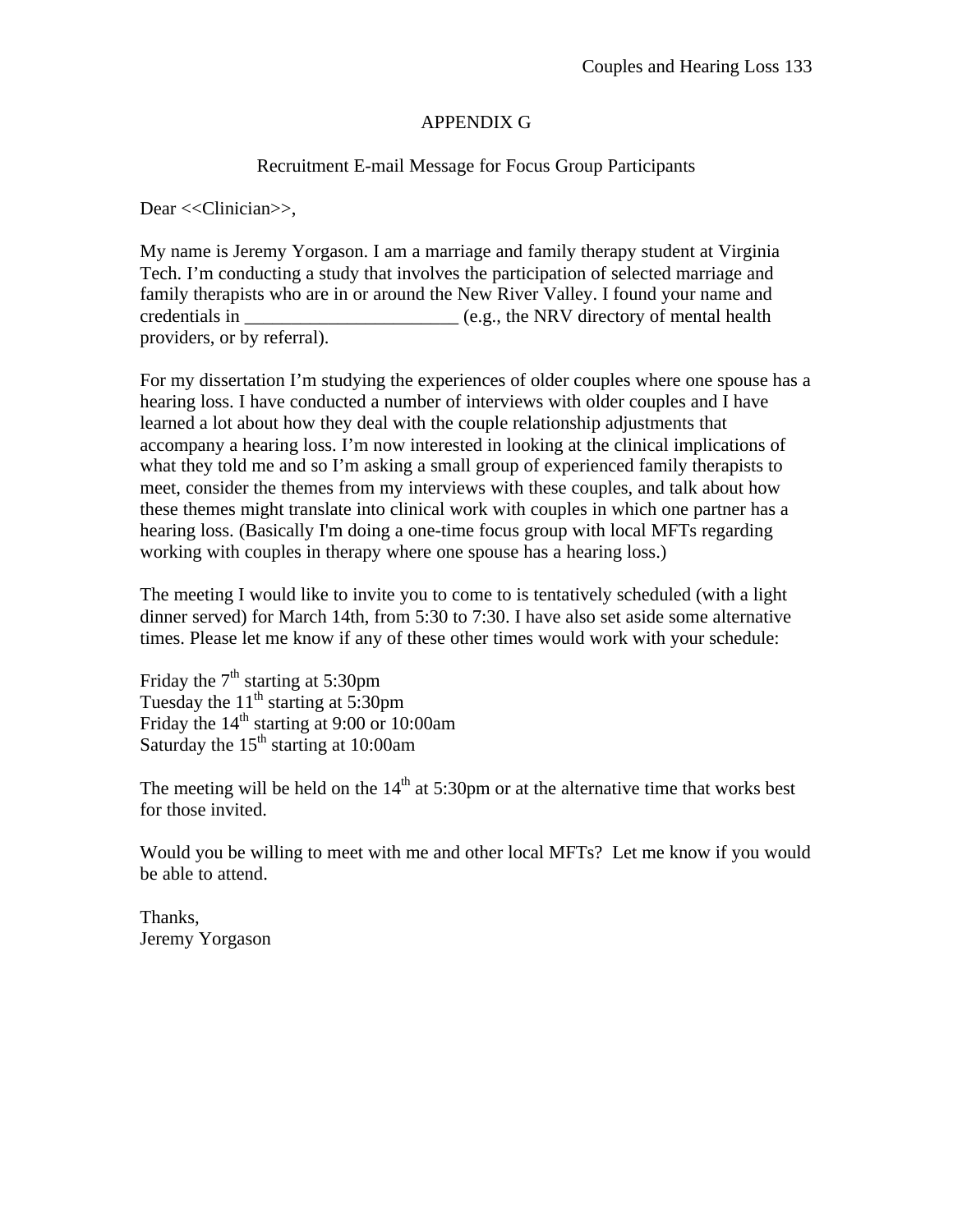#### APPENDIX G

#### Recruitment E-mail Message for Focus Group Participants

Dear <<Clinician>>.

My name is Jeremy Yorgason. I am a marriage and family therapy student at Virginia Tech. I'm conducting a study that involves the participation of selected marriage and family therapists who are in or around the New River Valley. I found your name and credentials in \_\_\_\_\_\_\_\_\_\_\_\_\_\_\_\_\_\_\_\_\_\_\_ (e.g., the NRV directory of mental health providers, or by referral).

For my dissertation I'm studying the experiences of older couples where one spouse has a hearing loss. I have conducted a number of interviews with older couples and I have learned a lot about how they deal with the couple relationship adjustments that accompany a hearing loss. I'm now interested in looking at the clinical implications of what they told me and so I'm asking a small group of experienced family therapists to meet, consider the themes from my interviews with these couples, and talk about how these themes might translate into clinical work with couples in which one partner has a hearing loss. (Basically I'm doing a one-time focus group with local MFTs regarding working with couples in therapy where one spouse has a hearing loss.)

The meeting I would like to invite you to come to is tentatively scheduled (with a light dinner served) for March 14th, from 5:30 to 7:30. I have also set aside some alternative times. Please let me know if any of these other times would work with your schedule:

Friday the  $7<sup>th</sup>$  starting at 5:30pm Tuesday the  $11<sup>th</sup>$  starting at 5:30pm Friday the  $14<sup>th</sup>$  starting at 9:00 or 10:00am Saturday the  $15<sup>th</sup>$  starting at 10:00am

The meeting will be held on the  $14<sup>th</sup>$  at 5:30pm or at the alternative time that works best for those invited.

Would you be willing to meet with me and other local MFTs? Let me know if you would be able to attend.

Thanks, Jeremy Yorgason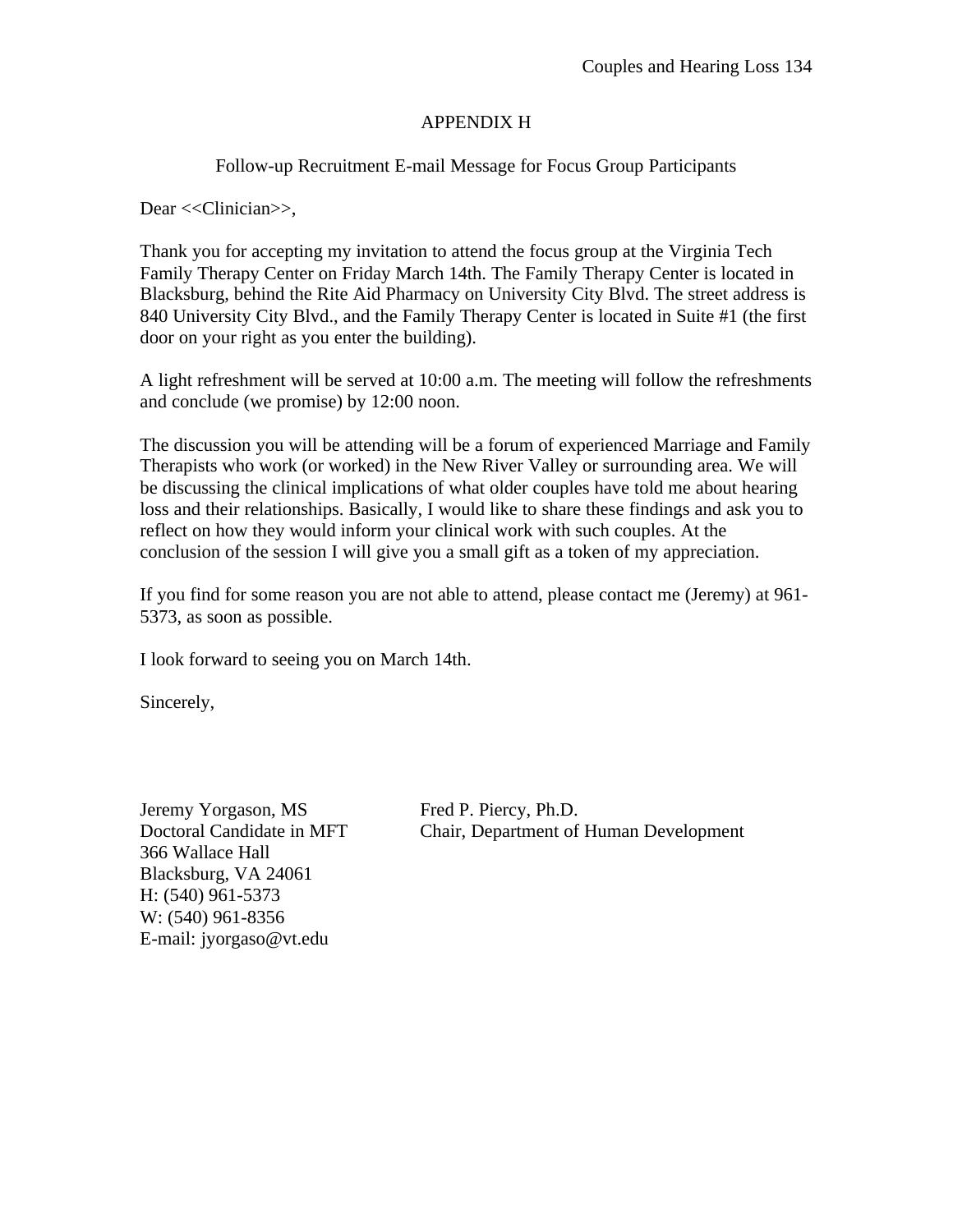#### APPENDIX H

Follow-up Recruitment E-mail Message for Focus Group Participants

Dear <<Clinician>>,

Thank you for accepting my invitation to attend the focus group at the Virginia Tech Family Therapy Center on Friday March 14th. The Family Therapy Center is located in Blacksburg, behind the Rite Aid Pharmacy on University City Blvd. The street address is 840 University City Blvd., and the Family Therapy Center is located in Suite #1 (the first door on your right as you enter the building).

A light refreshment will be served at 10:00 a.m. The meeting will follow the refreshments and conclude (we promise) by 12:00 noon.

The discussion you will be attending will be a forum of experienced Marriage and Family Therapists who work (or worked) in the New River Valley or surrounding area. We will be discussing the clinical implications of what older couples have told me about hearing loss and their relationships. Basically, I would like to share these findings and ask you to reflect on how they would inform your clinical work with such couples. At the conclusion of the session I will give you a small gift as a token of my appreciation.

If you find for some reason you are not able to attend, please contact me (Jeremy) at 961- 5373, as soon as possible.

I look forward to seeing you on March 14th.

Sincerely,

Jeremy Yorgason, MS Fred P. Piercy, Ph.D. 366 Wallace Hall Blacksburg, VA 24061 H: (540) 961-5373 W: (540) 961-8356 E-mail: jyorgaso@vt.edu

Doctoral Candidate in MFT Chair, Department of Human Development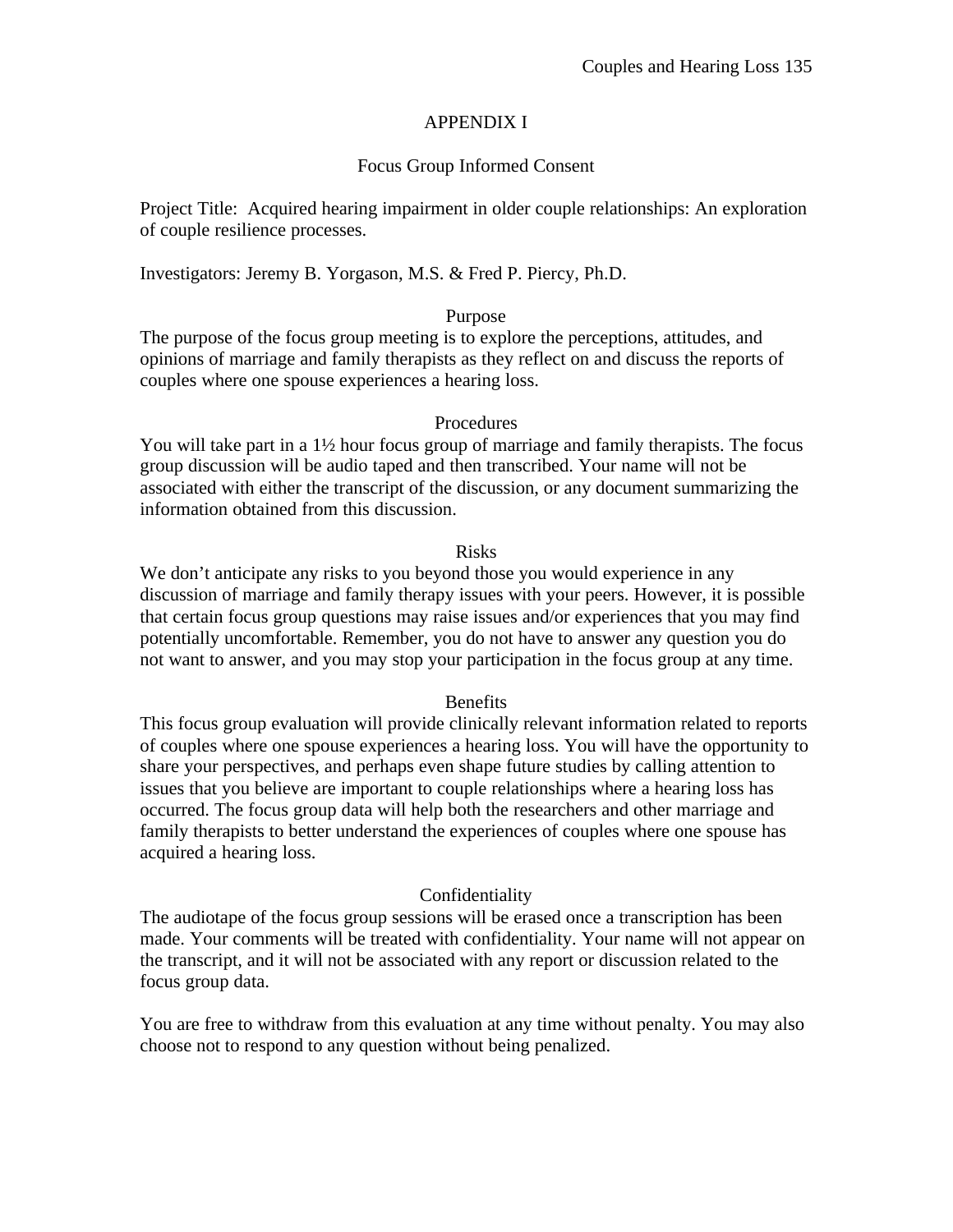## APPENDIX I

# Focus Group Informed Consent

Project Title: Acquired hearing impairment in older couple relationships: An exploration of couple resilience processes.

Investigators: Jeremy B. Yorgason, M.S. & Fred P. Piercy, Ph.D.

### Purpose

The purpose of the focus group meeting is to explore the perceptions, attitudes, and opinions of marriage and family therapists as they reflect on and discuss the reports of couples where one spouse experiences a hearing loss.

## Procedures

You will take part in a  $1\frac{1}{2}$  hour focus group of marriage and family therapists. The focus group discussion will be audio taped and then transcribed. Your name will not be associated with either the transcript of the discussion, or any document summarizing the information obtained from this discussion.

## Risks

We don't anticipate any risks to you beyond those you would experience in any discussion of marriage and family therapy issues with your peers. However, it is possible that certain focus group questions may raise issues and/or experiences that you may find potentially uncomfortable. Remember, you do not have to answer any question you do not want to answer, and you may stop your participation in the focus group at any time.

### **Benefits**

This focus group evaluation will provide clinically relevant information related to reports of couples where one spouse experiences a hearing loss. You will have the opportunity to share your perspectives, and perhaps even shape future studies by calling attention to issues that you believe are important to couple relationships where a hearing loss has occurred. The focus group data will help both the researchers and other marriage and family therapists to better understand the experiences of couples where one spouse has acquired a hearing loss.

### Confidentiality

The audiotape of the focus group sessions will be erased once a transcription has been made. Your comments will be treated with confidentiality. Your name will not appear on the transcript, and it will not be associated with any report or discussion related to the focus group data.

You are free to withdraw from this evaluation at any time without penalty. You may also choose not to respond to any question without being penalized.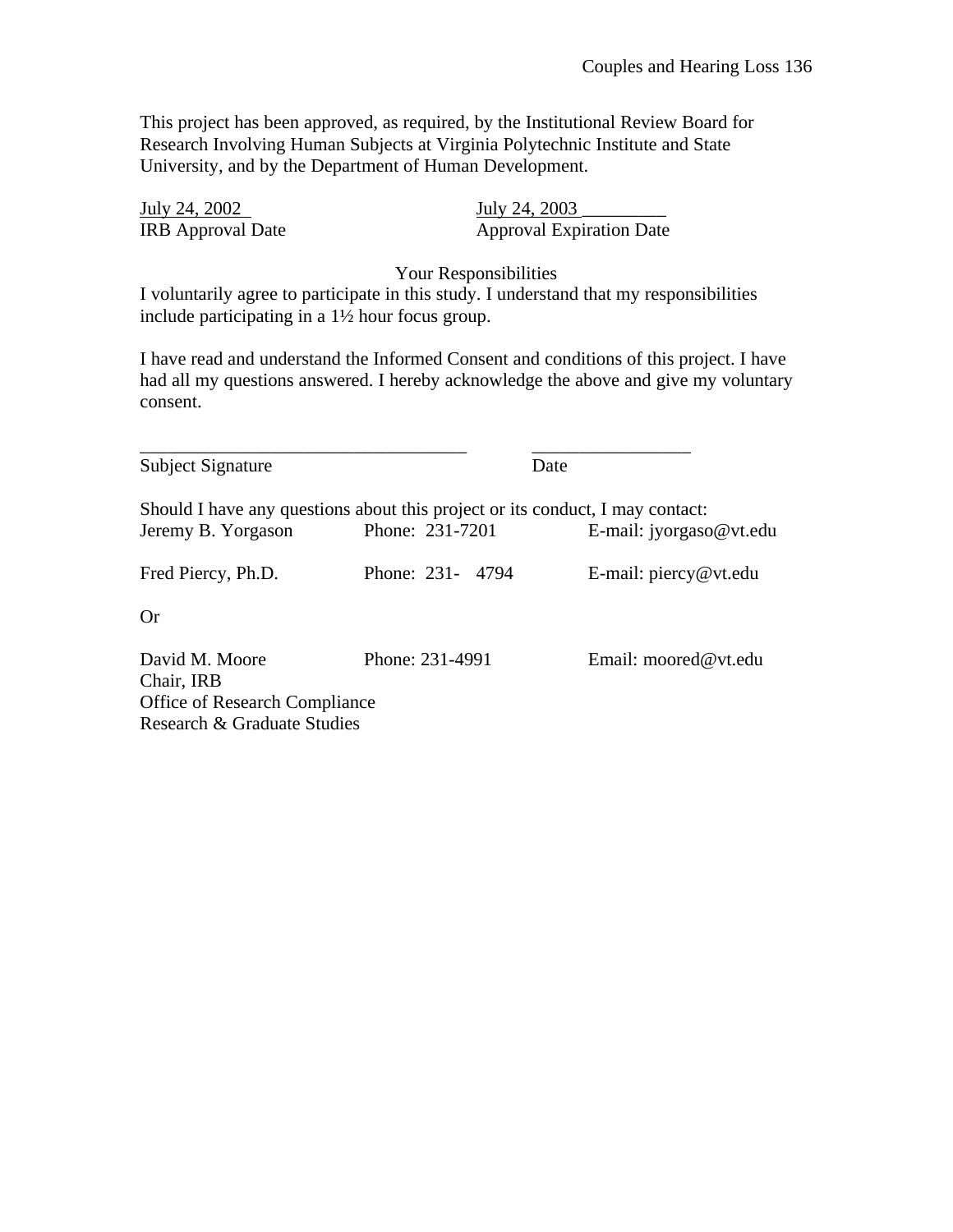This project has been approved, as required, by the Institutional Review Board for Research Involving Human Subjects at Virginia Polytechnic Institute and State University, and by the Department of Human Development.

| July 24, 2002            | July 24, 2003                   |
|--------------------------|---------------------------------|
| <b>IRB</b> Approval Date | <b>Approval Expiration Date</b> |

Your Responsibilities

I voluntarily agree to participate in this study. I understand that my responsibilities include participating in a 1½ hour focus group.

I have read and understand the Informed Consent and conditions of this project. I have had all my questions answered. I hereby acknowledge the above and give my voluntary consent.

| Subject Signature                    | Date                                                                          |                                |
|--------------------------------------|-------------------------------------------------------------------------------|--------------------------------|
|                                      | Should I have any questions about this project or its conduct, I may contact: |                                |
| Jeremy B. Yorgason                   | Phone: 231-7201                                                               | E-mail: jyorgaso@vt.edu        |
| Fred Piercy, Ph.D.                   | Phone: 231- 4794                                                              | E-mail: $\text{piercy@vt.edu}$ |
| <b>Or</b>                            |                                                                               |                                |
| David M. Moore<br>Chair, IRB         | Phone: 231-4991                                                               | Email: moored@vt.edu           |
| <b>Office of Research Compliance</b> |                                                                               |                                |
| Research & Graduate Studies          |                                                                               |                                |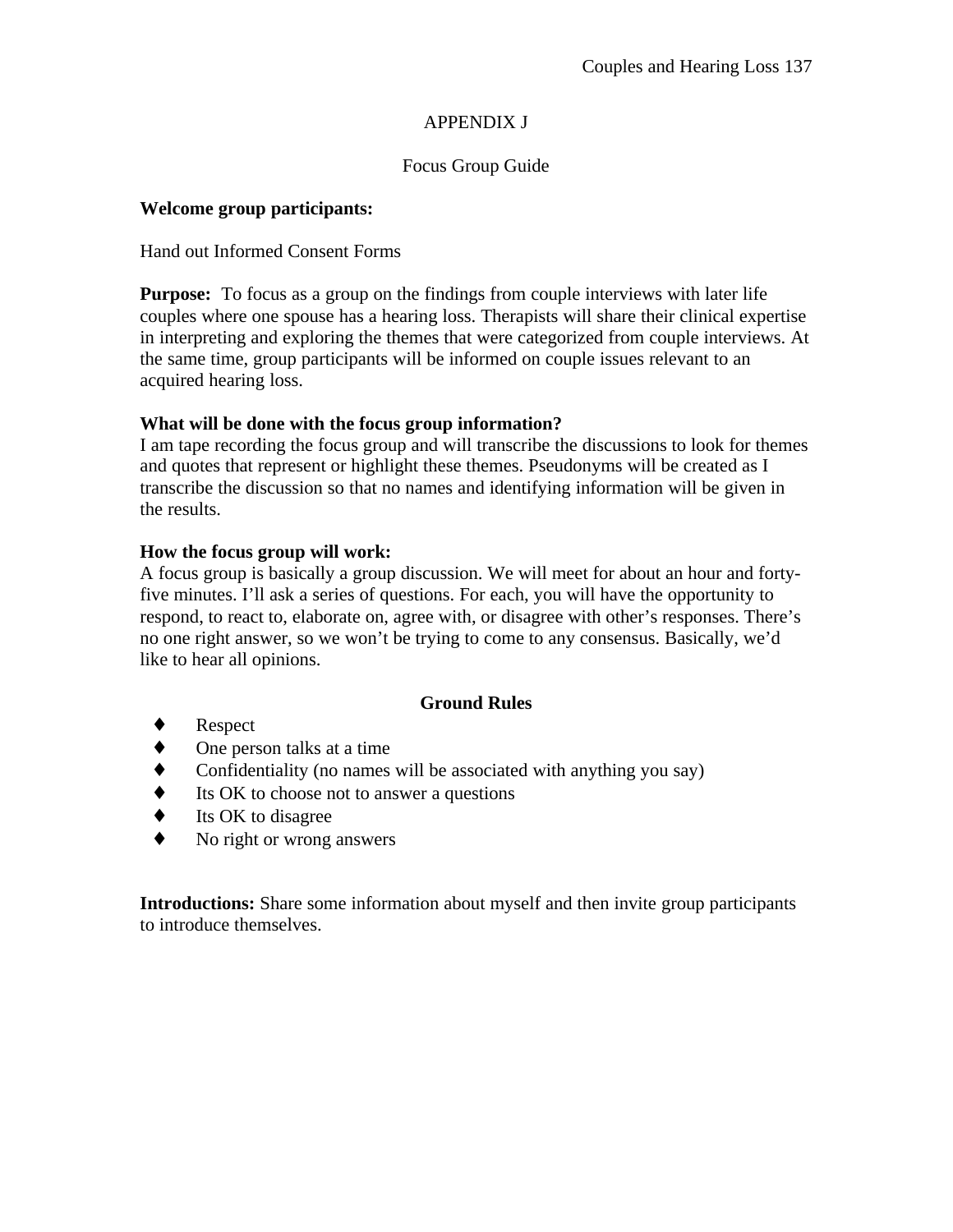# APPENDIX J

# Focus Group Guide

## **Welcome group participants:**

### Hand out Informed Consent Forms

**Purpose:** To focus as a group on the findings from couple interviews with later life couples where one spouse has a hearing loss. Therapists will share their clinical expertise in interpreting and exploring the themes that were categorized from couple interviews. At the same time, group participants will be informed on couple issues relevant to an acquired hearing loss.

## **What will be done with the focus group information?**

I am tape recording the focus group and will transcribe the discussions to look for themes and quotes that represent or highlight these themes. Pseudonyms will be created as I transcribe the discussion so that no names and identifying information will be given in the results.

## **How the focus group will work:**

A focus group is basically a group discussion. We will meet for about an hour and fortyfive minutes. I'll ask a series of questions. For each, you will have the opportunity to respond, to react to, elaborate on, agree with, or disagree with other's responses. There's no one right answer, so we won't be trying to come to any consensus. Basically, we'd like to hear all opinions.

### **Ground Rules**

- **Respect**
- One person talks at a time
- Confidentiality (no names will be associated with anything you say)
- Its OK to choose not to answer a questions
- Its OK to disagree
- No right or wrong answers

**Introductions:** Share some information about myself and then invite group participants to introduce themselves.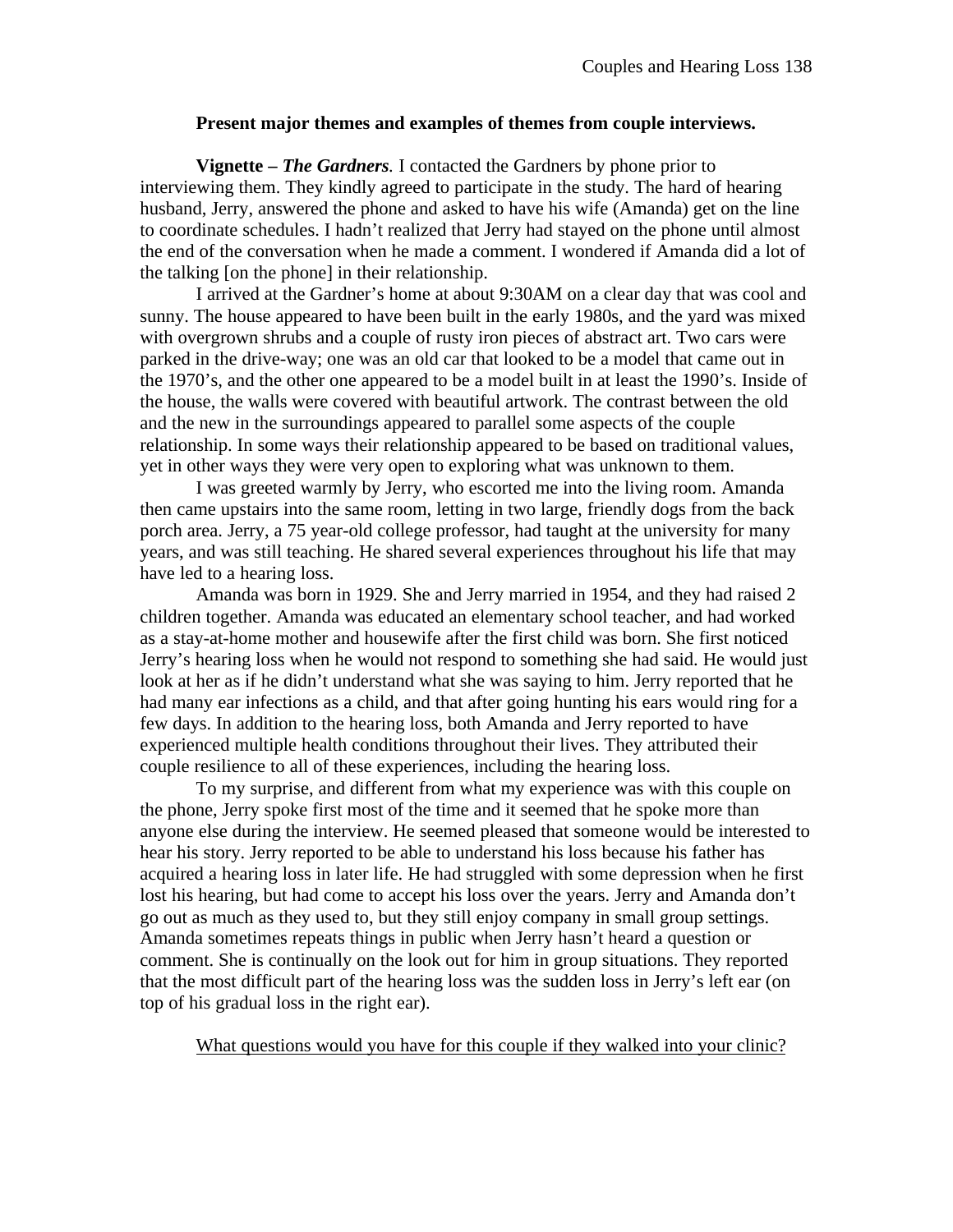### **Present major themes and examples of themes from couple interviews.**

**Vignette –** *The Gardners.* I contacted the Gardners by phone prior to interviewing them. They kindly agreed to participate in the study. The hard of hearing husband, Jerry, answered the phone and asked to have his wife (Amanda) get on the line to coordinate schedules. I hadn't realized that Jerry had stayed on the phone until almost the end of the conversation when he made a comment. I wondered if Amanda did a lot of the talking [on the phone] in their relationship.

I arrived at the Gardner's home at about 9:30AM on a clear day that was cool and sunny. The house appeared to have been built in the early 1980s, and the yard was mixed with overgrown shrubs and a couple of rusty iron pieces of abstract art. Two cars were parked in the drive-way; one was an old car that looked to be a model that came out in the 1970's, and the other one appeared to be a model built in at least the 1990's. Inside of the house, the walls were covered with beautiful artwork. The contrast between the old and the new in the surroundings appeared to parallel some aspects of the couple relationship. In some ways their relationship appeared to be based on traditional values, yet in other ways they were very open to exploring what was unknown to them.

I was greeted warmly by Jerry, who escorted me into the living room. Amanda then came upstairs into the same room, letting in two large, friendly dogs from the back porch area. Jerry, a 75 year-old college professor, had taught at the university for many years, and was still teaching. He shared several experiences throughout his life that may have led to a hearing loss.

Amanda was born in 1929. She and Jerry married in 1954, and they had raised 2 children together. Amanda was educated an elementary school teacher, and had worked as a stay-at-home mother and housewife after the first child was born. She first noticed Jerry's hearing loss when he would not respond to something she had said. He would just look at her as if he didn't understand what she was saying to him. Jerry reported that he had many ear infections as a child, and that after going hunting his ears would ring for a few days. In addition to the hearing loss, both Amanda and Jerry reported to have experienced multiple health conditions throughout their lives. They attributed their couple resilience to all of these experiences, including the hearing loss.

To my surprise, and different from what my experience was with this couple on the phone, Jerry spoke first most of the time and it seemed that he spoke more than anyone else during the interview. He seemed pleased that someone would be interested to hear his story. Jerry reported to be able to understand his loss because his father has acquired a hearing loss in later life. He had struggled with some depression when he first lost his hearing, but had come to accept his loss over the years. Jerry and Amanda don't go out as much as they used to, but they still enjoy company in small group settings. Amanda sometimes repeats things in public when Jerry hasn't heard a question or comment. She is continually on the look out for him in group situations. They reported that the most difficult part of the hearing loss was the sudden loss in Jerry's left ear (on top of his gradual loss in the right ear).

What questions would you have for this couple if they walked into your clinic?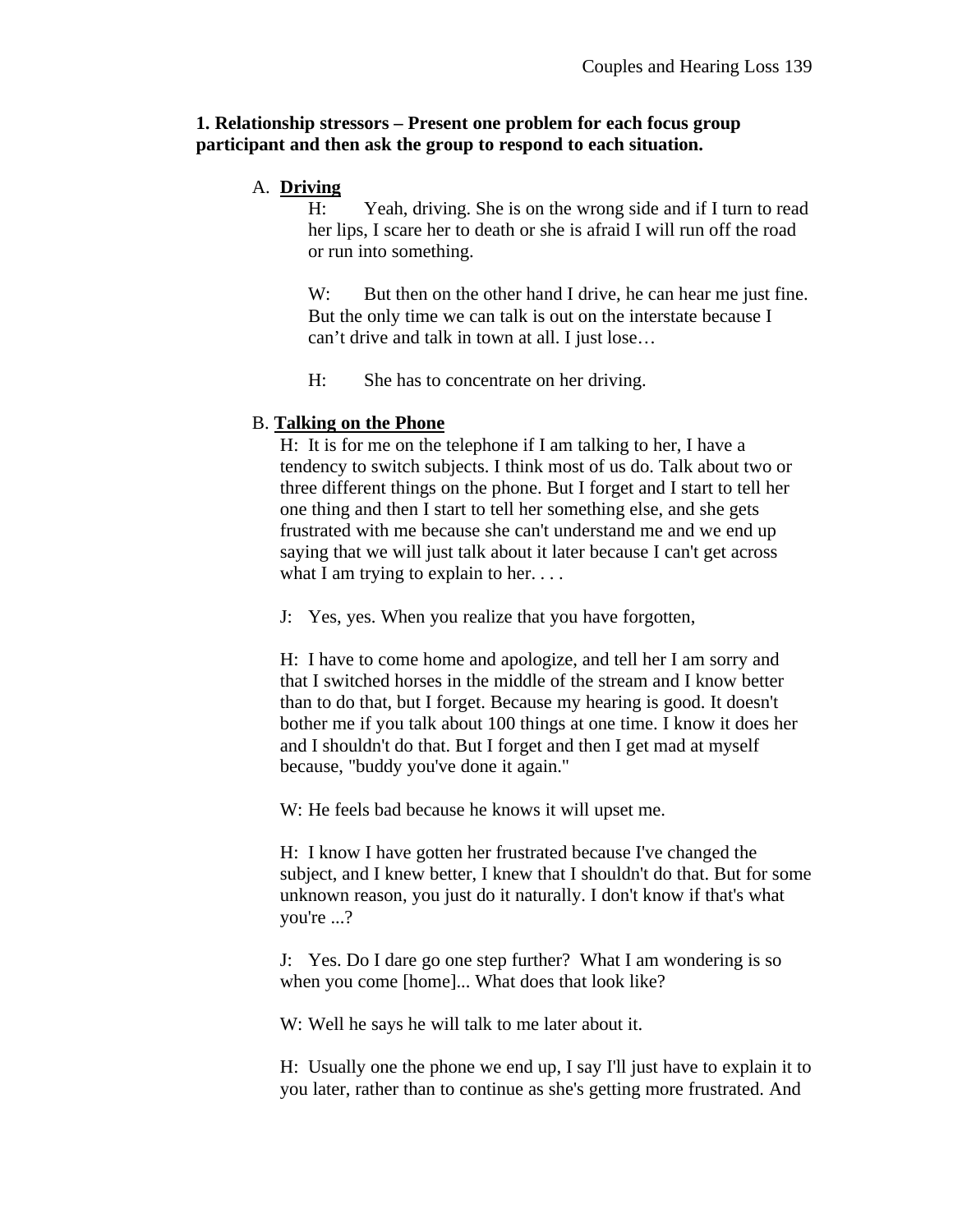### **1. Relationship stressors – Present one problem for each focus group participant and then ask the group to respond to each situation.**

### A. **Driving**

H: Yeah, driving. She is on the wrong side and if I turn to read her lips, I scare her to death or she is afraid I will run off the road or run into something.

W: But then on the other hand I drive, he can hear me just fine. But the only time we can talk is out on the interstate because I can't drive and talk in town at all. I just lose…

H: She has to concentrate on her driving.

### B. **Talking on the Phone**

H: It is for me on the telephone if I am talking to her, I have a tendency to switch subjects. I think most of us do. Talk about two or three different things on the phone. But I forget and I start to tell her one thing and then I start to tell her something else, and she gets frustrated with me because she can't understand me and we end up saying that we will just talk about it later because I can't get across what I am trying to explain to her...

J: Yes, yes. When you realize that you have forgotten,

H: I have to come home and apologize, and tell her I am sorry and that I switched horses in the middle of the stream and I know better than to do that, but I forget. Because my hearing is good. It doesn't bother me if you talk about 100 things at one time. I know it does her and I shouldn't do that. But I forget and then I get mad at myself because, "buddy you've done it again."

W: He feels bad because he knows it will upset me.

H: I know I have gotten her frustrated because I've changed the subject, and I knew better, I knew that I shouldn't do that. But for some unknown reason, you just do it naturally. I don't know if that's what you're ...?

J: Yes. Do I dare go one step further? What I am wondering is so when you come [home]... What does that look like?

W: Well he says he will talk to me later about it.

H: Usually one the phone we end up, I say I'll just have to explain it to you later, rather than to continue as she's getting more frustrated. And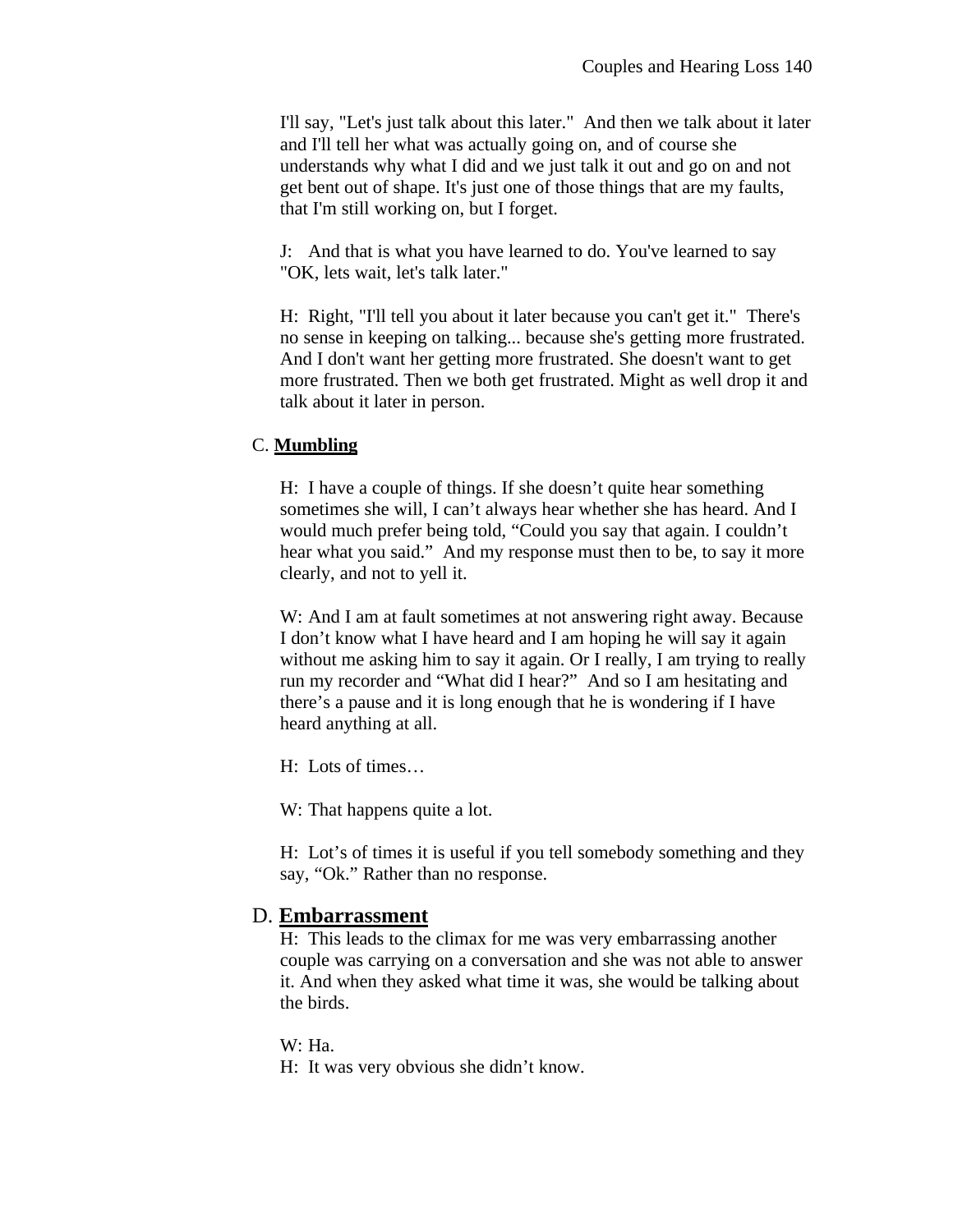I'll say, "Let's just talk about this later." And then we talk about it later and I'll tell her what was actually going on, and of course she understands why what I did and we just talk it out and go on and not get bent out of shape. It's just one of those things that are my faults, that I'm still working on, but I forget.

J: And that is what you have learned to do. You've learned to say "OK, lets wait, let's talk later."

H: Right, "I'll tell you about it later because you can't get it." There's no sense in keeping on talking... because she's getting more frustrated. And I don't want her getting more frustrated. She doesn't want to get more frustrated. Then we both get frustrated. Might as well drop it and talk about it later in person.

## C. **Mumbling**

H: I have a couple of things. If she doesn't quite hear something sometimes she will, I can't always hear whether she has heard. And I would much prefer being told, "Could you say that again. I couldn't hear what you said." And my response must then to be, to say it more clearly, and not to yell it.

W: And I am at fault sometimes at not answering right away. Because I don't know what I have heard and I am hoping he will say it again without me asking him to say it again. Or I really, I am trying to really run my recorder and "What did I hear?" And so I am hesitating and there's a pause and it is long enough that he is wondering if I have heard anything at all.

H: Lots of times…

W: That happens quite a lot.

H: Lot's of times it is useful if you tell somebody something and they say, "Ok." Rather than no response.

# D. **Embarrassment**

H: This leads to the climax for me was very embarrassing another couple was carrying on a conversation and she was not able to answer it. And when they asked what time it was, she would be talking about the birds.

### W: Ha.

H: It was very obvious she didn't know.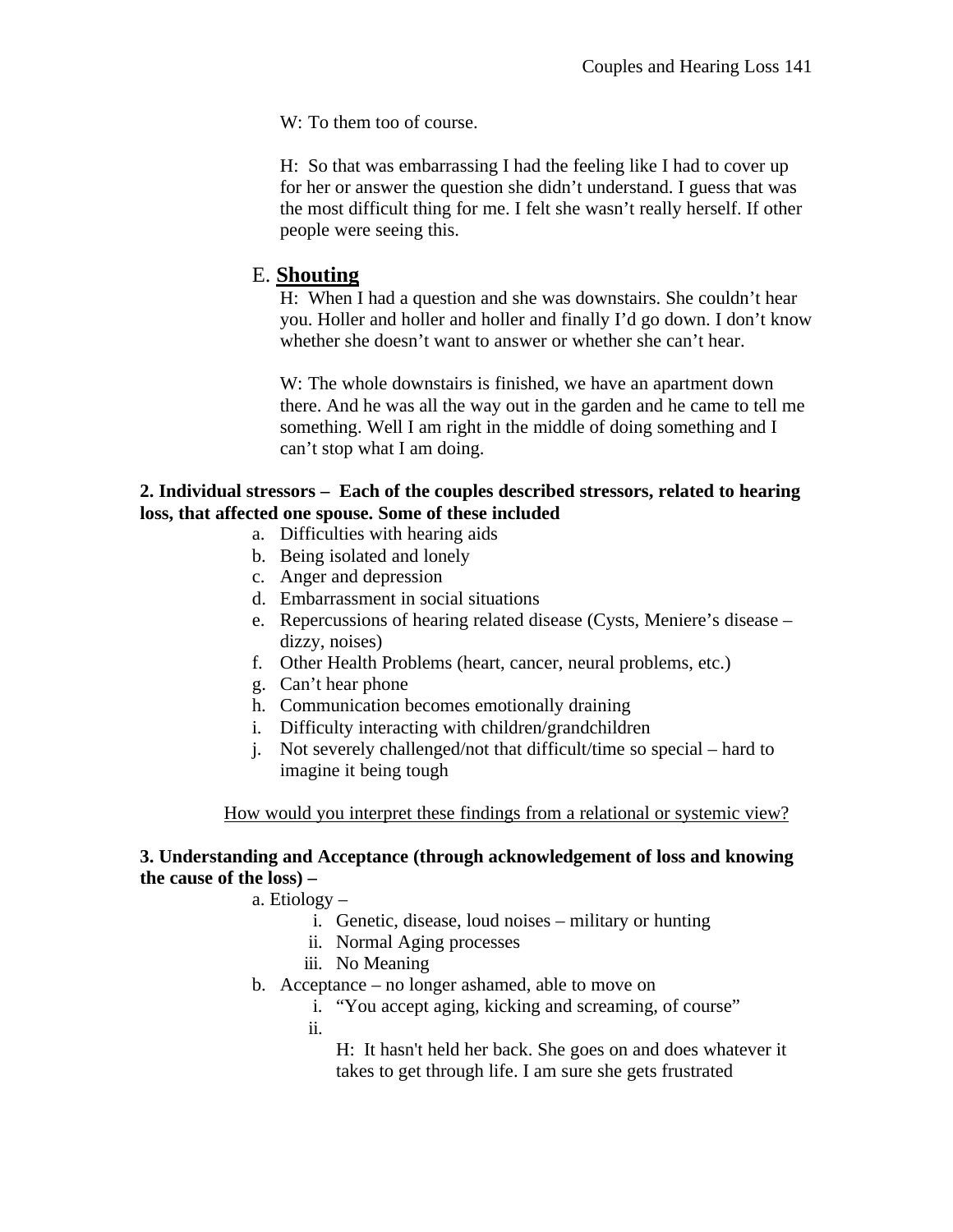W: To them too of course.

H: So that was embarrassing I had the feeling like I had to cover up for her or answer the question she didn't understand. I guess that was the most difficult thing for me. I felt she wasn't really herself. If other people were seeing this.

# E. **Shouting**

H: When I had a question and she was downstairs. She couldn't hear you. Holler and holler and holler and finally I'd go down. I don't know whether she doesn't want to answer or whether she can't hear.

W: The whole downstairs is finished, we have an apartment down there. And he was all the way out in the garden and he came to tell me something. Well I am right in the middle of doing something and I can't stop what I am doing.

# **2. Individual stressors – Each of the couples described stressors, related to hearing loss, that affected one spouse. Some of these included**

- a. Difficulties with hearing aids
- b. Being isolated and lonely
- c. Anger and depression
- d. Embarrassment in social situations
- e. Repercussions of hearing related disease (Cysts, Meniere's disease dizzy, noises)
- f. Other Health Problems (heart, cancer, neural problems, etc.)
- g. Can't hear phone
- h. Communication becomes emotionally draining
- i. Difficulty interacting with children/grandchildren
- j. Not severely challenged/not that difficult/time so special hard to imagine it being tough

How would you interpret these findings from a relational or systemic view?

# **3. Understanding and Acceptance (through acknowledgement of loss and knowing the cause of the loss) –**

a. Etiology –

- i. Genetic, disease, loud noises military or hunting
- ii. Normal Aging processes
- iii. No Meaning
- b. Acceptance no longer ashamed, able to move on
	- i. "You accept aging, kicking and screaming, of course"
	- ii.

H: It hasn't held her back. She goes on and does whatever it takes to get through life. I am sure she gets frustrated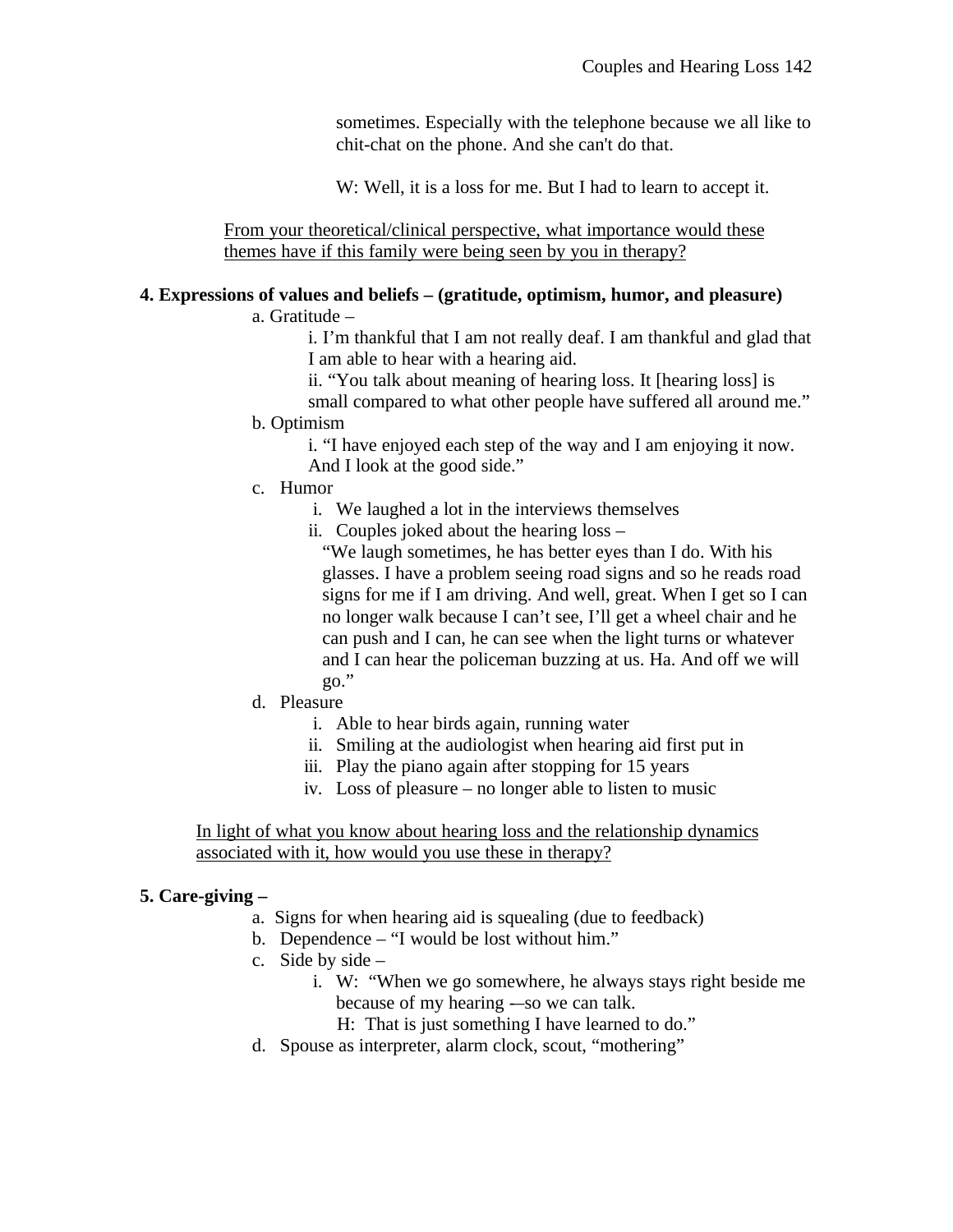sometimes. Especially with the telephone because we all like to chit-chat on the phone. And she can't do that.

W: Well, it is a loss for me. But I had to learn to accept it.

From your theoretical/clinical perspective, what importance would these themes have if this family were being seen by you in therapy?

# **4. Expressions of values and beliefs – (gratitude, optimism, humor, and pleasure)**

# a. Gratitude –

i. I'm thankful that I am not really deaf. I am thankful and glad that I am able to hear with a hearing aid.

ii. "You talk about meaning of hearing loss. It [hearing loss] is small compared to what other people have suffered all around me."

# b. Optimism

i. "I have enjoyed each step of the way and I am enjoying it now. And I look at the good side."

- c. Humor
	- i. We laughed a lot in the interviews themselves
	- ii. Couples joked about the hearing loss –

"We laugh sometimes, he has better eyes than I do. With his glasses. I have a problem seeing road signs and so he reads road signs for me if I am driving. And well, great. When I get so I can no longer walk because I can't see, I'll get a wheel chair and he can push and I can, he can see when the light turns or whatever and I can hear the policeman buzzing at us. Ha. And off we will go."

- d. Pleasure
	- i. Able to hear birds again, running water
	- ii. Smiling at the audiologist when hearing aid first put in
	- iii. Play the piano again after stopping for 15 years
	- iv. Loss of pleasure no longer able to listen to music

In light of what you know about hearing loss and the relationship dynamics associated with it, how would you use these in therapy?

# **5. Care-giving –**

- a. Signs for when hearing aid is squealing (due to feedback)
- b. Dependence "I would be lost without him."
- c. Side by side  $$ 
	- i. W: "When we go somewhere, he always stays right beside me because of my hearing -–so we can talk.
		- H: That is just something I have learned to do."
- d. Spouse as interpreter, alarm clock, scout, "mothering"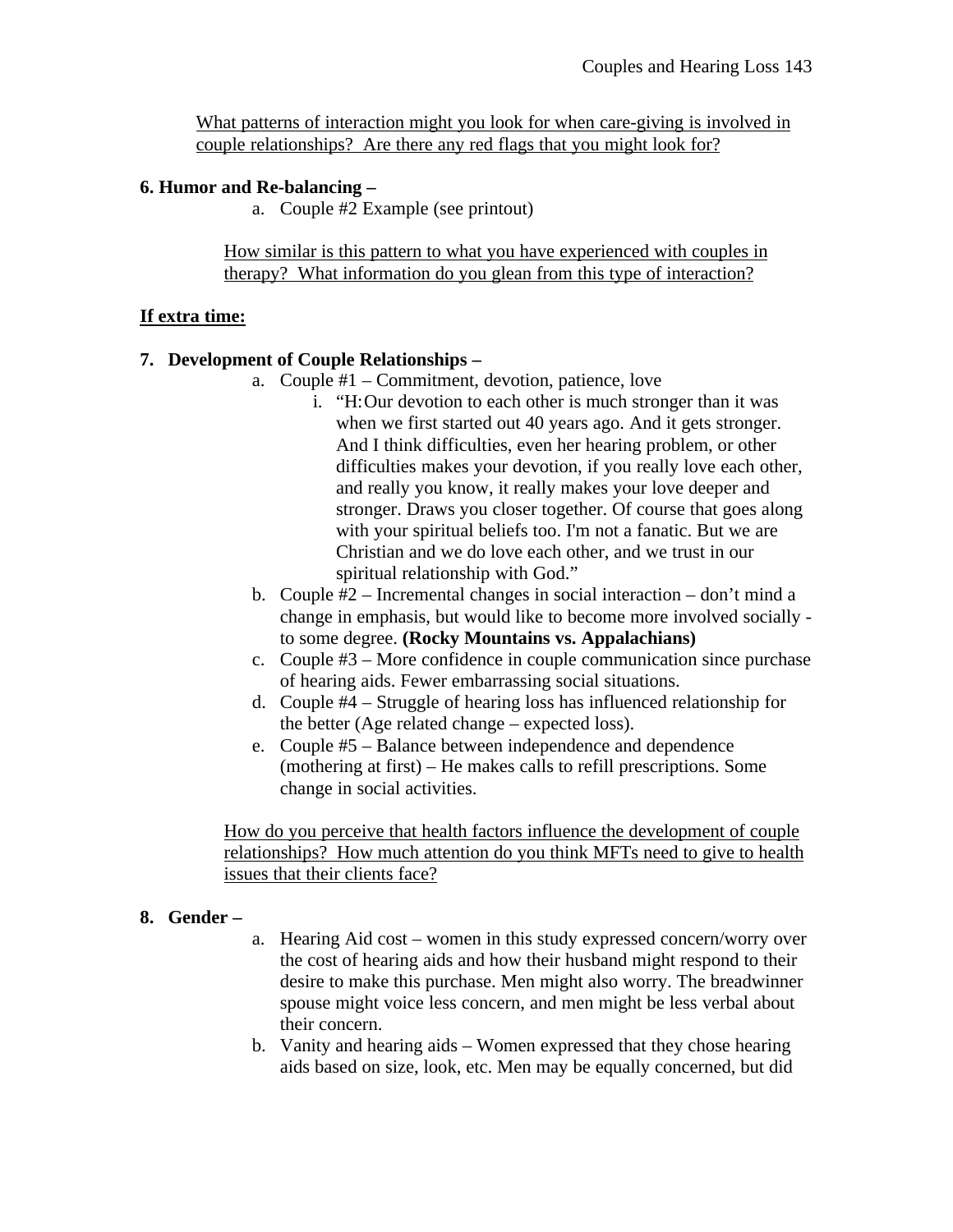What patterns of interaction might you look for when care-giving is involved in couple relationships? Are there any red flags that you might look for?

## **6. Humor and Re-balancing –**

a. Couple #2 Example (see printout)

How similar is this pattern to what you have experienced with couples in therapy? What information do you glean from this type of interaction?

# **If extra time:**

## **7. Development of Couple Relationships –**

- a. Couple #1 Commitment, devotion, patience, love
	- i. "H:Our devotion to each other is much stronger than it was when we first started out 40 years ago. And it gets stronger. And I think difficulties, even her hearing problem, or other difficulties makes your devotion, if you really love each other, and really you know, it really makes your love deeper and stronger. Draws you closer together. Of course that goes along with your spiritual beliefs too. I'm not a fanatic. But we are Christian and we do love each other, and we trust in our spiritual relationship with God."
- b. Couple #2 Incremental changes in social interaction don't mind a change in emphasis, but would like to become more involved socially to some degree. **(Rocky Mountains vs. Appalachians)**
- c. Couple #3 More confidence in couple communication since purchase of hearing aids. Fewer embarrassing social situations.
- d. Couple #4 Struggle of hearing loss has influenced relationship for the better (Age related change – expected loss).
- e. Couple #5 Balance between independence and dependence (mothering at first) – He makes calls to refill prescriptions. Some change in social activities.

How do you perceive that health factors influence the development of couple relationships? How much attention do you think MFTs need to give to health issues that their clients face?

### **8. Gender –**

- a. Hearing Aid cost women in this study expressed concern/worry over the cost of hearing aids and how their husband might respond to their desire to make this purchase. Men might also worry. The breadwinner spouse might voice less concern, and men might be less verbal about their concern.
- b. Vanity and hearing aids Women expressed that they chose hearing aids based on size, look, etc. Men may be equally concerned, but did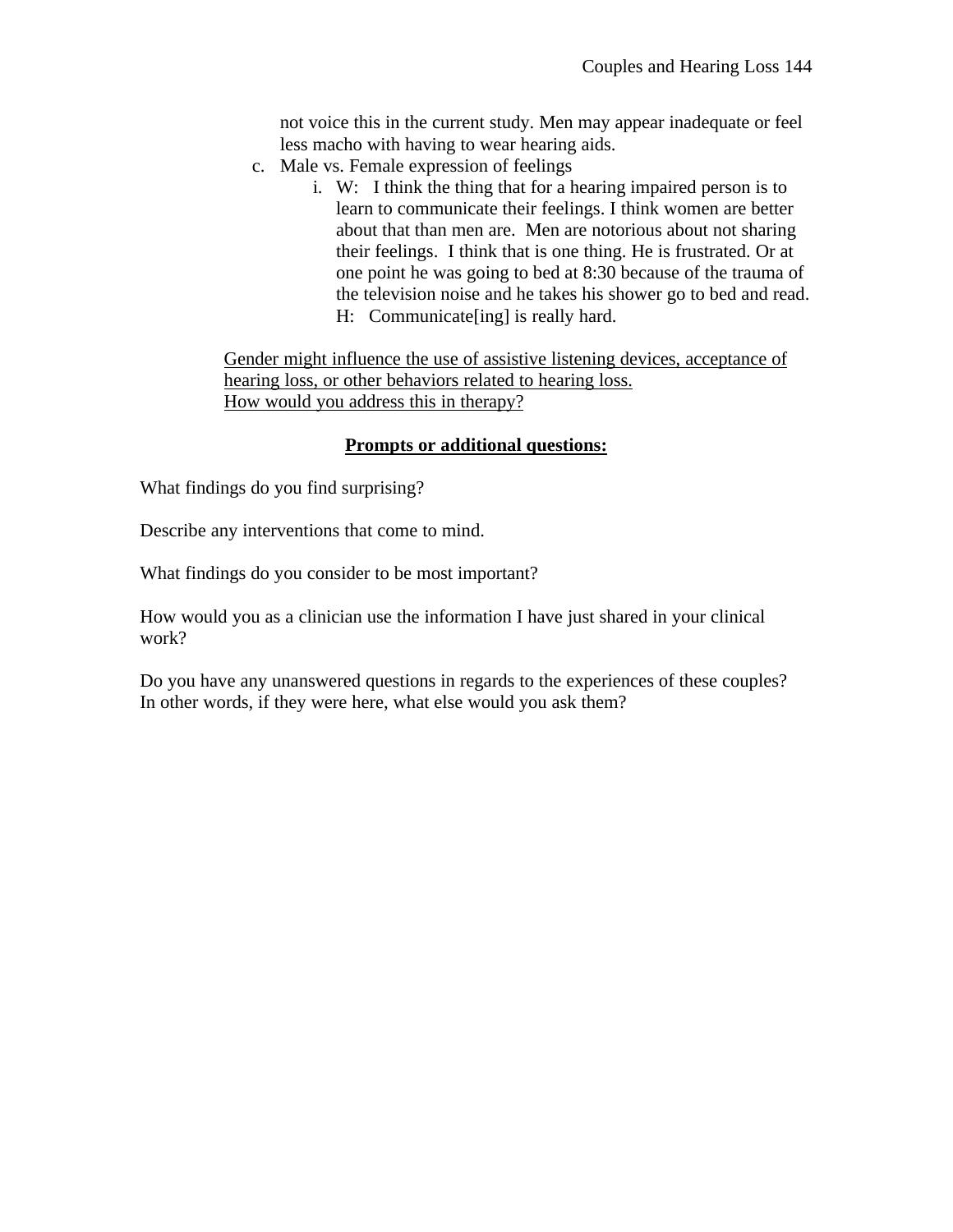not voice this in the current study. Men may appear inadequate or feel less macho with having to wear hearing aids.

- c. Male vs. Female expression of feelings
	- i. W: I think the thing that for a hearing impaired person is to learn to communicate their feelings. I think women are better about that than men are. Men are notorious about not sharing their feelings. I think that is one thing. He is frustrated. Or at one point he was going to bed at 8:30 because of the trauma of the television noise and he takes his shower go to bed and read. H: Communicate[ing] is really hard.

Gender might influence the use of assistive listening devices, acceptance of hearing loss, or other behaviors related to hearing loss. How would you address this in therapy?

# **Prompts or additional questions:**

What findings do you find surprising?

Describe any interventions that come to mind.

What findings do you consider to be most important?

How would you as a clinician use the information I have just shared in your clinical work?

Do you have any unanswered questions in regards to the experiences of these couples? In other words, if they were here, what else would you ask them?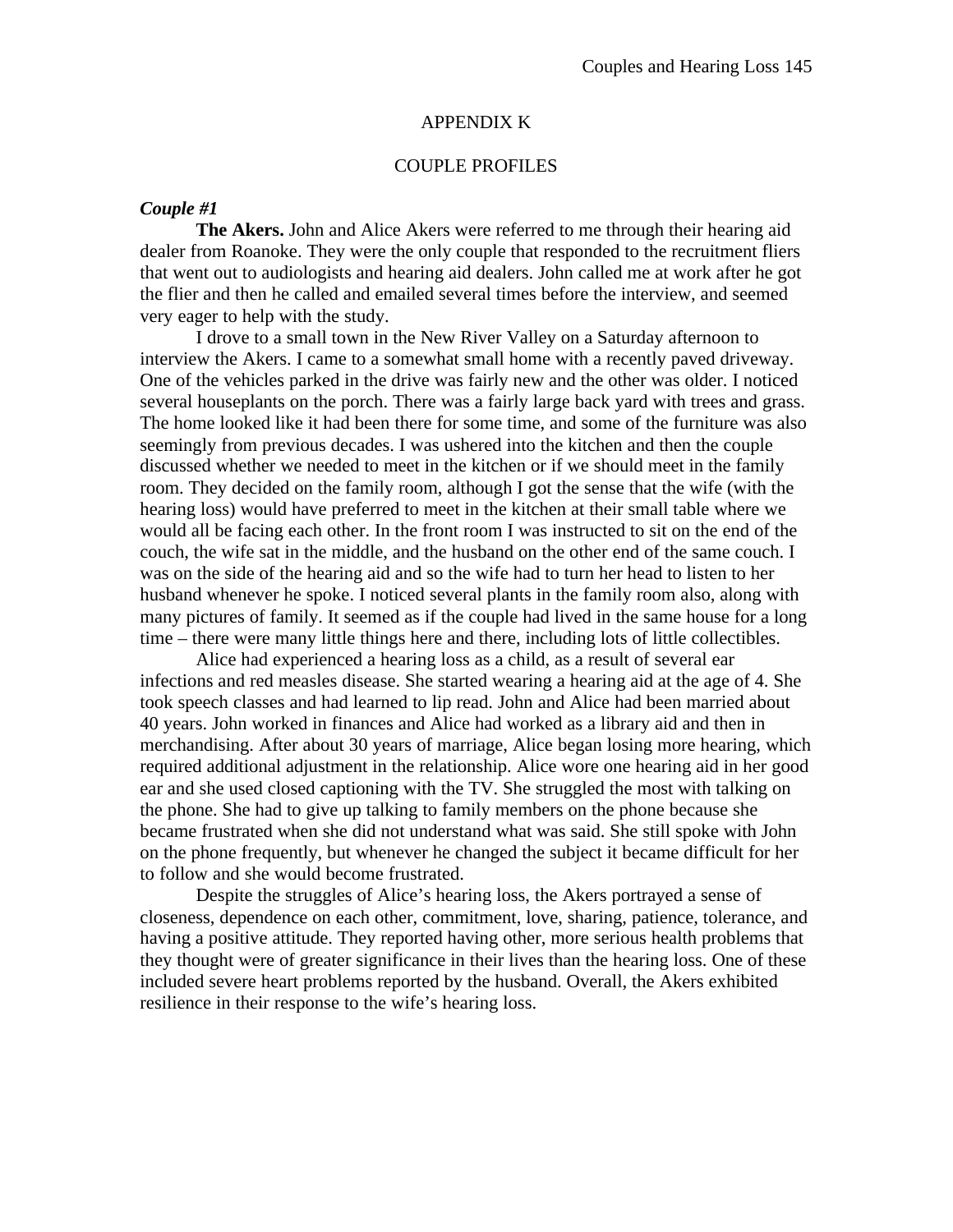#### APPENDIX K

### COUPLE PROFILES

### *Couple #1*

**The Akers.** John and Alice Akers were referred to me through their hearing aid dealer from Roanoke. They were the only couple that responded to the recruitment fliers that went out to audiologists and hearing aid dealers. John called me at work after he got the flier and then he called and emailed several times before the interview, and seemed very eager to help with the study.

I drove to a small town in the New River Valley on a Saturday afternoon to interview the Akers. I came to a somewhat small home with a recently paved driveway. One of the vehicles parked in the drive was fairly new and the other was older. I noticed several houseplants on the porch. There was a fairly large back yard with trees and grass. The home looked like it had been there for some time, and some of the furniture was also seemingly from previous decades. I was ushered into the kitchen and then the couple discussed whether we needed to meet in the kitchen or if we should meet in the family room. They decided on the family room, although I got the sense that the wife (with the hearing loss) would have preferred to meet in the kitchen at their small table where we would all be facing each other. In the front room I was instructed to sit on the end of the couch, the wife sat in the middle, and the husband on the other end of the same couch. I was on the side of the hearing aid and so the wife had to turn her head to listen to her husband whenever he spoke. I noticed several plants in the family room also, along with many pictures of family. It seemed as if the couple had lived in the same house for a long time – there were many little things here and there, including lots of little collectibles.

Alice had experienced a hearing loss as a child, as a result of several ear infections and red measles disease. She started wearing a hearing aid at the age of 4. She took speech classes and had learned to lip read. John and Alice had been married about 40 years. John worked in finances and Alice had worked as a library aid and then in merchandising. After about 30 years of marriage, Alice began losing more hearing, which required additional adjustment in the relationship. Alice wore one hearing aid in her good ear and she used closed captioning with the TV. She struggled the most with talking on the phone. She had to give up talking to family members on the phone because she became frustrated when she did not understand what was said. She still spoke with John on the phone frequently, but whenever he changed the subject it became difficult for her to follow and she would become frustrated.

Despite the struggles of Alice's hearing loss, the Akers portrayed a sense of closeness, dependence on each other, commitment, love, sharing, patience, tolerance, and having a positive attitude. They reported having other, more serious health problems that they thought were of greater significance in their lives than the hearing loss. One of these included severe heart problems reported by the husband. Overall, the Akers exhibited resilience in their response to the wife's hearing loss.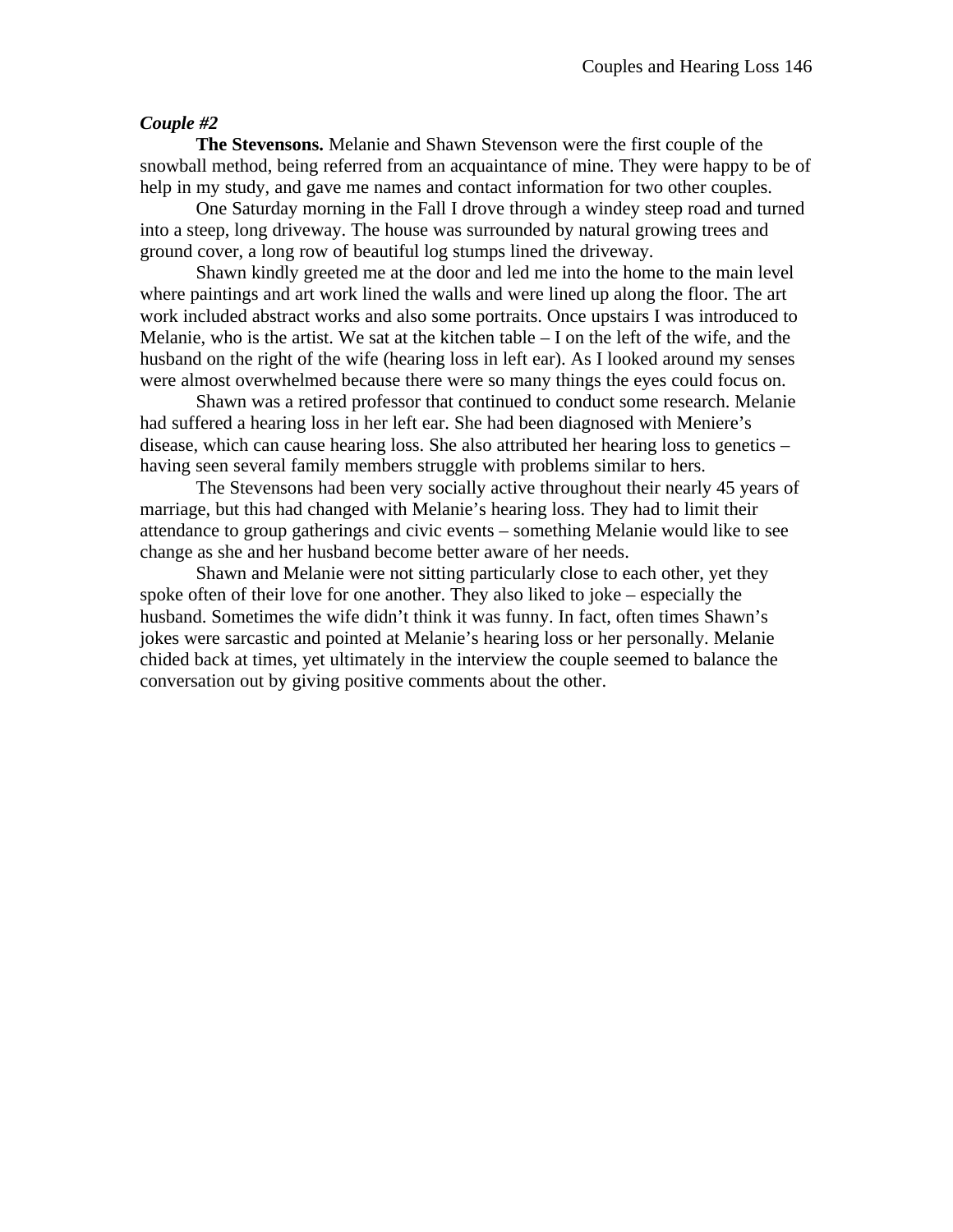**The Stevensons.** Melanie and Shawn Stevenson were the first couple of the snowball method, being referred from an acquaintance of mine. They were happy to be of help in my study, and gave me names and contact information for two other couples.

One Saturday morning in the Fall I drove through a windey steep road and turned into a steep, long driveway. The house was surrounded by natural growing trees and ground cover, a long row of beautiful log stumps lined the driveway.

Shawn kindly greeted me at the door and led me into the home to the main level where paintings and art work lined the walls and were lined up along the floor. The art work included abstract works and also some portraits. Once upstairs I was introduced to Melanie, who is the artist. We sat at the kitchen table  $-1$  on the left of the wife, and the husband on the right of the wife (hearing loss in left ear). As I looked around my senses were almost overwhelmed because there were so many things the eyes could focus on.

Shawn was a retired professor that continued to conduct some research. Melanie had suffered a hearing loss in her left ear. She had been diagnosed with Meniere's disease, which can cause hearing loss. She also attributed her hearing loss to genetics – having seen several family members struggle with problems similar to hers.

The Stevensons had been very socially active throughout their nearly 45 years of marriage, but this had changed with Melanie's hearing loss. They had to limit their attendance to group gatherings and civic events – something Melanie would like to see change as she and her husband become better aware of her needs.

Shawn and Melanie were not sitting particularly close to each other, yet they spoke often of their love for one another. They also liked to joke – especially the husband. Sometimes the wife didn't think it was funny. In fact, often times Shawn's jokes were sarcastic and pointed at Melanie's hearing loss or her personally. Melanie chided back at times, yet ultimately in the interview the couple seemed to balance the conversation out by giving positive comments about the other.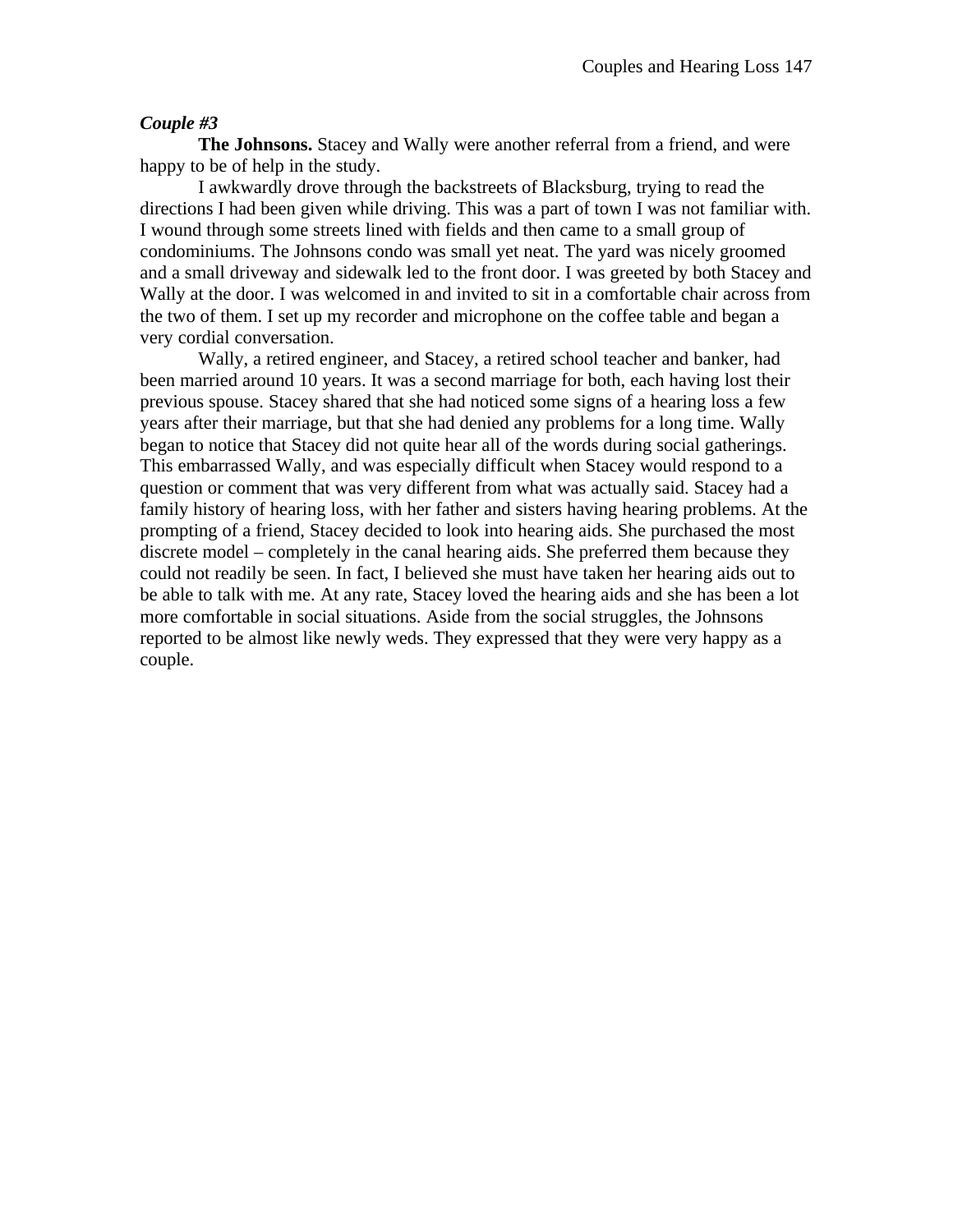**The Johnsons.** Stacey and Wally were another referral from a friend, and were happy to be of help in the study.

I awkwardly drove through the backstreets of Blacksburg, trying to read the directions I had been given while driving. This was a part of town I was not familiar with. I wound through some streets lined with fields and then came to a small group of condominiums. The Johnsons condo was small yet neat. The yard was nicely groomed and a small driveway and sidewalk led to the front door. I was greeted by both Stacey and Wally at the door. I was welcomed in and invited to sit in a comfortable chair across from the two of them. I set up my recorder and microphone on the coffee table and began a very cordial conversation.

Wally, a retired engineer, and Stacey, a retired school teacher and banker, had been married around 10 years. It was a second marriage for both, each having lost their previous spouse. Stacey shared that she had noticed some signs of a hearing loss a few years after their marriage, but that she had denied any problems for a long time. Wally began to notice that Stacey did not quite hear all of the words during social gatherings. This embarrassed Wally, and was especially difficult when Stacey would respond to a question or comment that was very different from what was actually said. Stacey had a family history of hearing loss, with her father and sisters having hearing problems. At the prompting of a friend, Stacey decided to look into hearing aids. She purchased the most discrete model – completely in the canal hearing aids. She preferred them because they could not readily be seen. In fact, I believed she must have taken her hearing aids out to be able to talk with me. At any rate, Stacey loved the hearing aids and she has been a lot more comfortable in social situations. Aside from the social struggles, the Johnsons reported to be almost like newly weds. They expressed that they were very happy as a couple.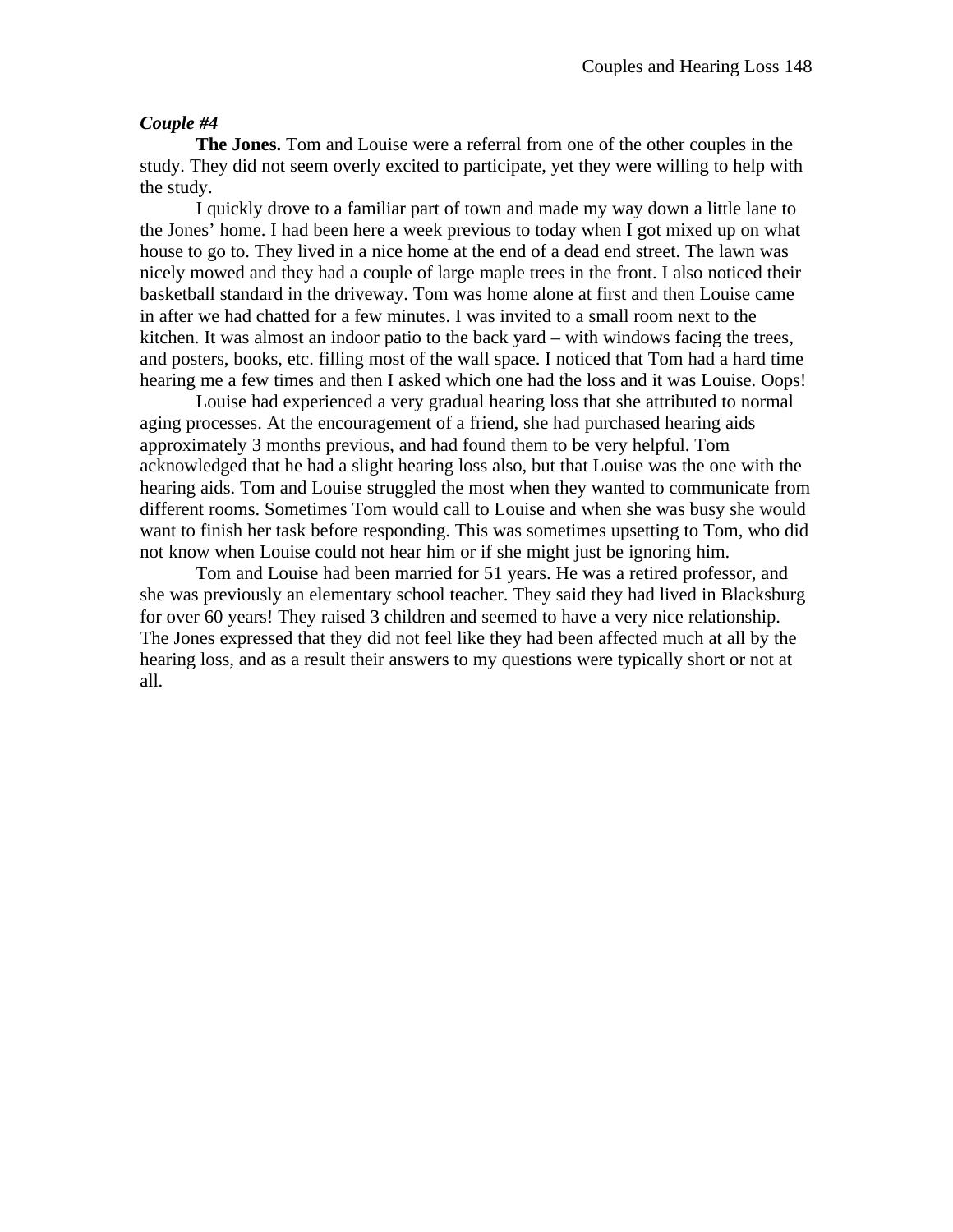**The Jones.** Tom and Louise were a referral from one of the other couples in the study. They did not seem overly excited to participate, yet they were willing to help with the study.

I quickly drove to a familiar part of town and made my way down a little lane to the Jones' home. I had been here a week previous to today when I got mixed up on what house to go to. They lived in a nice home at the end of a dead end street. The lawn was nicely mowed and they had a couple of large maple trees in the front. I also noticed their basketball standard in the driveway. Tom was home alone at first and then Louise came in after we had chatted for a few minutes. I was invited to a small room next to the kitchen. It was almost an indoor patio to the back yard – with windows facing the trees, and posters, books, etc. filling most of the wall space. I noticed that Tom had a hard time hearing me a few times and then I asked which one had the loss and it was Louise. Oops!

Louise had experienced a very gradual hearing loss that she attributed to normal aging processes. At the encouragement of a friend, she had purchased hearing aids approximately 3 months previous, and had found them to be very helpful. Tom acknowledged that he had a slight hearing loss also, but that Louise was the one with the hearing aids. Tom and Louise struggled the most when they wanted to communicate from different rooms. Sometimes Tom would call to Louise and when she was busy she would want to finish her task before responding. This was sometimes upsetting to Tom, who did not know when Louise could not hear him or if she might just be ignoring him.

Tom and Louise had been married for 51 years. He was a retired professor, and she was previously an elementary school teacher. They said they had lived in Blacksburg for over 60 years! They raised 3 children and seemed to have a very nice relationship. The Jones expressed that they did not feel like they had been affected much at all by the hearing loss, and as a result their answers to my questions were typically short or not at all.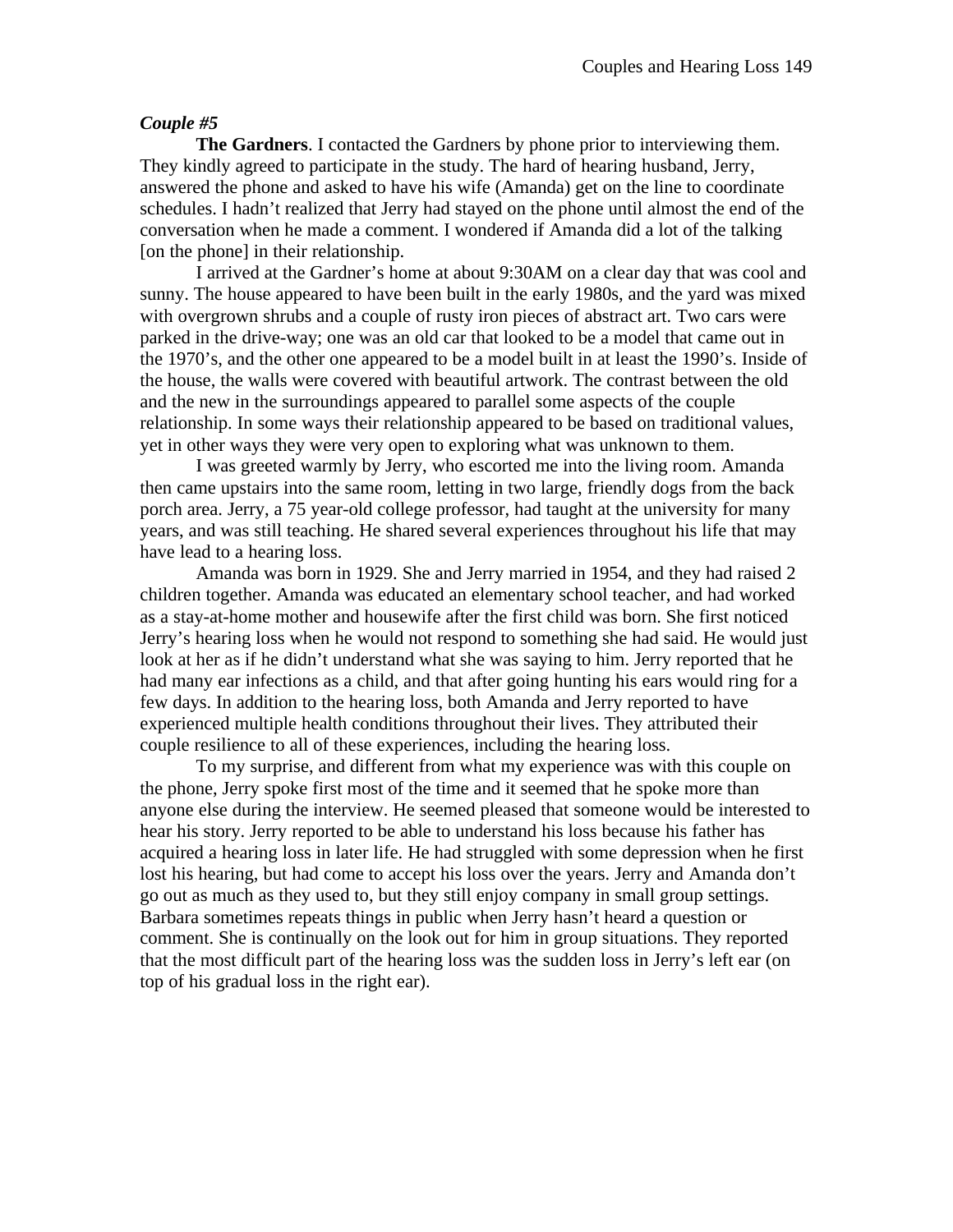**The Gardners**. I contacted the Gardners by phone prior to interviewing them. They kindly agreed to participate in the study. The hard of hearing husband, Jerry, answered the phone and asked to have his wife (Amanda) get on the line to coordinate schedules. I hadn't realized that Jerry had stayed on the phone until almost the end of the conversation when he made a comment. I wondered if Amanda did a lot of the talking [on the phone] in their relationship.

I arrived at the Gardner's home at about 9:30AM on a clear day that was cool and sunny. The house appeared to have been built in the early 1980s, and the yard was mixed with overgrown shrubs and a couple of rusty iron pieces of abstract art. Two cars were parked in the drive-way; one was an old car that looked to be a model that came out in the 1970's, and the other one appeared to be a model built in at least the 1990's. Inside of the house, the walls were covered with beautiful artwork. The contrast between the old and the new in the surroundings appeared to parallel some aspects of the couple relationship. In some ways their relationship appeared to be based on traditional values, yet in other ways they were very open to exploring what was unknown to them.

I was greeted warmly by Jerry, who escorted me into the living room. Amanda then came upstairs into the same room, letting in two large, friendly dogs from the back porch area. Jerry, a 75 year-old college professor, had taught at the university for many years, and was still teaching. He shared several experiences throughout his life that may have lead to a hearing loss.

Amanda was born in 1929. She and Jerry married in 1954, and they had raised 2 children together. Amanda was educated an elementary school teacher, and had worked as a stay-at-home mother and housewife after the first child was born. She first noticed Jerry's hearing loss when he would not respond to something she had said. He would just look at her as if he didn't understand what she was saying to him. Jerry reported that he had many ear infections as a child, and that after going hunting his ears would ring for a few days. In addition to the hearing loss, both Amanda and Jerry reported to have experienced multiple health conditions throughout their lives. They attributed their couple resilience to all of these experiences, including the hearing loss.

To my surprise, and different from what my experience was with this couple on the phone, Jerry spoke first most of the time and it seemed that he spoke more than anyone else during the interview. He seemed pleased that someone would be interested to hear his story. Jerry reported to be able to understand his loss because his father has acquired a hearing loss in later life. He had struggled with some depression when he first lost his hearing, but had come to accept his loss over the years. Jerry and Amanda don't go out as much as they used to, but they still enjoy company in small group settings. Barbara sometimes repeats things in public when Jerry hasn't heard a question or comment. She is continually on the look out for him in group situations. They reported that the most difficult part of the hearing loss was the sudden loss in Jerry's left ear (on top of his gradual loss in the right ear).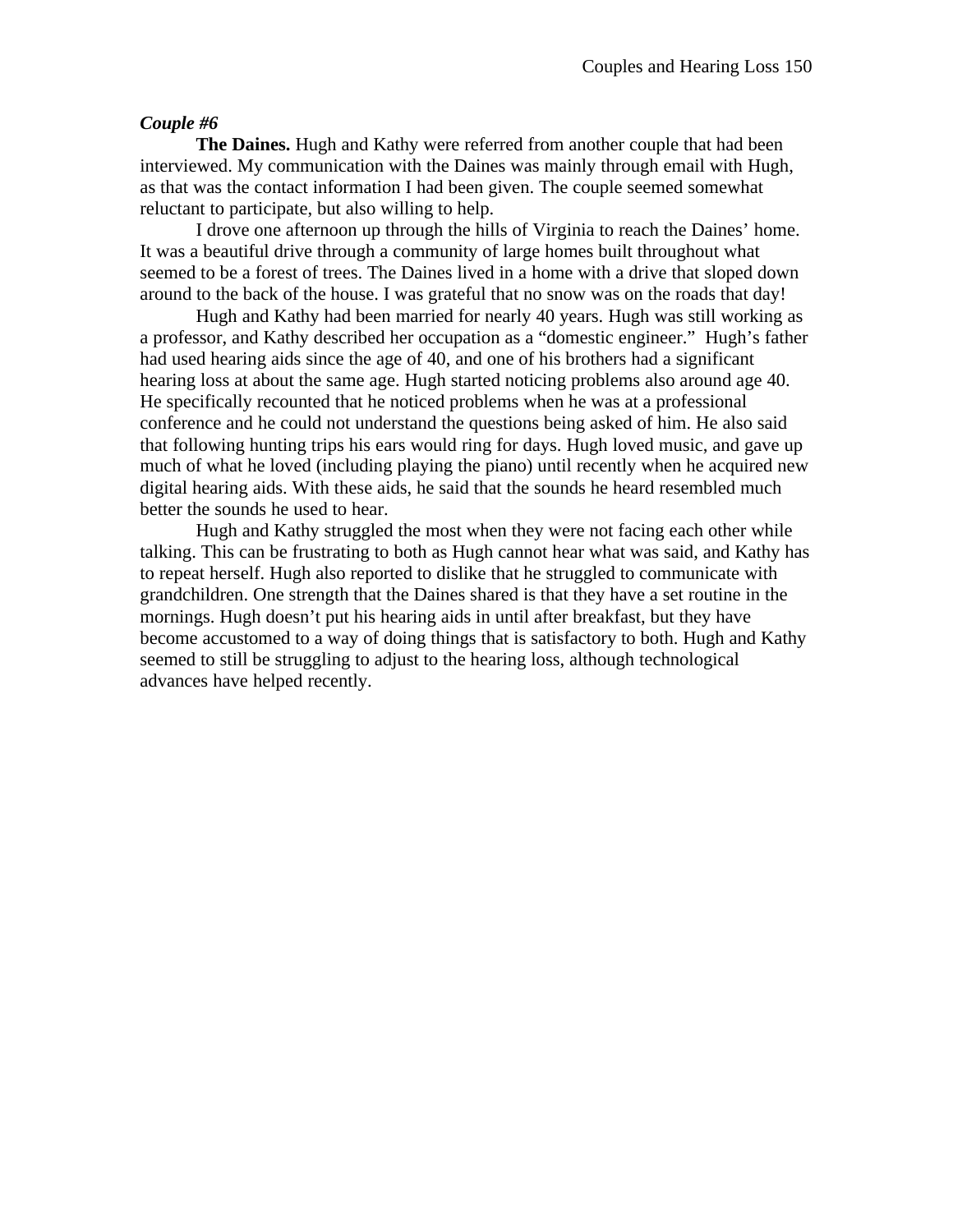**The Daines.** Hugh and Kathy were referred from another couple that had been interviewed. My communication with the Daines was mainly through email with Hugh, as that was the contact information I had been given. The couple seemed somewhat reluctant to participate, but also willing to help.

I drove one afternoon up through the hills of Virginia to reach the Daines' home. It was a beautiful drive through a community of large homes built throughout what seemed to be a forest of trees. The Daines lived in a home with a drive that sloped down around to the back of the house. I was grateful that no snow was on the roads that day!

Hugh and Kathy had been married for nearly 40 years. Hugh was still working as a professor, and Kathy described her occupation as a "domestic engineer." Hugh's father had used hearing aids since the age of 40, and one of his brothers had a significant hearing loss at about the same age. Hugh started noticing problems also around age 40. He specifically recounted that he noticed problems when he was at a professional conference and he could not understand the questions being asked of him. He also said that following hunting trips his ears would ring for days. Hugh loved music, and gave up much of what he loved (including playing the piano) until recently when he acquired new digital hearing aids. With these aids, he said that the sounds he heard resembled much better the sounds he used to hear.

Hugh and Kathy struggled the most when they were not facing each other while talking. This can be frustrating to both as Hugh cannot hear what was said, and Kathy has to repeat herself. Hugh also reported to dislike that he struggled to communicate with grandchildren. One strength that the Daines shared is that they have a set routine in the mornings. Hugh doesn't put his hearing aids in until after breakfast, but they have become accustomed to a way of doing things that is satisfactory to both. Hugh and Kathy seemed to still be struggling to adjust to the hearing loss, although technological advances have helped recently.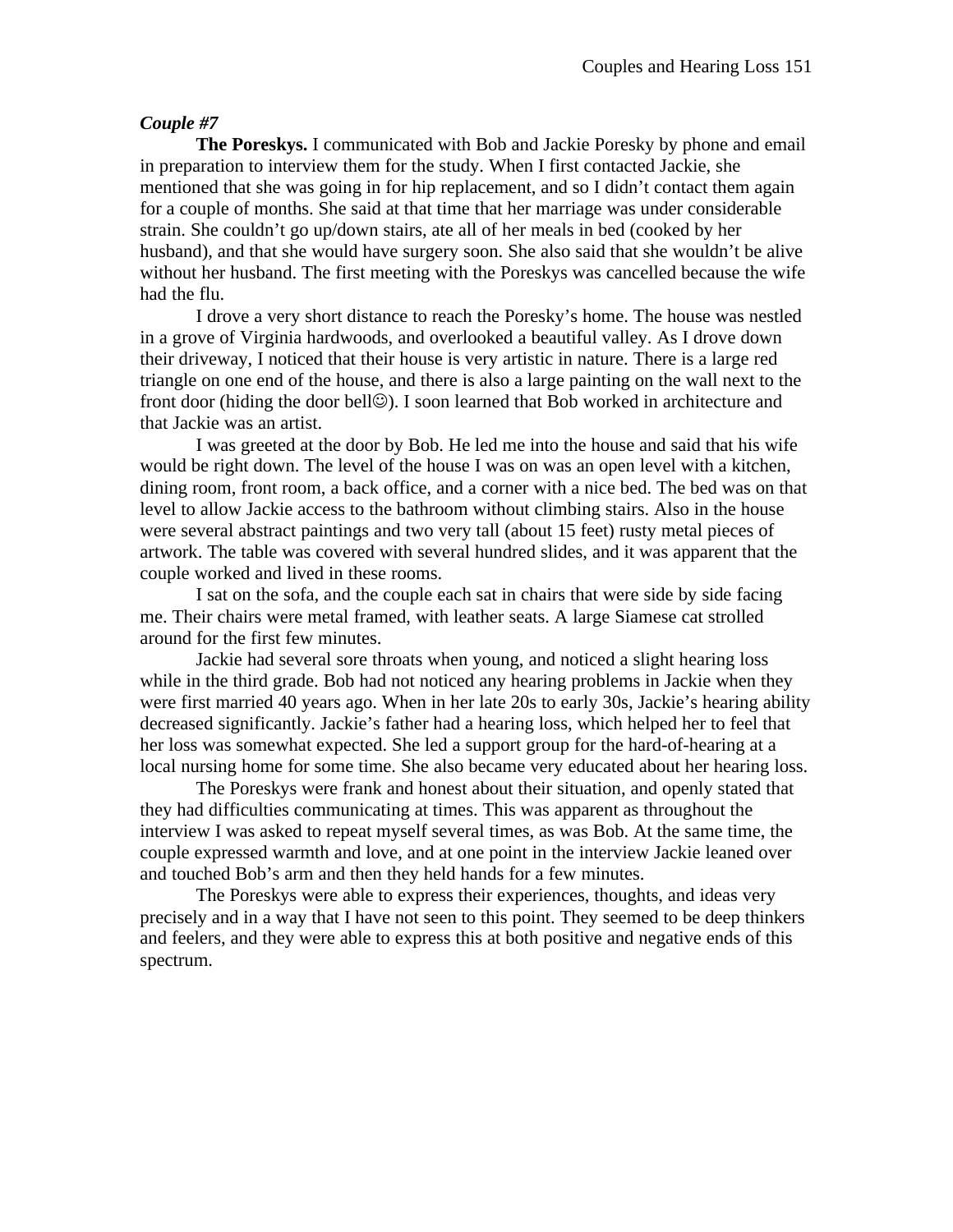**The Poreskys.** I communicated with Bob and Jackie Poresky by phone and email in preparation to interview them for the study. When I first contacted Jackie, she mentioned that she was going in for hip replacement, and so I didn't contact them again for a couple of months. She said at that time that her marriage was under considerable strain. She couldn't go up/down stairs, ate all of her meals in bed (cooked by her husband), and that she would have surgery soon. She also said that she wouldn't be alive without her husband. The first meeting with the Poreskys was cancelled because the wife had the flu.

I drove a very short distance to reach the Poresky's home. The house was nestled in a grove of Virginia hardwoods, and overlooked a beautiful valley. As I drove down their driveway, I noticed that their house is very artistic in nature. There is a large red triangle on one end of the house, and there is also a large painting on the wall next to the front door (hiding the door bell $\odot$ ). I soon learned that Bob worked in architecture and that Jackie was an artist.

I was greeted at the door by Bob. He led me into the house and said that his wife would be right down. The level of the house I was on was an open level with a kitchen, dining room, front room, a back office, and a corner with a nice bed. The bed was on that level to allow Jackie access to the bathroom without climbing stairs. Also in the house were several abstract paintings and two very tall (about 15 feet) rusty metal pieces of artwork. The table was covered with several hundred slides, and it was apparent that the couple worked and lived in these rooms.

I sat on the sofa, and the couple each sat in chairs that were side by side facing me. Their chairs were metal framed, with leather seats. A large Siamese cat strolled around for the first few minutes.

Jackie had several sore throats when young, and noticed a slight hearing loss while in the third grade. Bob had not noticed any hearing problems in Jackie when they were first married 40 years ago. When in her late 20s to early 30s, Jackie's hearing ability decreased significantly. Jackie's father had a hearing loss, which helped her to feel that her loss was somewhat expected. She led a support group for the hard-of-hearing at a local nursing home for some time. She also became very educated about her hearing loss.

The Poreskys were frank and honest about their situation, and openly stated that they had difficulties communicating at times. This was apparent as throughout the interview I was asked to repeat myself several times, as was Bob. At the same time, the couple expressed warmth and love, and at one point in the interview Jackie leaned over and touched Bob's arm and then they held hands for a few minutes.

The Poreskys were able to express their experiences, thoughts, and ideas very precisely and in a way that I have not seen to this point. They seemed to be deep thinkers and feelers, and they were able to express this at both positive and negative ends of this spectrum.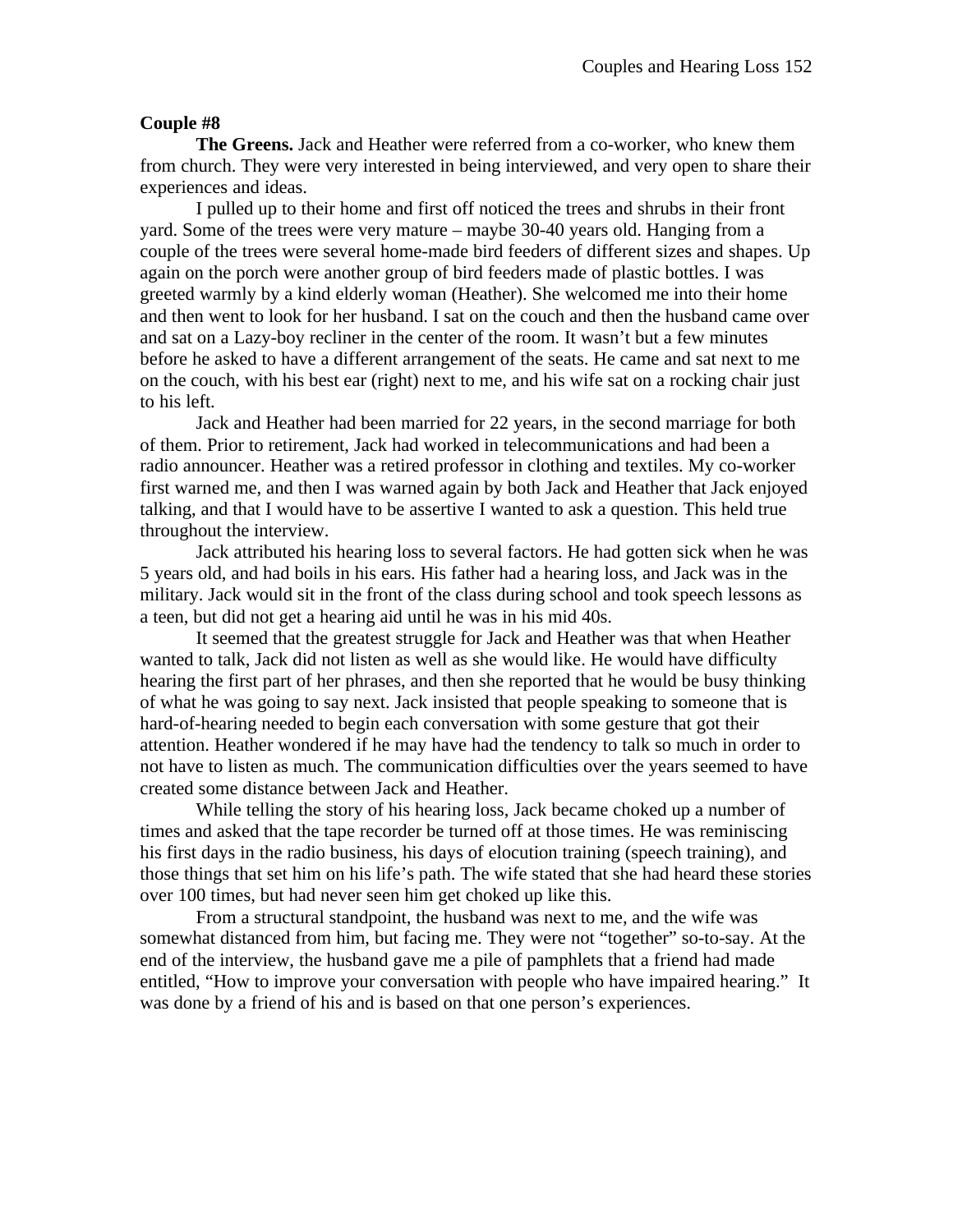**The Greens.** Jack and Heather were referred from a co-worker, who knew them from church. They were very interested in being interviewed, and very open to share their experiences and ideas.

I pulled up to their home and first off noticed the trees and shrubs in their front yard. Some of the trees were very mature – maybe 30-40 years old. Hanging from a couple of the trees were several home-made bird feeders of different sizes and shapes. Up again on the porch were another group of bird feeders made of plastic bottles. I was greeted warmly by a kind elderly woman (Heather). She welcomed me into their home and then went to look for her husband. I sat on the couch and then the husband came over and sat on a Lazy-boy recliner in the center of the room. It wasn't but a few minutes before he asked to have a different arrangement of the seats. He came and sat next to me on the couch, with his best ear (right) next to me, and his wife sat on a rocking chair just to his left.

Jack and Heather had been married for 22 years, in the second marriage for both of them. Prior to retirement, Jack had worked in telecommunications and had been a radio announcer. Heather was a retired professor in clothing and textiles. My co-worker first warned me, and then I was warned again by both Jack and Heather that Jack enjoyed talking, and that I would have to be assertive I wanted to ask a question. This held true throughout the interview.

Jack attributed his hearing loss to several factors. He had gotten sick when he was 5 years old, and had boils in his ears. His father had a hearing loss, and Jack was in the military. Jack would sit in the front of the class during school and took speech lessons as a teen, but did not get a hearing aid until he was in his mid 40s.

It seemed that the greatest struggle for Jack and Heather was that when Heather wanted to talk, Jack did not listen as well as she would like. He would have difficulty hearing the first part of her phrases, and then she reported that he would be busy thinking of what he was going to say next. Jack insisted that people speaking to someone that is hard-of-hearing needed to begin each conversation with some gesture that got their attention. Heather wondered if he may have had the tendency to talk so much in order to not have to listen as much. The communication difficulties over the years seemed to have created some distance between Jack and Heather.

While telling the story of his hearing loss, Jack became choked up a number of times and asked that the tape recorder be turned off at those times. He was reminiscing his first days in the radio business, his days of elocution training (speech training), and those things that set him on his life's path. The wife stated that she had heard these stories over 100 times, but had never seen him get choked up like this.

From a structural standpoint, the husband was next to me, and the wife was somewhat distanced from him, but facing me. They were not "together" so-to-say. At the end of the interview, the husband gave me a pile of pamphlets that a friend had made entitled, "How to improve your conversation with people who have impaired hearing." It was done by a friend of his and is based on that one person's experiences.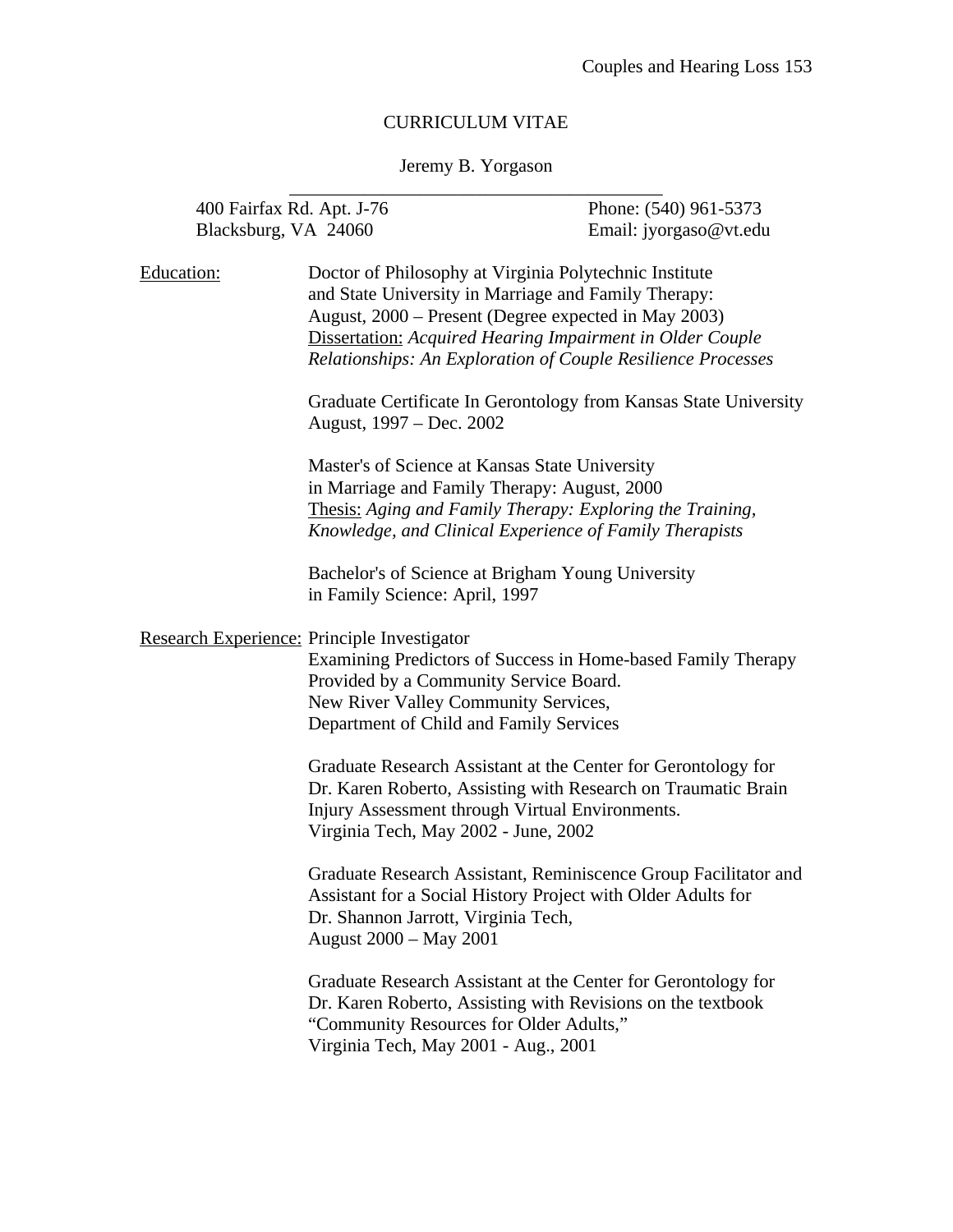# CURRICULUM VITAE

# Jeremy B. Yorgason \_\_\_\_\_\_\_\_\_\_\_\_\_\_\_\_\_\_\_\_\_\_\_\_\_\_\_\_\_\_\_\_\_\_\_\_\_\_\_\_

| 400 Fairfax Rd. Apt. J-76<br>Blacksburg, VA 24060 |                                                                                                                                                                                                                                                                                                            | Phone: (540) 961-5373<br>Email: jyorgaso@vt.edu |
|---------------------------------------------------|------------------------------------------------------------------------------------------------------------------------------------------------------------------------------------------------------------------------------------------------------------------------------------------------------------|-------------------------------------------------|
| Education:                                        | Doctor of Philosophy at Virginia Polytechnic Institute<br>and State University in Marriage and Family Therapy:<br>August, 2000 – Present (Degree expected in May 2003)<br><b>Dissertation:</b> Acquired Hearing Impairment in Older Couple<br>Relationships: An Exploration of Couple Resilience Processes |                                                 |
|                                                   | Graduate Certificate In Gerontology from Kansas State University<br>August, 1997 – Dec. 2002                                                                                                                                                                                                               |                                                 |
|                                                   | Master's of Science at Kansas State University<br>in Marriage and Family Therapy: August, 2000<br>Thesis: Aging and Family Therapy: Exploring the Training,<br>Knowledge, and Clinical Experience of Family Therapists                                                                                     |                                                 |
|                                                   | Bachelor's of Science at Brigham Young University<br>in Family Science: April, 1997                                                                                                                                                                                                                        |                                                 |
|                                                   | Research Experience: Principle Investigator<br>Examining Predictors of Success in Home-based Family Therapy<br>Provided by a Community Service Board.<br>New River Valley Community Services,<br>Department of Child and Family Services                                                                   |                                                 |
|                                                   | Graduate Research Assistant at the Center for Gerontology for<br>Dr. Karen Roberto, Assisting with Research on Traumatic Brain<br>Injury Assessment through Virtual Environments.<br>Virginia Tech, May 2002 - June, 2002                                                                                  |                                                 |
|                                                   | Graduate Research Assistant, Reminiscence Group Facilitator and<br>Assistant for a Social History Project with Older Adults for<br>Dr. Shannon Jarrott, Virginia Tech,<br>August 2000 – May 2001                                                                                                           |                                                 |
|                                                   | Graduate Research Assistant at the Center for Gerontology for<br>Dr. Karen Roberto, Assisting with Revisions on the textbook<br>"Community Resources for Older Adults,"<br>Virginia Tech, May 2001 - Aug., 2001                                                                                            |                                                 |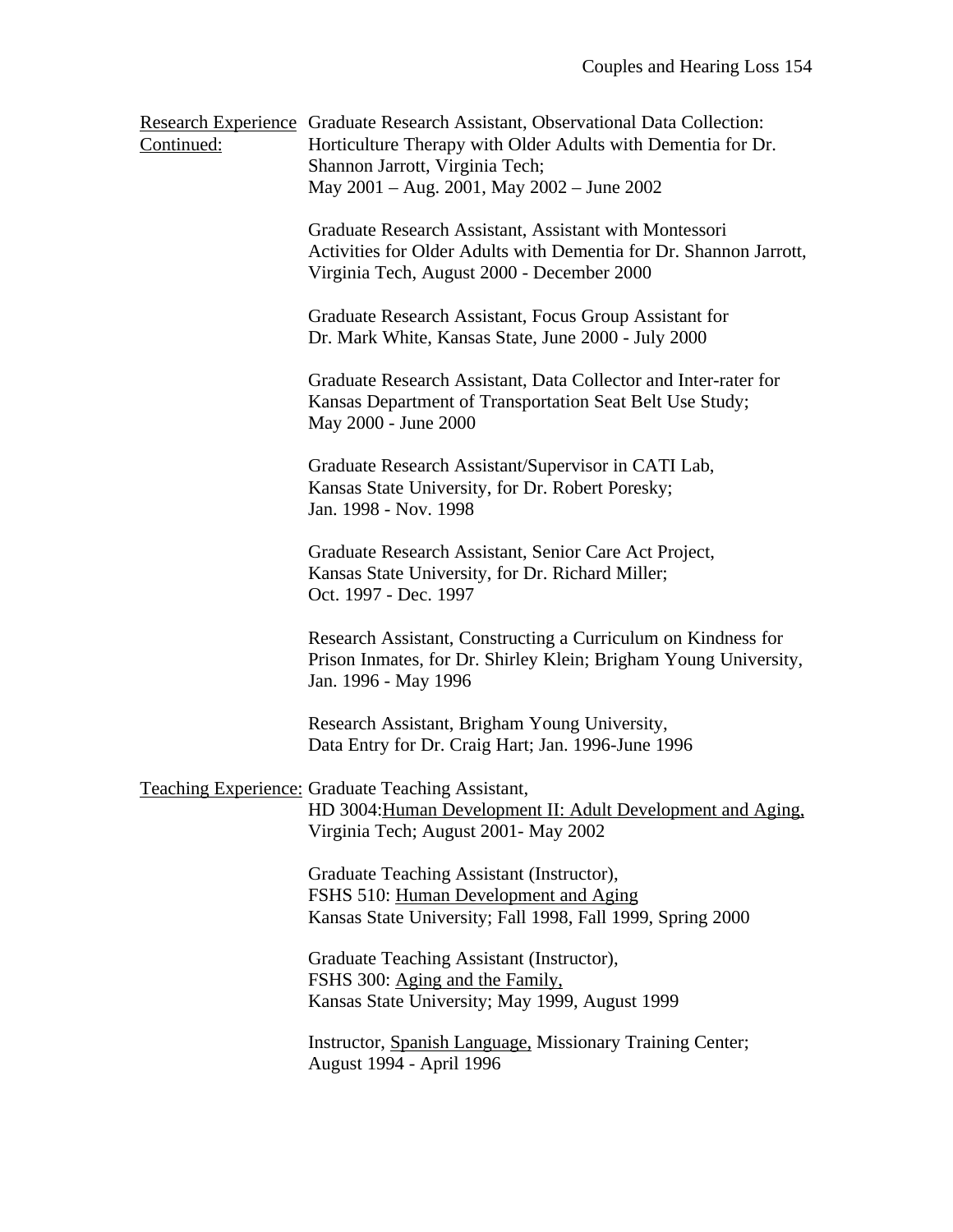| Continued: | Research Experience Graduate Research Assistant, Observational Data Collection:<br>Horticulture Therapy with Older Adults with Dementia for Dr.<br>Shannon Jarrott, Virginia Tech;<br>May 2001 - Aug. 2001, May 2002 - June 2002 |
|------------|----------------------------------------------------------------------------------------------------------------------------------------------------------------------------------------------------------------------------------|
|            | Graduate Research Assistant, Assistant with Montessori<br>Activities for Older Adults with Dementia for Dr. Shannon Jarrott,<br>Virginia Tech, August 2000 - December 2000                                                       |
|            | Graduate Research Assistant, Focus Group Assistant for<br>Dr. Mark White, Kansas State, June 2000 - July 2000                                                                                                                    |
|            | Graduate Research Assistant, Data Collector and Inter-rater for<br>Kansas Department of Transportation Seat Belt Use Study;<br>May 2000 - June 2000                                                                              |
|            | Graduate Research Assistant/Supervisor in CATI Lab,<br>Kansas State University, for Dr. Robert Poresky;<br>Jan. 1998 - Nov. 1998                                                                                                 |
|            | Graduate Research Assistant, Senior Care Act Project,<br>Kansas State University, for Dr. Richard Miller;<br>Oct. 1997 - Dec. 1997                                                                                               |
|            | Research Assistant, Constructing a Curriculum on Kindness for<br>Prison Inmates, for Dr. Shirley Klein; Brigham Young University,<br>Jan. 1996 - May 1996                                                                        |
|            | Research Assistant, Brigham Young University,<br>Data Entry for Dr. Craig Hart; Jan. 1996-June 1996                                                                                                                              |
|            | <b>Teaching Experience: Graduate Teaching Assistant,</b><br>HD 3004: Human Development II: Adult Development and Aging,<br>Virginia Tech; August 2001 - May 2002                                                                 |
|            | Graduate Teaching Assistant (Instructor),<br>FSHS 510: Human Development and Aging<br>Kansas State University; Fall 1998, Fall 1999, Spring 2000                                                                                 |
|            | Graduate Teaching Assistant (Instructor),<br>FSHS 300: Aging and the Family,<br>Kansas State University; May 1999, August 1999                                                                                                   |
|            | Instructor, Spanish Language, Missionary Training Center;<br>August 1994 - April 1996                                                                                                                                            |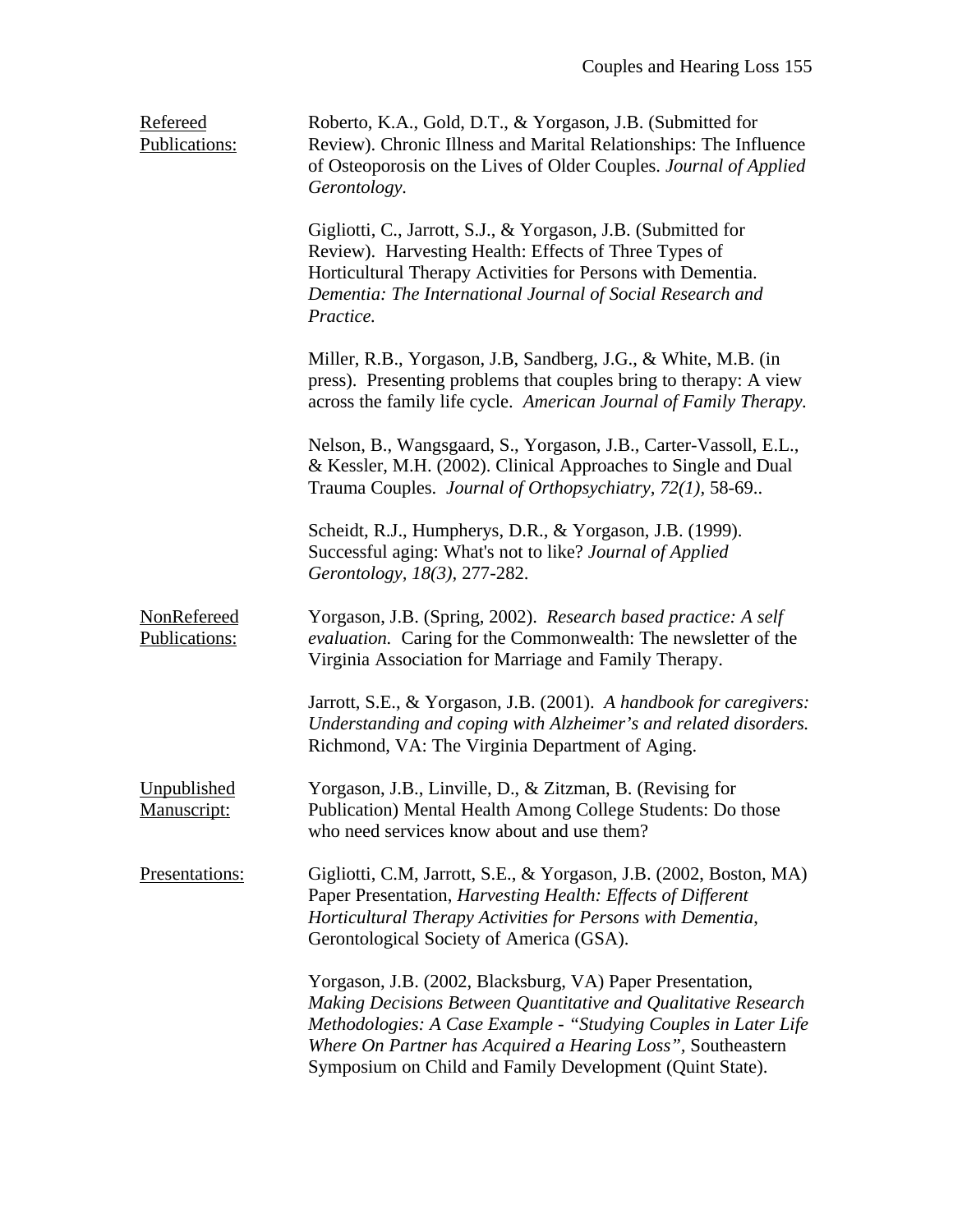| Refereed<br>Publications:    | Roberto, K.A., Gold, D.T., & Yorgason, J.B. (Submitted for<br>Review). Chronic Illness and Marital Relationships: The Influence<br>of Osteoporosis on the Lives of Older Couples. Journal of Applied<br>Gerontology.                                                                                                      |
|------------------------------|---------------------------------------------------------------------------------------------------------------------------------------------------------------------------------------------------------------------------------------------------------------------------------------------------------------------------|
|                              | Gigliotti, C., Jarrott, S.J., & Yorgason, J.B. (Submitted for<br>Review). Harvesting Health: Effects of Three Types of<br>Horticultural Therapy Activities for Persons with Dementia.<br>Dementia: The International Journal of Social Research and<br>Practice.                                                          |
|                              | Miller, R.B., Yorgason, J.B, Sandberg, J.G., & White, M.B. (in<br>press). Presenting problems that couples bring to therapy: A view<br>across the family life cycle. American Journal of Family Therapy.                                                                                                                  |
|                              | Nelson, B., Wangsgaard, S., Yorgason, J.B., Carter-Vassoll, E.L.,<br>& Kessler, M.H. (2002). Clinical Approaches to Single and Dual<br>Trauma Couples. Journal of Orthopsychiatry, 72(1), 58-69                                                                                                                           |
|                              | Scheidt, R.J., Humpherys, D.R., & Yorgason, J.B. (1999).<br>Successful aging: What's not to like? Journal of Applied<br>Gerontology, 18(3), 277-282.                                                                                                                                                                      |
| NonRefereed<br>Publications: | Yorgason, J.B. (Spring, 2002). Research based practice: A self<br>evaluation. Caring for the Commonwealth: The newsletter of the<br>Virginia Association for Marriage and Family Therapy.                                                                                                                                 |
|                              | Jarrott, S.E., & Yorgason, J.B. (2001). A handbook for caregivers:<br>Understanding and coping with Alzheimer's and related disorders.<br>Richmond, VA: The Virginia Department of Aging.                                                                                                                                 |
| Unpublished<br>Manuscript:   | Yorgason, J.B., Linville, D., & Zitzman, B. (Revising for<br>Publication) Mental Health Among College Students: Do those<br>who need services know about and use them?                                                                                                                                                    |
| Presentations:               | Gigliotti, C.M., Jarrott, S.E., & Yorgason, J.B. (2002, Boston, MA)<br>Paper Presentation, Harvesting Health: Effects of Different<br>Horticultural Therapy Activities for Persons with Dementia,<br>Gerontological Society of America (GSA).                                                                             |
|                              | Yorgason, J.B. (2002, Blacksburg, VA) Paper Presentation,<br>Making Decisions Between Quantitative and Qualitative Research<br>Methodologies: A Case Example - "Studying Couples in Later Life<br>Where On Partner has Acquired a Hearing Loss", Southeastern<br>Symposium on Child and Family Development (Quint State). |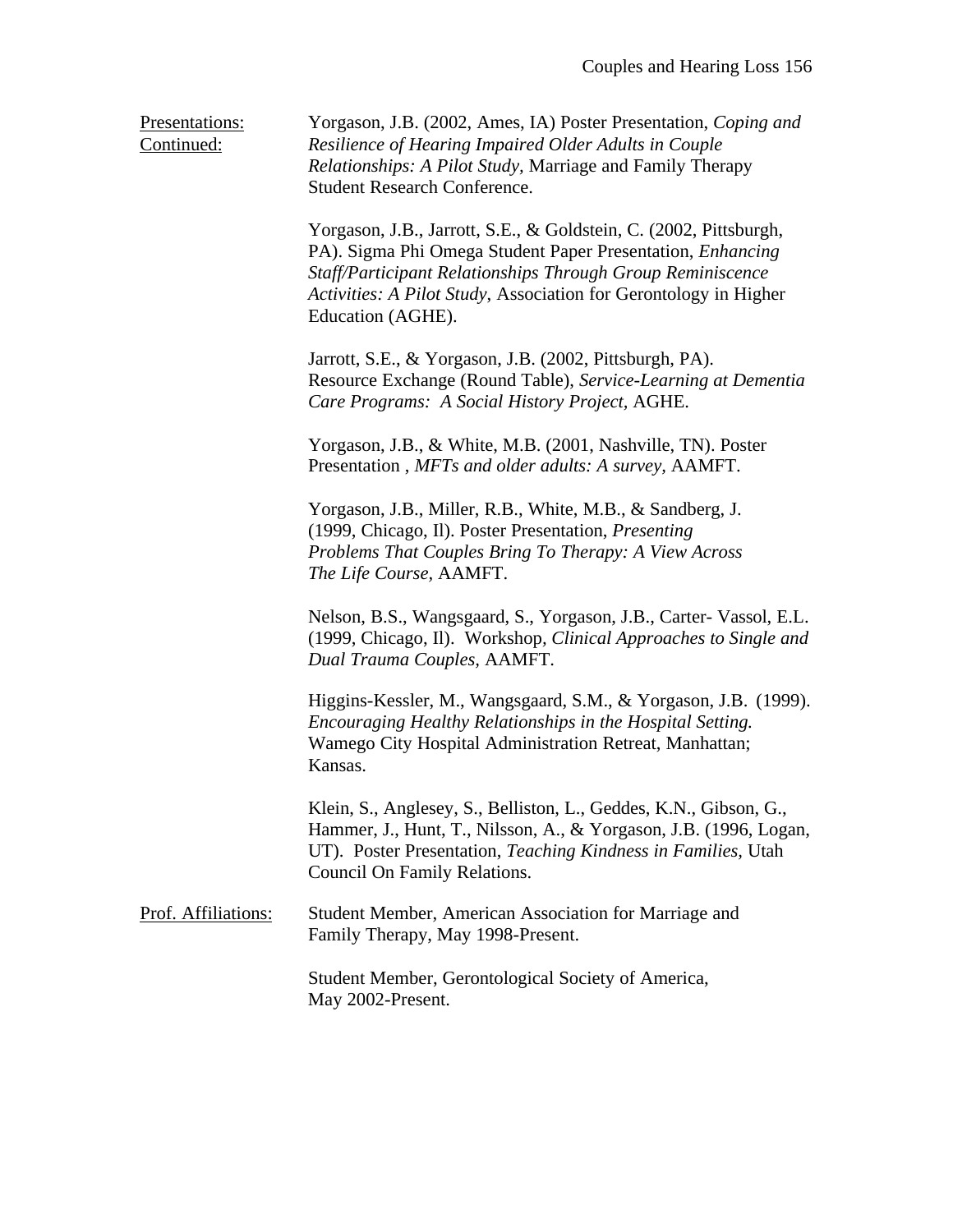Presentations: Yorgason, J.B. (2002, Ames, IA) Poster Presentation, *Coping and* Continued: *Resilience of Hearing Impaired Older Adults in Couple Relationships: A Pilot Study,* Marriage and Family Therapy Student Research Conference. Yorgason, J.B., Jarrott, S.E., & Goldstein, C. (2002, Pittsburgh, PA). Sigma Phi Omega Student Paper Presentation, *Enhancing Staff/Participant Relationships Through Group Reminiscence Activities: A Pilot Study*, Association for Gerontology in Higher Education (AGHE). Jarrott, S.E., & Yorgason, J.B. (2002, Pittsburgh, PA). Resource Exchange (Round Table), *Service-Learning at Dementia Care Programs: A Social History Project,* AGHE. Yorgason, J.B., & White, M.B. (2001, Nashville, TN). Poster Presentation , *MFTs and older adults: A survey,* AAMFT. Yorgason, J.B., Miller, R.B., White, M.B., & Sandberg, J. (1999, Chicago, Il). Poster Presentation, *Presenting Problems That Couples Bring To Therapy: A View Across The Life Course,* AAMFT. Nelson, B.S., Wangsgaard, S., Yorgason, J.B., Carter- Vassol, E.L. (1999, Chicago, Il). Workshop*, Clinical Approaches to Single and Dual Trauma Couples,* AAMFT. Higgins-Kessler, M., Wangsgaard, S.M., & Yorgason, J.B. (1999). *Encouraging Healthy Relationships in the Hospital Setting.* Wamego City Hospital Administration Retreat, Manhattan; Kansas. Klein, S., Anglesey, S., Belliston, L., Geddes, K.N., Gibson, G., Hammer, J., Hunt, T., Nilsson, A., & Yorgason, J.B. (1996, Logan, UT). Poster Presentation, *Teaching Kindness in Families,* Utah Council On Family Relations. Prof. Affiliations: Student Member, American Association for Marriage and Family Therapy, May 1998-Present. Student Member, Gerontological Society of America, May 2002-Present.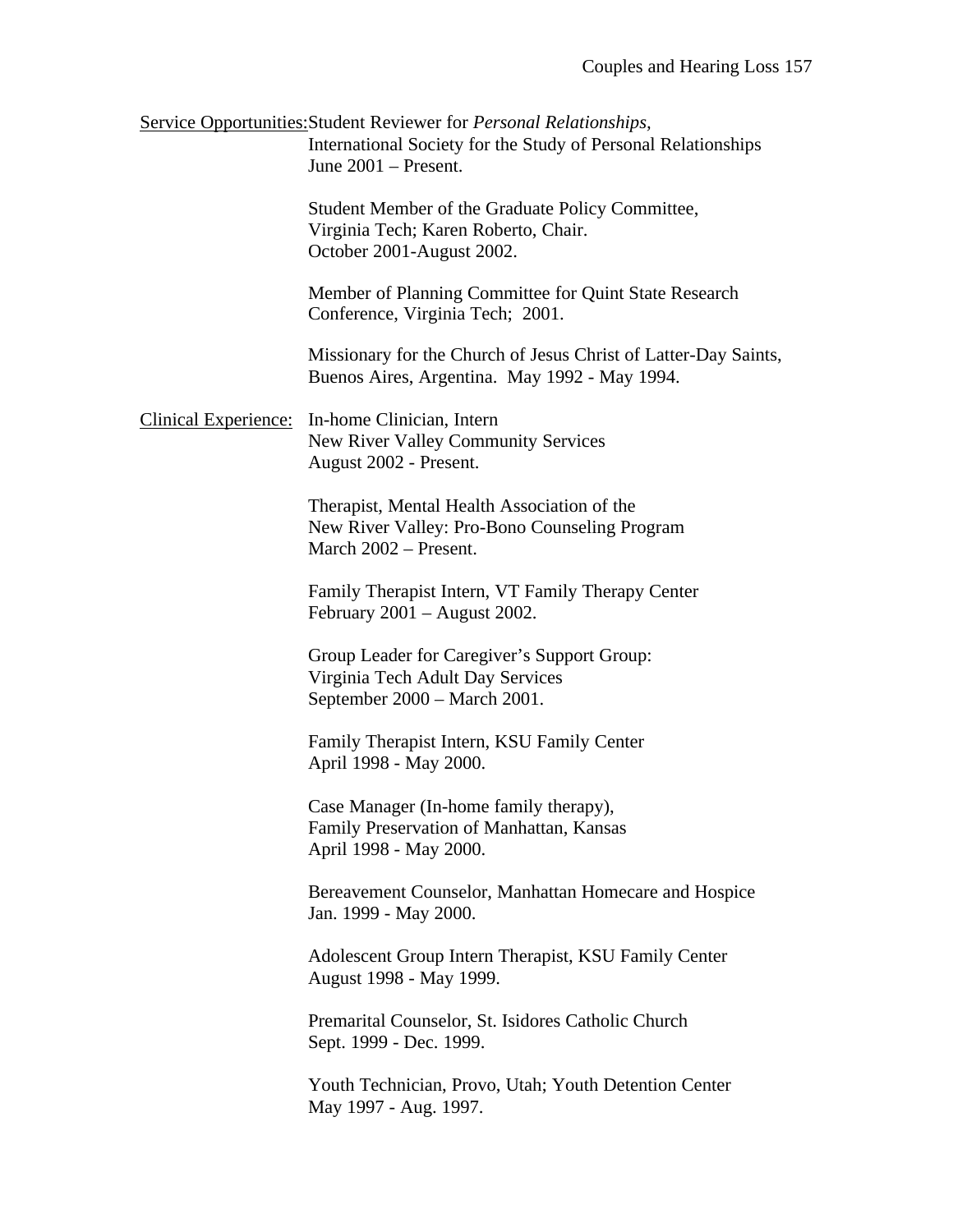Service Opportunities:Student Reviewer for *Personal Relationships,* International Society for the Study of Personal Relationships June 2001 – Present.

> Student Member of the Graduate Policy Committee, Virginia Tech; Karen Roberto, Chair. October 2001-August 2002.

Member of Planning Committee for Quint State Research Conference, Virginia Tech; 2001.

Missionary for the Church of Jesus Christ of Latter-Day Saints, Buenos Aires, Argentina. May 1992 - May 1994.

Clinical Experience: In-home Clinician, Intern New River Valley Community Services August 2002 - Present.

> Therapist, Mental Health Association of the New River Valley: Pro-Bono Counseling Program March 2002 – Present.

Family Therapist Intern, VT Family Therapy Center February 2001 – August 2002.

Group Leader for Caregiver's Support Group: Virginia Tech Adult Day Services September 2000 – March 2001.

Family Therapist Intern, KSU Family Center April 1998 - May 2000.

Case Manager (In-home family therapy), Family Preservation of Manhattan, Kansas April 1998 - May 2000.

Bereavement Counselor, Manhattan Homecare and Hospice Jan. 1999 - May 2000.

Adolescent Group Intern Therapist, KSU Family Center August 1998 - May 1999.

Premarital Counselor, St. Isidores Catholic Church Sept. 1999 - Dec. 1999.

Youth Technician, Provo, Utah; Youth Detention Center May 1997 - Aug. 1997.